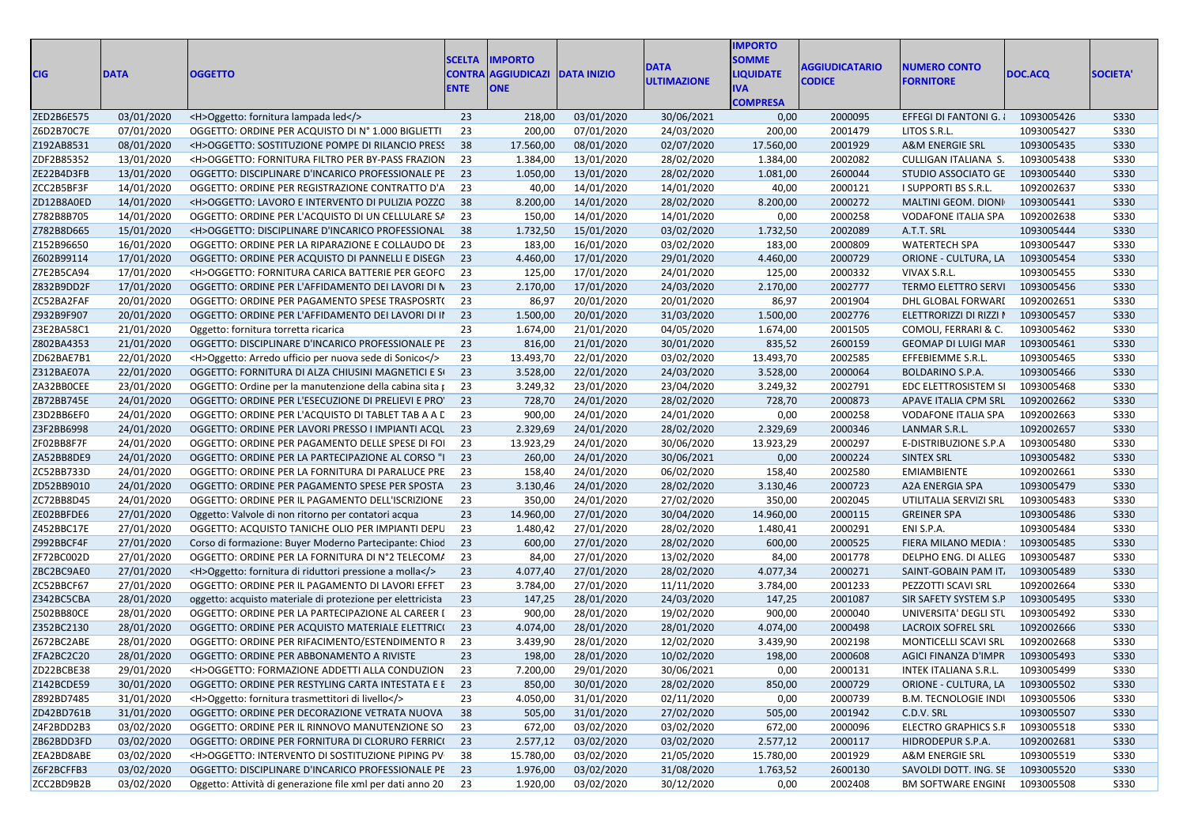| <b>CIG</b> | <b>DATA</b> | <b>OGGETTO</b>                                             | <b>SCELTA</b><br>CONTRA<br><b>ENTE</b> | <b>IMPORTO</b><br><b>AGGIUDICAZI</b><br><b>ONE</b> | <b>DATA INIZIO</b> | <b>DATA</b><br><b>ULTIMAZIONE</b> | <b>IMPORTO</b><br><b>SOMME</b><br><b>LIQUIDATE</b><br><b>IVA</b><br><b>COMPRESA</b> | <b>AGGIUDICATARIO</b><br><b>CODICE</b> | <b>NUMERO CONTO</b><br><b>FORNITORE</b> | DOC.ACQ    | <b>SOCIETA</b> |
|------------|-------------|------------------------------------------------------------|----------------------------------------|----------------------------------------------------|--------------------|-----------------------------------|-------------------------------------------------------------------------------------|----------------------------------------|-----------------------------------------|------------|----------------|
| ZED2B6E575 | 03/01/2020  | <h>Oggetto: fornitura lampada led</h>                      | 23                                     | 218,00                                             | 03/01/2020         | 30/06/2021                        | 0,00                                                                                | 2000095                                | EFFEGI DI FANTONI G.                    | 1093005426 | S330           |
| Z6D2B70C7E | 07/01/2020  | OGGETTO: ORDINE PER ACQUISTO DI Nº 1.000 BIGLIETTI         | 23                                     | 200,00                                             | 07/01/2020         | 24/03/2020                        | 200,00                                                                              | 2001479                                | LITOS S.R.L.                            | 1093005427 | <b>S330</b>    |
| Z192AB8531 | 08/01/2020  | <h>OGGETTO: SOSTITUZIONE POMPE DI RILANCIO PRESS</h>       | 38                                     | 17.560,00                                          | 08/01/2020         | 02/07/2020                        | 17.560,00                                                                           | 2001929                                | A&M ENERGIE SRL                         | 1093005435 | S330           |
| ZDF2B85352 | 13/01/2020  | <h>OGGETTO: FORNITURA FILTRO PER BY-PASS FRAZION</h>       | 23                                     | 1.384,00                                           | 13/01/2020         | 28/02/2020                        | 1.384,00                                                                            | 2002082                                | CULLIGAN ITALIANA S.                    | 1093005438 | <b>S330</b>    |
| ZE22B4D3FB | 13/01/2020  | OGGETTO: DISCIPLINARE D'INCARICO PROFESSIONALE PE          | 23                                     | 1.050,00                                           | 13/01/2020         | 28/02/2020                        | 1.081,00                                                                            | 2600044                                | STUDIO ASSOCIATO GE                     | 1093005440 | <b>S330</b>    |
| ZCC2B5BF3F | 14/01/2020  | OGGETTO: ORDINE PER REGISTRAZIONE CONTRATTO D'A            | 23                                     | 40,00                                              | 14/01/2020         | 14/01/2020                        | 40,00                                                                               | 2000121                                | I SUPPORTI BS S.R.L.                    | 1092002637 | S330           |
| ZD12B8A0ED | 14/01/2020  | <h>OGGETTO: LAVORO E INTERVENTO DI PULIZIA POZZO</h>       | 38                                     | 8.200,00                                           | 14/01/2020         | 28/02/2020                        | 8.200,00                                                                            | 2000272                                | MALTINI GEOM. DIONI                     | 1093005441 | S330           |
| Z782B8B705 | 14/01/2020  | OGGETTO: ORDINE PER L'ACQUISTO DI UN CELLULARE SA          | 23                                     | 150,00                                             | 14/01/2020         | 14/01/2020                        | 0,00                                                                                | 2000258                                | <b>VODAFONE ITALIA SPA</b>              | 1092002638 | <b>S330</b>    |
| Z782B8D665 | 15/01/2020  | <h>OGGETTO: DISCIPLINARE D'INCARICO PROFESSIONAL</h>       | 38                                     | 1.732,50                                           | 15/01/2020         | 03/02/2020                        | 1.732,50                                                                            | 2002089                                | A.T.T. SRL                              | 1093005444 | S330           |
| Z152B96650 | 16/01/2020  | OGGETTO: ORDINE PER LA RIPARAZIONE E COLLAUDO DE           | 23                                     | 183,00                                             | 16/01/2020         | 03/02/2020                        | 183,00                                                                              | 2000809                                | <b>WATERTECH SPA</b>                    | 1093005447 | <b>S330</b>    |
| Z602B99114 | 17/01/2020  | OGGETTO: ORDINE PER ACQUISTO DI PANNELLI E DISEGN          | 23                                     | 4.460,00                                           | 17/01/2020         | 29/01/2020                        | 4.460,00                                                                            | 2000729                                | ORIONE - CULTURA, LA                    | 1093005454 | S330           |
| Z7E2B5CA94 | 17/01/2020  | <h>OGGETTO: FORNITURA CARICA BATTERIE PER GEOFO</h>        | 23                                     | 125,00                                             | 17/01/2020         | 24/01/2020                        | 125,00                                                                              | 2000332                                | VIVAX S.R.L.                            | 1093005455 | <b>S330</b>    |
| Z832B9DD2F | 17/01/2020  | OGGETTO: ORDINE PER L'AFFIDAMENTO DEI LAVORI DI N          | 23                                     | 2.170,00                                           | 17/01/2020         | 24/03/2020                        | 2.170,00                                                                            | 2002777                                | TERMO ELETTRO SERVI                     | 1093005456 | S330           |
| ZC52BA2FAF | 20/01/2020  | OGGETTO: ORDINE PER PAGAMENTO SPESE TRASPOSRT(             | 23                                     | 86,97                                              | 20/01/2020         | 20/01/2020                        | 86,97                                                                               | 2001904                                | DHL GLOBAL FORWARI                      | 1092002651 | <b>S330</b>    |
| Z932B9F907 | 20/01/2020  | OGGETTO: ORDINE PER L'AFFIDAMENTO DEI LAVORI DI II         | 23                                     | 1.500,00                                           | 20/01/2020         | 31/03/2020                        | 1.500,00                                                                            | 2002776                                | ELETTRORIZZI DI RIZZI I                 | 1093005457 | <b>S330</b>    |
| Z3E2BA58C1 | 21/01/2020  | Oggetto: fornitura torretta ricarica                       | 23                                     | 1.674,00                                           | 21/01/2020         | 04/05/2020                        | 1.674,00                                                                            | 2001505                                | COMOLI, FERRARI & C.                    | 1093005462 | <b>S330</b>    |
| Z802BA4353 | 21/01/2020  | OGGETTO: DISCIPLINARE D'INCARICO PROFESSIONALE PE          | 23                                     | 816,00                                             | 21/01/2020         | 30/01/2020                        | 835,52                                                                              | 2600159                                | GEOMAP DI LUIGI MAF                     | 1093005461 | S330           |
| ZD62BAE7B1 | 22/01/2020  | <h>Oggetto: Arredo ufficio per nuova sede di Sonico</h>    | 23                                     | 13.493,70                                          | 22/01/2020         | 03/02/2020                        | 13.493,70                                                                           | 2002585                                | EFFEBIEMME S.R.L.                       | 1093005465 | S330           |
| Z312BAE07A | 22/01/2020  | OGGETTO: FORNITURA DI ALZA CHIUSINI MAGNETICI E SI         | 23                                     | 3.528,00                                           | 22/01/2020         | 24/03/2020                        | 3.528,00                                                                            | 2000064                                | BOLDARINO S.P.A.                        | 1093005466 | S330           |
| ZA32BB0CEE | 23/01/2020  | OGGETTO: Ordine per la manutenzione della cabina sita post | 23                                     | 3.249,32                                           | 23/01/2020         | 23/04/2020                        | 3.249,32                                                                            | 2002791                                | EDC ELETTROSISTEM SI                    | 1093005468 | S330           |
| ZB72BB745E | 24/01/2020  | OGGETTO: ORDINE PER L'ESECUZIONE DI PRELIEVI E PRO'        | 23                                     | 728,70                                             | 24/01/2020         | 28/02/2020                        | 728,70                                                                              | 2000873                                | APAVE ITALIA CPM SRL                    | 1092002662 | <b>S330</b>    |
| Z3D2BB6EF0 | 24/01/2020  | OGGETTO: ORDINE PER L'ACQUISTO DI TABLET TAB A A L         | 23                                     | 900,00                                             | 24/01/2020         | 24/01/2020                        | 0,00                                                                                | 2000258                                | <b>VODAFONE ITALIA SPA</b>              | 1092002663 | <b>S330</b>    |
| Z3F2BB6998 | 24/01/2020  | OGGETTO: ORDINE PER LAVORI PRESSO I IMPIANTI ACQU          | 23                                     | 2.329,69                                           | 24/01/2020         | 28/02/2020                        | 2.329,69                                                                            | 2000346                                | LANMAR S.R.L.                           | 1092002657 | <b>S330</b>    |
| ZF02BB8F7F | 24/01/2020  | OGGETTO: ORDINE PER PAGAMENTO DELLE SPESE DI FOI           | 23                                     | 13.923,29                                          | 24/01/2020         | 30/06/2020                        | 13.923,29                                                                           | 2000297                                | E-DISTRIBUZIONE S.P.A                   | 1093005480 | S330           |
| ZA52BB8DE9 | 24/01/2020  | OGGETTO: ORDINE PER LA PARTECIPAZIONE AL CORSO "I          | 23                                     | 260,00                                             | 24/01/2020         | 30/06/2021                        | 0,00                                                                                | 2000224                                | <b>SINTEX SRL</b>                       | 1093005482 | S330           |
| ZC52BB733D | 24/01/2020  | OGGETTO: ORDINE PER LA FORNITURA DI PARALUCE PRE           | 23                                     | 158,40                                             | 24/01/2020         | 06/02/2020                        | 158,40                                                                              | 2002580                                | EMIAMBIENTE                             | 1092002661 | <b>S330</b>    |
| ZD52BB9010 | 24/01/2020  | OGGETTO: ORDINE PER PAGAMENTO SPESE PER SPOSTA             | 23                                     | 3.130,46                                           | 24/01/2020         | 28/02/2020                        | 3.130,46                                                                            | 2000723                                | A2A ENERGIA SPA                         | 1093005479 | <b>S330</b>    |
| ZC72BB8D45 | 24/01/2020  | OGGETTO: ORDINE PER IL PAGAMENTO DELL'ISCRIZIONE           | 23                                     | 350,00                                             | 24/01/2020         | 27/02/2020                        | 350,00                                                                              | 2002045                                | UTILITALIA SERVIZI SRL                  | 1093005483 | S330           |
| ZE02BBFDE6 | 27/01/2020  | Oggetto: Valvole di non ritorno per contatori acqua        | 23                                     | 14.960,00                                          | 27/01/2020         | 30/04/2020                        | 14.960,00                                                                           | 2000115                                | <b>GREINER SPA</b>                      | 1093005486 | S330           |
| Z452BBC17E | 27/01/2020  | OGGETTO: ACQUISTO TANICHE OLIO PER IMPIANTI DEPU           | 23                                     | 1.480,42                                           | 27/01/2020         | 28/02/2020                        | 1.480,41                                                                            | 2000291                                | ENI S.P.A.                              | 1093005484 | <b>S330</b>    |
| Z992BBCF4F | 27/01/2020  | Corso di formazione: Buyer Moderno Partecipante: Chiod     | 23                                     | 600,00                                             | 27/01/2020         | 28/02/2020                        | 600,00                                                                              | 2000525                                | FIERA MILANO MEDIA                      | 1093005485 | S330           |
| ZF72BC002D | 27/01/2020  | OGGETTO: ORDINE PER LA FORNITURA DI N°2 TELECOM/           | 23                                     | 84,00                                              | 27/01/2020         | 13/02/2020                        | 84,00                                                                               | 2001778                                | DELPHO ENG. DI ALLEG                    | 1093005487 | <b>S330</b>    |
| ZBC2BC9AE0 | 27/01/2020  | <h>Oggetto: fornitura di riduttori pressione a molla</h>   | 23                                     | 4.077,40                                           | 27/01/2020         | 28/02/2020                        | 4.077,34                                                                            | 2000271                                | SAINT-GOBAIN PAM IT.                    | 1093005489 | S330           |
| ZC52BBCF67 | 27/01/2020  | OGGETTO: ORDINE PER IL PAGAMENTO DI LAVORI EFFET           | 23                                     | 3.784,00                                           | 27/01/2020         | 11/11/2020                        | 3.784,00                                                                            | 2001233                                | PEZZOTTI SCAVI SRL                      | 1092002664 | <b>S330</b>    |
| Z342BC5CBA | 28/01/2020  | oggetto: acquisto materiale di protezione per elettricista | 23                                     | 147,25                                             | 28/01/2020         | 24/03/2020                        | 147,25                                                                              | 2001087                                | SIR SAFETY SYSTEM S.P                   | 1093005495 | S330           |
| Z502BB80CE | 28/01/2020  | OGGETTO: ORDINE PER LA PARTECIPAZIONE AL CAREER I          | 23                                     | 900,00                                             | 28/01/2020         | 19/02/2020                        | 900,00                                                                              | 2000040                                | UNIVERSITA' DEGLI STL                   | 1093005492 | <b>S330</b>    |
| Z352BC2130 | 28/01/2020  | OGGETTO: ORDINE PER ACQUISTO MATERIALE ELETTRIC(           | 23                                     | 4.074,00                                           | 28/01/2020         | 28/01/2020                        | 4.074,00                                                                            | 2000498                                | LACROIX SOFREL SRL                      | 1092002666 | <b>S330</b>    |
| Z672BC2ABE | 28/01/2020  | OGGETTO: ORDINE PER RIFACIMENTO/ESTENDIMENTO R             | 23                                     | 3.439,90                                           | 28/01/2020         | 12/02/2020                        | 3.439,90                                                                            | 2002198                                | MONTICELLI SCAVI SRL                    | 1092002668 | <b>S330</b>    |
| ZFA2BC2C20 | 28/01/2020  | OGGETTO: ORDINE PER ABBONAMENTO A RIVISTE                  | 23                                     | 198,00                                             | 28/01/2020         | 10/02/2020                        | 198,00                                                                              | 2000608                                | AGICI FINANZA D'IMPR                    | 1093005493 | <b>S330</b>    |
| ZD22BCBE38 | 29/01/2020  | <h>OGGETTO: FORMAZIONE ADDETTI ALLA CONDUZION 23</h>       |                                        | 7.200,00                                           | 29/01/2020         | 30/06/2021                        | 0,00                                                                                | 2000131                                | INTEK ITALIANA S.R.L.                   | 1093005499 | <b>S330</b>    |
| Z142BCDE59 | 30/01/2020  | OGGETTO: ORDINE PER RESTYLING CARTA INTESTATA E E 23       |                                        | 850,00                                             | 30/01/2020         | 28/02/2020                        | 850,00                                                                              | 2000729                                | ORIONE - CULTURA, LA 1093005502         |            | S330           |
| Z892BD7485 | 31/01/2020  | <h>Oggetto: fornitura trasmettitori di livello</h>         | 23                                     | 4.050,00                                           | 31/01/2020         | 02/11/2020                        | 0,00                                                                                | 2000739                                | <b>B.M. TECNOLOGIE INDI</b>             | 1093005506 | <b>S330</b>    |
| ZD42BD761B | 31/01/2020  | OGGETTO: ORDINE PER DECORAZIONE VETRATA NUOVA              | 38                                     | 505,00                                             | 31/01/2020         | 27/02/2020                        | 505,00                                                                              | 2001942                                | C.D.V. SRL                              | 1093005507 | S330           |
| Z4F2BDD2B3 | 03/02/2020  | OGGETTO: ORDINE PER IL RINNOVO MANUTENZIONE SO             | 23                                     | 672,00                                             | 03/02/2020         | 03/02/2020                        | 672,00                                                                              | 2000096                                | <b>ELECTRO GRAPHICS S.F</b>             | 1093005518 | <b>S330</b>    |
| ZB62BDD3FD | 03/02/2020  | OGGETTO: ORDINE PER FORNITURA DI CLORURO FERRIC( 23        |                                        | 2.577,12                                           | 03/02/2020         | 03/02/2020                        | 2.577,12                                                                            | 2000117                                | HIDRODEPUR S.P.A.                       | 1092002681 | S330           |
| ZEA2BD8ABE | 03/02/2020  | <h>OGGETTO: INTERVENTO DI SOSTITUZIONE PIPING PV</h>       | 38                                     | 15.780,00                                          | 03/02/2020         | 21/05/2020                        | 15.780,00                                                                           | 2001929                                | A&M ENERGIE SRL                         | 1093005519 | <b>S330</b>    |
| Z6F2BCFFB3 | 03/02/2020  | OGGETTO: DISCIPLINARE D'INCARICO PROFESSIONALE PE 23       |                                        | 1.976,00                                           | 03/02/2020         | 31/08/2020                        | 1.763,52                                                                            | 2600130                                | SAVOLDI DOTT. ING. SE                   | 1093005520 | S330           |
| ZCC2BD9B2B | 03/02/2020  | Oggetto: Attività di generazione file xml per dati anno 20 | 23                                     | 1.920,00                                           | 03/02/2020         | 30/12/2020                        | 0,00                                                                                | 2002408                                | <b>BM SOFTWARE ENGINI</b>               | 1093005508 | <b>S330</b>    |
|            |             |                                                            |                                        |                                                    |                    |                                   |                                                                                     |                                        |                                         |            |                |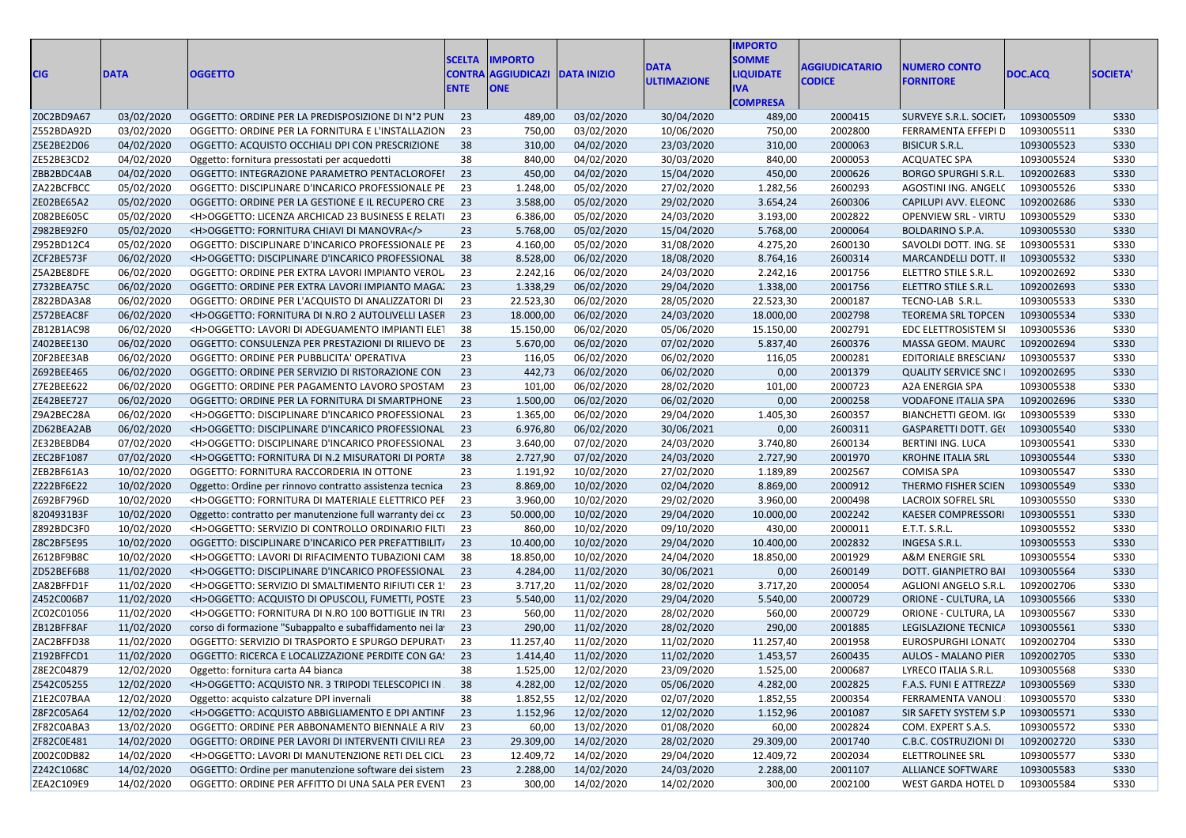| <b>CIG</b> | <b>DATA</b> |                                                          | <b>SCELTA</b><br><b>CONTRA</b> | <b>IMPORTO</b><br><b>AGGIUDICAZI</b> | <b>DATA INIZIO</b> | <b>DATA</b>              | <b>IMPORTO</b><br><b>SOMME</b><br><b>LIQUIDATE</b> | <b>AGGIUDICATARIO</b> | <b>NUMERO CONTO</b>         |            | <b>SOCIETA</b> |
|------------|-------------|----------------------------------------------------------|--------------------------------|--------------------------------------|--------------------|--------------------------|----------------------------------------------------|-----------------------|-----------------------------|------------|----------------|
|            |             | <b>OGGETTO</b>                                           | <b>ENTE</b>                    | <b>ONE</b>                           |                    | <b>ULTIMAZIONE</b>       | <b>IVA</b><br><b>COMPRESA</b>                      | <b>CODICE</b>         | <b>FORNITORE</b>            | DOC.ACQ    |                |
| Z0C2BD9A67 | 03/02/2020  | OGGETTO: ORDINE PER LA PREDISPOSIZIONE DI N°2 PUN        | 23                             | 489,00                               | 03/02/2020         | 30/04/2020               | 489,00                                             | 2000415               | SURVEYE S.R.L. SOCIET.      | 1093005509 | S330           |
| Z552BDA92D | 03/02/2020  | OGGETTO: ORDINE PER LA FORNITURA E L'INSTALLAZION        | 23                             | 750,00                               | 03/02/2020         | 10/06/2020               | 750,00                                             | 2002800               | FERRAMENTA EFFEPI D         | 1093005511 | <b>S330</b>    |
| Z5E2BE2D06 | 04/02/2020  | OGGETTO: ACQUISTO OCCHIALI DPI CON PRESCRIZIONE          | 38                             | 310,00                               | 04/02/2020         | 23/03/2020               | 310,00                                             | 2000063               | <b>BISICUR S.R.L.</b>       | 1093005523 | S330           |
| ZE52BE3CD2 | 04/02/2020  | Oggetto: fornitura pressostati per acquedotti            | 38                             | 840,00                               | 04/02/2020         | 30/03/2020               | 840,00                                             | 2000053               | <b>ACQUATEC SPA</b>         | 1093005524 | <b>S330</b>    |
| ZBB2BDC4AB | 04/02/2020  | OGGETTO: INTEGRAZIONE PARAMETRO PENTACLOROFEI            | 23                             | 450,00                               | 04/02/2020         | 15/04/2020               | 450,00                                             | 2000626               | <b>BORGO SPURGHI S.R.L.</b> | 1092002683 | <b>S330</b>    |
| ZA22BCFBCC | 05/02/2020  | OGGETTO: DISCIPLINARE D'INCARICO PROFESSIONALE PE        | 23                             | 1.248,00                             | 05/02/2020         | 27/02/2020               | 1.282,56                                           | 2600293               | AGOSTINI ING. ANGEL(        | 1093005526 | S330           |
| ZE02BE65A2 | 05/02/2020  | OGGETTO: ORDINE PER LA GESTIONE E IL RECUPERO CRE        | 23                             | 3.588,00                             | 05/02/2020         | 29/02/2020               | 3.654,24                                           | 2600306               | CAPILUPI AVV. ELEONC        | 1092002686 | S330           |
| Z082BE605C | 05/02/2020  | <h>OGGETTO: LICENZA ARCHICAD 23 BUSINESS E RELATI</h>    | 23                             | 6.386,00                             | 05/02/2020         | 24/03/2020               | 3.193,00                                           | 2002822               | <b>OPENVIEW SRL - VIRTU</b> | 1093005529 | <b>S330</b>    |
| Z982BE92F0 | 05/02/2020  | <h>OGGETTO: FORNITURA CHIAVI DI MANOVRA</h>              | 23                             | 5.768,00                             | 05/02/2020         | 15/04/2020               | 5.768,00                                           | 2000064               | <b>BOLDARINO S.P.A.</b>     | 1093005530 | S330           |
| Z952BD12C4 | 05/02/2020  | OGGETTO: DISCIPLINARE D'INCARICO PROFESSIONALE PE        | 23                             | 4.160,00                             | 05/02/2020         | 31/08/2020               | 4.275,20                                           | 2600130               | SAVOLDI DOTT. ING. SE       | 1093005531 | <b>S330</b>    |
| ZCF2BE573F | 06/02/2020  | <h>OGGETTO: DISCIPLINARE D'INCARICO PROFESSIONAL</h>     | 38                             | 8.528,00                             | 06/02/2020         | 18/08/2020               | 8.764,16                                           | 2600314               | MARCANDELLI DOTT. II        | 1093005532 | <b>S330</b>    |
| Z5A2BE8DFE | 06/02/2020  | OGGETTO: ORDINE PER EXTRA LAVORI IMPIANTO VEROL          | 23                             | 2.242,16                             | 06/02/2020         | 24/03/2020               | 2.242,16                                           | 2001756               | ELETTRO STILE S.R.L.        | 1092002692 | <b>S330</b>    |
| Z732BEA75C | 06/02/2020  | OGGETTO: ORDINE PER EXTRA LAVORI IMPIANTO MAGA.          | 23                             | 1.338,29                             | 06/02/2020         | 29/04/2020               | 1.338,00                                           | 2001756               | ELETTRO STILE S.R.L.        | 1092002693 | S330           |
| Z822BDA3A8 | 06/02/2020  | OGGETTO: ORDINE PER L'ACQUISTO DI ANALIZZATORI DI        | 23                             | 22.523,30                            | 06/02/2020         | 28/05/2020               | 22.523,30                                          | 2000187               | TECNO-LAB S.R.L.            | 1093005533 | <b>S330</b>    |
| Z572BEAC8F | 06/02/2020  | <h>OGGETTO: FORNITURA DI N.RO 2 AUTOLIVELLI LASER</h>    | 23                             | 18.000,00                            | 06/02/2020         | 24/03/2020               | 18.000,00                                          | 2002798               | TEOREMA SRL TOPCEN          | 1093005534 | <b>S330</b>    |
| ZB12B1AC98 | 06/02/2020  | <h>OGGETTO: LAVORI DI ADEGUAMENTO IMPIANTI ELET</h>      | 38                             | 15.150,00                            | 06/02/2020         | 05/06/2020               | 15.150,00                                          | 2002791               | EDC ELETTROSISTEM SI        | 1093005536 | <b>S330</b>    |
| Z402BEE130 | 06/02/2020  | OGGETTO: CONSULENZA PER PRESTAZIONI DI RILIEVO DE        | 23                             | 5.670,00                             | 06/02/2020         | 07/02/2020               | 5.837,40                                           | 2600376               | MASSA GEOM. MAURC           | 1092002694 | S330           |
| ZOF2BEE3AB | 06/02/2020  | OGGETTO: ORDINE PER PUBBLICITA' OPERATIVA                | 23                             | 116,05                               | 06/02/2020         | 06/02/2020               | 116,05                                             | 2000281               | EDITORIALE BRESCIAN/        | 1093005537 | S330           |
| Z692BEE465 | 06/02/2020  | OGGETTO: ORDINE PER SERVIZIO DI RISTORAZIONE CON         | 23                             | 442,73                               | 06/02/2020         | 06/02/2020               | 0,00                                               | 2001379               | <b>QUALITY SERVICE SNC</b>  | 1092002695 | <b>S330</b>    |
| Z7E2BEE622 | 06/02/2020  | OGGETTO: ORDINE PER PAGAMENTO LAVORO SPOSTAM             | 23                             | 101,00                               | 06/02/2020         | 28/02/2020               | 101,00                                             | 2000723               | A2A ENERGIA SPA             | 1093005538 | S330           |
| ZE42BEE727 | 06/02/2020  | OGGETTO: ORDINE PER LA FORNITURA DI SMARTPHONE           | 23                             | 1.500,00                             | 06/02/2020         |                          | 0,00                                               | 2000258               | <b>VODAFONE ITALIA SPA</b>  | 1092002696 | <b>S330</b>    |
| Z9A2BEC28A | 06/02/2020  | <h>OGGETTO: DISCIPLINARE D'INCARICO PROFESSIONAL</h>     | 23                             | 1.365,00                             | 06/02/2020         | 06/02/2020<br>29/04/2020 | 1.405,30                                           | 2600357               | <b>BIANCHETTI GEOM. IG(</b> | 1093005539 | <b>S330</b>    |
| ZD62BEA2AB | 06/02/2020  | <h>OGGETTO: DISCIPLINARE D'INCARICO PROFESSIONAL</h>     | 23                             | 6.976,80                             | 06/02/2020         | 30/06/2021               | 0,00                                               | 2600311               | <b>GASPARETTI DOTT. GEI</b> | 1093005540 | <b>S330</b>    |
| ZE32BEBDB4 | 07/02/2020  | <h>OGGETTO: DISCIPLINARE D'INCARICO PROFESSIONAL</h>     | 23                             | 3.640,00                             | 07/02/2020         |                          | 3.740,80                                           | 2600134               | <b>BERTINI ING. LUCA</b>    | 1093005541 | S330           |
| ZEC2BF1087 | 07/02/2020  | <h>OGGETTO: FORNITURA DI N.2 MISURATORI DI PORTA</h>     | 38                             | 2.727,90                             | 07/02/2020         | 24/03/2020<br>24/03/2020 | 2.727,90                                           | 2001970               | <b>KROHNE ITALIA SRL</b>    | 1093005544 | S330           |
| ZEB2BF61A3 | 10/02/2020  | OGGETTO: FORNITURA RACCORDERIA IN OTTONE                 | 23                             | 1.191,92                             | 10/02/2020         | 27/02/2020               | 1.189,89                                           | 2002567               | <b>COMISA SPA</b>           | 1093005547 | <b>S330</b>    |
| Z222BF6E22 | 10/02/2020  |                                                          | 23                             | 8.869,00                             | 10/02/2020         |                          | 8.869,00                                           | 2000912               | THERMO FISHER SCIEN         | 1093005549 | <b>S330</b>    |
|            | 10/02/2020  | Oggetto: Ordine per rinnovo contratto assistenza tecnica | 23                             |                                      | 10/02/2020         | 02/04/2020               |                                                    |                       |                             | 1093005550 | S330           |
| Z692BF796D |             | <h>OGGETTO: FORNITURA DI MATERIALE ELETTRICO PEF</h>     |                                | 3.960,00                             |                    | 29/02/2020               | 3.960,00                                           | 2000498               | <b>LACROIX SOFREL SRL</b>   |            |                |
| 8204931B3F | 10/02/2020  | Oggetto: contratto per manutenzione full warranty dei co | 23                             | 50.000,00                            | 10/02/2020         | 29/04/2020               | 10.000,00                                          | 2002242               | <b>KAESER COMPRESSORI</b>   | 1093005551 | S330           |
| Z892BDC3F0 | 10/02/2020  | <h>OGGETTO: SERVIZIO DI CONTROLLO ORDINARIO FILTI</h>    | 23                             | 860,00                               | 10/02/2020         | 09/10/2020               | 430,00                                             | 2000011               | E.T.T. S.R.L.               | 1093005552 | <b>S330</b>    |
| Z8C2BF5E95 | 10/02/2020  | OGGETTO: DISCIPLINARE D'INCARICO PER PREFATTIBILIT/      | 23                             | 10.400,00                            | 10/02/2020         | 29/04/2020               | 10.400,00                                          | 2002832               | INGESA S.R.L.               | 1093005553 | S330           |
| Z612BF9B8C | 10/02/2020  | <h>OGGETTO: LAVORI DI RIFACIMENTO TUBAZIONI CAM</h>      | 38                             | 18.850,00                            | 10/02/2020         | 24/04/2020               | 18.850,00                                          | 2001929               | A&M ENERGIE SRL             | 1093005554 | <b>S330</b>    |
| ZD52BEF6B8 | 11/02/2020  | <h>OGGETTO: DISCIPLINARE D'INCARICO PROFESSIONAL</h>     | 23                             | 4.284,00                             | 11/02/2020         | 30/06/2021               | 0,00                                               | 2600149               | DOTT. GIANPIETRO BAI        | 1093005564 | S330           |
| ZA82BFFD1F | 11/02/2020  | <h>OGGETTO: SERVIZIO DI SMALTIMENTO RIFIUTI CER 1!</h>   | 23                             | 3.717,20                             | 11/02/2020         | 28/02/2020               | 3.717,20                                           | 2000054               | AGLIONI ANGELO S.R.L        | 1092002706 | <b>S330</b>    |
| Z452C006B7 | 11/02/2020  | <h>OGGETTO: ACQUISTO DI OPUSCOLI, FUMETTI, POSTE</h>     | 23                             | 5.540,00                             | 11/02/2020         | 29/04/2020               | 5.540,00                                           | 2000729               | ORIONE - CULTURA, LA        | 1093005566 | S330           |
| ZC02C01056 | 11/02/2020  | <h>OGGETTO: FORNITURA DI N.RO 100 BOTTIGLIE IN TRI</h>   | 23                             | 560,00                               | 11/02/2020         | 28/02/2020               | 560,00                                             | 2000729               | ORIONE - CULTURA, LA        | 1093005567 | <b>S330</b>    |
| ZB12BFF8AF | 11/02/2020  | corso di formazione "Subappalto e subaffidamento nei la  | 23                             | 290,00                               | 11/02/2020         | 28/02/2020               | 290,00                                             | 2001885               | LEGISLAZIONE TECNICA        | 1093005561 | <b>S330</b>    |
| ZAC2BFFD38 | 11/02/2020  | OGGETTO: SERVIZIO DI TRASPORTO E SPURGO DEPURATI         | 23                             | 11.257,40                            | 11/02/2020         | 11/02/2020               | 11.257,40                                          | 2001958               | EUROSPURGHI LONAT(          | 1092002704 | <b>S330</b>    |
| Z192BFFCD1 | 11/02/2020  | OGGETTO: RICERCA E LOCALIZZAZIONE PERDITE CON GA! 23     |                                | 1.414,40                             | 11/02/2020         | 11/02/2020               | 1.453,57                                           | 2600435               | AULOS - MALANO PIER         | 1092002705 | <b>S330</b>    |
| Z8E2C04879 | 12/02/2020  | Oggetto: fornitura carta A4 bianca                       | 38                             | 1.525,00                             | 12/02/2020         | 23/09/2020               | 1.525,00                                           | 2000687               | LYRECO ITALIA S.R.L.        | 1093005568 | <b>S330</b>    |
| Z542C05255 | 12/02/2020  | <h>OGGETTO: ACQUISTO NR. 3 TRIPODI TELESCOPICI IN 38</h> |                                | 4.282,00                             | 12/02/2020         | 05/06/2020               | 4.282,00                                           | 2002825               | F.A.S. FUNI E ATTREZZA      | 1093005569 | S330           |
| Z1E2C07BAA | 12/02/2020  | Oggetto: acquisto calzature DPI invernali                | 38                             | 1.852,55                             | 12/02/2020         | 02/07/2020               | 1.852,55                                           | 2000354               | FERRAMENTA VANOLI           | 1093005570 | <b>S330</b>    |
| Z8F2C05A64 | 12/02/2020  | <h>OGGETTO: ACQUISTO ABBIGLIAMENTO E DPI ANTINF</h>      | 23                             | 1.152,96                             | 12/02/2020         | 12/02/2020               | 1.152,96                                           | 2001087               | SIR SAFETY SYSTEM S.P       | 1093005571 | S330           |
| ZF82C0ABA3 | 13/02/2020  | OGGETTO: ORDINE PER ABBONAMENTO BIENNALE A RIV           | 23                             | 60,00                                | 13/02/2020         | 01/08/2020               | 60,00                                              | 2002824               | COM. EXPERT S.A.S.          | 1093005572 | <b>S330</b>    |
| ZF82C0E481 | 14/02/2020  | OGGETTO: ORDINE PER LAVORI DI INTERVENTI CIVILI REA      | 23                             | 29.309,00                            | 14/02/2020         | 28/02/2020               | 29.309,00                                          | 2001740               | C.B.C. COSTRUZIONI DI       | 1092002720 | S330           |
| Z002C0DB82 | 14/02/2020  | <h>OGGETTO: LAVORI DI MANUTENZIONE RETI DEL CICL</h>     | 23                             | 12.409,72                            | 14/02/2020         | 29/04/2020               | 12.409,72                                          | 2002034               | <b>ELETTROLINEE SRL</b>     | 1093005577 | <b>S330</b>    |
| Z242C1068C | 14/02/2020  | OGGETTO: Ordine per manutenzione software dei sistem 23  |                                | 2.288,00                             | 14/02/2020         | 24/03/2020               | 2.288,00                                           | 2001107               | <b>ALLIANCE SOFTWARE</b>    | 1093005583 | S330           |
| ZEA2C109E9 | 14/02/2020  | OGGETTO: ORDINE PER AFFITTO DI UNA SALA PER EVENT        | 23                             | 300,00                               | 14/02/2020         | 14/02/2020               | 300,00                                             | 2002100               | WEST GARDA HOTEL D          | 1093005584 | <b>S330</b>    |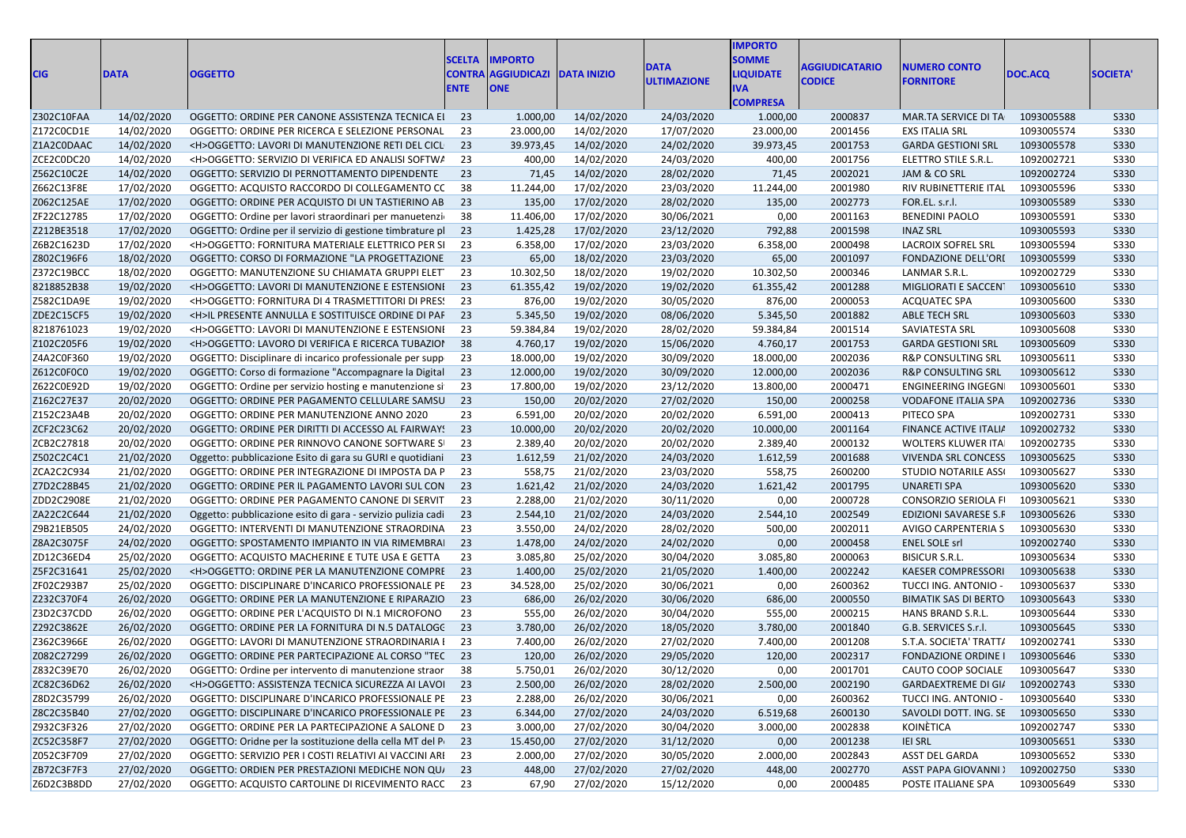| <b>CIG</b> | <b>DATA</b> | <b>OGGETTO</b>                                               | <b>SCELTA</b><br><b>ENTE</b> | <b>IMPORTO</b><br><b>CONTRA AGGIUDICAZI</b><br><b>ONE</b> | <b>DATA INIZIO</b> | <b>DATA</b><br><b>ULTIMAZIONE</b> | <b>IMPORTO</b><br><b>SOMME</b><br><b>LIQUIDATE</b><br>IVA<br><b>COMPRESA</b> | <b>AGGIUDICATARIO</b><br><b>CODICE</b> | <b>NUMERO CONTO</b><br><b>FORNITORE</b> | DOC.ACQ    | <b>SOCIETA'</b> |
|------------|-------------|--------------------------------------------------------------|------------------------------|-----------------------------------------------------------|--------------------|-----------------------------------|------------------------------------------------------------------------------|----------------------------------------|-----------------------------------------|------------|-----------------|
| Z302C10FAA | 14/02/2020  | OGGETTO: ORDINE PER CANONE ASSISTENZA TECNICA EI             | -23                          | 1.000,00                                                  | 14/02/2020         | 24/03/2020                        | 1.000,00                                                                     | 2000837                                | MAR.TA SERVICE DI TA                    | 1093005588 | <b>S330</b>     |
| Z172C0CD1E | 14/02/2020  | OGGETTO: ORDINE PER RICERCA E SELEZIONE PERSONAL             | 23                           | 23.000,00                                                 | 14/02/2020         | 17/07/2020                        | 23.000,00                                                                    | 2001456                                | <b>EXS ITALIA SRL</b>                   | 1093005574 | <b>S330</b>     |
| Z1A2C0DAAC | 14/02/2020  | <h>OGGETTO: LAVORI DI MANUTENZIONE RETI DEL CICL</h>         | 23                           | 39.973,45                                                 | 14/02/2020         | 24/02/2020                        | 39.973,45                                                                    | 2001753                                | <b>GARDA GESTIONI SRL</b>               | 1093005578 | <b>S330</b>     |
| ZCE2C0DC20 | 14/02/2020  | <h>OGGETTO: SERVIZIO DI VERIFICA ED ANALISI SOFTWA</h>       | 23                           | 400,00                                                    | 14/02/2020         | 24/03/2020                        | 400,00                                                                       | 2001756                                | ELETTRO STILE S.R.L.                    | 1092002721 | <b>S330</b>     |
| Z562C10C2E | 14/02/2020  | OGGETTO: SERVIZIO DI PERNOTTAMENTO DIPENDENTE                | 23                           | 71,45                                                     | 14/02/2020         | 28/02/2020                        | 71,45                                                                        | 2002021                                | JAM & CO SRL                            | 1092002724 | <b>S330</b>     |
| Z662C13F8E | 17/02/2020  | OGGETTO: ACQUISTO RACCORDO DI COLLEGAMENTO CC                | 38                           | 11.244,00                                                 | 17/02/2020         | 23/03/2020                        | 11.244,00                                                                    | 2001980                                | RIV RUBINETTERIE ITAL                   | 1093005596 | S330            |
| Z062C125AE | 17/02/2020  | OGGETTO: ORDINE PER ACQUISTO DI UN TASTIERINO AB             | 23                           | 135,00                                                    | 17/02/2020         | 28/02/2020                        | 135,00                                                                       | 2002773                                | FOR.EL. s.r.l.                          | 1093005589 | <b>S330</b>     |
| ZF22C12785 | 17/02/2020  | OGGETTO: Ordine per lavori straordinari per manuetenzi       | 38                           | 11.406,00                                                 | 17/02/2020         | 30/06/2021                        | 0,00                                                                         | 2001163                                | <b>BENEDINI PAOLO</b>                   | 1093005591 | <b>S330</b>     |
| Z212BE3518 | 17/02/2020  | OGGETTO: Ordine per il servizio di gestione timbrature pl    | 23                           | 1.425,28                                                  | 17/02/2020         | 23/12/2020                        | 792,88                                                                       | 2001598                                | <b>INAZ SRL</b>                         | 1093005593 | <b>S330</b>     |
| Z6B2C1623D | 17/02/2020  | <h>OGGETTO: FORNITURA MATERIALE ELETTRICO PER SI</h>         | 23                           | 6.358,00                                                  | 17/02/2020         | 23/03/2020                        | 6.358,00                                                                     | 2000498                                | LACROIX SOFREL SRL                      | 1093005594 | S330            |
| Z802C196F6 | 18/02/2020  | OGGETTO: CORSO DI FORMAZIONE "LA PROGETTAZIONE               | 23                           | 65,00                                                     | 18/02/2020         | 23/03/2020                        | 65,00                                                                        | 2001097                                | FONDAZIONE DELL'ORI                     | 1093005599 | <b>S330</b>     |
| Z372C19BCC | 18/02/2020  | OGGETTO: MANUTENZIONE SU CHIAMATA GRUPPI ELET                | 23                           | 10.302,50                                                 | 18/02/2020         | 19/02/2020                        | 10.302,50                                                                    | 2000346                                | LANMAR S.R.L.                           | 1092002729 | S330            |
| 8218852B38 | 19/02/2020  | <h>OGGETTO: LAVORI DI MANUTENZIONE E ESTENSIONI</h>          | 23                           | 61.355,42                                                 | 19/02/2020         | 19/02/2020                        | 61.355,42                                                                    | 2001288                                | MIGLIORATI E SACCENT                    | 1093005610 | <b>S330</b>     |
| Z582C1DA9E | 19/02/2020  | <h>OGGETTO: FORNITURA DI 4 TRASMETTITORI DI PRES!</h>        | 23                           | 876,00                                                    | 19/02/2020         | 30/05/2020                        | 876,00                                                                       | 2000053                                | <b>ACQUATEC SPA</b>                     | 1093005600 | <b>S330</b>     |
| ZDE2C15CF5 | 19/02/2020  | <h>IL PRESENTE ANNULLA E SOSTITUISCE ORDINE DI PAF</h>       | 23                           | 5.345,50                                                  | 19/02/2020         | 08/06/2020                        | 5.345,50                                                                     | 2001882                                | ABLE TECH SRL                           | 1093005603 | <b>S330</b>     |
| 8218761023 | 19/02/2020  | <h>OGGETTO: LAVORI DI MANUTENZIONE E ESTENSIONI</h>          | 23                           | 59.384,84                                                 | 19/02/2020         | 28/02/2020                        | 59.384,84                                                                    | 2001514                                | SAVIATESTA SRL                          | 1093005608 | <b>S330</b>     |
| Z102C205F6 | 19/02/2020  | <h>OGGETTO: LAVORO DI VERIFICA E RICERCA TUBAZIOI</h>        | 38                           | 4.760,17                                                  | 19/02/2020         | 15/06/2020                        | 4.760,17                                                                     | 2001753                                | <b>GARDA GESTIONI SRL</b>               | 1093005609 | <b>S330</b>     |
| Z4A2C0F360 | 19/02/2020  | OGGETTO: Disciplinare di incarico professionale per supp     | 23                           | 18.000,00                                                 | 19/02/2020         | 30/09/2020                        | 18.000,00                                                                    | 2002036                                | <b>R&amp;P CONSULTING SRL</b>           | 1093005611 | S330            |
| Z612C0F0C0 | 19/02/2020  | OGGETTO: Corso di formazione "Accompagnare la Digital        | 23                           | 12.000,00                                                 | 19/02/2020         | 30/09/2020                        | 12.000,00                                                                    | 2002036                                | <b>R&amp;P CONSULTING SRL</b>           | 1093005612 | <b>S330</b>     |
| Z622C0E92D | 19/02/2020  | OGGETTO: Ordine per servizio hosting e manutenzione si       | 23                           | 17.800,00                                                 | 19/02/2020         | 23/12/2020                        | 13.800,00                                                                    | 2000471                                | <b>ENGINEERING INGEGN</b>               | 1093005601 | <b>S330</b>     |
| Z162C27E37 | 20/02/2020  | OGGETTO: ORDINE PER PAGAMENTO CELLULARE SAMSU                | 23                           | 150,00                                                    | 20/02/2020         | 27/02/2020                        | 150,00                                                                       | 2000258                                | <b>VODAFONE ITALIA SPA</b>              | 1092002736 | <b>S330</b>     |
| Z152C23A4B | 20/02/2020  | OGGETTO: ORDINE PER MANUTENZIONE ANNO 2020                   | 23                           | 6.591,00                                                  | 20/02/2020         | 20/02/2020                        | 6.591,00                                                                     | 2000413                                | PITECO SPA                              | 1092002731 | S330            |
| ZCF2C23C62 | 20/02/2020  | OGGETTO: ORDINE PER DIRITTI DI ACCESSO AL FAIRWAY!           | 23                           | 10.000,00                                                 | 20/02/2020         | 20/02/2020                        | 10.000,00                                                                    | 2001164                                | <b>FINANCE ACTIVE ITALIA</b>            | 1092002732 | <b>S330</b>     |
| ZCB2C27818 | 20/02/2020  | OGGETTO: ORDINE PER RINNOVO CANONE SOFTWARE SI               | 23                           | 2.389,40                                                  | 20/02/2020         | 20/02/2020                        | 2.389,40                                                                     | 2000132                                | WOLTERS KLUWER ITA                      | 1092002735 | S330            |
| Z502C2C4C1 | 21/02/2020  | Oggetto: pubblicazione Esito di gara su GURI e quotidiani    | 23                           | 1.612,59                                                  | 21/02/2020         | 24/03/2020                        | 1.612,59                                                                     | 2001688                                | <b>VIVENDA SRL CONCESS</b>              | 1093005625 | <b>S330</b>     |
| ZCA2C2C934 | 21/02/2020  | OGGETTO: ORDINE PER INTEGRAZIONE DI IMPOSTA DA P             | 23                           | 558,75                                                    | 21/02/2020         | 23/03/2020                        | 558,75                                                                       | 2600200                                | STUDIO NOTARILE ASSI                    | 1093005627 | S330            |
| Z7D2C28B45 | 21/02/2020  | OGGETTO: ORDINE PER IL PAGAMENTO LAVORI SUL CON              | 23                           | 1.621,42                                                  | 21/02/2020         | 24/03/2020                        | 1.621,42                                                                     | 2001795                                | UNARETI SPA                             | 1093005620 | <b>S330</b>     |
| ZDD2C2908E | 21/02/2020  | OGGETTO: ORDINE PER PAGAMENTO CANONE DI SERVIT               | 23                           | 2.288,00                                                  | 21/02/2020         | 30/11/2020                        | 0,00                                                                         | 2000728                                | CONSORZIO SERIOLA F                     | 1093005621 | <b>S330</b>     |
| ZA22C2C644 | 21/02/2020  | Oggetto: pubblicazione esito di gara - servizio pulizia cadi | 23                           | 2.544,10                                                  | 21/02/2020         | 24/03/2020                        | 2.544,10                                                                     | 2002549                                | EDIZIONI SAVARESE S.F                   | 1093005626 | <b>S330</b>     |
| Z9B21EB505 | 24/02/2020  | OGGETTO: INTERVENTI DI MANUTENZIONE STRAORDINA               | 23                           | 3.550,00                                                  | 24/02/2020         | 28/02/2020                        | 500,00                                                                       | 2002011                                | AVIGO CARPENTERIA S                     | 1093005630 | <b>S330</b>     |
| Z8A2C3075F | 24/02/2020  | OGGETTO: SPOSTAMENTO IMPIANTO IN VIA RIMEMBRAI               | 23                           | 1.478,00                                                  | 24/02/2020         | 24/02/2020                        | 0,00                                                                         | 2000458                                | <b>ENEL SOLE srl</b>                    | 1092002740 | <b>S330</b>     |
| ZD12C36ED4 | 25/02/2020  | OGGETTO: ACQUISTO MACHERINE E TUTE USA E GETTA               | 23                           | 3.085,80                                                  | 25/02/2020         | 30/04/2020                        | 3.085,80                                                                     | 2000063                                | <b>BISICUR S.R.L.</b>                   | 1093005634 | S330            |
| Z5F2C31641 | 25/02/2020  | <h>OGGETTO: ORDINE PER LA MANUTENZIONE COMPRE</h>            | 23                           | 1.400,00                                                  | 25/02/2020         | 21/05/2020                        | 1.400,00                                                                     | 2002242                                | <b>KAESER COMPRESSORI</b>               | 1093005638 | <b>S330</b>     |
| ZF02C293B7 | 25/02/2020  | OGGETTO: DISCIPLINARE D'INCARICO PROFESSIONALE PE            | 23                           | 34.528,00                                                 | 25/02/2020         | 30/06/2021                        | 0,00                                                                         | 2600362                                | TUCCI ING. ANTONIO -                    | 1093005637 | S330            |
| Z232C370F4 | 26/02/2020  | OGGETTO: ORDINE PER LA MANUTENZIONE E RIPARAZIO              | 23                           | 686,00                                                    | 26/02/2020         | 30/06/2020                        | 686,00                                                                       | 2000550                                | <b>BIMATIK SAS DI BERTO</b>             | 1093005643 | <b>S330</b>     |
| Z3D2C37CDD | 26/02/2020  | OGGETTO: ORDINE PER L'ACQUISTO DI N.1 MICROFONO              | 23                           | 555,00                                                    | 26/02/2020         | 30/04/2020                        | 555,00                                                                       | 2000215                                | HANS BRAND S.R.L.                       | 1093005644 | <b>S330</b>     |
| Z292C3862E | 26/02/2020  | OGGETTO: ORDINE PER LA FORNITURA DI N.5 DATALOGC             | 23                           | 3.780,00                                                  | 26/02/2020         | 18/05/2020                        | 3.780,00                                                                     | 2001840                                | G.B. SERVICES S.r.I.                    | 1093005645 | <b>S330</b>     |
| Z362C3966E | 26/02/2020  | OGGETTO: LAVORI DI MANUTENZIONE STRAORDINARIA I              | 23                           | 7.400,00                                                  | 26/02/2020         | 27/02/2020                        | 7.400,00                                                                     | 2001208                                | S.T.A. SOCIETA' TRATT/                  | 1092002741 | <b>S330</b>     |
| Z082C27299 | 26/02/2020  | OGGETTO: ORDINE PER PARTECIPAZIONE AL CORSO "TEC             | -23                          | 120,00                                                    | 26/02/2020         | 29/05/2020                        | 120,00                                                                       | 2002317                                | FONDAZIONE ORDINE   1093005646          |            | <b>S330</b>     |
| Z832C39E70 | 26/02/2020  | OGGETTO: Ordine per intervento di manutenzione straor        | 38                           | 5.750,01                                                  | 26/02/2020         | 30/12/2020                        | 0,00                                                                         | 2001701                                | CAUTO COOP SOCIALE 1093005647           |            | <b>S330</b>     |
| ZC82C36D62 | 26/02/2020  | <h>OGGETTO: ASSISTENZA TECNICA SICUREZZA AI LAVOI 23</h>     |                              | 2.500,00                                                  | 26/02/2020         | 28/02/2020                        | 2.500,00                                                                     | 2002190                                | GARDAEXTREME DI GI/ 1092002743          |            | <b>S330</b>     |
| Z8D2C35799 | 26/02/2020  | OGGETTO: DISCIPLINARE D'INCARICO PROFESSIONALE PE            | 23                           | 2.288,00                                                  | 26/02/2020         | 30/06/2021                        | 0,00                                                                         | 2600362                                | TUCCI ING. ANTONIO -                    | 1093005640 | S330            |
| Z8C2C35B40 | 27/02/2020  | OGGETTO: DISCIPLINARE D'INCARICO PROFESSIONALE PE            | - 23                         | 6.344,00                                                  | 27/02/2020         | 24/03/2020                        | 6.519,68                                                                     | 2600130                                | SAVOLDI DOTT. ING. SE 1093005650        |            | S330            |
| Z932C3F326 | 27/02/2020  | OGGETTO: ORDINE PER LA PARTECIPAZIONE A SALONE D             | 23                           | 3.000,00                                                  | 27/02/2020         | 30/04/2020                        | 3.000,00                                                                     | 2002838                                | KOINÉTICA                               | 1092002747 | S330            |
| ZC52C358F7 | 27/02/2020  | OGGETTO: Oridne per la sostituzione della cella MT del P     | 23                           | 15.450,00                                                 | 27/02/2020         | 31/12/2020                        | 0,00                                                                         | 2001238                                | <b>IEI SRL</b>                          | 1093005651 | S330            |
| Z052C3F709 | 27/02/2020  | OGGETTO: SERVIZIO PER I COSTI RELATIVI AI VACCINI ARI        | 23                           | 2.000,00                                                  | 27/02/2020         | 30/05/2020                        | 2.000,00                                                                     | 2002843                                | ASST DEL GARDA                          | 1093005652 | <b>S330</b>     |
| ZB72C3F7F3 | 27/02/2020  | OGGETTO: ORDIEN PER PRESTAZIONI MEDICHE NON QU               | 23                           | 448,00                                                    | 27/02/2020         | 27/02/2020                        | 448,00                                                                       | 2002770                                | <b>ASST PAPA GIOVANNI</b> :             | 1092002750 | S330            |
| Z6D2C3B8DD | 27/02/2020  | OGGETTO: ACQUISTO CARTOLINE DI RICEVIMENTO RACC 23           |                              | 67,90                                                     | 27/02/2020         | 15/12/2020                        | 0,00                                                                         | 2000485                                | POSTE ITALIANE SPA                      | 1093005649 | S330            |
|            |             |                                                              |                              |                                                           |                    |                                   |                                                                              |                                        |                                         |            |                 |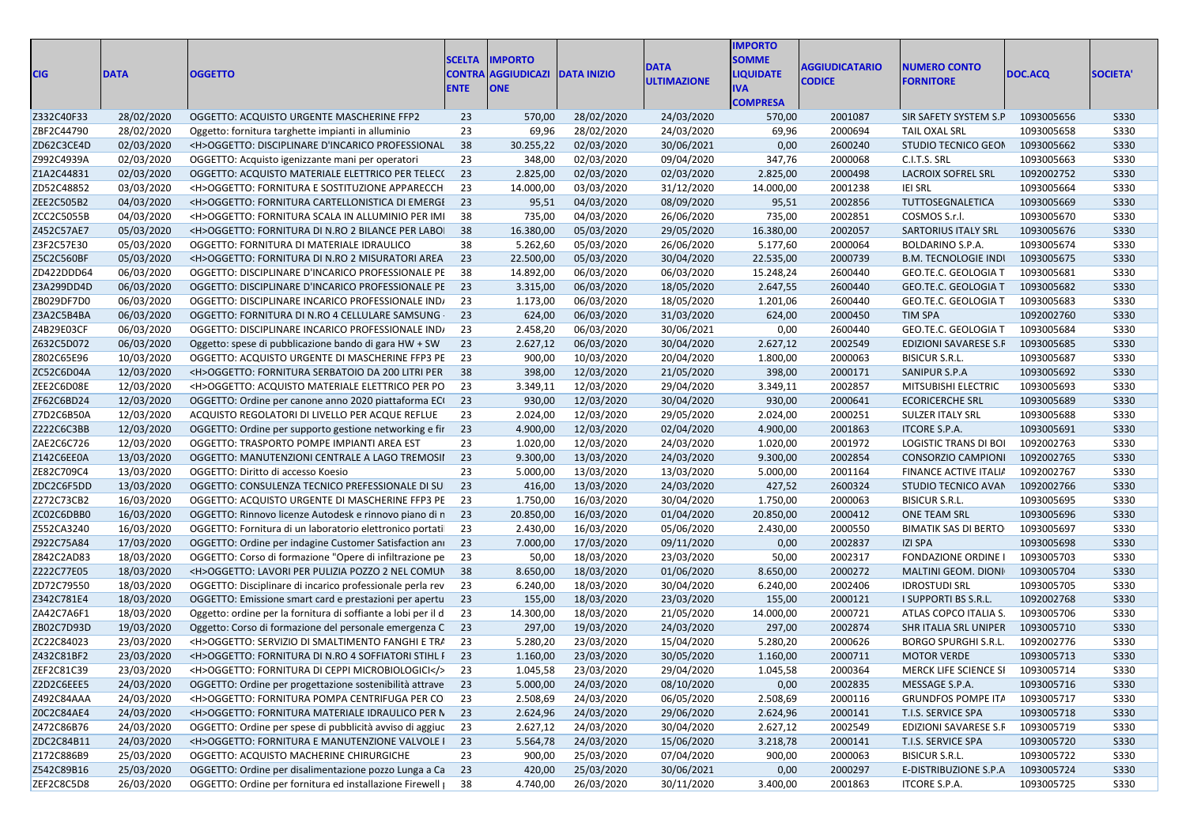| <b>CIG</b>               | <b>DATA</b>              | <b>OGGETTO</b>                                                                                                      | <b>SCELTA</b><br><b>ENTE</b> | <b>IMPORTO</b><br><b>CONTRA AGGIUDICAZI DATA INIZIO</b><br><b>ONE</b> |                          | <b>DATA</b><br><b>ULTIMAZIONE</b> | <b>IMPORTO</b><br><b>SOMME</b><br><b>LIQUIDATE</b><br><b>IVA</b><br><b>COMPRESA</b> | <b>AGGIUDICATARIO</b><br><b>CODICE</b> | <b>NUMERO CONTO</b><br><b>FORNITORE</b>           | DOC.ACQ                  | <b>SOCIETA</b>             |
|--------------------------|--------------------------|---------------------------------------------------------------------------------------------------------------------|------------------------------|-----------------------------------------------------------------------|--------------------------|-----------------------------------|-------------------------------------------------------------------------------------|----------------------------------------|---------------------------------------------------|--------------------------|----------------------------|
| Z332C40F33               | 28/02/2020               | OGGETTO: ACQUISTO URGENTE MASCHERINE FFP2                                                                           | 23                           | 570,00                                                                | 28/02/2020               | 24/03/2020                        | 570,00                                                                              | 2001087                                | SIR SAFETY SYSTEM S.P                             | 1093005656               | <b>S330</b>                |
| ZBF2C44790               | 28/02/2020               | Oggetto: fornitura targhette impianti in alluminio                                                                  | 23                           | 69,96                                                                 | 28/02/2020               | 24/03/2020                        | 69,96                                                                               | 2000694                                | TAIL OXAL SRL                                     | 1093005658               | <b>S330</b>                |
| ZD62C3CE4D               | 02/03/2020               | <h>OGGETTO: DISCIPLINARE D'INCARICO PROFESSIONAL</h>                                                                | 38                           | 30.255,22                                                             | 02/03/2020               | 30/06/2021                        | 0,00                                                                                | 2600240                                | <b>STUDIO TECNICO GEON</b>                        | 1093005662               | S330                       |
| Z992C4939A               | 02/03/2020               | OGGETTO: Acquisto igenizzante mani per operatori                                                                    | 23                           | 348,00                                                                | 02/03/2020               | 09/04/2020                        | 347,76                                                                              | 2000068                                | C.I.T.S. SRL                                      | 1093005663               | <b>S330</b>                |
| Z1A2C44831               | 02/03/2020               | OGGETTO: ACQUISTO MATERIALE ELETTRICO PER TELECO                                                                    | 23                           | 2.825,00                                                              | 02/03/2020               | 02/03/2020                        | 2.825,00                                                                            | 2000498                                | LACROIX SOFREL SRL                                | 1092002752               | <b>S330</b>                |
| ZD52C48852               | 03/03/2020               | <h>OGGETTO: FORNITURA E SOSTITUZIONE APPARECCH</h>                                                                  | 23                           | 14.000,00                                                             | 03/03/2020               | 31/12/2020                        | 14.000,00                                                                           | 2001238                                | <b>IEI SRL</b>                                    | 1093005664               | S330                       |
| ZEE2C505B2               | 04/03/2020               | <h>OGGETTO: FORNITURA CARTELLONISTICA DI EMERGI</h>                                                                 | 23                           | 95,51                                                                 | 04/03/2020               | 08/09/2020                        | 95,51                                                                               | 2002856                                | TUTTOSEGNALETICA                                  | 1093005669               | <b>S330</b>                |
| ZCC2C5055B               | 04/03/2020               | <h>OGGETTO: FORNITURA SCALA IN ALLUMINIO PER IMI</h>                                                                | 38                           | 735,00                                                                | 04/03/2020               | 26/06/2020                        | 735,00                                                                              | 2002851                                | COSMOS S.r.l.                                     | 1093005670               | <b>S330</b>                |
| Z452C57AE7               | 05/03/2020               | <h>OGGETTO: FORNITURA DI N.RO 2 BILANCE PER LABOI</h>                                                               | 38                           | 16.380,00                                                             | 05/03/2020               | 29/05/2020                        | 16.380,00                                                                           | 2002057                                | <b>SARTORIUS ITALY SRL</b>                        | 1093005676               | <b>S330</b>                |
| Z3F2C57E30               | 05/03/2020               | OGGETTO: FORNITURA DI MATERIALE IDRAULICO                                                                           | 38                           | 5.262,60                                                              | 05/03/2020               | 26/06/2020                        | 5.177,60                                                                            | 2000064                                | BOLDARINO S.P.A.                                  | 1093005674               | <b>S330</b>                |
| Z5C2C560BF               | 05/03/2020               | <h>OGGETTO: FORNITURA DI N.RO 2 MISURATORI AREA</h>                                                                 | 23                           | 22.500,00                                                             | 05/03/2020               | 30/04/2020                        | 22.535,00                                                                           | 2000739                                | <b>B.M. TECNOLOGIE INDI</b>                       | 1093005675               | <b>S330</b>                |
| ZD422DDD64               | 06/03/2020               | OGGETTO: DISCIPLINARE D'INCARICO PROFESSIONALE PE                                                                   | - 38                         | 14.892,00                                                             | 06/03/2020               | 06/03/2020                        | 15.248,24                                                                           | 2600440                                | GEO.TE.C. GEOLOGIA T                              | 1093005681               | <b>S330</b>                |
| Z3A299DD4D               | 06/03/2020               | OGGETTO: DISCIPLINARE D'INCARICO PROFESSIONALE PE 23                                                                |                              | 3.315,00                                                              | 06/03/2020               | 18/05/2020                        | 2.647,55                                                                            | 2600440                                | GEO.TE.C. GEOLOGIA T                              | 1093005682               | <b>S330</b>                |
| ZB029DF7D0               | 06/03/2020               | OGGETTO: DISCIPLINARE INCARICO PROFESSIONALE IND/                                                                   | 23                           | 1.173,00                                                              | 06/03/2020               | 18/05/2020                        | 1.201,06                                                                            | 2600440                                | GEO.TE.C. GEOLOGIA T                              | 1093005683               | <b>S330</b>                |
| Z3A2C5B4BA               | 06/03/2020               | OGGETTO: FORNITURA DI N.RO 4 CELLULARE SAMSUNG                                                                      | 23                           | 624,00                                                                | 06/03/2020               | 31/03/2020                        | 624,00                                                                              | 2000450                                | TIM SPA                                           | 1092002760               | <b>S330</b>                |
| Z4B29E03CF               | 06/03/2020               | OGGETTO: DISCIPLINARE INCARICO PROFESSIONALE IND/                                                                   | 23                           | 2.458,20                                                              | 06/03/2020               | 30/06/2021                        | 0,00                                                                                | 2600440                                | GEO.TE.C. GEOLOGIA T                              | 1093005684               | <b>S330</b>                |
| Z632C5D072               | 06/03/2020               | Oggetto: spese di pubblicazione bando di gara HW + SW                                                               | 23                           | 2.627,12                                                              | 06/03/2020               | 30/04/2020                        | 2.627,12                                                                            | 2002549                                | EDIZIONI SAVARESE S.F                             | 1093005685               | <b>S330</b>                |
| Z802C65E96               | 10/03/2020               | OGGETTO: ACQUISTO URGENTE DI MASCHERINE FFP3 PE                                                                     | 23                           | 900,00                                                                | 10/03/2020               | 20/04/2020                        | 1.800,00                                                                            | 2000063                                | <b>BISICUR S.R.L.</b>                             | 1093005687               | <b>S330</b>                |
| ZC52C6D04A               | 12/03/2020               | <h>OGGETTO: FORNITURA SERBATOIO DA 200 LITRI PER</h>                                                                | 38                           | 398,00                                                                | 12/03/2020               | 21/05/2020                        | 398,00                                                                              | 2000171                                | SANIPUR S.P.A                                     | 1093005692               | <b>S330</b>                |
| ZEE2C6D08E               | 12/03/2020               | <h>OGGETTO: ACQUISTO MATERIALE ELETTRICO PER PO</h>                                                                 | - 23                         | 3.349,11                                                              | 12/03/2020               | 29/04/2020                        | 3.349,11                                                                            | 2002857                                | MITSUBISHI ELECTRIC                               | 1093005693               | <b>S330</b>                |
| ZF62C6BD24               | 12/03/2020               | OGGETTO: Ordine per canone anno 2020 piattaforma ECI                                                                | 23                           | 930,00                                                                | 12/03/2020               | 30/04/2020                        | 930,00                                                                              | 2000641                                | <b>ECORICERCHE SRL</b>                            | 1093005689               | <b>S330</b>                |
| Z7D2C6B50A               | 12/03/2020               | ACQUISTO REGOLATORI DI LIVELLO PER ACQUE REFLUE                                                                     | 23                           | 2.024,00                                                              | 12/03/2020               | 29/05/2020                        | 2.024,00                                                                            | 2000251                                | <b>SULZER ITALY SRL</b>                           | 1093005688               | <b>S330</b>                |
| Z222C6C3BB               | 12/03/2020               | OGGETTO: Ordine per supporto gestione networking e fir                                                              | 23                           | 4.900,00                                                              | 12/03/2020               | 02/04/2020                        | 4.900,00                                                                            | 2001863                                | ITCORE S.P.A.                                     | 1093005691               | <b>S330</b>                |
| ZAE2C6C726               | 12/03/2020               | OGGETTO: TRASPORTO POMPE IMPIANTI AREA EST                                                                          | 23                           | 1.020,00                                                              | 12/03/2020               | 24/03/2020                        | 1.020,00                                                                            | 2001972                                | <b>LOGISTIC TRANS DI BOI</b>                      | 1092002763               | <b>S330</b>                |
| Z142C6EE0A               | 13/03/2020               | OGGETTO: MANUTENZIONI CENTRALE A LAGO TREMOSII                                                                      | 23                           | 9.300,00                                                              | 13/03/2020               | 24/03/2020                        | 9.300,00                                                                            | 2002854                                | <b>CONSORZIO CAMPIONI</b>                         | 1092002765               | <b>S330</b>                |
| ZE82C709C4               | 13/03/2020               | OGGETTO: Diritto di accesso Koesio                                                                                  | 23                           | 5.000,00                                                              | 13/03/2020               | 13/03/2020                        | 5.000,00                                                                            | 2001164                                | FINANCE ACTIVE ITALIA                             | 1092002767               | <b>S330</b>                |
| ZDC2C6F5DD               | 13/03/2020               | OGGETTO: CONSULENZA TECNICO PREFESSIONALE DI SU                                                                     | 23                           | 416,00                                                                | 13/03/2020               | 24/03/2020                        | 427,52                                                                              | 2600324                                | STUDIO TECNICO AVAN                               | 1092002766               | <b>S330</b>                |
| Z272C73CB2               | 16/03/2020               | OGGETTO: ACQUISTO URGENTE DI MASCHERINE FFP3 PE                                                                     | 23                           | 1.750,00                                                              | 16/03/2020               | 30/04/2020                        | 1.750,00                                                                            | 2000063                                | <b>BISICUR S.R.L.</b>                             | 1093005695               | <b>S330</b>                |
| ZC02C6DBB0               | 16/03/2020               | OGGETTO: Rinnovo licenze Autodesk e rinnovo piano di n                                                              | 23                           | 20.850,00                                                             | 16/03/2020               | 01/04/2020                        | 20.850,00                                                                           | 2000412                                | ONE TEAM SRL                                      | 1093005696               | <b>S330</b>                |
| Z552CA3240               | 16/03/2020               | OGGETTO: Fornitura di un laboratorio elettronico portati                                                            | -23                          | 2.430,00                                                              | 16/03/2020               | 05/06/2020                        | 2.430,00                                                                            | 2000550                                | <b>BIMATIK SAS DI BERTO</b>                       | 1093005697               | <b>S330</b>                |
| Z922C75A84               | 17/03/2020               | OGGETTO: Ordine per indagine Customer Satisfaction ani 23                                                           |                              | 7.000,00                                                              | 17/03/2020               | 09/11/2020                        | 0,00                                                                                | 2002837                                | <b>IZI SPA</b>                                    | 1093005698               | <b>S330</b>                |
|                          |                          | OGGETTO: Corso di formazione "Opere di infiltrazione pe                                                             |                              |                                                                       | 18/03/2020               |                                   |                                                                                     | 2002317                                |                                                   | 1093005703               |                            |
| Z842C2AD83               | 18/03/2020               |                                                                                                                     | - 23                         | 50,00                                                                 |                          | 23/03/2020                        | 50,00                                                                               | 2000272                                | <b>FONDAZIONE ORDINE I</b>                        |                          | <b>S330</b>                |
| Z222C77E05<br>ZD72C79550 | 18/03/2020<br>18/03/2020 | <h>OGGETTO: LAVORI PER PULIZIA POZZO 2 NEL COMUN</h>                                                                | 38<br>- 23                   | 8.650,00<br>6.240,00                                                  | 18/03/2020<br>18/03/2020 | 01/06/2020                        | 8.650,00<br>6.240,00                                                                | 2002406                                | MALTINI GEOM. DIONI<br><b>IDROSTUDI SRL</b>       | 1093005704<br>1093005705 | <b>S330</b><br><b>S330</b> |
| Z342C781E4               | 18/03/2020               | OGGETTO: Disciplinare di incarico professionale perla rev<br>OGGETTO: Emissione smart card e prestazioni per apertu | 23                           | 155,00                                                                | 18/03/2020               | 30/04/2020<br>23/03/2020          | 155,00                                                                              | 2000121                                | I SUPPORTI BS S.R.L.                              | 1092002768               | <b>S330</b>                |
|                          |                          | Oggetto: ordine per la fornitura di soffiante a lobi per il d                                                       | 23                           |                                                                       | 18/03/2020               | 21/05/2020                        |                                                                                     | 2000721                                | ATLAS COPCO ITALIA S.                             | 1093005706               | <b>S330</b>                |
| ZA42C7A6F1<br>ZB02C7D93D | 18/03/2020<br>19/03/2020 | Oggetto: Corso di formazione del personale emergenza C 23                                                           |                              | 14.300,00<br>297,00                                                   | 19/03/2020               | 24/03/2020                        | 14.000,00                                                                           | 2002874                                |                                                   | 1093005710               | <b>S330</b>                |
|                          |                          |                                                                                                                     | 23                           |                                                                       |                          |                                   | 297,00                                                                              |                                        | SHR ITALIA SRL UNIPER                             |                          |                            |
| ZC22C84023               | 23/03/2020               | <h>OGGETTO: SERVIZIO DI SMALTIMENTO FANGHI E TRA</h>                                                                |                              | 5.280,20                                                              | 23/03/2020               | 15/04/2020                        | 5.280,20                                                                            | 2000626                                | <b>BORGO SPURGHI S.R.L.</b><br><b>MOTOR VERDE</b> | 1092002776               | <b>S330</b>                |
| Z432C81BF2               | 23/03/2020               | <h>OGGETTO: FORNITURA DI N.RO 4 SOFFIATORI STIHL F 23</h>                                                           |                              | 1.160,00                                                              | 23/03/2020               | 30/05/2020                        | 1.160,00                                                                            | 2000711                                |                                                   | 1093005713               | <b>S330</b>                |
| ZEF2C81C39               | 23/03/2020               | <h>OGGETTO: FORNITURA DI CEPPI MICROBIOLOGICI23</h>                                                                 |                              | 1.045,58                                                              | 23/03/2020               | 29/04/2020                        | 1.045,58                                                                            | 2000364                                | MERCK LIFE SCIENCE SI 1093005714                  |                          | <b>S330</b>                |
| Z2D2C6EEE5               | 24/03/2020               | OGGETTO: Ordine per progettazione sostenibilità attrave 23                                                          |                              | 5.000,00                                                              | 24/03/2020               | 08/10/2020                        | 0,00                                                                                | 2002835                                | MESSAGE S.P.A.                                    | 1093005716               | <b>S330</b>                |
| Z492C84AAA               | 24/03/2020               | <h>OGGETTO: FORNITURA POMPA CENTRIFUGA PER CO</h>                                                                   | - 23                         | 2.508,69                                                              | 24/03/2020               | 06/05/2020                        | 2.508,69                                                                            | 2000116                                | <b>GRUNDFOS POMPE ITA</b>                         | 1093005717               | S330                       |
| Z0C2C84AE4               | 24/03/2020               | <h>OGGETTO: FORNITURA MATERIALE IDRAULICO PER N 23</h>                                                              |                              | 2.624,96                                                              | 24/03/2020               | 29/06/2020                        | 2.624,96                                                                            | 2000141                                | T.I.S. SERVICE SPA                                | 1093005718               | S330                       |
| Z472C86B76               | 24/03/2020               | OGGETTO: Ordine per spese di pubblicità avviso di aggiuc 23                                                         |                              | 2.627,12                                                              | 24/03/2020               | 30/04/2020                        | 2.627,12                                                                            | 2002549                                | EDIZIONI SAVARESE S.F                             | 1093005719               | <b>S330</b>                |
| ZDC2C84B11               | 24/03/2020               | <h>OGGETTO: FORNITURA E MANUTENZIONE VALVOLE   23</h>                                                               |                              | 5.564,78                                                              | 24/03/2020               | 15/06/2020                        | 3.218,78                                                                            | 2000141                                | T.I.S. SERVICE SPA                                | 1093005720               | <b>S330</b>                |
| Z172C886B9               | 25/03/2020               | OGGETTO: ACQUISTO MACHERINE CHIRURGICHE                                                                             | 23                           | 900,00                                                                | 25/03/2020               | 07/04/2020                        | 900,00                                                                              | 2000063                                | BISICUR S.R.L.                                    | 1093005722               | S330                       |
| Z542C89B16               | 25/03/2020               | OGGETTO: Ordine per disalimentazione pozzo Lunga a Ca 23                                                            |                              | 420,00                                                                | 25/03/2020               | 30/06/2021                        | 0,00                                                                                | 2000297                                | E-DISTRIBUZIONE S.P.A                             | 1093005724               | S330                       |
| ZEF2C8C5D8               | 26/03/2020               | OGGETTO: Ordine per fornitura ed installazione Firewell                                                             | - 38                         | 4.740,00                                                              | 26/03/2020               | 30/11/2020                        | 3.400,00                                                                            | 2001863                                | ITCORE S.P.A.                                     | 1093005725               | <b>S330</b>                |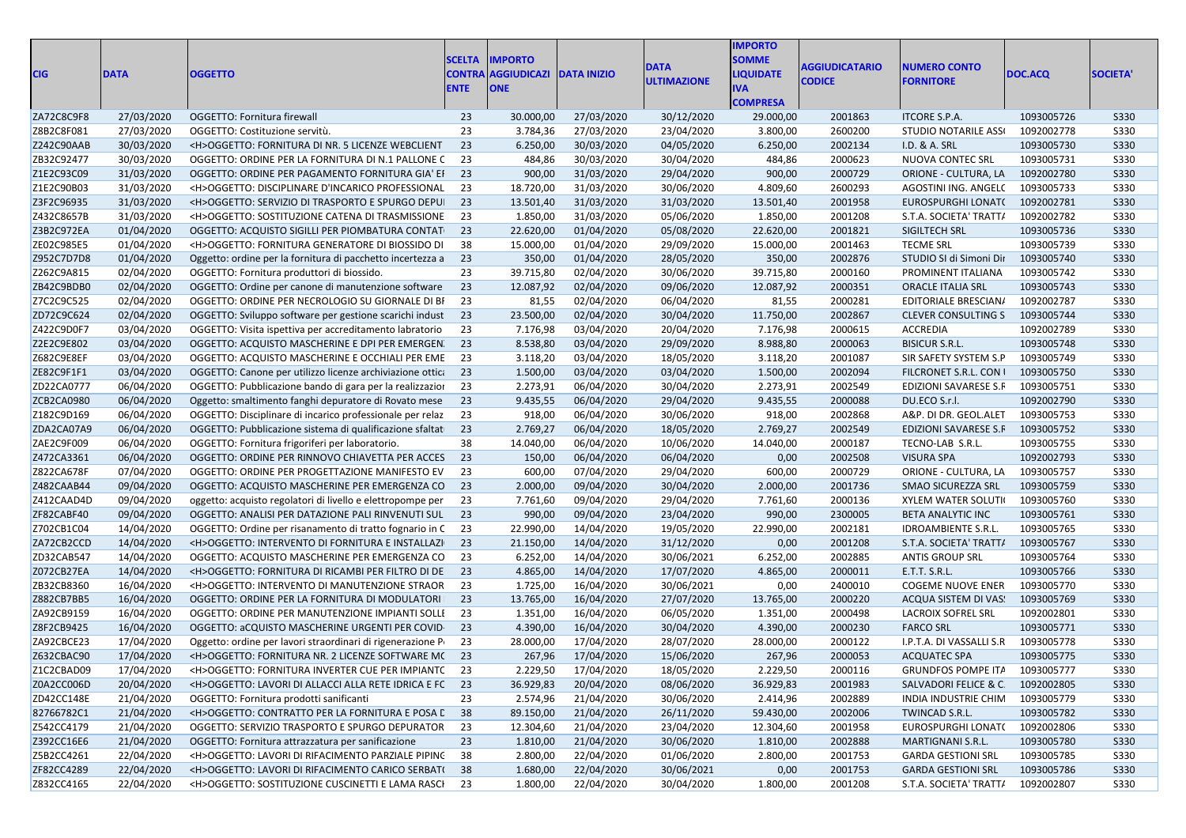| <b>CIG</b> | <b>DATA</b> | <b>OGGETTO</b>                                             | <b>SCELTA</b><br><b>CONTRA</b><br><b>ENTE</b> | <b>IMPORTO</b><br><b>AGGIUDICAZI</b><br><b>ONE</b> | <b>DATA INIZIO</b> | <b>DATA</b><br><b>ULTIMAZIONE</b> | <b>IMPORTO</b><br><b>SOMME</b><br><b>LIQUIDATE</b><br><b>IVA</b><br><b>COMPRESA</b> | <b>AGGIUDICATARIO</b><br><b>CODICE</b> | <b>NUMERO CONTO</b><br><b>FORNITORE</b> | DOC.ACQ    | <b>SOCIETA</b> |
|------------|-------------|------------------------------------------------------------|-----------------------------------------------|----------------------------------------------------|--------------------|-----------------------------------|-------------------------------------------------------------------------------------|----------------------------------------|-----------------------------------------|------------|----------------|
| ZA72C8C9F8 | 27/03/2020  | OGGETTO: Fornitura firewall                                | 23                                            | 30.000,00                                          | 27/03/2020         | 30/12/2020                        | 29.000,00                                                                           | 2001863                                | <b>ITCORE S.P.A.</b>                    | 1093005726 | S330           |
| Z8B2C8F081 | 27/03/2020  | OGGETTO: Costituzione servitù.                             | 23                                            | 3.784,36                                           | 27/03/2020         | 23/04/2020                        | 3.800,00                                                                            | 2600200                                | <b>STUDIO NOTARILE ASS</b>              | 1092002778 | <b>S330</b>    |
| Z242C90AAB | 30/03/2020  | <h>OGGETTO: FORNITURA DI NR. 5 LICENZE WEBCLIENT</h>       | 23                                            | 6.250,00                                           | 30/03/2020         | 04/05/2020                        | 6.250,00                                                                            | 2002134                                | I.D. & A. SRL                           | 1093005730 | S330           |
| ZB32C92477 | 30/03/2020  | OGGETTO: ORDINE PER LA FORNITURA DI N.1 PALLONE C          | 23                                            | 484,86                                             | 30/03/2020         | 30/04/2020                        | 484,86                                                                              | 2000623                                | NUOVA CONTEC SRL                        | 1093005731 | <b>S330</b>    |
| Z1E2C93C09 | 31/03/2020  | OGGETTO: ORDINE PER PAGAMENTO FORNITURA GIA' EI            | 23                                            | 900,00                                             | 31/03/2020         | 29/04/2020                        | 900,00                                                                              | 2000729                                | ORIONE - CULTURA, LA                    | 1092002780 | <b>S330</b>    |
| Z1E2C90B03 | 31/03/2020  | <h>OGGETTO: DISCIPLINARE D'INCARICO PROFESSIONAL</h>       | 23                                            | 18.720,00                                          | 31/03/2020         | 30/06/2020                        | 4.809,60                                                                            | 2600293                                | AGOSTINI ING. ANGEL(                    | 1093005733 | <b>S330</b>    |
| Z3F2C96935 | 31/03/2020  | <h>OGGETTO: SERVIZIO DI TRASPORTO E SPURGO DEPUI</h>       | 23                                            | 13.501,40                                          | 31/03/2020         | 31/03/2020                        | 13.501,40                                                                           | 2001958                                | EUROSPURGHI LONAT(                      | 1092002781 | <b>S330</b>    |
| Z432C8657B | 31/03/2020  | <h>OGGETTO: SOSTITUZIONE CATENA DI TRASMISSIONE</h>        | 23                                            | 1.850,00                                           | 31/03/2020         | 05/06/2020                        | 1.850,00                                                                            | 2001208                                | S.T.A. SOCIETA' TRATT/                  | 1092002782 | <b>S330</b>    |
| Z3B2C972EA | 01/04/2020  | OGGETTO: ACQUISTO SIGILLI PER PIOMBATURA CONTAT            | 23                                            | 22.620,00                                          | 01/04/2020         | 05/08/2020                        | 22.620,00                                                                           | 2001821                                | SIGILTECH SRL                           | 1093005736 | S330           |
| ZE02C985E5 | 01/04/2020  | <h>OGGETTO: FORNITURA GENERATORE DI BIOSSIDO DI</h>        | 38                                            | 15.000,00                                          | 01/04/2020         | 29/09/2020                        | 15.000,00                                                                           | 2001463                                | <b>TECME SRL</b>                        | 1093005739 | <b>S330</b>    |
| Z952C7D7D8 | 01/04/2020  | Oggetto: ordine per la fornitura di pacchetto incertezza a | 23                                            | 350,00                                             | 01/04/2020         | 28/05/2020                        | 350,00                                                                              | 2002876                                | STUDIO SI di Simoni Dir                 | 1093005740 | S330           |
| Z262C9A815 | 02/04/2020  | OGGETTO: Fornitura produttori di biossido.                 | 23                                            | 39.715,80                                          | 02/04/2020         | 30/06/2020                        | 39.715,80                                                                           | 2000160                                | PROMINENT ITALIANA                      | 1093005742 | <b>S330</b>    |
| ZB42C9BDB0 | 02/04/2020  | OGGETTO: Ordine per canone di manutenzione software        | 23                                            | 12.087,92                                          | 02/04/2020         | 09/06/2020                        | 12.087,92                                                                           | 2000351                                | <b>ORACLE ITALIA SRL</b>                | 1093005743 | S330           |
| Z7C2C9C525 | 02/04/2020  | OGGETTO: ORDINE PER NECROLOGIO SU GIORNALE DI BI           | 23                                            | 81,55                                              | 02/04/2020         | 06/04/2020                        | 81,55                                                                               | 2000281                                | EDITORIALE BRESCIAN/                    | 1092002787 | <b>S330</b>    |
| ZD72C9C624 | 02/04/2020  | OGGETTO: Sviluppo software per gestione scarichi indust    | 23                                            | 23.500,00                                          | 02/04/2020         | 30/04/2020                        | 11.750,00                                                                           | 2002867                                | <b>CLEVER CONSULTING S</b>              | 1093005744 | <b>S330</b>    |
| Z422C9D0F7 | 03/04/2020  | OGGETTO: Visita ispettiva per accreditamento labratorio    | 23                                            | 7.176,98                                           | 03/04/2020         | 20/04/2020                        | 7.176,98                                                                            | 2000615                                | ACCREDIA                                | 1092002789 | <b>S330</b>    |
| Z2E2C9E802 | 03/04/2020  | OGGETTO: ACQUISTO MASCHERINE E DPI PER EMERGEN.            | 23                                            | 8.538,80                                           | 03/04/2020         | 29/09/2020                        | 8.988,80                                                                            | 2000063                                | <b>BISICUR S.R.L.</b>                   | 1093005748 | S330           |
| Z682C9E8EF | 03/04/2020  | OGGETTO: ACQUISTO MASCHERINE E OCCHIALI PER EME            | 23                                            | 3.118,20                                           | 03/04/2020         | 18/05/2020                        | 3.118,20                                                                            | 2001087                                | SIR SAFETY SYSTEM S.P                   | 1093005749 | S330           |
| ZE82C9F1F1 | 03/04/2020  | OGGETTO: Canone per utilizzo licenze archiviazione ottica  | 23                                            | 1.500,00                                           | 03/04/2020         | 03/04/2020                        | 1.500,00                                                                            | 2002094                                | FILCRONET S.R.L. CON I                  | 1093005750 | S330           |
| ZD22CA0777 | 06/04/2020  | OGGETTO: Pubblicazione bando di gara per la realizzazion   | 23                                            | 2.273,91                                           | 06/04/2020         | 30/04/2020                        | 2.273,91                                                                            | 2002549                                | EDIZIONI SAVARESE S.F                   | 1093005751 | <b>S330</b>    |
| ZCB2CA0980 | 06/04/2020  | Oggetto: smaltimento fanghi depuratore di Rovato mese      | 23                                            | 9.435,55                                           | 06/04/2020         | 29/04/2020                        | 9.435,55                                                                            | 2000088                                | DU.ECO S.r.l.                           | 1092002790 | <b>S330</b>    |
| Z182C9D169 | 06/04/2020  | OGGETTO: Disciplinare di incarico professionale per relaz  | 23                                            | 918,00                                             | 06/04/2020         | 30/06/2020                        | 918,00                                                                              | 2002868                                | A&P. DI DR. GEOL.ALET                   | 1093005753 | <b>S330</b>    |
| ZDA2CA07A9 | 06/04/2020  | OGGETTO: Pubblicazione sistema di qualificazione sfaltat   | 23                                            | 2.769,27                                           | 06/04/2020         | 18/05/2020                        | 2.769,27                                                                            | 2002549                                | EDIZIONI SAVARESE S.F                   | 1093005752 | S330           |
| ZAE2C9F009 | 06/04/2020  | OGGETTO: Fornitura frigoriferi per laboratorio.            | 38                                            | 14.040,00                                          | 06/04/2020         | 10/06/2020                        | 14.040,00                                                                           | 2000187                                | TECNO-LAB S.R.L.                        | 1093005755 | S330           |
| Z472CA3361 | 06/04/2020  | OGGETTO: ORDINE PER RINNOVO CHIAVETTA PER ACCES            | 23                                            | 150,00                                             | 06/04/2020         | 06/04/2020                        | 0,00                                                                                | 2002508                                | <b>VISURA SPA</b>                       | 1092002793 | S330           |
| Z822CA678F | 07/04/2020  | OGGETTO: ORDINE PER PROGETTAZIONE MANIFESTO EV             | 23                                            | 600,00                                             | 07/04/2020         | 29/04/2020                        | 600,00                                                                              | 2000729                                | ORIONE - CULTURA, LA                    | 1093005757 | <b>S330</b>    |
| Z482CAAB44 | 09/04/2020  | OGGETTO: ACQUISTO MASCHERINE PER EMERGENZA CO              | 23                                            | 2.000,00                                           | 09/04/2020         | 30/04/2020                        | 2.000,00                                                                            | 2001736                                | SMAO SICUREZZA SRL                      | 1093005759 | <b>S330</b>    |
| Z412CAAD4D | 09/04/2020  | oggetto: acquisto regolatori di livello e elettropompe per | 23                                            | 7.761,60                                           | 09/04/2020         | 29/04/2020                        | 7.761,60                                                                            | 2000136                                | <b>XYLEM WATER SOLUTI</b>               | 1093005760 | <b>S330</b>    |
| ZF82CABF40 | 09/04/2020  | OGGETTO: ANALISI PER DATAZIONE PALI RINVENUTI SUL          | 23                                            | 990,00                                             | 09/04/2020         | 23/04/2020                        | 990,00                                                                              | 2300005                                | BETA ANALYTIC INC                       | 1093005761 | S330           |
| Z702CB1C04 | 14/04/2020  | OGGETTO: Ordine per risanamento di tratto fognario in C    | 23                                            | 22.990,00                                          | 14/04/2020         | 19/05/2020                        | 22.990,00                                                                           | 2002181                                | <b>IDROAMBIENTE S.R.L.</b>              | 1093005765 | <b>S330</b>    |
| ZA72CB2CCD | 14/04/2020  | <h>OGGETTO: INTERVENTO DI FORNITURA E INSTALLAZI</h>       | 23                                            | 21.150,00                                          | 14/04/2020         | 31/12/2020                        | 0,00                                                                                | 2001208                                | S.T.A. SOCIETA' TRATT/                  | 1093005767 | S330           |
| ZD32CAB547 | 14/04/2020  | OGGETTO: ACQUISTO MASCHERINE PER EMERGENZA CO              | 23                                            | 6.252,00                                           | 14/04/2020         | 30/06/2021                        | 6.252,00                                                                            | 2002885                                | <b>ANTIS GROUP SRL</b>                  | 1093005764 | <b>S330</b>    |
| Z072CB27EA | 14/04/2020  | <h>OGGETTO: FORNITURA DI RICAMBI PER FILTRO DI DE</h>      | 23                                            | 4.865,00                                           | 14/04/2020         | 17/07/2020                        | 4.865,00                                                                            | 2000011                                | E.T.T. S.R.L.                           | 1093005766 | S330           |
| ZB32CB8360 | 16/04/2020  | <h>OGGETTO: INTERVENTO DI MANUTENZIONE STRAOR</h>          | 23                                            | 1.725,00                                           | 16/04/2020         | 30/06/2021                        | 0,00                                                                                | 2400010                                | <b>COGEME NUOVE ENER</b>                | 1093005770 | <b>S330</b>    |
| Z882CB7BB5 | 16/04/2020  | OGGETTO: ORDINE PER LA FORNITURA DI MODULATORI             | 23                                            | 13.765,00                                          | 16/04/2020         | 27/07/2020                        | 13.765,00                                                                           | 2000220                                | ACQUA SISTEM DI VAS                     | 1093005769 | S330           |
| ZA92CB9159 | 16/04/2020  | OGGETTO: ORDINE PER MANUTENZIONE IMPIANTI SOLLI            | 23                                            | 1.351,00                                           | 16/04/2020         | 06/05/2020                        | 1.351,00                                                                            | 2000498                                | <b>LACROIX SOFREL SRL</b>               | 1092002801 | <b>S330</b>    |
| Z8F2CB9425 | 16/04/2020  | OGGETTO: aCQUISTO MASCHERINE URGENTI PER COVID-            | 23                                            | 4.390,00                                           | 16/04/2020         | 30/04/2020                        | 4.390,00                                                                            | 2000230                                | <b>FARCO SRL</b>                        | 1093005771 | <b>S330</b>    |
| ZA92CBCE23 | 17/04/2020  | Oggetto: ordine per lavori straordinari di rigenerazione P | 23                                            | 28.000,00                                          | 17/04/2020         | 28/07/2020                        | 28.000,00                                                                           | 2000122                                | I.P.T.A. DI VASSALLI S.R                | 1093005778 | <b>S330</b>    |
| Z632CBAC90 | 17/04/2020  | <h>OGGETTO: FORNITURA NR. 2 LICENZE SOFTWARE M(23</h>      |                                               | 267,96                                             | 17/04/2020         | 15/06/2020                        | 267,96                                                                              | 2000053                                | <b>ACQUATEC SPA</b>                     | 1093005775 | <b>S330</b>    |
| Z1C2CBAD09 | 17/04/2020  | <h>OGGETTO: FORNITURA INVERTER CUE PER IMPIANTC 23</h>     |                                               | 2.229,50                                           | 17/04/2020         | 18/05/2020                        | 2.229,50                                                                            | 2000116                                | GRUNDFOS POMPE ITA 1093005777           |            | <b>S330</b>    |
| Z0A2CC006D | 20/04/2020  | <h>OGGETTO: LAVORI DI ALLACCI ALLA RETE IDRICA E FC 23</h> |                                               | 36.929,83                                          | 20/04/2020         | 08/06/2020                        | 36.929,83                                                                           | 2001983                                | SALVADORI FELICE & C 1092002805         |            | S330           |
| ZD42CC148E | 21/04/2020  | OGGETTO: Fornitura prodotti sanificanti                    | 23                                            | 2.574,96                                           | 21/04/2020         | 30/06/2020                        | 2.414,96                                                                            | 2002889                                | INDIA INDUSTRIE CHIM                    | 1093005779 | <b>S330</b>    |
| 82766782C1 | 21/04/2020  | <h>OGGETTO: CONTRATTO PER LA FORNITURA E POSA L 38</h>     |                                               | 89.150,00                                          | 21/04/2020         | 26/11/2020                        | 59.430,00                                                                           | 2002006                                | TWINCAD S.R.L.                          | 1093005782 | S330           |
| Z542CC4179 | 21/04/2020  | OGGETTO: SERVIZIO TRASPORTO E SPURGO DEPURATOR             | 23                                            | 12.304,60                                          | 21/04/2020         | 23/04/2020                        | 12.304,60                                                                           | 2001958                                | EUROSPURGHI LONAT(                      | 1092002806 | <b>S330</b>    |
| Z392CC16E6 | 21/04/2020  | OGGETTO: Fornitura attrazzatura per sanificazione          | 23                                            | 1.810,00                                           | 21/04/2020         | 30/06/2020                        | 1.810,00                                                                            | 2002888                                | MARTIGNANI S.R.L.                       | 1093005780 | S330           |
| Z5B2CC4261 | 22/04/2020  | <h>OGGETTO: LAVORI DI RIFACIMENTO PARZIALE PIPINC</h>      | -38                                           | 2.800,00                                           | 22/04/2020         | 01/06/2020                        | 2.800,00                                                                            | 2001753                                | <b>GARDA GESTIONI SRL</b>               | 1093005785 | <b>S330</b>    |
| ZF82CC4289 |             | <h>OGGETTO: LAVORI DI RIFACIMENTO CARICO SERBAT(38</h>     |                                               |                                                    | 22/04/2020         |                                   |                                                                                     |                                        |                                         |            |                |
|            | 22/04/2020  |                                                            |                                               | 1.680,00                                           |                    | 30/06/2021                        | 0,00                                                                                | 2001753                                | <b>GARDA GESTIONI SRL</b>               | 1093005786 | S330           |
| Z832CC4165 | 22/04/2020  | <h>OGGETTO: SOSTITUZIONE CUSCINETTI E LAMA RASCI 23</h>    |                                               | 1.800,00                                           | 22/04/2020         | 30/04/2020                        | 1.800,00                                                                            | 2001208                                | S.T.A. SOCIETA' TRATTA                  | 1092002807 | <b>S330</b>    |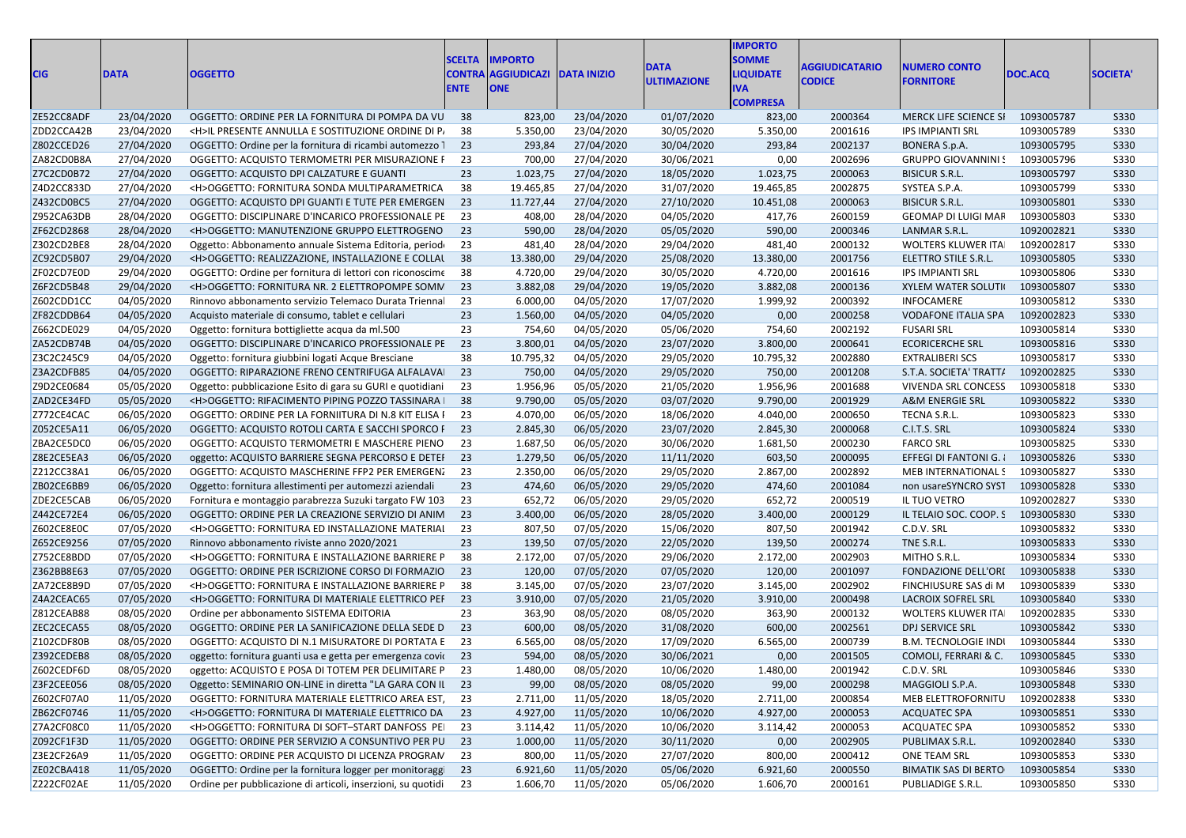| <b>CIG</b> | <b>DATA</b> | <b>OGGETTO</b>                                               | <b>SCELTA</b><br><b>CONTRA</b><br><b>ENTE</b> | <b>IMPORTO</b><br><b>AGGIUDICAZI DATA INIZIO</b><br><b>ONE</b> |            | <b>DATA</b><br><b>ULTIMAZIONE</b> | <b>IMPORTO</b><br><b>SOMME</b><br><b>LIQUIDATE</b><br>IVA.<br><b>COMPRESA</b> | <b>AGGIUDICATARIO</b><br><b>CODICE</b> | <b>NUMERO CONTO</b><br><b>FORNITORE</b> | DOC.ACQ    | <b>SOCIETA</b> |
|------------|-------------|--------------------------------------------------------------|-----------------------------------------------|----------------------------------------------------------------|------------|-----------------------------------|-------------------------------------------------------------------------------|----------------------------------------|-----------------------------------------|------------|----------------|
| ZE52CC8ADF | 23/04/2020  | OGGETTO: ORDINE PER LA FORNITURA DI POMPA DA VU              | - 38                                          | 823,00                                                         | 23/04/2020 | 01/07/2020                        | 823,00                                                                        | 2000364                                | <b>MERCK LIFE SCIENCE SI</b>            | 1093005787 | S330           |
| ZDD2CCA42B | 23/04/2020  | <h>IL PRESENTE ANNULLA E SOSTITUZIONE ORDINE DI P.</h>       | 38                                            | 5.350,00                                                       | 23/04/2020 | 30/05/2020                        | 5.350,00                                                                      | 2001616                                | <b>IPS IMPIANTI SRL</b>                 | 1093005789 | S330           |
| Z802CCED26 | 27/04/2020  | OGGETTO: Ordine per la fornitura di ricambi automezzo 1      | 23                                            | 293,84                                                         | 27/04/2020 | 30/04/2020                        | 293,84                                                                        | 2002137                                | <b>BONERA S.p.A.</b>                    | 1093005795 | S330           |
| ZA82CD0B8A | 27/04/2020  | OGGETTO: ACQUISTO TERMOMETRI PER MISURAZIONE F               | 23                                            | 700,00                                                         | 27/04/2020 | 30/06/2021                        | 0,00                                                                          | 2002696                                | <b>GRUPPO GIOVANNINI!</b>               | 1093005796 | S330           |
| Z7C2CD0B72 | 27/04/2020  | OGGETTO: ACQUISTO DPI CALZATURE E GUANTI                     | 23                                            | 1.023,75                                                       | 27/04/2020 | 18/05/2020                        | 1.023,75                                                                      | 2000063                                | <b>BISICUR S.R.L.</b>                   | 1093005797 | S330           |
| Z4D2CC833D | 27/04/2020  | <h>OGGETTO: FORNITURA SONDA MULTIPARAMETRICA</h>             | 38                                            | 19.465,85                                                      | 27/04/2020 | 31/07/2020                        | 19.465,85                                                                     | 2002875                                | SYSTEA S.P.A.                           | 1093005799 | <b>S330</b>    |
| Z432CD0BC5 | 27/04/2020  | OGGETTO: ACQUISTO DPI GUANTI E TUTE PER EMERGEN              | 23                                            | 11.727,44                                                      | 27/04/2020 | 27/10/2020                        | 10.451,08                                                                     | 2000063                                | <b>BISICUR S.R.L.</b>                   | 1093005801 | S330           |
| Z952CA63DB | 28/04/2020  | OGGETTO: DISCIPLINARE D'INCARICO PROFESSIONALE PE            | 23                                            | 408,00                                                         | 28/04/2020 | 04/05/2020                        | 417,76                                                                        | 2600159                                | GEOMAP DI LUIGI MAF                     | 1093005803 | <b>S330</b>    |
| ZF62CD2868 | 28/04/2020  | <h>OGGETTO: MANUTENZIONE GRUPPO ELETTROGENO</h>              | 23                                            | 590,00                                                         | 28/04/2020 | 05/05/2020                        | 590,00                                                                        | 2000346                                | LANMAR S.R.L.                           | 1092002821 | S330           |
| Z302CD2BE8 | 28/04/2020  | Oggetto: Abbonamento annuale Sistema Editoria, periodo       | 23                                            | 481,40                                                         | 28/04/2020 | 29/04/2020                        | 481,40                                                                        | 2000132                                | WOLTERS KLUWER ITA                      | 1092002817 | <b>S330</b>    |
| ZC92CD5B07 | 29/04/2020  | <h>OGGETTO: REALIZZAZIONE, INSTALLAZIONE E COLLAL</h>        | 38                                            | 13.380,00                                                      | 29/04/2020 | 25/08/2020                        | 13.380,00                                                                     | 2001756                                | ELETTRO STILE S.R.L.                    | 1093005805 | S330           |
| ZF02CD7E0D | 29/04/2020  | OGGETTO: Ordine per fornitura di lettori con riconoscime     | 38                                            | 4.720,00                                                       | 29/04/2020 | 30/05/2020                        | 4.720,00                                                                      | 2001616                                | <b>IPS IMPIANTI SRL</b>                 | 1093005806 | S330           |
| Z6F2CD5B48 | 29/04/2020  | <h>OGGETTO: FORNITURA NR. 2 ELETTROPOMPE SOMN</h>            | 23                                            | 3.882,08                                                       | 29/04/2020 | 19/05/2020                        | 3.882,08                                                                      | 2000136                                | <b>XYLEM WATER SOLUTI</b>               | 1093005807 | S330           |
| Z602CDD1CC | 04/05/2020  | Rinnovo abbonamento servizio Telemaco Durata Triennal        | 23                                            | 6.000,00                                                       | 04/05/2020 | 17/07/2020                        | 1.999,92                                                                      | 2000392                                | INFOCAMERE                              | 1093005812 | <b>S330</b>    |
| ZF82CDDB64 | 04/05/2020  | Acquisto materiale di consumo, tablet e cellulari            | 23                                            | 1.560,00                                                       | 04/05/2020 | 04/05/2020                        | 0,00                                                                          | 2000258                                | <b>VODAFONE ITALIA SPA</b>              | 1092002823 | S330           |
| Z662CDE029 | 04/05/2020  | Oggetto: fornitura bottigliette acqua da ml.500              | 23                                            | 754,60                                                         | 04/05/2020 | 05/06/2020                        | 754,60                                                                        | 2002192                                | <b>FUSARI SRL</b>                       | 1093005814 | S330           |
| ZA52CDB74B | 04/05/2020  | OGGETTO: DISCIPLINARE D'INCARICO PROFESSIONALE PE            | 23                                            | 3.800,01                                                       | 04/05/2020 | 23/07/2020                        | 3.800,00                                                                      | 2000641                                | <b>ECORICERCHE SRL</b>                  | 1093005816 | <b>S330</b>    |
| Z3C2C245C9 | 04/05/2020  | Oggetto: fornitura giubbini logati Acque Bresciane           | 38                                            | 10.795,32                                                      | 04/05/2020 | 29/05/2020                        | 10.795,32                                                                     | 2002880                                | <b>EXTRALIBERI SCS</b>                  | 1093005817 | S330           |
| Z3A2CDFB85 | 04/05/2020  | OGGETTO: RIPARAZIONE FRENO CENTRIFUGA ALFALAVAI              | 23                                            | 750,00                                                         | 04/05/2020 | 29/05/2020                        | 750,00                                                                        | 2001208                                | S.T.A. SOCIETA' TRATT/                  | 1092002825 | S330           |
| Z9D2CE0684 | 05/05/2020  | Oggetto: pubblicazione Esito di gara su GURI e quotidiani    | 23                                            | 1.956,96                                                       | 05/05/2020 | 21/05/2020                        | 1.956,96                                                                      | 2001688                                | VIVENDA SRL CONCESS                     | 1093005818 | S330           |
| ZAD2CE34FD | 05/05/2020  | <h>OGGETTO: RIFACIMENTO PIPING POZZO TASSINARA  </h>         | 38                                            | 9.790,00                                                       | 05/05/2020 | 03/07/2020                        | 9.790,00                                                                      | 2001929                                | A&M ENERGIE SRL                         | 1093005822 | S330           |
| Z772CE4CAC | 06/05/2020  | OGGETTO: ORDINE PER LA FORNIITURA DI N.8 KIT ELISA I         | 23                                            | 4.070,00                                                       | 06/05/2020 | 18/06/2020                        | 4.040,00                                                                      | 2000650                                | TECNA S.R.L.                            | 1093005823 | <b>S330</b>    |
| Z052CE5A11 | 06/05/2020  | OGGETTO: ACQUISTO ROTOLI CARTA E SACCHI SPORCO F             | 23                                            | 2.845,30                                                       | 06/05/2020 | 23/07/2020                        | 2.845,30                                                                      | 2000068                                | C.I.T.S. SRL                            | 1093005824 | S330           |
| ZBA2CE5DC0 | 06/05/2020  | OGGETTO: ACQUISTO TERMOMETRI E MASCHERE PIENO                | 23                                            | 1.687,50                                                       | 06/05/2020 | 30/06/2020                        | 1.681,50                                                                      | 2000230                                | <b>FARCO SRL</b>                        | 1093005825 | <b>S330</b>    |
| Z8E2CE5EA3 | 06/05/2020  | oggetto: ACQUISTO BARRIERE SEGNA PERCORSO E DETEI            | 23                                            | 1.279,50                                                       | 06/05/2020 | 11/11/2020                        | 603,50                                                                        | 2000095                                | EFFEGI DI FANTONI G.                    | 1093005826 | S330           |
| Z212CC38A1 | 06/05/2020  | OGGETTO: ACQUISTO MASCHERINE FFP2 PER EMERGEN.               | 23                                            | 2.350,00                                                       | 06/05/2020 | 29/05/2020                        | 2.867,00                                                                      | 2002892                                | MEB INTERNATIONAL S                     | 1093005827 | <b>S330</b>    |
| ZB02CE6BB9 | 06/05/2020  | Oggetto: fornitura allestimenti per automezzi aziendali      | 23                                            | 474,60                                                         | 06/05/2020 | 29/05/2020                        | 474,60                                                                        | 2001084                                | non usareSYNCRO SYS1                    | 1093005828 | S330           |
| ZDE2CE5CAB | 06/05/2020  | Fornitura e montaggio parabrezza Suzuki targato FW 103       | 23                                            | 652,72                                                         | 06/05/2020 | 29/05/2020                        | 652,72                                                                        | 2000519                                | IL TUO VETRO                            | 1092002827 | <b>S330</b>    |
| Z442CE72E4 | 06/05/2020  | OGGETTO: ORDINE PER LA CREAZIONE SERVIZIO DI ANIM            | 23                                            | 3.400,00                                                       | 06/05/2020 | 28/05/2020                        | 3.400,00                                                                      | 2000129                                | IL TELAIO SOC. COOP. S                  | 1093005830 | S330           |
| Z602CE8E0C | 07/05/2020  | <h>OGGETTO: FORNITURA ED INSTALLAZIONE MATERIAI</h>          | 23                                            | 807,50                                                         | 07/05/2020 | 15/06/2020                        | 807,50                                                                        | 2001942                                | C.D.V. SRL                              | 1093005832 | <b>S330</b>    |
| Z652CE9256 | 07/05/2020  | Rinnovo abbonamento riviste anno 2020/2021                   | 23                                            | 139,50                                                         | 07/05/2020 | 22/05/2020                        | 139,50                                                                        | 2000274                                | TNE S.R.L.                              | 1093005833 | S330           |
| Z752CE8BDD | 07/05/2020  | <h>OGGETTO: FORNITURA E INSTALLAZIONE BARRIERE P</h>         | 38                                            | 2.172,00                                                       | 07/05/2020 | 29/06/2020                        | 2.172,00                                                                      | 2002903                                | MITHO S.R.L.                            | 1093005834 | S330           |
| Z362BB8E63 | 07/05/2020  | OGGETTO: ORDINE PER ISCRIZIONE CORSO DI FORMAZIO             | 23                                            | 120,00                                                         | 07/05/2020 | 07/05/2020                        | 120,00                                                                        | 2001097                                | <b>FONDAZIONE DELL'ORI</b>              | 1093005838 | S330           |
| ZA72CE8B9D | 07/05/2020  | <h>OGGETTO: FORNITURA E INSTALLAZIONE BARRIERE P</h>         | 38                                            | 3.145,00                                                       | 07/05/2020 | 23/07/2020                        | 3.145,00                                                                      | 2002902                                | FINCHIUSURE SAS di M                    | 1093005839 | S330           |
| Z4A2CEAC65 | 07/05/2020  | <h>OGGETTO: FORNITURA DI MATERIALE ELETTRICO PEF</h>         | 23                                            | 3.910,00                                                       | 07/05/2020 | 21/05/2020                        | 3.910,00                                                                      | 2000498                                | <b>LACROIX SOFREL SRL</b>               | 1093005840 | S330           |
| Z812CEAB88 | 08/05/2020  | Ordine per abbonamento SISTEMA EDITORIA                      | 23                                            | 363,90                                                         | 08/05/2020 | 08/05/2020                        | 363,90                                                                        | 2000132                                | WOLTERS KLUWER ITA                      | 1092002835 | <b>S330</b>    |
| ZEC2CECA55 | 08/05/2020  | OGGETTO: ORDINE PER LA SANIFICAZIONE DELLA SEDE D            | 23                                            | 600,00                                                         | 08/05/2020 | 31/08/2020                        | 600,00                                                                        | 2002561                                | DPJ SERVICE SRL                         | 1093005842 | S330           |
| Z102CDF80B | 08/05/2020  | OGGETTO: ACQUISTO DI N.1 MISURATORE DI PORTATA E             | 23                                            | 6.565,00                                                       | 08/05/2020 | 17/09/2020                        | 6.565,00                                                                      | 2000739                                | <b>B.M. TECNOLOGIE INDI</b>             | 1093005844 | <b>S330</b>    |
| Z392CEDEB8 | 08/05/2020  | oggetto: fornitura guanti usa e getta per emergenza covie 23 |                                               | 594,00                                                         | 08/05/2020 | 30/06/2021                        | 0,00                                                                          | 2001505                                | COMOLI, FERRARI & C.                    | 1093005845 | S330           |
| Z602CEDF6D | 08/05/2020  | oggetto: ACQUISTO E POSA DI TOTEM PER DELIMITARE P 23        |                                               | 1.480,00                                                       | 08/05/2020 | 10/06/2020                        | 1.480,00                                                                      | 2001942                                | C.D.V. SRL                              | 1093005846 | <b>S330</b>    |
| Z3F2CEE056 | 08/05/2020  | Oggetto: SEMINARIO ON-LINE in diretta "LA GARA CON II 23     |                                               | 99,00                                                          | 08/05/2020 | 08/05/2020                        | 99,00                                                                         | 2000298                                | MAGGIOLI S.P.A.                         | 1093005848 | S330           |
| Z602CF07A0 | 11/05/2020  | OGGETTO: FORNITURA MATERIALE ELETTRICO AREA EST, 23          |                                               | 2.711,00                                                       | 11/05/2020 | 18/05/2020                        | 2.711,00                                                                      | 2000854                                | MEB ELETTROFORNITU                      | 1092002838 | S330           |
| ZB62CF0746 | 11/05/2020  | <h>OGGETTO: FORNITURA DI MATERIALE ELETTRICO DA</h>          | 23                                            | 4.927,00                                                       | 11/05/2020 | 10/06/2020                        | 4.927,00                                                                      | 2000053                                | <b>ACQUATEC SPA</b>                     | 1093005851 | S330           |
| Z7A2CF08C0 | 11/05/2020  | <h>OGGETTO: FORNITURA DI SOFT-START DANFOSS PEI</h>          | 23                                            | 3.114,42                                                       | 11/05/2020 | 10/06/2020                        | 3.114,42                                                                      | 2000053                                | ACQUATEC SPA                            | 1093005852 | S330           |
| Z092CF1F3D | 11/05/2020  | OGGETTO: ORDINE PER SERVIZIO A CONSUNTIVO PER PU 23          |                                               | 1.000,00                                                       | 11/05/2020 | 30/11/2020                        | 0,00                                                                          | 2002905                                | PUBLIMAX S.R.L.                         | 1092002840 | S330           |
| Z3E2CF26A9 | 11/05/2020  | OGGETTO: ORDINE PER ACQUISTO DI LICENZA PROGRAN              | 23                                            | 800,00                                                         | 11/05/2020 | 27/07/2020                        | 800,00                                                                        | 2000412                                | ONE TEAM SRL                            | 1093005853 | S330           |
| ZE02CBA418 | 11/05/2020  | OGGETTO: Ordine per la fornitura logger per monitoraggi      | 23                                            | 6.921,60                                                       | 11/05/2020 | 05/06/2020                        | 6.921,60                                                                      | 2000550                                | <b>BIMATIK SAS DI BERTO</b>             | 1093005854 | S330           |
| Z222CF02AE | 11/05/2020  | Ordine per pubblicazione di articoli, inserzioni, su quotidi | 23                                            | 1.606,70                                                       | 11/05/2020 | 05/06/2020                        | 1.606,70                                                                      | 2000161                                | PUBLIADIGE S.R.L.                       | 1093005850 | S330           |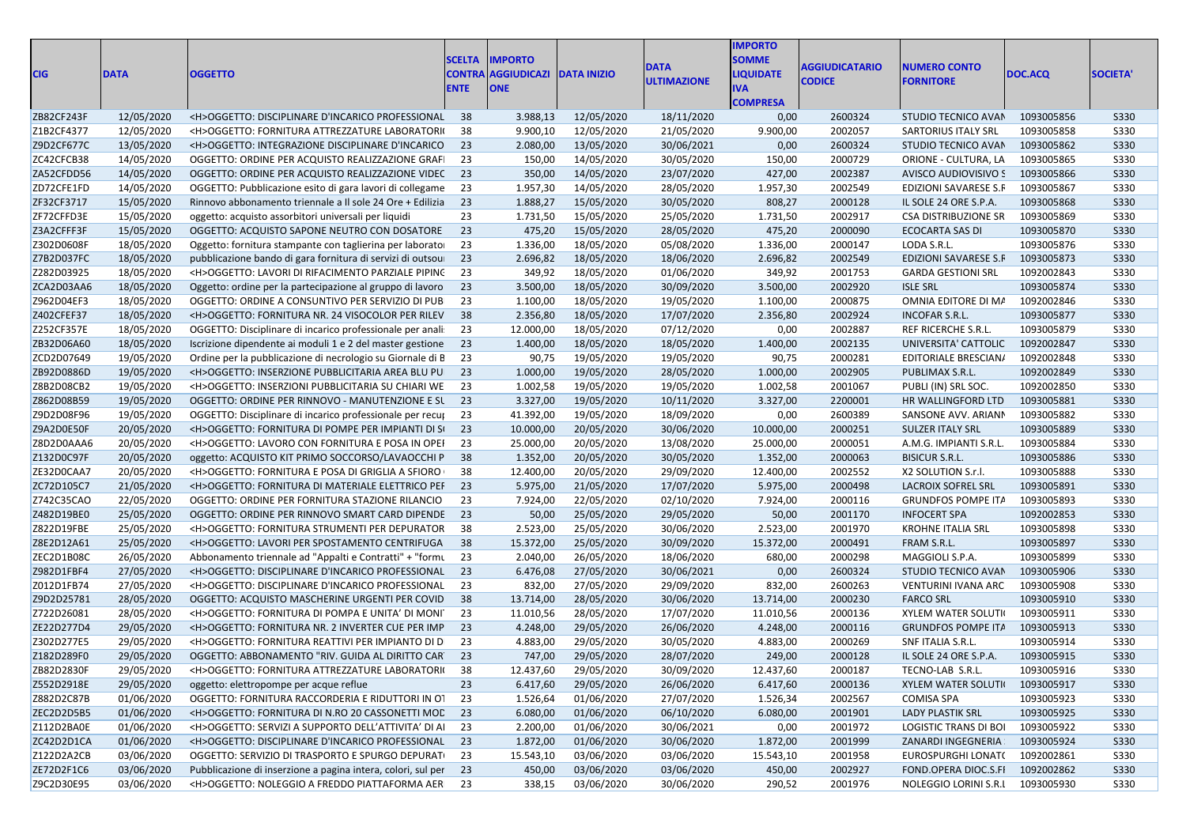| <b>CIG</b>               | <b>DATA</b>              | <b>OGGETTO</b>                                                                                                      | <b>SCELTA</b><br><b>CONTRA</b><br><b>ENTE</b> | <b>IMPORTO</b><br><b>AGGIUDICAZI</b><br><b>ONE</b> | <b>DATA INIZIO</b>       | <b>DATA</b><br><b>ULTIMAZIONE</b> | <b>IMPORTO</b><br><b>SOMME</b><br><b>LIQUIDATE</b><br><b>IVA</b><br><b>COMPRESA</b> | <b>AGGIUDICATARIO</b><br><b>CODICE</b> | <b>NUMERO CONTO</b><br><b>FORNITORE</b>   | DOC.ACQ                  | <b>SOCIETA'</b>            |
|--------------------------|--------------------------|---------------------------------------------------------------------------------------------------------------------|-----------------------------------------------|----------------------------------------------------|--------------------------|-----------------------------------|-------------------------------------------------------------------------------------|----------------------------------------|-------------------------------------------|--------------------------|----------------------------|
| ZB82CF243F               | 12/05/2020               | <h>OGGETTO: DISCIPLINARE D'INCARICO PROFESSIONAL</h>                                                                | - 38                                          | 3.988,13                                           | 12/05/2020               | 18/11/2020                        | 0,00                                                                                | 2600324                                | STUDIO TECNICO AVAN                       | 1093005856               | <b>S330</b>                |
| Z1B2CF4377               | 12/05/2020               | <h>OGGETTO: FORNITURA ATTREZZATURE LABORATORI(</h>                                                                  | 38                                            | 9.900,10                                           | 12/05/2020               | 21/05/2020                        | 9.900,00                                                                            | 2002057                                | <b>SARTORIUS ITALY SRL</b>                | 1093005858               | <b>S330</b>                |
| Z9D2CF677C               | 13/05/2020               | <h>OGGETTO: INTEGRAZIONE DISCIPLINARE D'INCARICO</h>                                                                | 23                                            | 2.080,00                                           | 13/05/2020               | 30/06/2021                        | 0,00                                                                                | 2600324                                | STUDIO TECNICO AVAN                       | 1093005862               | <b>S330</b>                |
| ZC42CFCB38               | 14/05/2020               | OGGETTO: ORDINE PER ACQUISTO REALIZZAZIONE GRAFI                                                                    | 23                                            | 150,00                                             | 14/05/2020               | 30/05/2020                        | 150,00                                                                              | 2000729                                | ORIONE - CULTURA, LA                      | 1093005865               | <b>S330</b>                |
| ZA52CFDD56               | 14/05/2020               | OGGETTO: ORDINE PER ACQUISTO REALIZZAZIONE VIDEC 23                                                                 |                                               | 350,00                                             | 14/05/2020               | 23/07/2020                        | 427,00                                                                              | 2002387                                | AVISCO AUDIOVISIVO S                      | 1093005866               | <b>S330</b>                |
| ZD72CFE1FD               | 14/05/2020               | OGGETTO: Pubblicazione esito di gara lavori di collegame                                                            | 23                                            | 1.957,30                                           | 14/05/2020               | 28/05/2020                        | 1.957,30                                                                            | 2002549                                | EDIZIONI SAVARESE S.F                     | 1093005867               | <b>S330</b>                |
| ZF32CF3717               | 15/05/2020               | Rinnovo abbonamento triennale a Il sole 24 Ore + Edilizia                                                           | 23                                            | 1.888,27                                           | 15/05/2020               | 30/05/2020                        | 808,27                                                                              | 2000128                                | IL SOLE 24 ORE S.P.A.                     | 1093005868               | <b>S330</b>                |
| ZF72CFFD3E               | 15/05/2020               | oggetto: acquisto assorbitori universali per liquidi                                                                | 23                                            | 1.731,50                                           | 15/05/2020               | 25/05/2020                        | 1.731,50                                                                            | 2002917                                | CSA DISTRIBUZIONE SR                      | 1093005869               | <b>S330</b>                |
| Z3A2CFFF3F               | 15/05/2020               | OGGETTO: ACQUISTO SAPONE NEUTRO CON DOSATORE                                                                        | 23                                            | 475,20                                             | 15/05/2020               | 28/05/2020                        | 475,20                                                                              | 2000090                                | <b>ECOCARTA SAS DI</b>                    | 1093005870               | <b>S330</b>                |
| Z302D0608F               | 18/05/2020               | Oggetto: fornitura stampante con taglierina per laborato                                                            | 23                                            | 1.336,00                                           | 18/05/2020               | 05/08/2020                        | 1.336,00                                                                            | 2000147                                | LODA S.R.L.                               | 1093005876               | <b>S330</b>                |
| Z7B2D037FC               | 18/05/2020               | pubblicazione bando di gara fornitura di servizi di outsou                                                          | 23                                            | 2.696,82                                           | 18/05/2020               | 18/06/2020                        | 2.696,82                                                                            | 2002549                                | EDIZIONI SAVARESE S.F                     | 1093005873               | <b>S330</b>                |
| Z282D03925               | 18/05/2020               | <h>OGGETTO: LAVORI DI RIFACIMENTO PARZIALE PIPINC</h>                                                               | 23                                            | 349,92                                             | 18/05/2020               | 01/06/2020                        | 349,92                                                                              | 2001753                                | <b>GARDA GESTIONI SRL</b>                 | 1092002843               | <b>S330</b>                |
| ZCA2D03AA6               | 18/05/2020               | Oggetto: ordine per la partecipazione al gruppo di lavoro                                                           | 23                                            | 3.500,00                                           | 18/05/2020               | 30/09/2020                        | 3.500,00                                                                            | 2002920                                | <b>ISLE SRL</b>                           | 1093005874               | <b>S330</b>                |
| Z962D04EF3               | 18/05/2020               | OGGETTO: ORDINE A CONSUNTIVO PER SERVIZIO DI PUB                                                                    | 23                                            | 1.100,00                                           | 18/05/2020               | 19/05/2020                        | 1.100,00                                                                            | 2000875                                | OMNIA EDITORE DI MA                       | 1092002846               | <b>S330</b>                |
| Z402CFEF37               | 18/05/2020               | <h>OGGETTO: FORNITURA NR. 24 VISOCOLOR PER RILEV</h>                                                                | 38                                            | 2.356,80                                           | 18/05/2020               | 17/07/2020                        | 2.356,80                                                                            | 2002924                                | <b>INCOFAR S.R.L.</b>                     | 1093005877               | <b>S330</b>                |
| Z252CF357E               | 18/05/2020               | OGGETTO: Disciplinare di incarico professionale per anali                                                           | 23                                            | 12.000,00                                          | 18/05/2020               | 07/12/2020                        | 0,00                                                                                | 2002887                                | REF RICERCHE S.R.L.                       | 1093005879               | <b>S330</b>                |
| ZB32D06A60               | 18/05/2020               | Iscrizione dipendente ai moduli 1 e 2 del master gestione                                                           | 23                                            | 1.400,00                                           | 18/05/2020               | 18/05/2020                        | 1.400,00                                                                            | 2002135                                | UNIVERSITA' CATTOLIC                      | 1092002847               | <b>S330</b>                |
| ZCD2D07649               | 19/05/2020               | Ordine per la pubblicazione di necrologio su Giornale di B                                                          | - 23                                          | 90,75                                              | 19/05/2020               | 19/05/2020                        | 90,75                                                                               | 2000281                                | EDITORIALE BRESCIAN/                      | 1092002848               | <b>S330</b>                |
| ZB92D0886D               | 19/05/2020               | <h>OGGETTO: INSERZIONE PUBBLICITARIA AREA BLU PU</h>                                                                | 23                                            | 1.000,00                                           | 19/05/2020               | 28/05/2020                        | 1.000,00                                                                            | 2002905                                | PUBLIMAX S.R.L.                           | 1092002849               | <b>S330</b>                |
|                          | 19/05/2020               | <h>OGGETTO: INSERZIONI PUBBLICITARIA SU CHIARI WE</h>                                                               | 23                                            | 1.002,58                                           | 19/05/2020               |                                   |                                                                                     | 2001067                                |                                           | 1092002850               | <b>S330</b>                |
| Z8B2D08CB2<br>Z862D08B59 | 19/05/2020               | OGGETTO: ORDINE PER RINNOVO - MANUTENZIONE E SL                                                                     | 23                                            | 3.327,00                                           | 19/05/2020               | 19/05/2020<br>10/11/2020          | 1.002,58<br>3.327,00                                                                | 2200001                                | PUBLI (IN) SRL SOC.<br>HR WALLINGFORD LTD | 1093005881               | <b>S330</b>                |
| Z9D2D08F96               | 19/05/2020               |                                                                                                                     | 23                                            | 41.392,00                                          | 19/05/2020               | 18/09/2020                        | 0,00                                                                                | 2600389                                | SANSONE AVV. ARIANI                       | 1093005882               | <b>S330</b>                |
| Z9A2D0E50F               | 20/05/2020               | OGGETTO: Disciplinare di incarico professionale per recup-<br><h>OGGETTO: FORNITURA DI POMPE PER IMPIANTI DI SI</h> | 23                                            | 10.000,00                                          | 20/05/2020               |                                   | 10.000,00                                                                           | 2000251                                | <b>SULZER ITALY SRL</b>                   | 1093005889               | <b>S330</b>                |
| Z8D2D0AAA6               | 20/05/2020               | <h>OGGETTO: LAVORO CON FORNITURA E POSA IN OPEI</h>                                                                 | 23                                            | 25.000,00                                          | 20/05/2020               | 30/06/2020<br>13/08/2020          | 25.000,00                                                                           | 2000051                                | A.M.G. IMPIANTI S.R.L.                    | 1093005884               | <b>S330</b>                |
| Z132D0C97F               | 20/05/2020               | oggetto: ACQUISTO KIT PRIMO SOCCORSO/LAVAOCCHI P                                                                    | - 38                                          | 1.352,00                                           | 20/05/2020               | 30/05/2020                        | 1.352,00                                                                            | 2000063                                | <b>BISICUR S.R.L.</b>                     | 1093005886               | <b>S330</b>                |
| ZE32D0CAA7               | 20/05/2020               | <h>OGGETTO: FORNITURA E POSA DI GRIGLIA A SFIORO</h>                                                                | 38                                            | 12.400,00                                          | 20/05/2020               |                                   | 12.400,00                                                                           | 2002552                                | X2 SOLUTION S.r.l.                        | 1093005888               | <b>S330</b>                |
| ZC72D105C7               |                          | <h>OGGETTO: FORNITURA DI MATERIALE ELETTRICO PEF</h>                                                                | 23                                            | 5.975,00                                           | 21/05/2020               | 29/09/2020<br>17/07/2020          | 5.975,00                                                                            | 2000498                                | <b>LACROIX SOFREL SRL</b>                 | 1093005891               | <b>S330</b>                |
| Z742C35CAO               | 21/05/2020<br>22/05/2020 | OGGETTO: ORDINE PER FORNITURA STAZIONE RILANCIO                                                                     | 23                                            | 7.924,00                                           | 22/05/2020               | 02/10/2020                        | 7.924,00                                                                            | 2000116                                | <b>GRUNDFOS POMPE ITA</b>                 | 1093005893               | S330                       |
| Z482D19BE0               | 25/05/2020               | OGGETTO: ORDINE PER RINNOVO SMART CARD DIPENDE                                                                      | - 23                                          | 50,00                                              | 25/05/2020               | 29/05/2020                        | 50,00                                                                               | 2001170                                | <b>INFOCERT SPA</b>                       | 1092002853               | <b>S330</b>                |
|                          |                          |                                                                                                                     |                                               | 2.523,00                                           |                          |                                   |                                                                                     |                                        |                                           |                          |                            |
| Z822D19FBE               | 25/05/2020               | <h>OGGETTO: FORNITURA STRUMENTI PER DEPURATOR</h>                                                                   | -38<br>38                                     |                                                    | 25/05/2020               | 30/06/2020                        | 2.523,00                                                                            | 2001970                                | <b>KROHNE ITALIA SRL</b>                  | 1093005898               | <b>S330</b>                |
| Z8E2D12A61               | 25/05/2020               | <h>OGGETTO: LAVORI PER SPOSTAMENTO CENTRIFUGA</h>                                                                   |                                               | 15.372,00                                          | 25/05/2020               | 30/09/2020                        | 15.372,00                                                                           | 2000491                                | FRAM S.R.L.                               | 1093005897               | <b>S330</b>                |
| ZEC2D1B08C               | 26/05/2020               | Abbonamento triennale ad "Appalti e Contratti" + "formu                                                             | - 23                                          | 2.040,00                                           | 26/05/2020               | 18/06/2020                        | 680,00                                                                              | 2000298                                | MAGGIOLI S.P.A.                           | 1093005899               | <b>S330</b>                |
| Z982D1FBF4<br>Z012D1FB74 | 27/05/2020<br>27/05/2020 | <h>OGGETTO: DISCIPLINARE D'INCARICO PROFESSIONAL<br/><h>OGGETTO: DISCIPLINARE D'INCARICO PROFESSIONAL</h></h>       | 23<br>23                                      | 6.476,08<br>832,00                                 | 27/05/2020<br>27/05/2020 | 30/06/2021                        | 0,00<br>832,00                                                                      | 2600324<br>2600263                     | STUDIO TECNICO AVAN                       | 1093005906<br>1093005908 | <b>S330</b><br><b>S330</b> |
| Z9D2D25781               |                          |                                                                                                                     | 38                                            |                                                    | 28/05/2020               | 29/09/2020                        |                                                                                     |                                        | VENTURINI IVANA ARC<br><b>FARCO SRL</b>   | 1093005910               |                            |
|                          | 28/05/2020               | OGGETTO: ACQUISTO MASCHERINE URGENTI PER COVID                                                                      | 23                                            | 13.714,00                                          | 28/05/2020               | 30/06/2020                        | 13.714,00                                                                           | 2000230                                |                                           |                          | <b>S330</b>                |
| Z722D26081               | 28/05/2020               | <h>OGGETTO: FORNITURA DI POMPA E UNITA' DI MONIT<br/><h>OGGETTO: FORNITURA NR. 2 INVERTER CUE PER IMP</h></h>       | 23                                            | 11.010,56                                          |                          | 17/07/2020                        | 11.010,56                                                                           | 2000136                                | <b>XYLEM WATER SOLUTI</b>                 | 1093005911               | S330                       |
| ZE22D277D4               | 29/05/2020               |                                                                                                                     | 23                                            | 4.248,00                                           | 29/05/2020               | 26/06/2020                        | 4.248,00                                                                            | 2000116                                | <b>GRUNDFOS POMPE ITA</b>                 | 1093005913               | <b>S330</b>                |
| Z302D277E5               | 29/05/2020               | <h>OGGETTO: FORNITURA REATTIVI PER IMPIANTO DI D</h>                                                                |                                               | 4.883,00                                           | 29/05/2020               | 30/05/2020                        | 4.883,00                                                                            | 2000269                                | SNF ITALIA S.R.L.                         | 1093005914               | <b>S330</b>                |
| Z182D289F0               | 29/05/2020               | OGGETTO: ABBONAMENTO "RIV. GUIDA AL DIRITTO CAR 23                                                                  |                                               | 747,00                                             | 29/05/2020               | 28/07/2020                        | 249,00                                                                              | 2000128                                | IL SOLE 24 ORE S.P.A.                     | 1093005915               | <b>S330</b>                |
| ZB82D2830F               | 29/05/2020               | <h>OGGETTO: FORNITURA ATTREZZATURE LABORATORI(</h>                                                                  | 38                                            | 12.437,60                                          | 29/05/2020               | 30/09/2020                        | 12.437,60                                                                           | 2000187                                | TECNO-LAB S.R.L.                          | 1093005916               | <b>S330</b>                |
| Z552D2918E               | 29/05/2020               | oggetto: elettropompe per acque reflue                                                                              | 23                                            | 6.417,60                                           | 29/05/2020               | 26/06/2020                        | 6.417,60                                                                            | 2000136                                | XYLEM WATER SOLUTI                        | 1093005917               | S330                       |
| Z882D2C87B               | 01/06/2020               | OGGETTO: FORNITURA RACCORDERIA E RIDUTTORI IN OT                                                                    | 23                                            | 1.526,64                                           | 01/06/2020               | 27/07/2020                        | 1.526,34                                                                            | 2002567                                | COMISA SPA                                | 1093005923               | S330                       |
| ZEC2D2D5B5               | 01/06/2020               | <h>OGGETTO: FORNITURA DI N.RO 20 CASSONETTI MOD 23</h>                                                              |                                               | 6.080,00                                           | 01/06/2020               | 06/10/2020                        | 6.080,00                                                                            | 2001901                                | LADY PLASTIK SRL                          | 1093005925               | S330                       |
| Z112D2BA0E               | 01/06/2020               | <h>OGGETTO: SERVIZI A SUPPORTO DELL'ATTIVITA' DI AI 23</h>                                                          |                                               | 2.200,00                                           | 01/06/2020               | 30/06/2021                        | 0,00                                                                                | 2001972                                | LOGISTIC TRANS DI BOI                     | 1093005922               | S330                       |
| ZC42D2D1CA               | 01/06/2020               | <h>OGGETTO: DISCIPLINARE D'INCARICO PROFESSIONAL 23</h>                                                             |                                               | 1.872,00                                           | 01/06/2020               | 30/06/2020                        | 1.872,00                                                                            | 2001999                                | ZANARDI INGEGNERIA                        | 1093005924               | <b>S330</b>                |
| Z122D2A2CB               | 03/06/2020               | OGGETTO: SERVIZIO DI TRASPORTO E SPURGO DEPURATI                                                                    | 23                                            | 15.543,10                                          | 03/06/2020               | 03/06/2020                        | 15.543,10                                                                           | 2001958                                | EUROSPURGHI LONAT(                        | 1092002861               | S330                       |
| ZE72D2F1C6               | 03/06/2020               | Pubblicazione di inserzione a pagina intera, colori, sul per 23                                                     |                                               | 450,00                                             | 03/06/2020               | 03/06/2020                        | 450,00                                                                              | 2002927                                | FOND.OPERA DIOC.S.FI 1092002862           |                          | S330                       |
| Z9C2D30E95               | 03/06/2020               | <h>OGGETTO: NOLEGGIO A FREDDO PIATTAFORMA AER 23</h>                                                                |                                               | 338,15                                             | 03/06/2020               | 30/06/2020                        | 290,52                                                                              | 2001976                                | NOLEGGIO LORINI S.R.I 1093005930          |                          | <b>S330</b>                |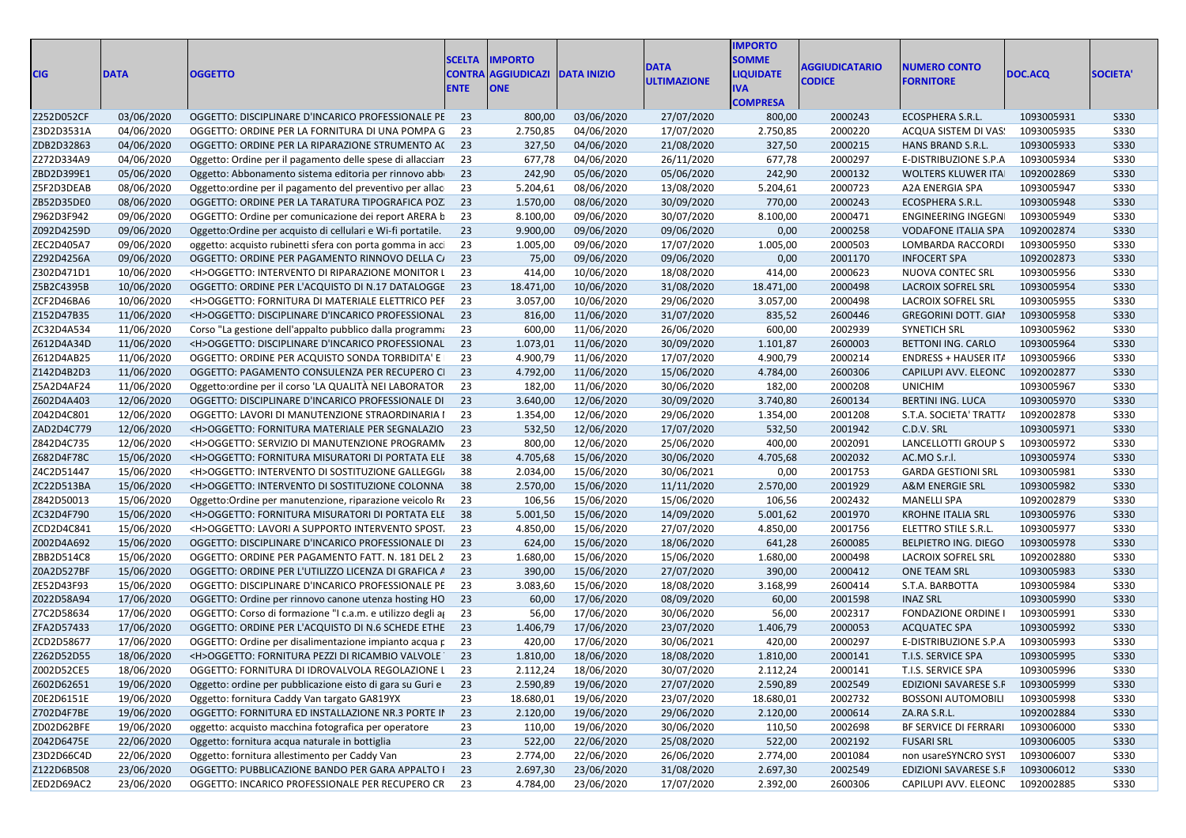|            |             |                                                              |             |                                       |            |                    | <b>MPORTO</b>    |                      |                                  |            |                 |
|------------|-------------|--------------------------------------------------------------|-------------|---------------------------------------|------------|--------------------|------------------|----------------------|----------------------------------|------------|-----------------|
|            |             |                                                              |             | <b>SCELTA IMPORTO</b>                 |            |                    | <b>SOMME</b>     |                      |                                  |            |                 |
| <b>CIG</b> | <b>DATA</b> | <b>OGGETTO</b>                                               |             | <b>CONTRA AGGIUDICAZI DATA INIZIO</b> |            | DATA               | <b>LIQUIDATE</b> | <b>GGIUDICATARIO</b> | <b>NUMERO CONTO</b>              | DOC.ACQ    | <b>SOCIETA'</b> |
|            |             |                                                              | <b>ENTE</b> | <b>ONE</b>                            |            | <b>ULTIMAZIONE</b> |                  | <b>CODICE</b>        | <b>FORNITORE</b>                 |            |                 |
|            |             |                                                              |             |                                       |            |                    | <b>COMPRESA</b>  |                      |                                  |            |                 |
| Z252D052CF | 03/06/2020  | OGGETTO: DISCIPLINARE D'INCARICO PROFESSIONALE PE 23         |             | 800,00                                | 03/06/2020 | 27/07/2020         | 800,00           | 2000243              | ECOSPHERA S.R.L.                 | 1093005931 | <b>S330</b>     |
| Z3D2D3531A | 04/06/2020  | OGGETTO: ORDINE PER LA FORNITURA DI UNA POMPA G              | - 23        | 2.750,85                              | 04/06/2020 | 17/07/2020         | 2.750,85         | 2000220              | ACQUA SISTEM DI VAS              | 1093005935 | <b>S330</b>     |
| ZDB2D32863 | 04/06/2020  | OGGETTO: ORDINE PER LA RIPARAZIONE STRUMENTO A(23            |             | 327,50                                | 04/06/2020 | 21/08/2020         | 327,50           | 2000215              | HANS BRAND S.R.L.                | 1093005933 | <b>S330</b>     |
| Z272D334A9 | 04/06/2020  | Oggetto: Ordine per il pagamento delle spese di allaccian    | - 23        | 677,78                                | 04/06/2020 | 26/11/2020         | 677,78           | 2000297              | E-DISTRIBUZIONE S.P.A            | 1093005934 | <b>S330</b>     |
| ZBD2D399E1 | 05/06/2020  | Oggetto: Abbonamento sistema editoria per rinnovo abb        | 23          | 242,90                                | 05/06/2020 | 05/06/2020         | 242,90           | 2000132              | WOLTERS KLUWER ITA               | 1092002869 | <b>S330</b>     |
| Z5F2D3DEAB | 08/06/2020  | Oggetto: ordine per il pagamento del preventivo per allac    | - 23        | 5.204,61                              | 08/06/2020 | 13/08/2020         | 5.204,61         | 2000723              | A2A ENERGIA SPA                  | 1093005947 | <b>S330</b>     |
| ZB52D35DE0 | 08/06/2020  | OGGETTO: ORDINE PER LA TARATURA TIPOGRAFICA POZ. 23          |             | 1.570,00                              | 08/06/2020 | 30/09/2020         | 770,00           | 2000243              | ECOSPHERA S.R.L.                 | 1093005948 | <b>S330</b>     |
| Z962D3F942 | 09/06/2020  | OGGETTO: Ordine per comunicazione dei report ARERA b 23      |             | 8.100,00                              | 09/06/2020 | 30/07/2020         | 8.100,00         | 2000471              | ENGINEERING INGEGN               | 1093005949 | <b>S330</b>     |
| Z092D4259D | 09/06/2020  | Oggetto: Ordine per acquisto di cellulari e Wi-fi portatile. | 23          | 9.900,00                              | 09/06/2020 | 09/06/2020         | 0,00             | 2000258              | <b>VODAFONE ITALIA SPA</b>       | 1092002874 | <b>S330</b>     |
| ZEC2D405A7 | 09/06/2020  | oggetto: acquisto rubinetti sfera con porta gomma in acci    | - 23        | 1.005,00                              | 09/06/2020 | 17/07/2020         | 1.005,00         | 2000503              | LOMBARDA RACCORDI                | 1093005950 | S330            |
| Z292D4256A | 09/06/2020  | OGGETTO: ORDINE PER PAGAMENTO RINNOVO DELLA C/ 23            |             | 75,00                                 | 09/06/2020 | 09/06/2020         | 0,00             | 2001170              | <b>INFOCERT SPA</b>              | 1092002873 | <b>S330</b>     |
| Z302D471D1 | 10/06/2020  | <h>OGGETTO: INTERVENTO DI RIPARAZIONE MONITOR L</h>          | 23          | 414,00                                | 10/06/2020 | 18/08/2020         | 414,00           | 2000623              | NUOVA CONTEC SRL                 | 1093005956 | <b>S330</b>     |
| Z5B2C4395B | 10/06/2020  | OGGETTO: ORDINE PER L'ACQUISTO DI N.17 DATALOGGE 23          |             | 18.471,00                             | 10/06/2020 | 31/08/2020         | 18.471,00        | 2000498              | <b>LACROIX SOFREL SRL</b>        | 1093005954 | S330            |
| ZCF2D46BA6 | 10/06/2020  | <h>OGGETTO: FORNITURA DI MATERIALE ELETTRICO PEF</h>         | - 23        | 3.057,00                              | 10/06/2020 | 29/06/2020         | 3.057,00         | 2000498              | <b>LACROIX SOFREL SRL</b>        | 1093005955 | <b>S330</b>     |
| Z152D47B35 | 11/06/2020  | <h>OGGETTO: DISCIPLINARE D'INCARICO PROFESSIONAL 23</h>      |             | 816,00                                | 11/06/2020 | 31/07/2020         | 835,52           | 2600446              | <b>GREGORINI DOTT. GIAI</b>      | 1093005958 | <b>S330</b>     |
| ZC32D4A534 | 11/06/2020  | Corso "La gestione dell'appalto pubblico dalla programma     | - 23        | 600,00                                | 11/06/2020 | 26/06/2020         | 600,00           | 2002939              | SYNETICH SRL                     | 1093005962 | <b>S330</b>     |
| Z612D4A34D | 11/06/2020  | <h>OGGETTO: DISCIPLINARE D'INCARICO PROFESSIONAL 23</h>      |             | 1.073,01                              | 11/06/2020 | 30/09/2020         | 1.101,87         | 2600003              | BETTONI ING. CARLO               | 1093005964 | <b>S330</b>     |
| Z612D4AB25 | 11/06/2020  | OGGETTO: ORDINE PER ACQUISTO SONDA TORBIDITA' E              | - 23        | 4.900,79                              | 11/06/2020 | 17/07/2020         | 4.900,79         | 2000214              | <b>ENDRESS + HAUSER IT/</b>      | 1093005966 | <b>S330</b>     |
| Z142D4B2D3 | 11/06/2020  | OGGETTO: PAGAMENTO CONSULENZA PER RECUPERO CI 23             |             | 4.792,00                              | 11/06/2020 | 15/06/2020         | 4.784,00         | 2600306              | CAPILUPI AVV. ELEONC             | 1092002877 | <b>S330</b>     |
| Z5A2D4AF24 | 11/06/2020  | Oggetto: ordine per il corso 'LA QUALITÀ NEI LABORATOR       | - 23        | 182,00                                | 11/06/2020 | 30/06/2020         | 182,00           | 2000208              | <b>UNICHIM</b>                   | 1093005967 | <b>S330</b>     |
| Z602D4A403 | 12/06/2020  | OGGETTO: DISCIPLINARE D'INCARICO PROFESSIONALE DI            | - 23        | 3.640,00                              | 12/06/2020 | 30/09/2020         | 3.740,80         | 2600134              | <b>BERTINI ING. LUCA</b>         | 1093005970 | <b>S330</b>     |
| Z042D4C801 | 12/06/2020  | OGGETTO: LAVORI DI MANUTENZIONE STRAORDINARIA I              | 23          | 1.354,00                              | 12/06/2020 | 29/06/2020         | 1.354,00         | 2001208              | S.T.A. SOCIETA' TRATT/           | 1092002878 | S330            |
| ZAD2D4C779 | 12/06/2020  | <h>OGGETTO: FORNITURA MATERIALE PER SEGNALAZIO 23</h>        |             | 532,50                                | 12/06/2020 | 17/07/2020         | 532,50           | 2001942              | C.D.V. SRL                       | 1093005971 | <b>S330</b>     |
| Z842D4C735 | 12/06/2020  | <h>OGGETTO: SERVIZIO DI MANUTENZIONE PROGRAMN</h>            | - 23        | 800,00                                | 12/06/2020 | 25/06/2020         | 400,00           | 2002091              | LANCELLOTTI GROUP S              | 1093005972 | <b>S330</b>     |
| Z682D4F78C | 15/06/2020  | <h>OGGETTO: FORNITURA MISURATORI DI PORTATA ELE 38</h>       |             | 4.705,68                              | 15/06/2020 | 30/06/2020         | 4.705,68         | 2002032              | AC.MO S.r.l.                     | 1093005974 | S330            |
| Z4C2D51447 | 15/06/2020  | <h>OGGETTO: INTERVENTO DI SOSTITUZIONE GALLEGGI</h>          | - 38        | 2.034,00                              | 15/06/2020 | 30/06/2021         | 0,00             | 2001753              | <b>GARDA GESTIONI SRL</b>        | 1093005981 | <b>S330</b>     |
| ZC22D513BA | 15/06/2020  | <h>OGGETTO: INTERVENTO DI SOSTITUZIONE COLONNA 38</h>        |             | 2.570,00                              | 15/06/2020 | 11/11/2020         | 2.570,00         | 2001929              | A&M ENERGIE SRL                  | 1093005982 | <b>S330</b>     |
| Z842D50013 | 15/06/2020  | Oggetto: Ordine per manutenzione, riparazione veicolo Re     | 23          | 106,56                                | 15/06/2020 | 15/06/2020         | 106,56           | 2002432              | <b>MANELLI SPA</b>               | 1092002879 | <b>S330</b>     |
| ZC32D4F790 | 15/06/2020  | <h>OGGETTO: FORNITURA MISURATORI DI PORTATA ELE 38</h>       |             | 5.001,50                              | 15/06/2020 | 14/09/2020         | 5.001,62         | 2001970              | <b>KROHNE ITALIA SRL</b>         | 1093005976 | <b>S330</b>     |
| ZCD2D4C841 | 15/06/2020  | <h>OGGETTO: LAVORI A SUPPORTO INTERVENTO SPOST.</h>          | - 23        | 4.850,00                              | 15/06/2020 | 27/07/2020         | 4.850,00         | 2001756              | ELETTRO STILE S.R.L              | 1093005977 | <b>S330</b>     |
| Z002D4A692 | 15/06/2020  | OGGETTO: DISCIPLINARE D'INCARICO PROFESSIONALE DI 23         |             | 624,00                                | 15/06/2020 | 18/06/2020         | 641,28           | 2600085              | <b>BELPIETRO ING. DIEGO</b>      | 1093005978 | S330            |
| ZBB2D514C8 | 15/06/2020  | OGGETTO: ORDINE PER PAGAMENTO FATT. N. 181 DEL 2 23          |             | 1.680,00                              | 15/06/2020 | 15/06/2020         | 1.680,00         | 2000498              | <b>LACROIX SOFREL SRL</b>        | 1092002880 | <b>S330</b>     |
| Z0A2D527BF | 15/06/2020  | OGGETTO: ORDINE PER L'UTILIZZO LICENZA DI GRAFICA A 23       |             | 390,00                                | 15/06/2020 | 27/07/2020         | 390,00           | 2000412              | <b>ONE TEAM SRL</b>              | 1093005983 | <b>S330</b>     |
| ZE52D43F93 | 15/06/2020  | OGGETTO: DISCIPLINARE D'INCARICO PROFESSIONALE PE 23         |             | 3.083,60                              | 15/06/2020 | 18/08/2020         | 3.168,99         | 2600414              | S.T.A. BARBOTTA                  | 1093005984 | <b>S330</b>     |
| Z022D58A94 | 17/06/2020  | OGGETTO: Ordine per rinnovo canone utenza hosting HO 23      |             | 60,00                                 | 17/06/2020 | 08/09/2020         | 60,00            | 2001598              | <b>INAZ SRL</b>                  | 1093005990 | S330            |
| Z7C2D58634 | 17/06/2020  | OGGETTO: Corso di formazione "I c.a.m. e utilizzo degli ag   | 23          | 56,00                                 | 17/06/2020 | 30/06/2020         | 56,00            | 2002317              | <b>FONDAZIONE ORDINE I</b>       | 1093005991 | S330            |
| ZFA2D57433 | 17/06/2020  | OGGETTO: ORDINE PER L'ACQUISTO DI N.6 SCHEDE ETHE 23         |             | 1.406,79                              | 17/06/2020 | 23/07/2020         | 1.406,79         | 2000053              | <b>ACQUATEC SPA</b>              | 1093005992 | <b>S330</b>     |
| ZCD2D58677 | 17/06/2020  | OGGETTO: Ordine per disalimentazione impianto acqua r 23     |             | 420,00                                | 17/06/2020 | 30/06/2021         | 420,00           | 2000297              | E-DISTRIBUZIONE S.P.A            | 1093005993 | <b>S330</b>     |
| Z262D52D55 | 18/06/2020  | <h>OGGETTO: FORNITURA PEZZI DI RICAMBIO VALVOLE 23</h>       |             | 1.810,00                              | 18/06/2020 | 18/08/2020         | 1.810,00         | 2000141              | T.I.S. SERVICE SPA               | 1093005995 | <b>S330</b>     |
| Z002D52CE5 | 18/06/2020  | OGGETTO: FORNITURA DI IDROVALVOLA REGOLAZIONE L 23           |             | 2.112,24                              | 18/06/2020 | 30/07/2020         | 2.112,24         | 2000141              | T.I.S. SERVICE SPA               | 1093005996 | <b>S330</b>     |
| Z602D62651 | 19/06/2020  | Oggetto: ordine per pubblicazione eisto di gara su Guri e 23 |             | 2.590,89                              | 19/06/2020 | 27/07/2020         | 2.590,89         | 2002549              | EDIZIONI SAVARESE S.F 1093005999 |            | <b>S330</b>     |
| Z0E2D6151E | 19/06/2020  | Oggetto: fornitura Caddy Van targato GA819YX                 | 23          | 18.680,01                             | 19/06/2020 | 23/07/2020         | 18.680,01        | 2002732              | <b>BOSSONI AUTOMOBILI</b>        | 1093005998 | <b>S330</b>     |
| Z702D4F7BE | 19/06/2020  | OGGETTO: FORNITURA ED INSTALLAZIONE NR.3 PORTE II 23         |             | 2.120,00                              | 19/06/2020 | 29/06/2020         | 2.120,00         | 2000614              | ZA.RA S.R.L.                     | 1092002884 | <b>S330</b>     |
| ZD02D62BFE | 19/06/2020  | oggetto: acquisto macchina fotografica per operatore         | 23          | 110,00                                | 19/06/2020 | 30/06/2020         | 110,50           | 2002698              | BF SERVICE DI FERRARI            | 1093006000 | <b>S330</b>     |
| Z042D6475E | 22/06/2020  | Oggetto: fornitura acqua naturale in bottiglia               | 23          | 522,00                                | 22/06/2020 | 25/08/2020         | 522,00           | 2002192              | <b>FUSARI SRL</b>                | 1093006005 | <b>S330</b>     |
| Z3D2D66C4D | 22/06/2020  | Oggetto: fornitura allestimento per Caddy Van                | 23          | 2.774,00                              | 22/06/2020 | 26/06/2020         | 2.774,00         | 2001084              | non usareSYNCRO SYS1             | 1093006007 | <b>S330</b>     |
| Z122D6B508 | 23/06/2020  | OGGETTO: PUBBLICAZIONE BANDO PER GARA APPALTO I 23           |             | 2.697,30                              | 23/06/2020 | 31/08/2020         | 2.697,30         | 2002549              | EDIZIONI SAVARESE S.F 1093006012 |            | <b>S330</b>     |
| ZED2D69AC2 | 23/06/2020  | OGGETTO: INCARICO PROFESSIONALE PER RECUPERO CR 23           |             | 4.784,00                              | 23/06/2020 | 17/07/2020         | 2.392,00         | 2600306              | CAPILUPI AVV. ELEONC 1092002885  |            | <b>S330</b>     |
|            |             |                                                              |             |                                       |            |                    |                  |                      |                                  |            |                 |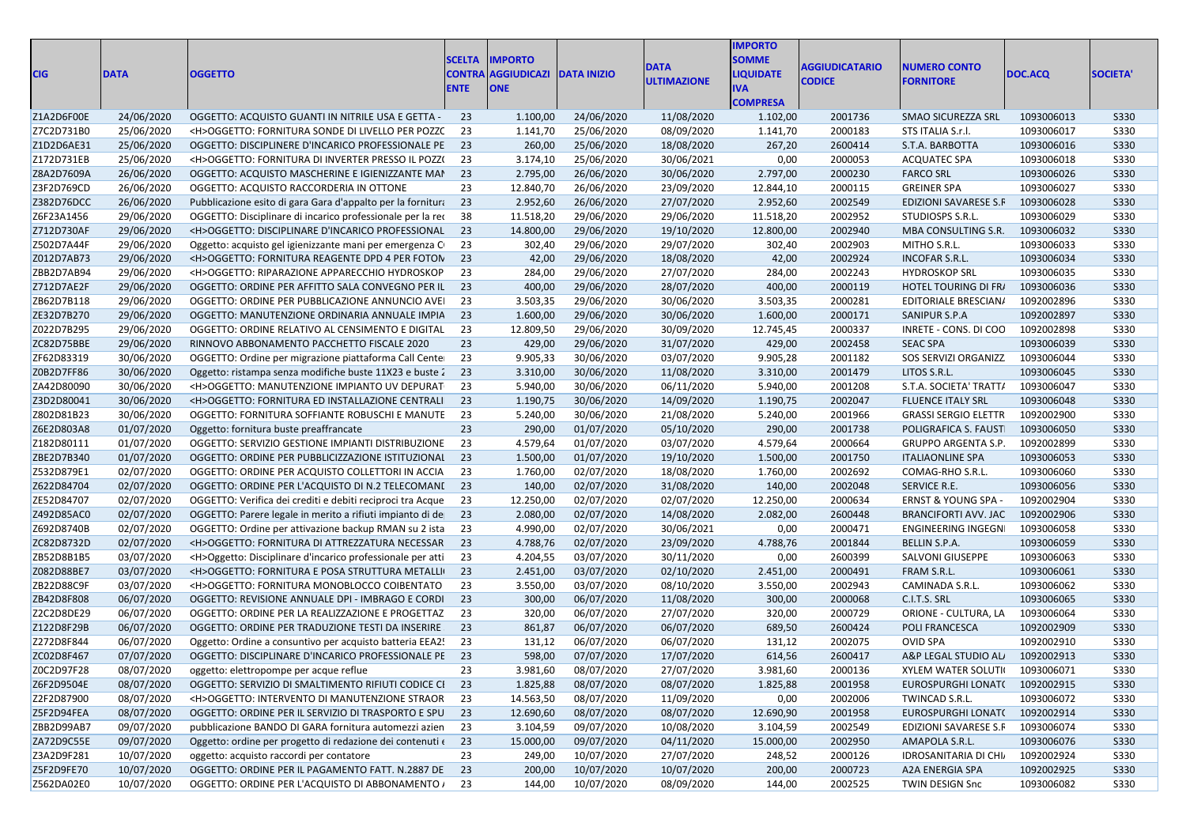| <b>CIG</b> | <b>DATA</b> | <b>OGGETTO</b>                                                 | <b>SCELTA</b><br><b>CONTRA</b><br><b>ENTE</b> | IMPORTO<br><b>AGGIUDICAZI DATA INIZIO</b><br><b>ONE</b> |            | <b>DATA</b><br><b>ULTIMAZIONE</b> | <b>IMPORTO</b><br><b>SOMME</b><br><b>LIQUIDATE</b><br>IVA<br><b>COMPRESA</b> | <b>AGGIUDICATARIO</b><br><b>CODICE</b> | <b>NUMERO CONTO</b><br><b>FORNITORE</b> | DOC.ACQ    | <b>SOCIETA</b> |
|------------|-------------|----------------------------------------------------------------|-----------------------------------------------|---------------------------------------------------------|------------|-----------------------------------|------------------------------------------------------------------------------|----------------------------------------|-----------------------------------------|------------|----------------|
| Z1A2D6F00E | 24/06/2020  | OGGETTO: ACQUISTO GUANTI IN NITRILE USA E GETTA -              | 23                                            | 1.100,00                                                | 24/06/2020 | 11/08/2020                        | 1.102,00                                                                     | 2001736                                | SMAO SICUREZZA SRL                      | 1093006013 | S330           |
| Z7C2D731B0 | 25/06/2020  | <h>OGGETTO: FORNITURA SONDE DI LIVELLO PER POZZC</h>           | 23                                            | 1.141,70                                                | 25/06/2020 | 08/09/2020                        | 1.141,70                                                                     | 2000183                                | STS ITALIA S.r.l.                       | 1093006017 | <b>S330</b>    |
| Z1D2D6AE31 | 25/06/2020  | OGGETTO: DISCIPLINERE D'INCARICO PROFESSIONALE PE              | 23                                            | 260,00                                                  | 25/06/2020 | 18/08/2020                        | 267,20                                                                       | 2600414                                | S.T.A. BARBOTTA                         | 1093006016 | <b>S330</b>    |
| Z172D731EB | 25/06/2020  | <h>OGGETTO: FORNITURA DI INVERTER PRESSO IL POZZ(</h>          | 23                                            | 3.174,10                                                | 25/06/2020 | 30/06/2021                        | 0,00                                                                         | 2000053                                | <b>ACQUATEC SPA</b>                     | 1093006018 | <b>S330</b>    |
| Z8A2D7609A | 26/06/2020  | OGGETTO: ACQUISTO MASCHERINE E IGIENIZZANTE MAI                | 23                                            | 2.795,00                                                | 26/06/2020 | 30/06/2020                        | 2.797,00                                                                     | 2000230                                | <b>FARCO SRL</b>                        | 1093006026 | S330           |
| Z3F2D769CD | 26/06/2020  | OGGETTO: ACQUISTO RACCORDERIA IN OTTONE                        | 23                                            | 12.840,70                                               | 26/06/2020 | 23/09/2020                        | 12.844,10                                                                    | 2000115                                | <b>GREINER SPA</b>                      | 1093006027 | S330           |
| Z382D76DCC | 26/06/2020  | Pubblicazione esito di gara Gara d'appalto per la fornitura    | 23                                            | 2.952,60                                                | 26/06/2020 | 27/07/2020                        | 2.952,60                                                                     | 2002549                                | EDIZIONI SAVARESE S.F                   | 1093006028 | S330           |
| Z6F23A1456 | 29/06/2020  | OGGETTO: Disciplinare di incarico professionale per la rec     | 38                                            | 11.518,20                                               | 29/06/2020 | 29/06/2020                        | 11.518,20                                                                    | 2002952                                | STUDIOSPS S.R.L.                        | 1093006029 | S330           |
| Z712D730AF | 29/06/2020  | <h>OGGETTO: DISCIPLINARE D'INCARICO PROFESSIONAL</h>           | 23                                            | 14.800,00                                               | 29/06/2020 | 19/10/2020                        | 12.800,00                                                                    | 2002940                                | MBA CONSULTING S.R.                     | 1093006032 | <b>S330</b>    |
| Z502D7A44F | 29/06/2020  | Oggetto: acquisto gel igienizzante mani per emergenza C        | 23                                            | 302,40                                                  | 29/06/2020 | 29/07/2020                        | 302,40                                                                       | 2002903                                | MITHO S.R.L.                            | 1093006033 | S330           |
| Z012D7AB73 | 29/06/2020  | <h>OGGETTO: FORNITURA REAGENTE DPD 4 PER FOTON</h>             | 23                                            | 42,00                                                   | 29/06/2020 | 18/08/2020                        | 42,00                                                                        | 2002924                                | INCOFAR S.R.L.                          | 1093006034 | <b>S330</b>    |
| ZBB2D7AB94 | 29/06/2020  | <h>OGGETTO: RIPARAZIONE APPARECCHIO HYDROSKOP</h>              | 23                                            | 284,00                                                  | 29/06/2020 | 27/07/2020                        | 284,00                                                                       | 2002243                                | <b>HYDROSKOP SRL</b>                    | 1093006035 | S330           |
| Z712D7AE2F | 29/06/2020  | OGGETTO: ORDINE PER AFFITTO SALA CONVEGNO PER IL 23            |                                               | 400,00                                                  | 29/06/2020 | 28/07/2020                        | 400,00                                                                       | 2000119                                | HOTEL TOURING DI FR/                    | 1093006036 | <b>S330</b>    |
| ZB62D7B118 | 29/06/2020  | OGGETTO: ORDINE PER PUBBLICAZIONE ANNUNCIO AVEI                | 23                                            | 3.503,35                                                | 29/06/2020 | 30/06/2020                        | 3.503,35                                                                     | 2000281                                | EDITORIALE BRESCIAN/                    | 1092002896 | <b>S330</b>    |
| ZE32D7B270 | 29/06/2020  | OGGETTO: MANUTENZIONE ORDINARIA ANNUALE IMPIA                  | 23                                            | 1.600,00                                                | 29/06/2020 | 30/06/2020                        | 1.600,00                                                                     | 2000171                                | SANIPUR S.P.A                           | 1092002897 | S330           |
| Z022D7B295 | 29/06/2020  | OGGETTO: ORDINE RELATIVO AL CENSIMENTO E DIGITAL               | 23                                            | 12.809,50                                               | 29/06/2020 | 30/09/2020                        | 12.745,45                                                                    | 2000337                                | INRETE - CONS. DI COO                   | 1092002898 | <b>S330</b>    |
| ZC82D75BBE | 29/06/2020  | RINNOVO ABBONAMENTO PACCHETTO FISCALE 2020                     | 23                                            | 429,00                                                  | 29/06/2020 | 31/07/2020                        | 429,00                                                                       | 2002458                                | <b>SEAC SPA</b>                         | 1093006039 | <b>S330</b>    |
| ZF62D83319 | 30/06/2020  | OGGETTO: Ordine per migrazione piattaforma Call Cente          | 23                                            | 9.905,33                                                | 30/06/2020 | 03/07/2020                        | 9.905,28                                                                     | 2001182                                | SOS SERVIZI ORGANIZZ                    | 1093006044 | <b>S330</b>    |
| Z0B2D7FF86 | 30/06/2020  | Oggetto: ristampa senza modifiche buste 11X23 e buste 2        | 23                                            | 3.310,00                                                | 30/06/2020 | 11/08/2020                        | 3.310,00                                                                     | 2001479                                | LITOS S.R.L.                            | 1093006045 | S330           |
| ZA42D80090 | 30/06/2020  | <h>OGGETTO: MANUTENZIONE IMPIANTO UV DEPURAT</h>               | 23                                            | 5.940,00                                                | 30/06/2020 | 06/11/2020                        | 5.940,00                                                                     | 2001208                                | S.T.A. SOCIETA' TRATT/                  | 1093006047 | <b>S330</b>    |
| Z3D2D80041 | 30/06/2020  | <h>OGGETTO: FORNITURA ED INSTALLAZIONE CENTRALI</h>            | 23                                            | 1.190,75                                                | 30/06/2020 | 14/09/2020                        | 1.190,75                                                                     | 2002047                                | <b>FLUENCE ITALY SRL</b>                | 1093006048 | <b>S330</b>    |
| Z802D81B23 | 30/06/2020  | OGGETTO: FORNITURA SOFFIANTE ROBUSCHI E MANUTE                 | 23                                            | 5.240,00                                                | 30/06/2020 | 21/08/2020                        | 5.240,00                                                                     | 2001966                                | <b>GRASSI SERGIO ELETTR</b>             | 1092002900 | S330           |
| Z6E2D803A8 | 01/07/2020  | Oggetto: fornitura buste preaffrancate                         | 23                                            | 290,00                                                  | 01/07/2020 | 05/10/2020                        | 290,00                                                                       | 2001738                                | POLIGRAFICA S. FAUST                    | 1093006050 | S330           |
| Z182D80111 | 01/07/2020  | OGGETTO: SERVIZIO GESTIONE IMPIANTI DISTRIBUZIONE              | 23                                            | 4.579,64                                                | 01/07/2020 | 03/07/2020                        | 4.579,64                                                                     | 2000664                                | <b>GRUPPO ARGENTA S.P</b>               | 1092002899 | S330           |
| ZBE2D7B340 | 01/07/2020  | OGGETTO: ORDINE PER PUBBLICIZZAZIONE ISTITUZIONAL              | 23                                            | 1.500,00                                                | 01/07/2020 | 19/10/2020                        | 1.500,00                                                                     | 2001750                                | <b>ITALIAONLINE SPA</b>                 | 1093006053 | S330           |
| Z532D879E1 | 02/07/2020  | OGGETTO: ORDINE PER ACQUISTO COLLETTORI IN ACCIA               | 23                                            | 1.760,00                                                | 02/07/2020 | 18/08/2020                        | 1.760,00                                                                     | 2002692                                | COMAG-RHO S.R.L.                        | 1093006060 | S330           |
| Z622D84704 | 02/07/2020  | OGGETTO: ORDINE PER L'ACQUISTO DI N.2 TELECOMANI               | 23                                            | 140,00                                                  | 02/07/2020 | 31/08/2020                        | 140,00                                                                       | 2002048                                | SERVICE R.E.                            | 1093006056 | <b>S330</b>    |
| ZE52D84707 | 02/07/2020  | OGGETTO: Verifica dei crediti e debiti reciproci tra Acque     | 23                                            | 12.250,00                                               | 02/07/2020 | 02/07/2020                        | 12.250,00                                                                    | 2000634                                | ERNST & YOUNG SPA -                     | 1092002904 | S330           |
| Z492D85AC0 | 02/07/2020  | OGGETTO: Parere legale in merito a rifiuti impianto di de      | 23                                            | 2.080,00                                                | 02/07/2020 | 14/08/2020                        | 2.082,00                                                                     | 2600448                                | <b>BRANCIFORTI AVV. JAC</b>             | 1092002906 | S330           |
| Z692D8740B | 02/07/2020  | OGGETTO: Ordine per attivazione backup RMAN su 2 ista          | 23                                            | 4.990,00                                                | 02/07/2020 | 30/06/2021                        | 0,00                                                                         | 2000471                                | ENGINEERING INGEGN                      | 1093006058 | S330           |
| ZC82D8732D | 02/07/2020  | <h>OGGETTO: FORNITURA DI ATTREZZATURA NECESSAR</h>             | 23                                            | 4.788,76                                                | 02/07/2020 | 23/09/2020                        | 4.788,76                                                                     | 2001844                                | BELLIN S.P.A.                           | 1093006059 | <b>S330</b>    |
| ZB52D8B1B5 | 03/07/2020  | <h>Oggetto: Disciplinare d'incarico professionale per atti</h> | 23                                            | 4.204,55                                                | 03/07/2020 | 30/11/2020                        | 0,00                                                                         | 2600399                                | <b>SALVONI GIUSEPPE</b>                 | 1093006063 | S330           |
| Z082D88BE7 | 03/07/2020  | <h>OGGETTO: FORNITURA E POSA STRUTTURA METALLI</h>             | 23                                            | 2.451,00                                                | 03/07/2020 | 02/10/2020                        | 2.451,00                                                                     | 2000491                                | FRAM S.R.L.                             | 1093006061 | S330           |
| ZB22D88C9F | 03/07/2020  | <h>OGGETTO: FORNITURA MONOBLOCCO COIBENTATO</h>                | 23                                            | 3.550,00                                                | 03/07/2020 | 08/10/2020                        | 3.550,00                                                                     | 2002943                                | CAMINADA S.R.L.                         | 1093006062 | S330           |
| ZB42D8F808 | 06/07/2020  | OGGETTO: REVISIONE ANNUALE DPI - IMBRAGO E CORDI               | 23                                            | 300,00                                                  | 06/07/2020 | 11/08/2020                        | 300,00                                                                       | 2000068                                | C.I.T.S. SRL                            | 1093006065 | <b>S330</b>    |
| Z2C2D8DE29 | 06/07/2020  | OGGETTO: ORDINE PER LA REALIZZAZIONE E PROGETTAZ               | 23                                            | 320,00                                                  | 06/07/2020 | 27/07/2020                        | 320,00                                                                       | 2000729                                | ORIONE - CULTURA, LA                    | 1093006064 | S330           |
| Z122D8F29B | 06/07/2020  | OGGETTO: ORDINE PER TRADUZIONE TESTI DA INSERIRE               | 23                                            | 861,87                                                  | 06/07/2020 | 06/07/2020                        | 689,50                                                                       | 2600424                                | POLI FRANCESCA                          | 1092002909 | S330           |
| Z272D8F844 | 06/07/2020  | Oggetto: Ordine a consuntivo per acquisto batteria EEA2!       | 23                                            | 131,12                                                  | 06/07/2020 | 06/07/2020                        | 131,12                                                                       | 2002075                                | OVID SPA                                | 1092002910 | S330           |
| ZC02D8F467 | 07/07/2020  | OGGETTO: DISCIPLINARE D'INCARICO PROFESSIONALE PE              | - 23                                          | 598,00                                                  | 07/07/2020 | 17/07/2020                        | 614,56                                                                       | 2600417                                | A&P LEGAL STUDIO AL                     | 1092002913 | <b>S330</b>    |
| Z0C2D97F28 | 08/07/2020  | oggetto: elettropompe per acque reflue                         | 23                                            | 3.981,60                                                | 08/07/2020 | 27/07/2020                        | 3.981,60                                                                     | 2000136                                | <b>XYLEM WATER SOLUTI</b>               | 1093006071 | <b>S330</b>    |
| Z6F2D9504E | 08/07/2020  | OGGETTO: SERVIZIO DI SMALTIMENTO RIFIUTI CODICE CI 23          |                                               | 1.825,88                                                | 08/07/2020 | 08/07/2020                        | 1.825,88                                                                     | 2001958                                | EUROSPURGHI LONAT( 1092002915           |            | S330           |
| Z2F2D87900 | 08/07/2020  | <h>OGGETTO: INTERVENTO DI MANUTENZIONE STRAOR</h>              | -23                                           | 14.563,50                                               | 08/07/2020 | 11/09/2020                        | 0,00                                                                         | 2002006                                | TWINCAD S.R.L.                          | 1093006072 | S330           |
| Z5F2D94FEA | 08/07/2020  | OGGETTO: ORDINE PER IL SERVIZIO DI TRASPORTO E SPU             | 23                                            | 12.690,60                                               | 08/07/2020 | 08/07/2020                        | 12.690,90                                                                    | 2001958                                | EUROSPURGHI LONAT(                      | 1092002914 | S330           |
| ZBB2D99AB7 | 09/07/2020  | pubblicazione BANDO DI GARA fornitura automezzi azien          | 23                                            | 3.104,59                                                | 09/07/2020 | 10/08/2020                        | 3.104,59                                                                     | 2002549                                | EDIZIONI SAVARESE S.F                   | 1093006074 | S330           |
| ZA72D9C55E | 09/07/2020  | Oggetto: ordine per progetto di redazione dei contenuti (23    |                                               | 15.000,00                                               | 09/07/2020 | 04/11/2020                        | 15.000,00                                                                    | 2002950                                | AMAPOLA S.R.L.                          | 1093006076 | S330           |
| Z3A2D9F281 | 10/07/2020  | oggetto: acquisto raccordi per contatore                       | 23                                            | 249,00                                                  | 10/07/2020 | 27/07/2020                        | 248,52                                                                       | 2000126                                | IDROSANITARIA DI CHI.                   | 1092002924 | S330           |
| Z5F2D9FE70 | 10/07/2020  | OGGETTO: ORDINE PER IL PAGAMENTO FATT. N.2887 DE 23            |                                               | 200,00                                                  | 10/07/2020 | 10/07/2020                        | 200,00                                                                       | 2000723                                | A2A ENERGIA SPA                         | 1092002925 | S330           |
| Z562DA02E0 | 10/07/2020  | OGGETTO: ORDINE PER L'ACQUISTO DI ABBONAMENTO / 23             |                                               | 144,00                                                  | 10/07/2020 | 08/09/2020                        | 144,00                                                                       | 2002525                                | TWIN DESIGN Snc                         | 1093006082 | S330           |
|            |             |                                                                |                                               |                                                         |            |                                   |                                                                              |                                        |                                         |            |                |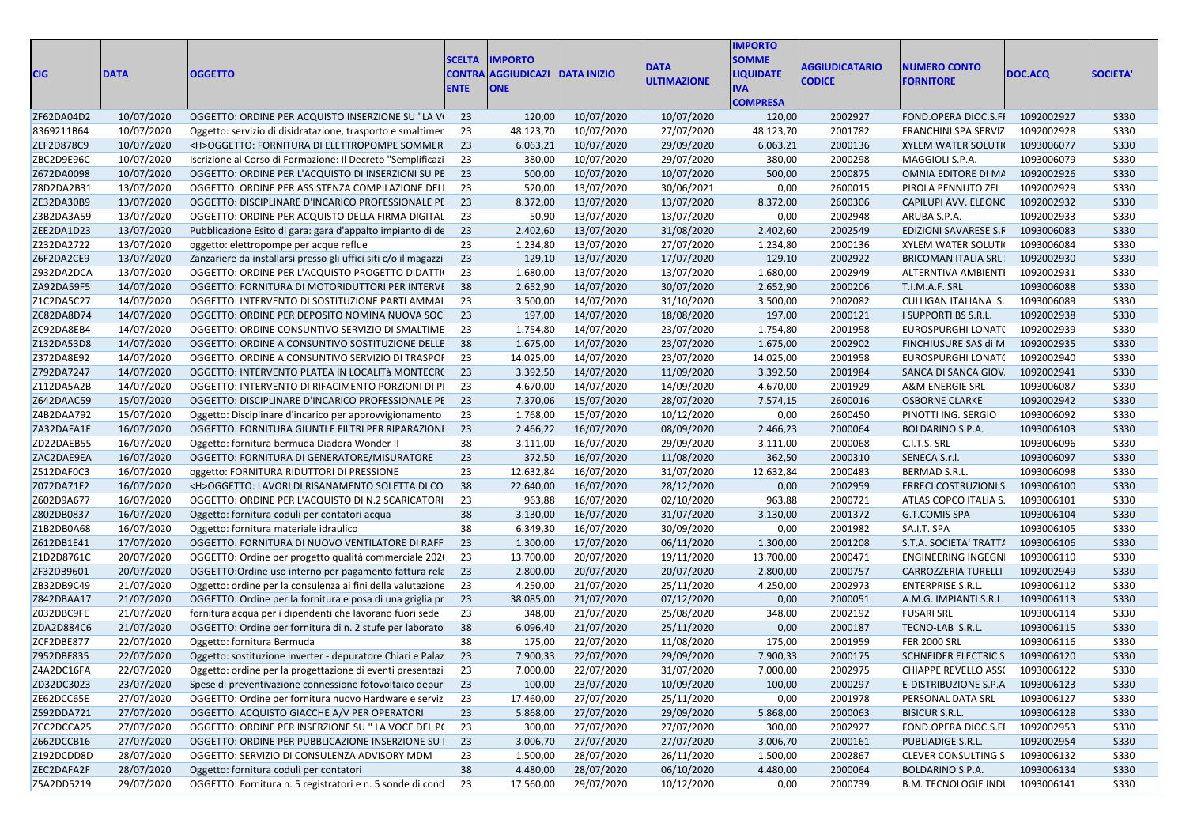| <b>CIG</b> | <b>DATA</b> | <b>OGGETTO</b>                                                  | <b>SCELTA</b><br><b>CONTRA</b><br><b>ENTE</b> | <b>IMPORTO</b><br><b>AGGIUDICAZI</b><br><b>ONE</b> | <b>DATA INIZIO</b> | <b>DATA</b><br><b>ULTIMAZIONE</b> | <b>IMPORTO</b><br><b>SOMME</b><br><b>LIQUIDATE</b><br><b>IVA</b><br><b>COMPRESA</b> | <b>AGGIUDICATARIO</b><br><b>CODICE</b> | <b>NUMERO CONTO</b><br><b>FORNITORE</b> | <b>DOC.ACQ</b> | <b>SOCIETA'</b> |
|------------|-------------|-----------------------------------------------------------------|-----------------------------------------------|----------------------------------------------------|--------------------|-----------------------------------|-------------------------------------------------------------------------------------|----------------------------------------|-----------------------------------------|----------------|-----------------|
| ZF62DA04D2 | 10/07/2020  | OGGETTO: ORDINE PER ACQUISTO INSERZIONE SU "LA VI               | 23                                            | 120,00                                             | 10/07/2020         | 10/07/2020                        | 120,00                                                                              | 2002927                                | FOND.OPERA DIOC.S.FI                    | 1092002927     | S330            |
| 8369211B64 | 10/07/2020  | Oggetto: servizio di disidratazione, trasporto e smaltimen      | 23                                            | 48.123,70                                          | 10/07/2020         | 27/07/2020                        | 48.123,70                                                                           | 2001782                                | <b>FRANCHINI SPA SERVIZ</b>             | 1092002928     | <b>S330</b>     |
| ZEF2D878C9 | 10/07/2020  | <h>OGGETTO: FORNITURA DI ELETTROPOMPE SOMMER</h>                | 23                                            | 6.063,21                                           | 10/07/2020         | 29/09/2020                        | 6.063,21                                                                            | 2000136                                | <b>XYLEM WATER SOLUTI</b>               | 1093006077     | <b>S330</b>     |
| ZBC2D9E96C | 10/07/2020  | Iscrizione al Corso di Formazione: Il Decreto "Semplificazi     | 23                                            | 380,00                                             | 10/07/2020         | 29/07/2020                        | 380,00                                                                              | 2000298                                | MAGGIOLI S.P.A.                         | 1093006079     | S330            |
| Z672DA0098 | 10/07/2020  | OGGETTO: ORDINE PER L'ACQUISTO DI INSERZIONI SU PE              | 23                                            | 500,00                                             | 10/07/2020         | 10/07/2020                        | 500,00                                                                              | 2000875                                | OMNIA EDITORE DI MA                     | 1092002926     | <b>S330</b>     |
| Z8D2DA2B31 | 13/07/2020  | OGGETTO: ORDINE PER ASSISTENZA COMPILAZIONE DELI                | 23                                            | 520,00                                             | 13/07/2020         | 30/06/2021                        | 0,00                                                                                | 2600015                                | PIROLA PENNUTO ZEI                      | 1092002929     | S330            |
| ZE32DA30B9 | 13/07/2020  | OGGETTO: DISCIPLINARE D'INCARICO PROFESSIONALE PE               | 23                                            | 8.372,00                                           | 13/07/2020         | 13/07/2020                        | 8.372,00                                                                            | 2600306                                | CAPILUPI AVV. ELEONC                    | 1092002932     | <b>S330</b>     |
| Z3B2DA3A59 | 13/07/2020  | OGGETTO: ORDINE PER ACQUISTO DELLA FIRMA DIGITAL                | 23                                            | 50,90                                              | 13/07/2020         | 13/07/2020                        | 0,00                                                                                | 2002948                                | ARUBA S.P.A.                            | 1092002933     | S330            |
| ZEE2DA1D23 | 13/07/2020  | Pubblicazione Esito di gara: gara d'appalto impianto di de      | 23                                            | 2.402,60                                           | 13/07/2020         | 31/08/2020                        | 2.402,60                                                                            | 2002549                                | <b>EDIZIONI SAVARESE S.F</b>            | 1093006083     | <b>S330</b>     |
| Z232DA2722 | 13/07/2020  | oggetto: elettropompe per acque reflue                          | 23                                            | 1.234,80                                           | 13/07/2020         | 27/07/2020                        | 1.234,80                                                                            | 2000136                                | <b>XYLEM WATER SOLUTI</b>               | 1093006084     | S330            |
| Z6F2DA2CE9 | 13/07/2020  | Zanzariere da installarsi presso gli uffici siti c/o il magazzi | 23                                            | 129,10                                             | 13/07/2020         | 17/07/2020                        | 129,10                                                                              | 2002922                                | <b>BRICOMAN ITALIA SRL</b>              | 1092002930     | <b>S330</b>     |
| Z932DA2DCA | 13/07/2020  | OGGETTO: ORDINE PER L'ACQUISTO PROGETTO DIDATTIO                | 23                                            | 1.680,00                                           | 13/07/2020         | 13/07/2020                        | 1.680,00                                                                            | 2002949                                | ALTERNTIVA AMBIENTI                     | 1092002931     | S330            |
| ZA92DA59F5 | 14/07/2020  | OGGETTO: FORNITURA DI MOTORIDUTTORI PER INTERVE                 | 38                                            | 2.652,90                                           | 14/07/2020         | 30/07/2020                        | 2.652,90                                                                            | 2000206                                | T.I.M.A.F. SRL                          | 1093006088     | S330            |
| Z1C2DA5C27 | 14/07/2020  | OGGETTO: INTERVENTO DI SOSTITUZIONE PARTI AMMAL                 | 23                                            | 3.500,00                                           | 14/07/2020         | 31/10/2020                        | 3.500,00                                                                            | 2002082                                | CULLIGAN ITALIANA S.                    | 1093006089     | S330            |
| ZC82DA8D74 | 14/07/2020  | OGGETTO: ORDINE PER DEPOSITO NOMINA NUOVA SOCI                  | 23                                            | 197,00                                             | 14/07/2020         | 18/08/2020                        | 197,00                                                                              | 2000121                                | I SUPPORTI BS S.R.L.                    | 1092002938     | S330            |
| ZC92DA8EB4 | 14/07/2020  | OGGETTO: ORDINE CONSUNTIVO SERVIZIO DI SMALTIME                 | 23                                            | 1.754,80                                           | 14/07/2020         | 23/07/2020                        | 1.754,80                                                                            | 2001958                                | EUROSPURGHI LONAT(                      | 1092002939     | S330            |
| Z132DA53D8 | 14/07/2020  | OGGETTO: ORDINE A CONSUNTIVO SOSTITUZIONE DELLE                 | 38                                            | 1.675,00                                           | 14/07/2020         | 23/07/2020                        | 1.675,00                                                                            | 2002902                                | FINCHIUSURE SAS di M                    | 1092002935     | <b>S330</b>     |
| Z372DA8E92 | 14/07/2020  | OGGETTO: ORDINE A CONSUNTIVO SERVIZIO DI TRASPOF                | 23                                            | 14.025,00                                          | 14/07/2020         | 23/07/2020                        | 14.025,00                                                                           | 2001958                                | EUROSPURGHI LONAT(                      | 1092002940     | S330            |
| Z792DA7247 | 14/07/2020  | OGGETTO: INTERVENTO PLATEA IN LOCALITÀ MONTECRO                 | 23                                            | 3.392,50                                           | 14/07/2020         | 11/09/2020                        | 3.392,50                                                                            | 2001984                                | SANCA DI SANCA GIOV                     | 1092002941     | S330            |
| Z112DA5A2B | 14/07/2020  | OGGETTO: INTERVENTO DI RIFACIMENTO PORZIONI DI PI               | 23                                            | 4.670,00                                           | 14/07/2020         | 14/09/2020                        | 4.670,00                                                                            | 2001929                                | A&M ENERGIE SRL                         | 1093006087     | S330            |
| Z642DAAC59 | 15/07/2020  | OGGETTO: DISCIPLINARE D'INCARICO PROFESSIONALE PE               | 23                                            | 7.370,06                                           | 15/07/2020         | 28/07/2020                        | 7.574,15                                                                            | 2600016                                | <b>OSBORNE CLARKE</b>                   | 1092002942     | <b>S330</b>     |
| Z4B2DAA792 | 15/07/2020  | Oggetto: Disciplinare d'incarico per approvvigionamento         | 23                                            | 1.768,00                                           | 15/07/2020         | 10/12/2020                        | 0,00                                                                                | 2600450                                | PINOTTI ING. SERGIO                     | 1093006092     | S330            |
| ZA32DAFA1E | 16/07/2020  | OGGETTO: FORNITURA GIUNTI E FILTRI PER RIPARAZIONI              | 23                                            | 2.466,22                                           | 16/07/2020         | 08/09/2020                        | 2.466,23                                                                            | 2000064                                | BOLDARINO S.P.A.                        | 1093006103     | S330            |
| ZD22DAEB55 | 16/07/2020  | Oggetto: fornitura bermuda Diadora Wonder II                    | 38                                            | 3.111,00                                           | 16/07/2020         | 29/09/2020                        | 3.111,00                                                                            | 2000068                                | C.I.T.S. SRL                            | 1093006096     | S330            |
| ZAC2DAE9EA | 16/07/2020  | OGGETTO: FORNITURA DI GENERATORE/MISURATORE                     | 23                                            | 372,50                                             | 16/07/2020         | 11/08/2020                        | 362,50                                                                              | 2000310                                | SENECA S.r.l.                           | 1093006097     | S330            |
| Z512DAF0C3 | 16/07/2020  | oggetto: FORNITURA RIDUTTORI DI PRESSIONE                       | 23                                            | 12.632,84                                          | 16/07/2020         | 31/07/2020                        | 12.632,84                                                                           | 2000483                                | BERMAD S.R.L.                           | 1093006098     | S330            |
| Z072DA71F2 | 16/07/2020  | <h>OGGETTO: LAVORI DI RISANAMENTO SOLETTA DI CO</h>             | 38                                            | 22.640,00                                          | 16/07/2020         | 28/12/2020                        | 0,00                                                                                | 2002959                                | <b>ERRECI COSTRUZIONI S</b>             | 1093006100     | <b>S330</b>     |
| Z602D9A677 | 16/07/2020  | OGGETTO: ORDINE PER L'ACQUISTO DI N.2 SCARICATORI               | 23                                            | 963,88                                             | 16/07/2020         | 02/10/2020                        | 963,88                                                                              | 2000721                                | ATLAS COPCO ITALIA S.                   | 1093006101     | S330            |
| Z802DB0837 | 16/07/2020  | Oggetto: fornitura coduli per contatori acqua                   | 38                                            | 3.130,00                                           | 16/07/2020         | 31/07/2020                        | 3.130,00                                                                            | 2001372                                | G.T.COMIS SPA                           | 1093006104     | <b>S330</b>     |
| Z1B2DB0A68 | 16/07/2020  | Oggetto: fornitura materiale idraulico                          | 38                                            | 6.349,30                                           | 16/07/2020         | 30/09/2020                        | 0,00                                                                                | 2001982                                | SA.I.T. SPA                             | 1093006105     | S330            |
| Z612DB1E41 | 17/07/2020  | OGGETTO: FORNITURA DI NUOVO VENTILATORE DI RAFF                 | 23                                            | 1.300,00                                           | 17/07/2020         | 06/11/2020                        | 1.300,00                                                                            | 2001208                                | S.T.A. SOCIETA' TRATT/                  | 1093006106     | <b>S330</b>     |
| Z1D2D8761C | 20/07/2020  | OGGETTO: Ordine per progetto qualità commerciale 2020           | 23                                            | 13.700,00                                          | 20/07/2020         | 19/11/2020                        | 13.700,00                                                                           | 2000471                                | <b>ENGINEERING INGEGN</b>               | 1093006110     | S330            |
| ZF32DB9601 | 20/07/2020  | OGGETTO: Ordine uso interno per pagamento fattura rela          | 23                                            | 2.800,00                                           | 20/07/2020         | 20/07/2020                        | 2.800,00                                                                            | 2000757                                | <b>CARROZZERIA TURELLI</b>              | 1092002949     | S330            |
| ZB32DB9C49 | 21/07/2020  | Oggetto: ordine per la consulenza ai fini della valutazione     | 23                                            | 4.250,00                                           | 21/07/2020         | 25/11/2020                        | 4.250,00                                                                            | 2002973                                | <b>ENTERPRISE S.R.L.</b>                | 1093006112     | S330            |
| Z842DBAA17 | 21/07/2020  | OGGETTO: Ordine per la fornitura e posa di una griglia pr       | 23                                            | 38.085,00                                          | 21/07/2020         | 07/12/2020                        | 0,00                                                                                | 2000051                                | A.M.G. IMPIANTI S.R.L.                  | 1093006113     | S330            |
| Z032DBC9FE | 21/07/2020  | fornitura acqua per i dipendenti che lavorano fuori sede        | 23                                            | 348,00                                             | 21/07/2020         | 25/08/2020                        | 348,00                                                                              | 2002192                                | <b>FUSARI SRL</b>                       | 1093006114     | S330            |
| ZDA2D884C6 | 21/07/2020  | OGGETTO: Ordine per fornitura di n. 2 stufe per laborato        | 38                                            | 6.096,40                                           | 21/07/2020         | 25/11/2020                        | 0,00                                                                                | 2000187                                | TECNO-LAB S.R.L.                        | 1093006115     | <b>S330</b>     |
| ZCF2DBE877 | 22/07/2020  | Oggetto: fornitura Bermuda                                      | 38                                            | 175,00                                             | 22/07/2020         | 11/08/2020                        | 175,00                                                                              | 2001959                                | <b>FER 2000 SRL</b>                     | 1093006116     | S330            |
| Z952DBF835 | 22/07/2020  | Oggetto: sostituzione inverter - depuratore Chiari e Palaz 23   |                                               | 7.900,33                                           | 22/07/2020         | 29/09/2020                        | 7.900,33                                                                            | 2000175                                | <b>SCHNEIDER ELECTRICS</b>              | 1093006120     | <b>S330</b>     |
| Z4A2DC16FA | 22/07/2020  | Oggetto: ordine per la progettazione di eventi presentazi 23    |                                               | 7.000,00                                           | 22/07/2020         | 31/07/2020                        | 7.000,00                                                                            | 2002975                                | CHIAPPE REVELLO ASS( 1093006122         |                | S330            |
| ZD32DC3023 | 23/07/2020  | Spese di preventivazione connessione fotovoltaico depura        | - 23                                          | 100,00                                             | 23/07/2020         | 10/09/2020                        | 100,00                                                                              | 2000297                                | E-DISTRIBUZIONE S.P.A                   | 1093006123     | S330            |
| ZE62DCC65E | 27/07/2020  | OGGETTO: Ordine per fornitura nuovo Hardware e servizi          | 23                                            | 17.460,00                                          | 27/07/2020         | 25/11/2020                        | 0,00                                                                                | 2001978                                | PERSONAL DATA SRL                       | 1093006127     | S330            |
| Z592DDA721 | 27/07/2020  | OGGETTO: ACQUISTO GIACCHE A/V PER OPERATORI                     | 23                                            | 5.868,00                                           | 27/07/2020         | 29/09/2020                        | 5.868,00                                                                            | 2000063                                | <b>BISICUR S.R.L.</b>                   | 1093006128     | S330            |
| ZCC2DCCA25 | 27/07/2020  | OGGETTO: ORDINE PER INSERZIONE SU " LA VOCE DEL P(              | 23                                            | 300,00                                             | 27/07/2020         | 27/07/2020                        | 300,00                                                                              | 2002927                                | FOND.OPERA DIOC.S.FI                    | 1092002953     | S330            |
| Z662DCCB16 | 27/07/2020  | OGGETTO: ORDINE PER PUBBLICAZIONE INSERZIONE SU I               | 23                                            | 3.006,70                                           | 27/07/2020         | 27/07/2020                        | 3.006,70                                                                            | 2000161                                | PUBLIADIGE S.R.L.                       | 1092002954     | S330            |
| Z192DCDD8D | 28/07/2020  | OGGETTO: SERVIZIO DI CONSULENZA ADVISORY MDM                    | 23                                            | 1.500,00                                           | 28/07/2020         | 26/11/2020                        | 1.500,00                                                                            | 2002867                                | <b>CLEVER CONSULTING S</b>              | 1093006132     | <b>S330</b>     |
| ZEC2DAFA2F | 28/07/2020  | Oggetto: fornitura coduli per contatori                         | 38                                            | 4.480,00                                           | 28/07/2020         | 06/10/2020                        | 4.480,00                                                                            | 2000064                                | BOLDARINO S.P.A.                        | 1093006134     | S330            |
| Z5A2DD5219 | 29/07/2020  | OGGETTO: Fornitura n. 5 registratori e n. 5 sonde di cond       | 23                                            | 17.560,00                                          | 29/07/2020         | 10/12/2020                        | 0,00                                                                                | 2000739                                | <b>B.M. TECNOLOGIE INDI</b>             | 1093006141     | <b>S330</b>     |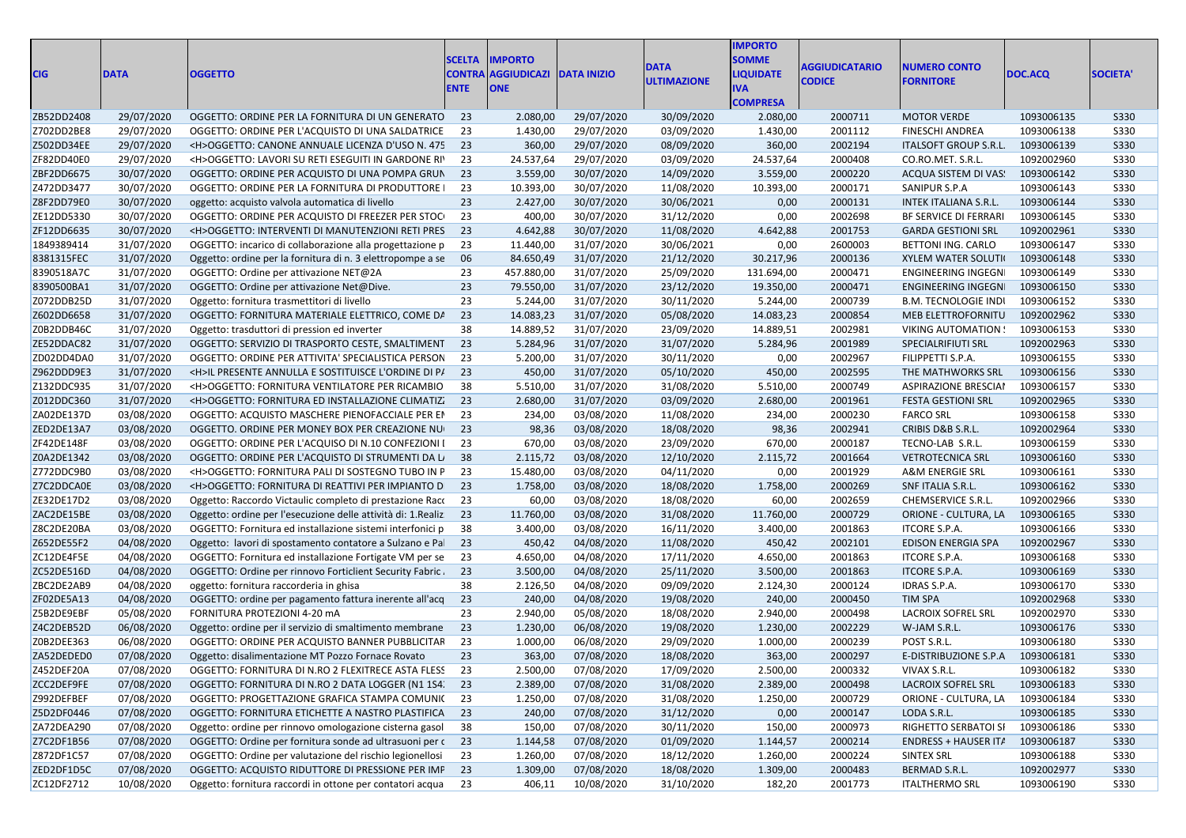| CIG        | <b>DATA</b> | <b>OGGETTO</b>                                                | <b>SCELTA</b><br><b>ENTE</b> | <b>IMPORTO</b><br><b>CONTRA AGGIUDICAZI DATA INIZIO</b><br><b>ONE</b> |                   | <b>)ATA</b><br><b>ULTIMAZIONE</b> | <b>MPORTO</b><br><b>SOMME</b><br><b>JOUIDATE</b><br><b>COMPRESA</b> | <b>GGIUDICATARIO</b><br>CODICE | <b>UMERO CONTO</b><br><b>FORNITORE</b> | DOC.ACQ    | <b>SOCIETA</b> |
|------------|-------------|---------------------------------------------------------------|------------------------------|-----------------------------------------------------------------------|-------------------|-----------------------------------|---------------------------------------------------------------------|--------------------------------|----------------------------------------|------------|----------------|
| ZB52DD2408 | 29/07/2020  | OGGETTO: ORDINE PER LA FORNITURA DI UN GENERATO 23            |                              | 2.080,00                                                              | 29/07/2020        | 30/09/2020                        | 2.080,00                                                            | 2000711                        | <b>MOTOR VERDE</b>                     | 1093006135 | S330           |
| Z702DD2BE8 | 29/07/2020  | OGGETTO: ORDINE PER L'ACQUISTO DI UNA SALDATRICE              | - 23                         | 1.430,00                                                              | 29/07/2020        | 03/09/2020                        | 1.430,00                                                            | 2001112                        | <b>FINESCHI ANDREA</b>                 | 1093006138 | <b>S330</b>    |
| Z502DD34EE | 29/07/2020  | <h>OGGETTO: CANONE ANNUALE LICENZA D'USO N. 475 23</h>        |                              | 360,00                                                                | 29/07/2020        | 08/09/2020                        | 360,00                                                              | 2002194                        | <b>ITALSOFT GROUP S.R.I</b>            | 1093006139 | <b>S330</b>    |
| ZF82DD40E0 | 29/07/2020  | <h>OGGETTO: LAVORI SU RETI ESEGUITI IN GARDONE RI'</h>        | 23                           | 24.537,64                                                             | 29/07/2020        | 03/09/2020                        | 24.537,64                                                           | 2000408                        | CO.RO.MET. S.R.L                       | 1092002960 | S330           |
| ZBF2DD6675 | 30/07/2020  | OGGETTO: ORDINE PER ACQUISTO DI UNA POMPA GRUN                | 23                           | 3.559,00                                                              | 30/07/2020        | 14/09/2020                        | 3.559,00                                                            | 2000220                        | ACQUA SISTEM DI VAS.                   | 1093006142 | S330           |
| Z472DD3477 | 30/07/2020  | OGGETTO: ORDINE PER LA FORNITURA DI PRODUTTORE I              | 23                           | 10.393,00                                                             | 30/07/2020        | 11/08/2020                        | 10.393,00                                                           | 2000171                        | SANIPUR S.P.A                          | 1093006143 | <b>S330</b>    |
| Z8F2DD79E0 | 30/07/2020  | oggetto: acquisto valvola automatica di livello               | 23                           | 2.427,00                                                              | 30/07/2020        | 30/06/2021                        | 0,00                                                                | 2000131                        | <b>INTEK ITALIANA S.R.L.</b>           | 1093006144 | <b>S330</b>    |
| ZE12DD5330 | 30/07/2020  | OGGETTO: ORDINE PER ACQUISTO DI FREEZER PER STOCI             | - 23                         | 400,00                                                                | 30/07/2020        | 31/12/2020                        | 0,00                                                                | 2002698                        | BF SERVICE DI FERRARI                  | 1093006145 | <b>S330</b>    |
| ZF12DD6635 | 30/07/2020  | <h>OGGETTO: INTERVENTI DI MANUTENZIONI RETI PRES 23</h>       |                              | 4.642,88                                                              | 30/07/2020        | 11/08/2020                        | 4.642,88                                                            | 2001753                        | <b>GARDA GESTIONI SRL</b>              | 1092002961 | S330           |
| 1849389414 | 31/07/2020  | OGGETTO: incarico di collaborazione alla progettazione p      | - 23                         | 11.440,00                                                             | 31/07/2020        | 30/06/2021                        | 0,00                                                                | 2600003                        | BETTONI ING. CARLO                     | 1093006147 | <b>S330</b>    |
| 8381315FEC | 31/07/2020  | Oggetto: ordine per la fornitura di n. 3 elettropompe a se 06 |                              | 84.650,49                                                             | 31/07/2020        | 21/12/2020                        | 30.217,96                                                           | 2000136                        | <b>XYLEM WATER SOLUTI</b>              | 1093006148 | <b>S330</b>    |
| 8390518A7C | 31/07/2020  | OGGETTO: Ordine per attivazione NET@2A                        | 23                           | 457.880,00                                                            | 31/07/2020        | 25/09/2020                        | 131.694,00                                                          | 2000471                        | ENGINEERING INGEGN                     | 1093006149 | <b>S330</b>    |
| 8390500BA1 | 31/07/2020  | OGGETTO: Ordine per attivazione Net@Dive                      | 23                           | 79.550,00                                                             | 31/07/2020        | 23/12/2020                        | 19.350,00                                                           | 2000471                        | ENGINEERING INGEGN                     | 1093006150 | <b>S330</b>    |
| Z072DDB25D | 31/07/2020  | Oggetto: fornitura trasmettitori di livello                   | 23                           | 5.244,00                                                              | 31/07/2020        | 30/11/2020                        | 5.244,00                                                            | 2000739                        | <b>B.M. TECNOLOGIE INDI</b>            | 1093006152 | <b>S330</b>    |
| Z602DD6658 | 31/07/2020  | OGGETTO: FORNITURA MATERIALE ELETTRICO, COME DA               | 23                           | 14.083,23                                                             | 31/07/2020        | 05/08/2020                        | 14.083,23                                                           | 2000854                        | MEB ELETTROFORNITU                     | 1092002962 | <b>S330</b>    |
| Z0B2DDB46C | 31/07/2020  | Oggetto: trasduttori di pression ed inverte                   | 38                           | 14.889,52                                                             | 31/07/2020        | 23/09/2020                        | 14.889,51                                                           | 2002981                        | <b>VIKING AUTOMATION</b>               | 1093006153 | <b>S330</b>    |
| ZE52DDAC82 | 31/07/2020  | OGGETTO: SERVIZIO DI TRASPORTO CESTE, SMALTIMENT              | 23                           | 5.284,96                                                              | 31/07/2020        | 31/07/2020                        | 5.284,96                                                            | 2001989                        | SPECIALRIFIUTI SRL                     | 1092002963 | S330           |
| ZD02DD4DAC | 31/07/2020  | OGGETTO: ORDINE PER ATTIVITA' SPECIALISTICA PERSON            | - 23                         | 5.200,00                                                              | 31/07/2020        | 30/11/2020                        | 0,00                                                                | 2002967                        | FILIPPETTI S.P.A.                      | 1093006155 | <b>S330</b>    |
| Z962DDD9E3 | 31/07/2020  | <h>IL PRESENTE ANNULLA E SOSTITUISCE L'ORDINE DI P/ 23</h>    |                              | 450,00                                                                | 31/07/2020        | 05/10/2020                        | 450,00                                                              | 2002595                        | THE MATHWORKS SRL                      | 1093006156 | S330           |
| Z132DDC935 | 31/07/2020  | <h>OGGETTO: FORNITURA VENTILATORE PER RICAMBIO</h>            | -38                          | 5.510,00                                                              | 31/07/2020        | 31/08/2020                        | 5.510,00                                                            | 2000749                        | <b>ASPIRAZIONE BRESCIAI</b>            | 1093006157 | <b>S330</b>    |
| Z012DDC360 | 31/07/2020  | <h>OGGETTO: FORNITURA ED INSTALLAZIONE CLIMATIZ</h>           | 23                           | 2.680,00                                                              | 31/07/2020        | 03/09/2020                        | 2.680,00                                                            | 2001961                        | <b>FESTA GESTIONI SRL</b>              | 1092002965 | <b>S330</b>    |
| ZA02DE137D | 03/08/2020  | OGGETTO: ACQUISTO MASCHERE PIENOFACCIALE PER EP 23            |                              | 234,00                                                                | 03/08/2020        | 11/08/2020                        | 234,00                                                              | 2000230                        | <b>FARCO SRL</b>                       | 1093006158 | S330           |
| ZED2DE13A7 | 03/08/2020  | OGGETTO. ORDINE PER MONEY BOX PER CREAZIONE NU                | 23                           | 98,36                                                                 | 03/08/2020        | 18/08/2020                        | 98,36                                                               | 2002941                        | CRIBIS D&B S.R.L                       | 1092002964 | <b>S330</b>    |
| ZF42DE148F | 03/08/2020  | OGGETTO: ORDINE PER L'ACQUISO DI N.10 CONFEZIONI I            | - 23                         | 670,00                                                                | 03/08/2020        | 23/09/2020                        | 670,00                                                              | 2000187                        | TECNO-LAB S.R.I                        | 1093006159 | <b>S330</b>    |
| Z0A2DE1342 | 03/08/2020  | OGGETTO: ORDINE PER L'ACQUISTO DI STRUMENTI DA LISTE          |                              | 2.115,72                                                              | 03/08/2020        | 12/10/2020                        | 2.115,72                                                            | 2001664                        | <b>VETROTECNICA SRI</b>                | 1093006160 | S330           |
| Z772DDC9B0 | 03/08/2020  | <h>OGGETTO: FORNITURA PALI DI SOSTEGNO TUBO IN P 23</h>       |                              | 15.480,00                                                             | 03/08/2020        | 04/11/2020                        | 0,00                                                                | 2001929                        | A&M ENERGIE SRI                        | 1093006161 | <b>S330</b>    |
| Z7C2DDCA0E | 03/08/2020  | <h>OGGETTO: FORNITURA DI REATTIVI PER IMPIANTO D</h>          | - 23                         | 1.758,00                                                              | 03/08/2020        | 18/08/2020                        | 1.758,00                                                            | 2000269                        | SNF ITALIA S.R.L.                      | 1093006162 | <b>S330</b>    |
| ZE32DE17D2 | 03/08/2020  | Oggetto: Raccordo Victaulic completo di prestazione Racc      | - 23                         | 60,00                                                                 | 03/08/2020        | 18/08/2020                        | 60,00                                                               | 2002659                        | CHEMSERVICE S.R.L                      | 1092002966 | <b>S330</b>    |
| ZAC2DE15BE | 03/08/2020  | Oggetto: ordine per l'esecuzione delle attività di: 1. Realiz | - 23                         | 11.760,00                                                             | 03/08/2020        | 31/08/2020                        | 11.760,00                                                           | 2000729                        | ORIONE - CULTURA, LA                   | 1093006165 | S330           |
| Z8C2DE20BA | 03/08/2020  | OGGETTO: Fornitura ed installazione sistemi interfonici p     | - 38                         | 3.400,00                                                              | 03/08/2020        | 16/11/2020                        | 3.400,00                                                            | 2001863                        | ITCORE S.P.A.                          | 1093006166 | <b>S330</b>    |
| Z652DE55F2 | 04/08/2020  | Oggetto: lavori di spostamento contatore a Sulzano e Pal 23   |                              | 450,42                                                                | 04/08/2020        | 11/08/2020                        | 450,42                                                              | 2002101                        | <b>EDISON ENERGIA SPA</b>              | 1092002967 | <b>S330</b>    |
| ZC12DE4F5E | 04/08/2020  | OGGETTO: Fornitura ed installazione Fortigate VM per se 23    |                              | 4.650,00                                                              | 04/08/2020        | 17/11/2020                        | 4.650,00                                                            | 2001863                        | ITCORE S.P.A.                          | 1093006168 | S330           |
| ZC52DE516D | 04/08/2020  | OGGETTO: Ordine per rinnovo Forticlient Security Fabric. 23   |                              | 3.500,00                                                              | 04/08/2020        | 25/11/2020                        | 3.500,00                                                            | 2001863                        | ITCORE S.P.A.                          | 1093006169 | S330           |
| ZBC2DE2AB9 | 04/08/2020  | oggetto: fornitura raccorderia in ghisa                       | 38                           | 2.126,50                                                              | 04/08/2020        | 09/09/2020                        | 2.124,30                                                            | 2000124                        | IDRAS S.P.A.                           | 1093006170 | <b>S330</b>    |
| ZF02DE5A13 | 04/08/2020  | OGGETTO: ordine per pagamento fattura inerente all'acq 23     |                              | 240,00                                                                | 04/08/2020        | 19/08/2020                        | 240,00                                                              | 2000450                        | TIM SPA                                | 1092002968 | <b>S330</b>    |
| Z5B2DE9EBF | 05/08/2020  | FORNITURA PROTEZIONI 4-20 m/                                  | 23                           | 2.940,00                                                              | 05/08/2020        | 18/08/2020                        | 2.940,00                                                            | 2000498                        | LACROIX SOFREL SRL                     | 1092002970 | <b>S330</b>    |
| Z4C2DEB52D | 06/08/2020  | Oggetto: ordine per il servizio di smaltimento membrane       | 23                           | 1.230,00                                                              | 06/08/2020        | 19/08/2020                        | 1.230,00                                                            | 2002229                        | W-JAM S.R.L                            | 1093006176 | <b>S330</b>    |
| Z0B2DEE363 | 06/08/2020  | OGGETTO: ORDINE PER ACQUISTO BANNER PUBBLICITAR               | - 23                         | 1.000,00                                                              | 06/08/2020        | 29/09/2020                        | 1.000,00                                                            | 2000239                        | POST S.R.L.                            | 1093006180 | S330           |
| ZA52DEDED0 | 07/08/2020  | Oggetto: disalimentazione MT Pozzo Fornace Rovato             | 23                           | 363,00                                                                | 07/08/2020        | 18/08/2020                        | 363,00                                                              | 2000297                        | E-DISTRIBUZIONE S.P.A                  | 1093006181 | <b>S330</b>    |
| Z452DEF20A | 07/08/2020  | OGGETTO: FORNITURA DI N.RO 2 FLEXITRECE ASTA FLESS 23         |                              | 2.500,00                                                              | 07/08/2020        | 17/09/2020                        | 2.500,00                                                            | 2000332                        | VIVAX S.R.L.                           | 1093006182 | S330           |
| ZCC2DEF9FE | 07/08/2020  | OGGETTO: FORNITURA DI N.RO 2 DATA LOGGER (N1 1S4. 23          |                              | 2.389,00                                                              | 07/08/2020        | 31/08/2020                        | 2.389,00                                                            | 2000498                        | LACROIX SOFREL SRL                     | 1093006183 | S330           |
| Z992DEFBEF | 07/08/2020  | OGGETTO: PROGETTAZIONE GRAFICA STAMPA COMUNI(23               |                              | 1.250,00                                                              | 07/08/2020        | 31/08/2020                        | 1.250,00                                                            | 2000729                        | ORIONE - CULTURA, LA 1093006184        |            | S330           |
| Z5D2DF0446 | 07/08/2020  | OGGETTO: FORNITURA ETICHETTE A NASTRO PLASTIFICA 23           |                              | 240,00                                                                | 07/08/2020        | 31/12/2020                        | 0,00                                                                | 2000147                        | LODA S.R.L.                            | 1093006185 | S330           |
| ZA72DEA290 | 07/08/2020  | Oggetto: ordine per rinnovo omologazione cisterna gasol 38    |                              | 150,00                                                                | 07/08/2020        | 30/11/2020                        | 150,00                                                              | 2000973                        | RIGHETTO SERBATOI SI 1093006186        |            | S330           |
| Z7C2DF1B56 | 07/08/2020  | OGGETTO: Ordine per fornitura sonde ad ultrasuoni per c 23    |                              |                                                                       | 07/08/2020        | 01/09/2020                        | 1.144,57                                                            | 2000214                        | ENDRESS + HAUSER IT/ 1093006187        |            | S330           |
|            | 07/08/2020  |                                                               |                              | 1.144,58                                                              | 07/08/2020        | 18/12/2020                        | 1.260,00                                                            |                                | SINTEX SRL                             | 1093006188 | S330           |
| Z872DF1C57 |             | OGGETTO: Ordine per valutazione del rischio legionellosi 23   |                              | 1.260,00                                                              |                   |                                   |                                                                     | 2000224                        |                                        |            |                |
| ZED2DF1D5C | 07/08/2020  | OGGETTO: ACQUISTO RIDUTTORE DI PRESSIONE PER IMF 23           |                              | 1.309,00                                                              | 07/08/2020        | 18/08/2020                        | 1.309,00                                                            | 2000483                        | BERMAD S.R.L.                          | 1092002977 | S330           |
| ZC12DF2712 | 10/08/2020  | Oggetto: fornitura raccordi in ottone per contatori acqua 23  |                              |                                                                       | 406,11 10/08/2020 | 31/10/2020                        | 182,20                                                              | 2001773                        | <b>ITALTHERMO SRL</b>                  | 1093006190 | S330           |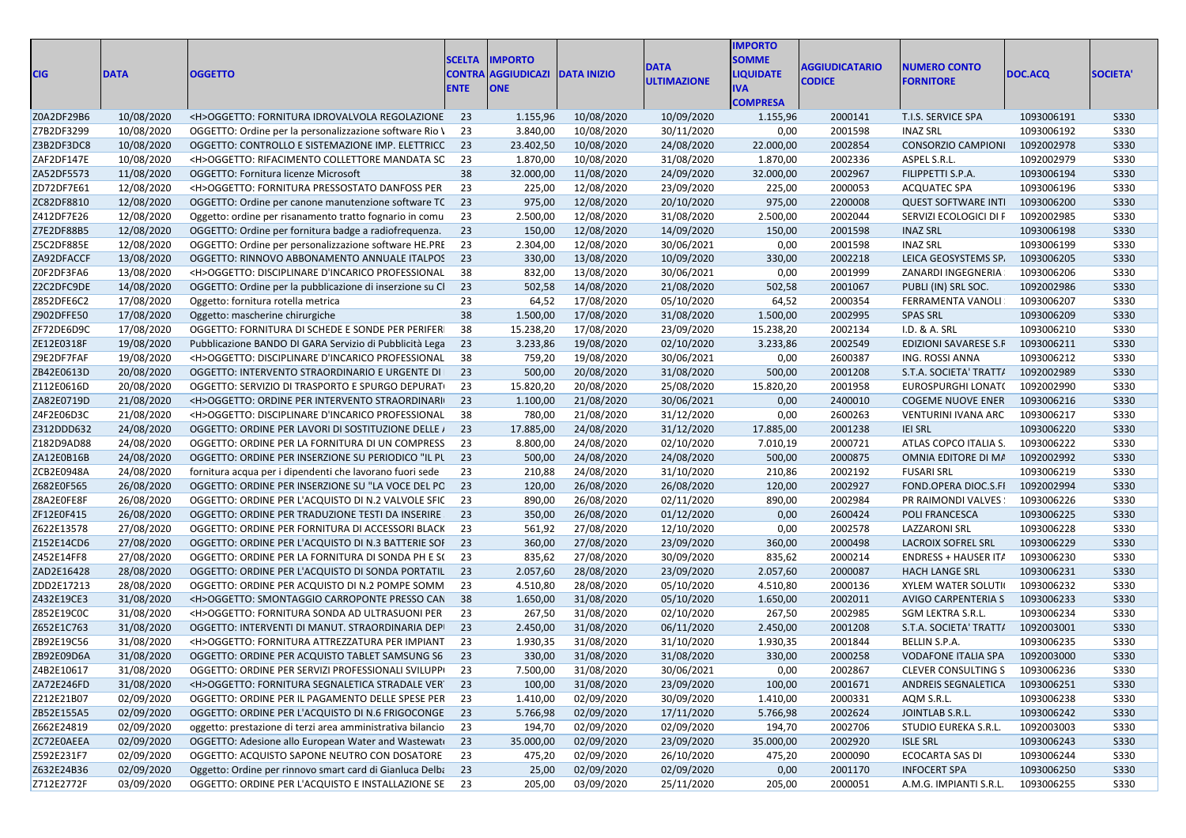| <b>CIG</b> | <b>DATA</b> | <b>OGGETTO</b>                                                | <b>SCELTA</b><br><b>ENTE</b> | <b>IMPORTO</b><br><b>CONTRA AGGIUDICAZI DATA INIZIO</b><br><b>ONE</b> |                   | <b>DATA</b><br><b>JLTIMAZIONE</b> | <b>MPORTO</b><br><b>OMME</b><br><b>IQUIDATE</b> | <b><i><u>AGGIUDICATARIO</u></i></b><br><b>CODICE</b> | <b>IUMERO CONTO</b><br><b>FORNITORE</b> | DOC.ACQ    | <b>SOCIETA'</b> |
|------------|-------------|---------------------------------------------------------------|------------------------------|-----------------------------------------------------------------------|-------------------|-----------------------------------|-------------------------------------------------|------------------------------------------------------|-----------------------------------------|------------|-----------------|
|            |             |                                                               |                              |                                                                       |                   |                                   | <b>COMPRESA</b>                                 |                                                      |                                         |            |                 |
| Z0A2DF29B6 | 10/08/2020  | <h>OGGETTO: FORNITURA IDROVALVOLA REGOLAZIONE 23</h>          |                              | 1.155,96                                                              | 10/08/2020        | 10/09/2020                        | 1.155,96                                        | 2000141                                              | T.I.S. SERVICE SPA                      | 1093006191 | S330            |
| Z7B2DF3299 | 10/08/2020  | OGGETTO: Ordine per la personalizzazione software Rio \ 23    |                              | 3.840,00                                                              | 10/08/2020        | 30/11/2020                        | 0,00                                            | 2001598                                              | <b>INAZ SRL</b>                         | 1093006192 | <b>S330</b>     |
| Z3B2DF3DC8 | 10/08/2020  | OGGETTO: CONTROLLO E SISTEMAZIONE IMP. ELETTRICC 23           |                              | 23.402,50                                                             | 10/08/2020        | 24/08/2020                        | 22.000,00                                       | 2002854                                              | <b>CONSORZIO CAMPIONI</b>               | 1092002978 | <b>S330</b>     |
| ZAF2DF147E | 10/08/2020  | <h>OGGETTO: RIFACIMENTO COLLETTORE MANDATA SC 23</h>          |                              | 1.870,00                                                              | 10/08/2020        | 31/08/2020                        | 1.870,00                                        | 2002336                                              | ASPEL S.R.L.                            | 1092002979 | <b>S330</b>     |
| ZA52DF5573 | 11/08/2020  | OGGETTO: Fornitura licenze Microsoft                          | -38                          | 32.000,00                                                             | 11/08/2020        | 24/09/2020                        | 32.000,00                                       | 2002967                                              | FILIPPETTI S.P.A.                       | 1093006194 | <b>S330</b>     |
| ZD72DF7E61 | 12/08/2020  | <h>OGGETTO: FORNITURA PRESSOSTATO DANFOSS PER</h>             | 23                           | 225,00                                                                | 12/08/2020        | 23/09/2020                        | 225,00                                          | 2000053                                              | <b>ACQUATEC SPA</b>                     | 1093006196 | <b>S330</b>     |
| ZC82DF8810 | 12/08/2020  | OGGETTO: Ordine per canone manutenzione software TC 23        |                              | 975,00                                                                | 12/08/2020        | 20/10/2020                        | 975,00                                          | 2200008                                              | <b>QUEST SOFTWARE INT</b>               | 1093006200 | <b>S330</b>     |
| Z412DF7E26 | 12/08/2020  | Oggetto: ordine per risanamento tratto fognario in comu       | 23                           | 2.500,00                                                              | 12/08/2020        | 31/08/2020                        | 2.500,00                                        | 2002044                                              | SERVIZI ECOLOGICI DI F                  | 1092002985 | <b>S330</b>     |
| Z7E2DF88B5 | 12/08/2020  | OGGETTO: Ordine per fornitura badge a radiofrequenza. 23      |                              | 150,00                                                                | 12/08/2020        | 14/09/2020                        | 150,00                                          | 2001598                                              | <b>INAZ SRL</b>                         | 1093006198 | <b>S330</b>     |
| Z5C2DF885E | 12/08/2020  | OGGETTO: Ordine per personalizzazione software HE.PRE 23      |                              | 2.304,00                                                              | 12/08/2020        | 30/06/2021                        | 0,00                                            | 2001598                                              | <b>INAZ SRL</b>                         | 1093006199 | S330            |
| ZA92DFACCF | 13/08/2020  | OGGETTO: RINNOVO ABBONAMENTO ANNUALE ITALPOS 23               |                              | 330,00                                                                | 13/08/2020        | 10/09/2020                        | 330,00                                          | 2002218                                              | LEICA GEOSYSTEMS SP.                    | 1093006205 | S330            |
| ZOF2DF3FA6 | 13/08/2020  | <h>OGGETTO: DISCIPLINARE D'INCARICO PROFESSIONAL 38</h>       |                              | 832,00                                                                | 13/08/2020        | 30/06/2021                        | 0,00                                            | 2001999                                              | ZANARDI INGEGNERIA                      | 1093006206 | <b>S330</b>     |
| Z2C2DFC9DE | 14/08/2020  | OGGETTO: Ordine per la pubblicazione di inserzione su Cl 23   |                              | 502,58                                                                | 14/08/2020        | 21/08/2020                        | 502,58                                          | 2001067                                              | PUBLI (IN) SRL SOC.                     | 1092002986 | <b>S330</b>     |
| Z852DFE6C2 | 17/08/2020  | Oggetto: fornitura rotella metrica                            | -23                          | 64,52                                                                 | 17/08/2020        | 05/10/2020                        | 64,52                                           | 2000354                                              | FERRAMENTA VANOLI                       | 1093006207 | <b>S330</b>     |
| Z902DFFE50 | 17/08/2020  | Oggetto: mascherine chirurgiche                               | 38                           | 1.500,00                                                              | 17/08/2020        | 31/08/2020                        | 1.500,00                                        | 2002995                                              | <b>SPAS SRL</b>                         | 1093006209 | <b>S330</b>     |
| ZF72DE6D90 | 17/08/2020  | OGGETTO: FORNITURA DI SCHEDE E SONDE PER PERIFER              |                              | 15.238,20                                                             | 17/08/2020        | 23/09/2020                        | 15.238,20                                       | 2002134                                              | I.D. & A. SRL                           | 1093006210 | <b>S330</b>     |
| ZE12E0318F | 19/08/2020  | Pubblicazione BANDO DI GARA Servizio di Pubblicità Lega 23    |                              | 3.233,86                                                              | 19/08/2020        | 02/10/2020                        | 3.233,86                                        | 2002549                                              | EDIZIONI SAVARESE S.F                   | 1093006211 | <b>S330</b>     |
| Z9E2DF7FAF | 19/08/2020  | <h>OGGETTO: DISCIPLINARE D'INCARICO PROFESSIONAL</h>          | - 38                         | 759,20                                                                | 19/08/2020        | 30/06/2021                        | 0,00                                            | 2600387                                              | ING. ROSSI ANNA                         | 1093006212 | <b>S330</b>     |
| ZB42E0613D | 20/08/2020  | OGGETTO: INTERVENTO STRAORDINARIO E URGENTE DI 23             |                              | 500,00                                                                | 20/08/2020        | 31/08/2020                        | 500,00                                          | 2001208                                              | S.T.A. SOCIETA' TRATT/                  | 1092002989 | S330            |
| Z112E0616D | 20/08/2020  | OGGETTO: SERVIZIO DI TRASPORTO E SPURGO DEPURATI 23           |                              | 15.820,20                                                             | 20/08/2020        | 25/08/2020                        | 15.820,20                                       | 2001958                                              | EUROSPURGHI LONAT(                      | 1092002990 | <b>S330</b>     |
| ZA82E0719D | 21/08/2020  | <h>OGGETTO: ORDINE PER INTERVENTO STRAORDINARI 23</h>         |                              | 1.100,00                                                              | 21/08/2020        | 30/06/2021                        | 0,00                                            | 2400010                                              | <b>COGEME NUOVE ENER</b>                | 1093006216 | <b>S330</b>     |
| Z4F2E06D30 | 21/08/2020  | <h>OGGETTO: DISCIPLINARE D'INCARICO PROFESSIONAL 38</h>       |                              | 780,00                                                                | 21/08/2020        | 31/12/2020                        | 0,00                                            | 2600263                                              | VENTURINI IVANA ARC                     | 1093006217 | <b>S330</b>     |
| Z312DDD632 | 24/08/2020  | OGGETTO: ORDINE PER LAVORI DI SOSTITUZIONE DELLE / 23         |                              | 17.885,00                                                             | 24/08/2020        | 31/12/2020                        | 17.885,00                                       | 2001238                                              | <b>IEI SRL</b>                          | 1093006220 | <b>S330</b>     |
| Z182D9AD88 | 24/08/2020  | OGGETTO: ORDINE PER LA FORNITURA DI UN COMPRESS 23            |                              | 8.800,00                                                              | 24/08/2020        | 02/10/2020                        | 7.010,19                                        | 2000721                                              | ATLAS COPCO ITALIA S.                   | 1093006222 | <b>S330</b>     |
| ZA12E0B16B | 24/08/2020  | OGGETTO: ORDINE PER INSERZIONE SU PERIODICO "IL PL 23         |                              | 500,00                                                                | 24/08/2020        | 24/08/2020                        | 500,00                                          | 2000875                                              | OMNIA EDITORE DI MA                     | 1092002992 | S330            |
| ZCB2E0948A | 24/08/2020  | fornitura acqua per i dipendenti che lavorano fuori sede      | - 23                         | 210,88                                                                | 24/08/2020        | 31/10/2020                        | 210,86                                          | 2002192                                              | <b>FUSARI SRL</b>                       | 1093006219 | <b>S330</b>     |
| Z682E0F565 | 26/08/2020  | OGGETTO: ORDINE PER INSERZIONE SU "LA VOCE DEL PC 23          |                              | 120,00                                                                | 26/08/2020        | 26/08/2020                        | 120,00                                          | 2002927                                              | FOND.OPERA DIOC.S.FI                    | 1092002994 | <b>S330</b>     |
| Z8A2E0FE8F | 26/08/2020  | OGGETTO: ORDINE PER L'ACQUISTO DI N.2 VALVOLE SFIC 23         |                              | 890,00                                                                | 26/08/2020        | 02/11/2020                        | 890,00                                          | 2002984                                              | PR RAIMONDI VALVES                      | 1093006226 | <b>S330</b>     |
| ZF12E0F415 | 26/08/2020  | OGGETTO: ORDINE PER TRADUZIONE TESTI DA INSERIRE 23           |                              | 350,00                                                                | 26/08/2020        | 01/12/2020                        | 0,00                                            | 2600424                                              | POLI FRANCESCA                          | 1093006225 | S330            |
| Z622E13578 | 27/08/2020  | OGGETTO: ORDINE PER FORNITURA DI ACCESSORI BLACK 23           |                              | 561,92                                                                | 27/08/2020        | 12/10/2020                        | 0,00                                            | 2002578                                              | <b>LAZZARONI SRL</b>                    | 1093006228 | <b>S330</b>     |
| Z152E14CD6 | 27/08/2020  | OGGETTO: ORDINE PER L'ACQUISTO DI N.3 BATTERIE SOI 23         |                              | 360,00                                                                | 27/08/2020        | 23/09/2020                        | 360,00                                          | 2000498                                              | <b>LACROIX SOFREL SRL</b>               | 1093006229 | S330            |
| Z452E14FF8 | 27/08/2020  | OGGETTO: ORDINE PER LA FORNITURA DI SONDA PH E S(23           |                              | 835,62                                                                | 27/08/2020        | 30/09/2020                        | 835,62                                          | 2000214                                              | <b>ENDRESS + HAUSER IT/</b>             | 1093006230 | <b>S330</b>     |
| ZAD2E16428 | 28/08/2020  | OGGETTO: ORDINE PER L'ACQUISTO DI SONDA PORTATIL 23           |                              | 2.057,60                                                              | 28/08/2020        | 23/09/2020                        | 2.057,60                                        | 2000087                                              | <b>HACH LANGE SRL</b>                   | 1093006231 | <b>S330</b>     |
| ZDD2E17213 | 28/08/2020  | OGGETTO: ORDINE PER ACQUISTO DI N.2 POMPE SOMM 23             |                              | 4.510,80                                                              | 28/08/2020        | 05/10/2020                        | 4.510,80                                        | 2000136                                              | <b>XYLEM WATER SOLUTI</b>               | 1093006232 | <b>S330</b>     |
| Z432E19CE3 | 31/08/2020  | <h>OGGETTO: SMONTAGGIO CARROPONTE PRESSO CAN 38</h>           |                              | 1.650,00                                                              | 31/08/2020        | 05/10/2020                        | 1.650,00                                        | 2002011                                              | AVIGO CARPENTERIA S                     | 1093006233 | S330            |
| Z852E19C0C | 31/08/2020  | <h>OGGETTO: FORNITURA SONDA AD ULTRASUONI PER</h>             | - 23                         | 267,50                                                                | 31/08/2020        | 02/10/2020                        | 267,50                                          | 2002985                                              | SGM LEKTRA S.R.L                        | 1093006234 | S330            |
| Z652E1C763 | 31/08/2020  | OGGETTO: INTERVENTI DI MANUT. STRAORDINARIA DEPI 23           |                              | 2.450,00                                                              | 31/08/2020        | 06/11/2020                        | 2.450,00                                        | 2001208                                              | S.T.A. SOCIETA' TRATT/                  | 1092003001 | S330            |
| ZB92E19C56 | 31/08/2020  | <h>OGGETTO: FORNITURA ATTREZZATURA PER IMPIANT 23</h>         |                              | 1.930,35                                                              | 31/08/2020        | 31/10/2020                        | 1.930,35                                        | 2001844                                              | BELLIN S.P.A.                           | 1093006235 | <b>S330</b>     |
| ZB92E09D6A | 31/08/2020  | OGGETTO: ORDINE PER ACQUISTO TABLET SAMSUNG S6 23             |                              | 330,00                                                                | 31/08/2020        | 31/08/2020                        | 330,00                                          | 2000258                                              | VODAFONE ITALIA SPA 1092003000          |            | S330            |
| Z4B2E10617 | 31/08/2020  | OGGETTO: ORDINE PER SERVIZI PROFESSIONALI SVILUPPI 23         |                              | 7.500,00                                                              | 31/08/2020        | 30/06/2021                        | 0,00                                            | 2002867                                              | CLEVER CONSULTING S  1093006236         |            | <b>S330</b>     |
| ZA72E246FD | 31/08/2020  | <h>OGGETTO: FORNITURA SEGNALETICA STRADALE VER 23</h>         |                              |                                                                       | 100,00 31/08/2020 | 23/09/2020                        | 100,00                                          | 2001671                                              | ANDREIS SEGNALETICA                     | 1093006251 | S330            |
| Z212E21B07 | 02/09/2020  | OGGETTO: ORDINE PER IL PAGAMENTO DELLE SPESE PER 23           |                              | 1.410,00                                                              | 02/09/2020        | 30/09/2020                        | 1.410,00                                        | 2000331                                              | AQM S.R.L.                              | 1093006238 | <b>S330</b>     |
| ZB52E155A5 | 02/09/2020  | OGGETTO: ORDINE PER L'ACQUISTO DI N.6 FRIGOCONGE 23           |                              | 5.766,98                                                              | 02/09/2020        | 17/11/2020                        | 5.766,98                                        | 2002624                                              | JOINTLAB S.R.L.                         | 1093006242 | S330            |
| Z662E24819 | 02/09/2020  | oggetto: prestazione di terzi area amministrativa bilancio 23 |                              | 194,70                                                                | 02/09/2020        | 02/09/2020                        | 194,70                                          | 2002706                                              | STUDIO EUREKA S.R.L.                    | 1092003003 | S330            |
| ZC72E0AEEA | 02/09/2020  | OGGETTO: Adesione allo European Water and Wastewat 23         |                              | 35.000,00                                                             | 02/09/2020        | 23/09/2020                        | 35.000,00                                       | 2002920                                              | <b>ISLE SRL</b>                         | 1093006243 | S330            |
| Z592E231F7 | 02/09/2020  | OGGETTO: ACQUISTO SAPONE NEUTRO CON DOSATORE 23               |                              | 475,20                                                                | 02/09/2020        | 26/10/2020                        | 475,20                                          | 2000090                                              | <b>ECOCARTA SAS DI</b>                  | 1093006244 | <b>S330</b>     |
|            | 02/09/2020  |                                                               |                              |                                                                       | 02/09/2020        |                                   |                                                 |                                                      |                                         |            |                 |
| Z632E24B36 |             | Oggetto: Ordine per rinnovo smart card di Gianluca Delba 23   |                              | 25,00                                                                 |                   | 02/09/2020                        | 0,00                                            | 2001170                                              | <b>INFOCERT SPA</b>                     | 1093006250 | S330            |
| Z712E2772F | 03/09/2020  | OGGETTO: ORDINE PER L'ACQUISTO E INSTALLAZIONE SE 23          |                              |                                                                       | 205,00 03/09/2020 | 25/11/2020                        | 205,00                                          | 2000051                                              | A.M.G. IMPIANTI S.R.L. 1093006255       |            | S330            |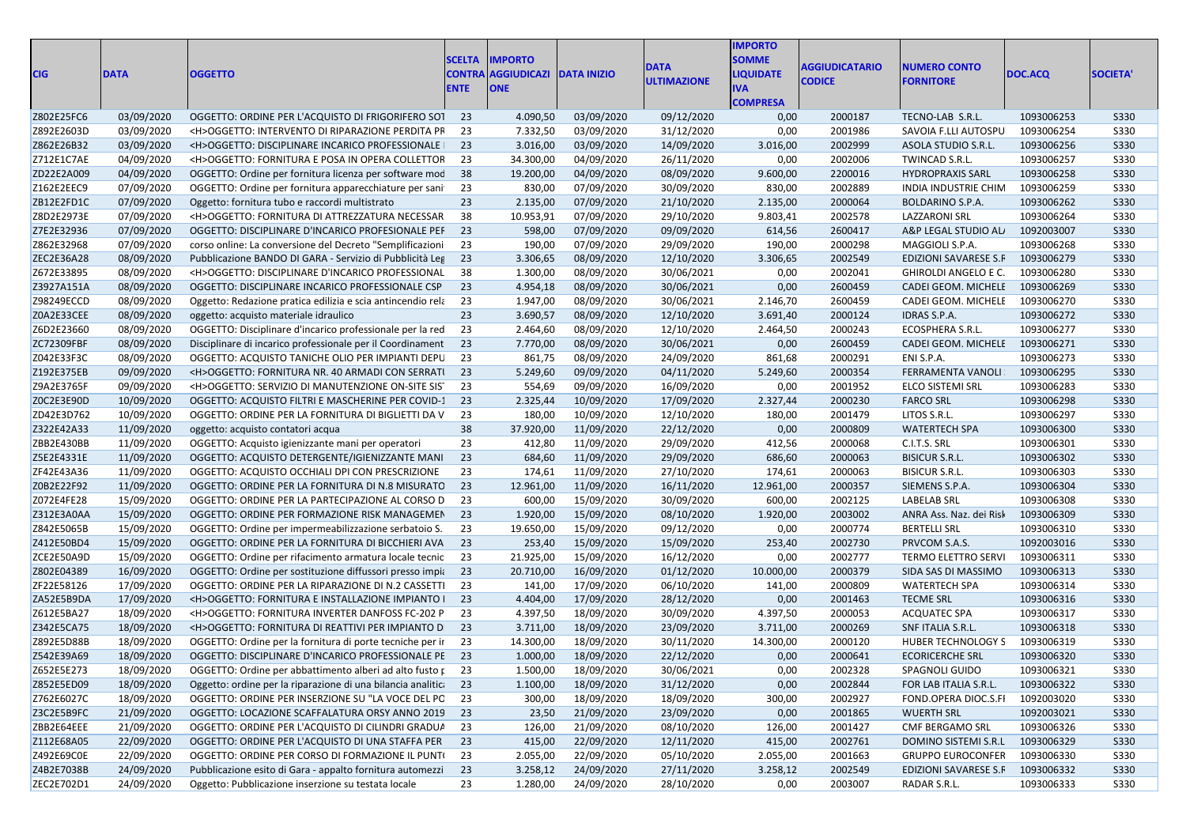| <b>CIG</b> | <b>DATA</b> | <b>OGGETTO</b>                                                  | <b>SCELTA</b><br><b>ICONTRA</b><br><b>ENTE</b> | <b>IMPORTO</b><br><b>AGGIUDICAZI DATA INIZIO</b><br><b>ONE</b> |            | <b>DATA</b><br><b>ULTIMAZIONE</b> | <b>IMPORTO</b><br><b>SOMME</b><br><b>LIQUIDATE</b><br>IVA<br><b>COMPRESA</b> | <b>AGGIUDICATARIO</b><br><b>CODICE</b> | <b>IUMERO CONTO</b><br><b>FORNITORE</b> | DOC.ACQ    | <b>SOCIETA'</b> |
|------------|-------------|-----------------------------------------------------------------|------------------------------------------------|----------------------------------------------------------------|------------|-----------------------------------|------------------------------------------------------------------------------|----------------------------------------|-----------------------------------------|------------|-----------------|
| Z802E25FC6 | 03/09/2020  | OGGETTO: ORDINE PER L'ACQUISTO DI FRIGORIFERO SOT 23            |                                                | 4.090,50                                                       | 03/09/2020 | 09/12/2020                        | 0,00                                                                         | 2000187                                | TECNO-LAB S.R.L.                        | 1093006253 | S330            |
| Z892E2603D | 03/09/2020  | <h>OGGETTO: INTERVENTO DI RIPARAZIONE PERDITA PF</h>            | -23                                            | 7.332,50                                                       | 03/09/2020 | 31/12/2020                        | 0,00                                                                         | 2001986                                | SAVOIA F.LLI AUTOSPU                    | 1093006254 | S330            |
| Z862E26B32 | 03/09/2020  | <h>OGGETTO: DISCIPLINARE INCARICO PROFESSIONALE  </h>           | - 23                                           | 3.016,00                                                       | 03/09/2020 | 14/09/2020                        | 3.016,00                                                                     | 2002999                                | ASOLA STUDIO S.R.L.                     | 1093006256 | S330            |
| Z712E1C7AE | 04/09/2020  | <h>OGGETTO: FORNITURA E POSA IN OPERA COLLETTOR</h>             | - 23                                           | 34.300,00                                                      | 04/09/2020 | 26/11/2020                        | 0,00                                                                         | 2002006                                | TWINCAD S.R.L.                          | 1093006257 | <b>S330</b>     |
| ZD22E2A009 | 04/09/2020  | OGGETTO: Ordine per fornitura licenza per software mod          | 38                                             | 19.200,00                                                      | 04/09/2020 | 08/09/2020                        | 9.600,00                                                                     | 2200016                                | <b>HYDROPRAXIS SARL</b>                 | 1093006258 | <b>S330</b>     |
| Z162E2EEC9 | 07/09/2020  | OGGETTO: Ordine per fornitura apparecchiature per sani          | 23                                             | 830,00                                                         | 07/09/2020 | 30/09/2020                        | 830,00                                                                       | 2002889                                | INDIA INDUSTRIE CHIM                    | 1093006259 | S330            |
| ZB12E2FD1C | 07/09/2020  | Oggetto: fornitura tubo e raccordi multistrato                  | 23                                             | 2.135,00                                                       | 07/09/2020 | 21/10/2020                        | 2.135,00                                                                     | 2000064                                | <b>BOLDARINO S.P.A.</b>                 | 1093006262 | S330            |
| Z8D2E2973E | 07/09/2020  | <h>OGGETTO: FORNITURA DI ATTREZZATURA NECESSAR</h>              | 38                                             | 10.953,91                                                      | 07/09/2020 | 29/10/2020                        | 9.803,41                                                                     | 2002578                                | LAZZARONI SRL                           | 1093006264 | S330            |
| Z7E2E32936 | 07/09/2020  | OGGETTO: DISCIPLINARE D'INCARICO PROFESIONALE PEF               | -23                                            | 598,00                                                         | 07/09/2020 | 09/09/2020                        | 614,56                                                                       | 2600417                                | A&P LEGAL STUDIO AL                     | 1092003007 | S330            |
| Z862E32968 | 07/09/2020  | corso online: La conversione del Decreto "Semplificazioni       | -23                                            | 190,00                                                         | 07/09/2020 | 29/09/2020                        | 190,00                                                                       | 2000298                                | MAGGIOLI S.P.A.                         | 1093006268 | S330            |
| ZEC2E36A28 | 08/09/2020  | Pubblicazione BANDO DI GARA - Servizio di Pubblicità Leg        | 23                                             | 3.306,65                                                       | 08/09/2020 | 12/10/2020                        | 3.306,65                                                                     | 2002549                                | EDIZIONI SAVARESE S.F 1093006279        |            | S330            |
| Z672E33895 | 08/09/2020  | <h>OGGETTO: DISCIPLINARE D'INCARICO PROFESSIONAL</h>            | - 38                                           | 1.300,00                                                       | 08/09/2020 | 30/06/2021                        | 0,00                                                                         | 2002041                                | GHIROLDI ANGELO E C.                    | 1093006280 | S330            |
| Z3927A151A | 08/09/2020  | OGGETTO: DISCIPLINARE INCARICO PROFESSIONALE CSP                | -23                                            | 4.954,18                                                       | 08/09/2020 | 30/06/2021                        | 0,00                                                                         | 2600459                                | CADEI GEOM. MICHELE                     | 1093006269 | S330            |
| Z98249ECCD | 08/09/2020  | Oggetto: Redazione pratica edilizia e scia antincendio rela     | 23                                             | 1.947,00                                                       | 08/09/2020 | 30/06/2021                        | 2.146,70                                                                     | 2600459                                | CADEI GEOM. MICHELE                     | 1093006270 | S330            |
| Z0A2E33CEE | 08/09/2020  | oggetto: acquisto materiale idraulico                           | 23                                             | 3.690,57                                                       | 08/09/2020 | 12/10/2020                        | 3.691,40                                                                     | 2000124                                | <b>IDRAS S.P.A.</b>                     | 1093006272 | S330            |
| Z6D2E23660 | 08/09/2020  | OGGETTO: Disciplinare d'incarico professionale per la red       | -23                                            | 2.464,60                                                       | 08/09/2020 | 12/10/2020                        | 2.464,50                                                                     | 2000243                                | ECOSPHERA S.R.L.                        | 1093006277 | S330            |
| ZC72309FBF | 08/09/2020  | Disciplinare di incarico professionale per il Coordinament      | 23                                             | 7.770,00                                                       | 08/09/2020 | 30/06/2021                        | 0,00                                                                         | 2600459                                | CADEI GEOM. MICHELE                     | 1093006271 | S330            |
| Z042E33F3C | 08/09/2020  | OGGETTO: ACQUISTO TANICHE OLIO PER IMPIANTI DEPU                | 23                                             | 861,75                                                         | 08/09/2020 | 24/09/2020                        | 861,68                                                                       | 2000291                                | ENI S.P.A.                              | 1093006273 | S330            |
| Z192E375EB | 09/09/2020  | <h>OGGETTO: FORNITURA NR. 40 ARMADI CON SERRATI</h>             | 23                                             | 5.249,60                                                       | 09/09/2020 | 04/11/2020                        | 5.249,60                                                                     | 2000354                                | FERRAMENTA VANOLI                       | 1093006295 | S330            |
| Z9A2E3765F | 09/09/2020  | <h>OGGETTO: SERVIZIO DI MANUTENZIONE ON-SITE SIS</h>            | - 23                                           | 554,69                                                         | 09/09/2020 | 16/09/2020                        | 0,00                                                                         | 2001952                                | ELCO SISTEMI SRL                        | 1093006283 | S330            |
| Z0C2E3E90D | 10/09/2020  | OGGETTO: ACQUISTO FILTRI E MASCHERINE PER COVID-1               | 23                                             | 2.325,44                                                       | 10/09/2020 | 17/09/2020                        | 2.327,44                                                                     | 2000230                                | <b>FARCO SRL</b>                        | 1093006298 | S330            |
| ZD42E3D762 | 10/09/2020  | OGGETTO: ORDINE PER LA FORNITURA DI BIGLIETTI DA V              | -23                                            | 180,00                                                         | 10/09/2020 | 12/10/2020                        | 180,00                                                                       | 2001479                                | LITOS S.R.L.                            | 1093006297 | S330            |
| Z322E42A33 | 11/09/2020  | oggetto: acquisto contatori acqua                               | 38                                             | 37.920,00                                                      | 11/09/2020 | 22/12/2020                        | 0,00                                                                         | 2000809                                | <b>WATERTECH SPA</b>                    | 1093006300 | S330            |
| ZBB2E430BB | 11/09/2020  | OGGETTO: Acquisto igienizzante mani per operatori               | 23                                             | 412,80                                                         | 11/09/2020 | 29/09/2020                        | 412,56                                                                       | 2000068                                | C.I.T.S. SRL                            | 1093006301 | S330            |
| Z5E2E4331E | 11/09/2020  | OGGETTO: ACQUISTO DETERGENTE/IGIENIZZANTE MANI                  | 23                                             | 684,60                                                         | 11/09/2020 | 29/09/2020                        | 686,60                                                                       | 2000063                                | <b>BISICUR S.R.L.</b>                   | 1093006302 | S330            |
| ZF42E43A36 | 11/09/2020  | OGGETTO: ACQUISTO OCCHIALI DPI CON PRESCRIZIONE                 | 23                                             | 174,61                                                         | 11/09/2020 | 27/10/2020                        | 174,61                                                                       | 2000063                                | <b>BISICUR S.R.L.</b>                   | 1093006303 | <b>S330</b>     |
| Z0B2E22F92 | 11/09/2020  | OGGETTO: ORDINE PER LA FORNITURA DI N.8 MISURATO                | - 23                                           | 12.961,00                                                      | 11/09/2020 | 16/11/2020                        | 12.961,00                                                                    | 2000357                                | SIEMENS S.P.A.                          | 1093006304 | S330            |
| Z072E4FE28 | 15/09/2020  | OGGETTO: ORDINE PER LA PARTECIPAZIONE AL CORSO D                | - 23                                           | 600,00                                                         | 15/09/2020 | 30/09/2020                        | 600,00                                                                       | 2002125                                | <b>LABELAB SRL</b>                      | 1093006308 | S330            |
| Z312E3A0AA | 15/09/2020  | OGGETTO: ORDINE PER FORMAZIONE RISK MANAGEMEN                   | -23                                            | 1.920,00                                                       | 15/09/2020 | 08/10/2020                        | 1.920,00                                                                     | 2003002                                | ANRA Ass. Naz. dei Risl                 | 1093006309 | S330            |
| Z842E5065B | 15/09/2020  | OGGETTO: Ordine per impermeabilizzazione serbatoio S.           | 23                                             | 19.650,00                                                      | 15/09/2020 | 09/12/2020                        | 0,00                                                                         | 2000774                                | <b>BERTELLI SRL</b>                     | 1093006310 | S330            |
| Z412E50BD4 | 15/09/2020  | OGGETTO: ORDINE PER LA FORNITURA DI BICCHIERI AVA               | - 23                                           | 253,40                                                         | 15/09/2020 | 15/09/2020                        | 253,40                                                                       | 2002730                                | PRVCOM S.A.S.                           | 1092003016 | S330            |
| ZCE2E50A9D | 15/09/2020  | OGGETTO: Ordine per rifacimento armatura locale tecnic          | -23                                            | 21.925,00                                                      | 15/09/2020 | 16/12/2020                        | 0,00                                                                         | 2002777                                | TERMO ELETTRO SERVI                     | 1093006311 | S330            |
| Z802E04389 | 16/09/2020  | OGGETTO: Ordine per sostituzione diffussori presso impia        | - 23                                           | 20.710,00                                                      | 16/09/2020 | 01/12/2020                        | 10.000,00                                                                    | 2000379                                | SIDA SAS DI MASSIMO                     | 1093006313 | S330            |
| ZF22E58126 | 17/09/2020  | OGGETTO: ORDINE PER LA RIPARAZIONE DI N.2 CASSETTI              | -23                                            | 141,00                                                         | 17/09/2020 | 06/10/2020                        | 141,00                                                                       | 2000809                                | <b>WATERTECH SPA</b>                    | 1093006314 | S330            |
| ZA52E5B9DA | 17/09/2020  | <h>OGGETTO: FORNITURA E INSTALLAZIONE IMPIANTO I</h>            | - 23                                           | 4.404,00                                                       | 17/09/2020 | 28/12/2020                        | 0,00                                                                         | 2001463                                | <b>TECME SRL</b>                        | 1093006316 | S330            |
| Z612E5BA27 | 18/09/2020  | <h>OGGETTO: FORNITURA INVERTER DANFOSS FC-202 P</h>             | -23                                            | 4.397,50                                                       | 18/09/2020 | 30/09/2020                        | 4.397,50                                                                     | 2000053                                | <b>ACQUATEC SPA</b>                     | 1093006317 | S330            |
| Z342E5CA75 | 18/09/2020  | <h>OGGETTO: FORNITURA DI REATTIVI PER IMPIANTO D</h>            | - 23                                           | 3.711,00                                                       | 18/09/2020 | 23/09/2020                        | 3.711,00                                                                     | 2000269                                | SNF ITALIA S.R.L.                       | 1093006318 | S330            |
| Z892E5D88B | 18/09/2020  | OGGETTO: Ordine per la fornitura di porte tecniche per ir       | - 23                                           | 14.300,00                                                      | 18/09/2020 | 30/11/2020                        | 14.300,00                                                                    | 2000120                                | <b>HUBER TECHNOLOGY S</b>               | 1093006319 | <b>S330</b>     |
| Z542E39A69 | 18/09/2020  | OGGETTO: DISCIPLINARE D'INCARICO PROFESSIONALE PE 23            |                                                | 1.000,00                                                       | 18/09/2020 | 22/12/2020                        | 0,00                                                                         | 2000641                                | <b>ECORICERCHE SRL</b>                  | 1093006320 | <b>S330</b>     |
| Z652E5E273 | 18/09/2020  | OGGETTO: Ordine per abbattimento alberi ad alto fusto r 23      |                                                | 1.500,00                                                       | 18/09/2020 | 30/06/2021                        | 0,00                                                                         | 2002328                                | SPAGNOLI GUIDO                          | 1093006321 | <b>S330</b>     |
| Z852E5ED09 | 18/09/2020  | Oggetto: ordine per la riparazione di una bilancia analitica 23 |                                                | 1.100,00                                                       | 18/09/2020 | 31/12/2020                        | 0,00                                                                         | 2002844                                | FOR LAB ITALIA S.R.L.                   | 1093006322 | S330            |
| Z762E6027C | 18/09/2020  | OGGETTO: ORDINE PER INSERZIONE SU "LA VOCE DEL PC 23            |                                                | 300,00                                                         | 18/09/2020 | 18/09/2020                        | 300,00                                                                       | 2002927                                | FOND.OPERA DIOC.S.FI                    | 1092003020 | S330            |
| Z3C2E5B9FC | 21/09/2020  | OGGETTO: LOCAZIONE SCAFFALATURA ORSY ANNO 2019 23               |                                                | 23,50                                                          | 21/09/2020 | 23/09/2020                        | 0,00                                                                         | 2001865                                | <b>WUERTH SRL</b>                       | 1092003021 | S330            |
| ZBB2E64EEE | 21/09/2020  | OGGETTO: ORDINE PER L'ACQUISTO DI CILINDRI GRADUA 23            |                                                | 126,00                                                         | 21/09/2020 | 08/10/2020                        | 126,00                                                                       | 2001427                                | <b>CMF BERGAMO SRL</b>                  | 1093006326 | S330            |
| Z112E68A05 | 22/09/2020  | OGGETTO: ORDINE PER L'ACQUISTO DI UNA STAFFA PER                | 23                                             | 415,00                                                         | 22/09/2020 | 12/11/2020                        | 415,00                                                                       | 2002761                                | DOMINO SISTEMI S.R.L                    | 1093006329 | S330            |
| Z492E69C0E | 22/09/2020  | OGGETTO: ORDINE PER CORSO DI FORMAZIONE IL PUNTI 23             |                                                | 2.055,00                                                       | 22/09/2020 | 05/10/2020                        | 2.055,00                                                                     | 2001663                                | <b>GRUPPO EUROCONFER</b>                | 1093006330 | S330            |
| Z4B2E7038B | 24/09/2020  | Pubblicazione esito di Gara - appalto fornitura automezzi 23    |                                                | 3.258,12                                                       | 24/09/2020 | 27/11/2020                        | 3.258,12                                                                     | 2002549                                | EDIZIONI SAVARESE S.F                   | 1093006332 | S330            |
| ZEC2E702D1 | 24/09/2020  | Oggetto: Pubblicazione inserzione su testata locale             | 23                                             | 1.280,00                                                       | 24/09/2020 | 28/10/2020                        | 0,00                                                                         | 2003007                                | RADAR S.R.L.                            | 1093006333 | <b>S330</b>     |
|            |             |                                                                 |                                                |                                                                |            |                                   |                                                                              |                                        |                                         |            |                 |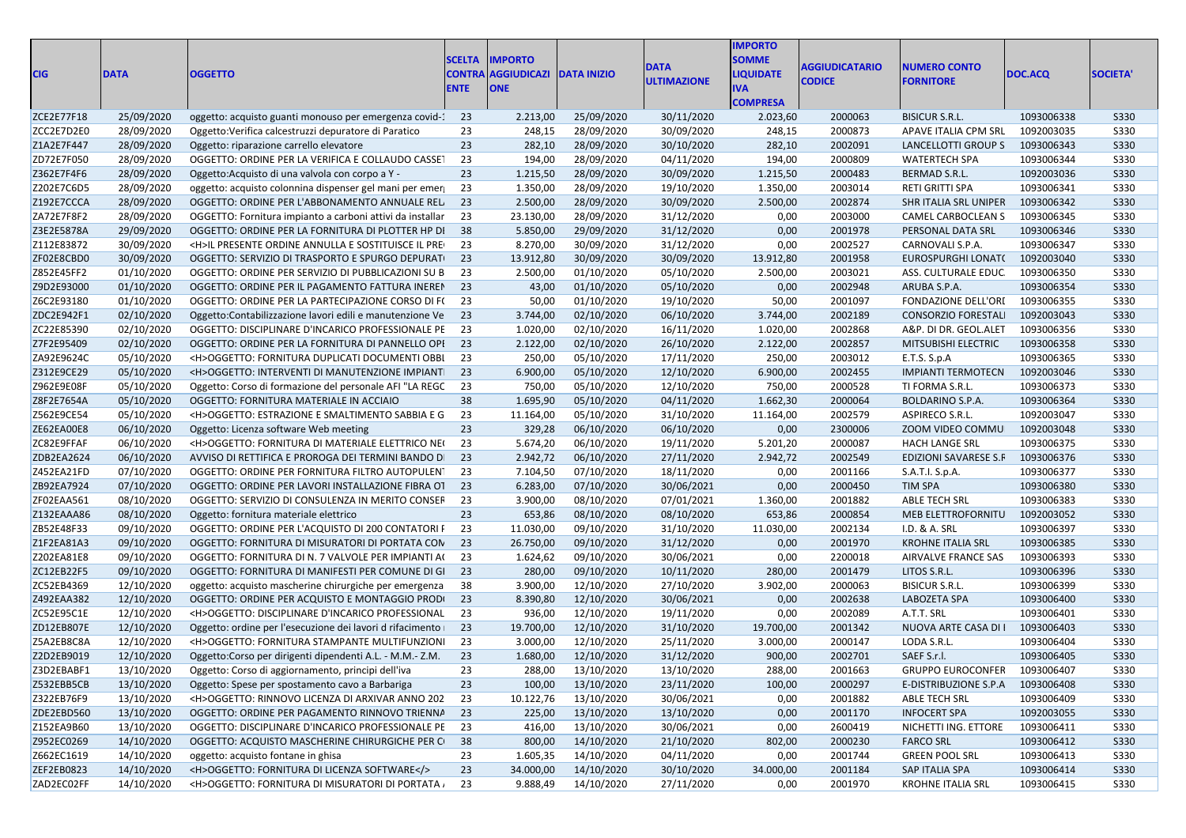| <b>CIG</b> | <b>DATA</b> | <b>OGGETTO</b>                                             | <b>SCELTA</b><br><b>CONTRA</b><br><b>ENTE</b> | <b>IMPORTO</b><br><b>AGGIUDICAZI</b><br><b>ONE</b> | <b>DATA INIZIO</b> | <b>DATA</b><br><b>ULTIMAZIONE</b> | <b>IMPORTO</b><br><b>SOMME</b><br><b>LIQUIDATE</b><br>IVA<br><b>COMPRESA</b> | <b>AGGIUDICATARIO</b><br><b>CODICE</b> | <b>NUMERO CONTO</b><br><b>FORNITORE</b> | DOC.ACQ    | <b>SOCIETA</b> |
|------------|-------------|------------------------------------------------------------|-----------------------------------------------|----------------------------------------------------|--------------------|-----------------------------------|------------------------------------------------------------------------------|----------------------------------------|-----------------------------------------|------------|----------------|
| ZCE2E77F18 | 25/09/2020  | oggetto: acquisto guanti monouso per emergenza covid-1     | - 23                                          | 2.213,00                                           | 25/09/2020         | 30/11/2020                        | 2.023,60                                                                     | 2000063                                | <b>BISICUR S.R.L.</b>                   | 1093006338 | S330           |
| ZCC2E7D2E0 | 28/09/2020  | Oggetto: Verifica calcestruzzi depuratore di Paratico      | 23                                            | 248,15                                             | 28/09/2020         | 30/09/2020                        | 248,15                                                                       | 2000873                                | APAVE ITALIA CPM SRL                    | 1092003035 | <b>S330</b>    |
| Z1A2E7F447 | 28/09/2020  | Oggetto: riparazione carrello elevatore                    | 23                                            | 282,10                                             | 28/09/2020         | 30/10/2020                        | 282,10                                                                       | 2002091                                | LANCELLOTTI GROUP S                     | 1093006343 | <b>S330</b>    |
| ZD72E7F050 | 28/09/2020  | OGGETTO: ORDINE PER LA VERIFICA E COLLAUDO CASSET          | 23                                            | 194,00                                             | 28/09/2020         | 04/11/2020                        | 194,00                                                                       | 2000809                                | <b>WATERTECH SPA</b>                    | 1093006344 | <b>S330</b>    |
| Z362E7F4F6 | 28/09/2020  | Oggetto: Acquisto di una valvola con corpo a Y -           | 23                                            | 1.215,50                                           | 28/09/2020         | 30/09/2020                        | 1.215,50                                                                     | 2000483                                | BERMAD S.R.L.                           | 1092003036 | S330           |
| Z202E7C6D5 | 28/09/2020  | oggetto: acquisto colonnina dispenser gel mani per emer    | 23                                            | 1.350,00                                           | 28/09/2020         | 19/10/2020                        | 1.350,00                                                                     | 2003014                                | RETI GRITTI SPA                         | 1093006341 | <b>S330</b>    |
| Z192E7CCCA | 28/09/2020  | OGGETTO: ORDINE PER L'ABBONAMENTO ANNUALE REL              | 23                                            | 2.500,00                                           | 28/09/2020         | 30/09/2020                        | 2.500,00                                                                     | 2002874                                | SHR ITALIA SRL UNIPER                   | 1093006342 | S330           |
| ZA72E7F8F2 | 28/09/2020  | OGGETTO: Fornitura impianto a carboni attivi da installar  | 23                                            | 23.130,00                                          | 28/09/2020         | 31/12/2020                        | 0,00                                                                         | 2003000                                | CAMEL CARBOCLEAN S                      | 1093006345 | <b>S330</b>    |
| Z3E2E5878A | 29/09/2020  | OGGETTO: ORDINE PER LA FORNITURA DI PLOTTER HP DI          | 38                                            | 5.850,00                                           | 29/09/2020         | 31/12/2020                        | 0,00                                                                         | 2001978                                | PERSONAL DATA SRL                       | 1093006346 | <b>S330</b>    |
| Z112E83872 | 30/09/2020  | <h>IL PRESENTE ORDINE ANNULLA E SOSTITUISCE IL PRE</h>     | 23                                            | 8.270,00                                           | 30/09/2020         | 31/12/2020                        | 0,00                                                                         | 2002527                                | CARNOVALI S.P.A.                        | 1093006347 | <b>S330</b>    |
| ZF02E8CBD0 | 30/09/2020  | OGGETTO: SERVIZIO DI TRASPORTO E SPURGO DEPURATI           | 23                                            | 13.912,80                                          | 30/09/2020         | 30/09/2020                        | 13.912,80                                                                    | 2001958                                | EUROSPURGHI LONAT(                      | 1092003040 | S330           |
| Z852E45FF2 | 01/10/2020  | OGGETTO: ORDINE PER SERVIZIO DI PUBBLICAZIONI SU B         | 23                                            | 2.500,00                                           | 01/10/2020         | 05/10/2020                        | 2.500,00                                                                     | 2003021                                | ASS. CULTURALE EDUC                     | 1093006350 | S330           |
| Z9D2E93000 | 01/10/2020  | OGGETTO: ORDINE PER IL PAGAMENTO FATTURA INEREN            | 23                                            | 43,00                                              | 01/10/2020         | 05/10/2020                        | 0,00                                                                         | 2002948                                | ARUBA S.P.A.                            | 1093006354 | S330           |
| Z6C2E93180 | 01/10/2020  | OGGETTO: ORDINE PER LA PARTECIPAZIONE CORSO DI F(          | 23                                            | 50,00                                              | 01/10/2020         | 19/10/2020                        | 50,00                                                                        | 2001097                                | FONDAZIONE DELL'ORI                     | 1093006355 | <b>S330</b>    |
| ZDC2E942F1 | 02/10/2020  | Oggetto: Contabilizzazione lavori edili e manutenzione Ve  | 23                                            | 3.744,00                                           | 02/10/2020         | 06/10/2020                        | 3.744,00                                                                     | 2002189                                | <b>CONSORZIO FORESTAL</b>               | 1092003043 | S330           |
| ZC22E85390 | 02/10/2020  | OGGETTO: DISCIPLINARE D'INCARICO PROFESSIONALE PE          | 23                                            | 1.020,00                                           | 02/10/2020         | 16/11/2020                        | 1.020,00                                                                     | 2002868                                | A&P. DI DR. GEOL.ALET                   | 1093006356 | <b>S330</b>    |
| Z7F2E95409 | 02/10/2020  | OGGETTO: ORDINE PER LA FORNITURA DI PANNELLO OPI           | 23                                            | 2.122,00                                           | 02/10/2020         | 26/10/2020                        | 2.122,00                                                                     | 2002857                                | MITSUBISHI ELECTRIC                     | 1093006358 | <b>S330</b>    |
| ZA92E9624C | 05/10/2020  | <h>OGGETTO: FORNITURA DUPLICATI DOCUMENTI OBBI</h>         | 23                                            | 250,00                                             | 05/10/2020         | 17/11/2020                        | 250,00                                                                       | 2003012                                | E.T.S. S.p.A                            | 1093006365 | <b>S330</b>    |
| Z312E9CE29 | 05/10/2020  | <h>OGGETTO: INTERVENTI DI MANUTENZIONE IMPIANTI</h>        | 23                                            | 6.900,00                                           | 05/10/2020         | 12/10/2020                        | 6.900,00                                                                     | 2002455                                | <b>IMPIANTI TERMOTECN</b>               | 1092003046 | S330           |
| Z962E9E08F | 05/10/2020  | Oggetto: Corso di formazione del personale AFI "LA REGC    | 23                                            | 750,00                                             | 05/10/2020         | 12/10/2020                        | 750,00                                                                       | 2000528                                | TI FORMA S.R.L.                         | 1093006373 | <b>S330</b>    |
| Z8F2E7654A | 05/10/2020  | OGGETTO: FORNITURA MATERIALE IN ACCIAIO                    | 38                                            | 1.695,90                                           | 05/10/2020         | 04/11/2020                        | 1.662,30                                                                     | 2000064                                | <b>BOLDARINO S.P.A.</b>                 | 1093006364 | <b>S330</b>    |
| Z562E9CE54 | 05/10/2020  | <h>OGGETTO: ESTRAZIONE E SMALTIMENTO SABBIA E G</h>        | 23                                            | 11.164,00                                          | 05/10/2020         | 31/10/2020                        | 11.164,00                                                                    | 2002579                                | ASPIRECO S.R.L.                         | 1092003047 | <b>S330</b>    |
| ZE62EA00E8 | 06/10/2020  | Oggetto: Licenza software Web meeting                      | 23                                            | 329,28                                             | 06/10/2020         | 06/10/2020                        | 0,00                                                                         | 2300006                                | ZOOM VIDEO COMMU                        | 1092003048 | S330           |
| ZC82E9FFAF | 06/10/2020  | <h>OGGETTO: FORNITURA DI MATERIALE ELETTRICO NEO</h>       | 23                                            | 5.674,20                                           | 06/10/2020         | 19/11/2020                        | 5.201,20                                                                     | 2000087                                | <b>HACH LANGE SRL</b>                   | 1093006375 | <b>S330</b>    |
| ZDB2EA2624 | 06/10/2020  | AVVISO DI RETTIFICA E PROROGA DEI TERMINI BANDO DI         | 23                                            | 2.942,72                                           | 06/10/2020         | 27/11/2020                        | 2.942,72                                                                     | 2002549                                | EDIZIONI SAVARESE S.F                   | 1093006376 | S330           |
| Z452EA21FD | 07/10/2020  | OGGETTO: ORDINE PER FORNITURA FILTRO AUTOPULEN             | 23                                            | 7.104,50                                           | 07/10/2020         | 18/11/2020                        | 0,00                                                                         | 2001166                                | S.A.T.I. S.p.A.                         | 1093006377 | <b>S330</b>    |
| ZB92EA7924 | 07/10/2020  | OGGETTO: ORDINE PER LAVORI INSTALLAZIONE FIBRA OT          | 23                                            | 6.283,00                                           | 07/10/2020         | 30/06/2021                        | 0,00                                                                         | 2000450                                | <b>TIM SPA</b>                          | 1093006380 | S330           |
| ZF02EAA561 | 08/10/2020  | OGGETTO: SERVIZIO DI CONSULENZA IN MERITO CONSEF           | 23                                            | 3.900,00                                           | 08/10/2020         | 07/01/2021                        | 1.360,00                                                                     | 2001882                                | <b>ABLE TECH SRL</b>                    | 1093006383 | <b>S330</b>    |
| Z132EAAA86 | 08/10/2020  | Oggetto: fornitura materiale elettrico                     | 23                                            | 653,86                                             | 08/10/2020         | 08/10/2020                        | 653,86                                                                       | 2000854                                | MEB ELETTROFORNITU                      | 1092003052 | S330           |
| ZB52E48F33 | 09/10/2020  | OGGETTO: ORDINE PER L'ACQUISTO DI 200 CONTATORI F          | 23                                            | 11.030,00                                          | 09/10/2020         | 31/10/2020                        | 11.030,00                                                                    | 2002134                                | I.D. & A. SRL                           | 1093006397 | <b>S330</b>    |
| Z1F2EA81A3 | 09/10/2020  | OGGETTO: FORNITURA DI MISURATORI DI PORTATA CON            | 23                                            | 26.750,00                                          | 09/10/2020         | 31/12/2020                        | 0,00                                                                         | 2001970                                | <b>KROHNE ITALIA SRL</b>                | 1093006385 | <b>S330</b>    |
| Z202EA81E8 | 09/10/2020  | OGGETTO: FORNITURA DI N. 7 VALVOLE PER IMPIANTI A(         | 23                                            | 1.624,62                                           | 09/10/2020         | 30/06/2021                        | 0,00                                                                         | 2200018                                | AIRVALVE FRANCE SAS                     | 1093006393 | S330           |
| ZC12EB22F5 | 09/10/2020  | OGGETTO: FORNITURA DI MANIFESTI PER COMUNE DI GI           | 23                                            | 280,00                                             | 09/10/2020         | 10/11/2020                        | 280,00                                                                       | 2001479                                | LITOS S.R.L.                            | 1093006396 | S330           |
| ZC52EB4369 | 12/10/2020  | oggetto: acquisto mascherine chirurgiche per emergenza     | 38                                            | 3.900,00                                           | 12/10/2020         | 27/10/2020                        | 3.902,00                                                                     | 2000063                                | <b>BISICUR S.R.L.</b>                   | 1093006399 | S330           |
| Z492EAA382 | 12/10/2020  | OGGETTO: ORDINE PER ACQUISTO E MONTAGGIO PRODI             | 23                                            | 8.390,80                                           | 12/10/2020         | 30/06/2021                        | 0,00                                                                         | 2002638                                | LABOZETA SPA                            | 1093006400 | S330           |
| ZC52E95C1E | 12/10/2020  | <h>OGGETTO: DISCIPLINARE D'INCARICO PROFESSIONAL</h>       | 23                                            | 936,00                                             | 12/10/2020         | 19/11/2020                        | 0,00                                                                         | 2002089                                | A.T.T. SRL                              | 1093006401 | <b>S330</b>    |
| ZD12EB807E | 12/10/2020  | Oggetto: ordine per l'esecuzione dei lavori d rifacimento  | 23                                            | 19.700,00                                          | 12/10/2020         | 31/10/2020                        | 19.700,00                                                                    | 2001342                                | NUOVA ARTE CASA DI I                    | 1093006403 | S330           |
| Z5A2EB8C8A | 12/10/2020  | <h>OGGETTO: FORNITURA STAMPANTE MULTIFUNZIONI</h>          | 23                                            | 3.000,00                                           | 12/10/2020         | 25/11/2020                        | 3.000,00                                                                     | 2000147                                | LODA S.R.L.                             | 1093006404 | <b>S330</b>    |
| Z2D2EB9019 | 12/10/2020  | Oggetto: Corso per dirigenti dipendenti A.L. - M.M. - Z.M. | 23                                            | 1.680,00                                           | 12/10/2020         | 31/12/2020                        | 900,00                                                                       | 2002701                                | SAEF S.r.l.                             | 1093006405 | <b>S330</b>    |
| Z3D2EBABF1 | 13/10/2020  | Oggetto: Corso di aggiornamento, principi dell'iva         | 23                                            | 288,00                                             | 13/10/2020         | 13/10/2020                        | 288,00                                                                       | 2001663                                | GRUPPO EUROCONFER 1093006407            |            | S330           |
| Z532EBB5CB | 13/10/2020  | Oggetto: Spese per spostamento cavo a Barbariga            | 23                                            | 100,00                                             | 13/10/2020         | 23/11/2020                        | 100,00                                                                       | 2000297                                | E-DISTRIBUZIONE S.P.A                   | 1093006408 | S330           |
| Z322EB76F9 | 13/10/2020  | <h>OGGETTO: RINNOVO LICENZA DI ARXIVAR ANNO 202</h>        | 23                                            | 10.122,76                                          | 13/10/2020         | 30/06/2021                        | 0,00                                                                         | 2001882                                | ABLE TECH SRL                           | 1093006409 | <b>S330</b>    |
| ZDE2EBD560 | 13/10/2020  | OGGETTO: ORDINE PER PAGAMENTO RINNOVO TRIENNA              | 23                                            | 225,00                                             | 13/10/2020         | 13/10/2020                        | 0,00                                                                         | 2001170                                | <b>INFOCERT SPA</b>                     | 1092003055 | S330           |
| Z152EA9B60 | 13/10/2020  | OGGETTO: DISCIPLINARE D'INCARICO PROFESSIONALE PE          | 23                                            | 416,00                                             | 13/10/2020         | 30/06/2021                        | 0,00                                                                         | 2600419                                | NICHETTI ING. ETTORE                    | 1093006411 | <b>S330</b>    |
| Z952EC0269 | 14/10/2020  | OGGETTO: ACQUISTO MASCHERINE CHIRURGICHE PER C             | 38                                            | 800,00                                             | 14/10/2020         | 21/10/2020                        | 802,00                                                                       | 2000230                                | <b>FARCO SRL</b>                        | 1093006412 | S330           |
| Z662EC1619 | 14/10/2020  | oggetto: acquisto fontane in ghisa                         | 23                                            | 1.605,35                                           | 14/10/2020         | 04/11/2020                        | 0,00                                                                         | 2001744                                | <b>GREEN POOL SRL</b>                   | 1093006413 | <b>S330</b>    |
| ZEF2EB0823 | 14/10/2020  | <h>OGGETTO: FORNITURA DI LICENZA SOFTWARE</h>              | 23                                            | 34.000,00                                          | 14/10/2020         | 30/10/2020                        | 34.000,00                                                                    | 2001184                                | SAP ITALIA SPA                          | 1093006414 | S330           |
| ZAD2EC02FF | 14/10/2020  | <h>OGGETTO: FORNITURA DI MISURATORI DI PORTATA /</h>       | 23                                            | 9.888,49                                           | 14/10/2020         | 27/11/2020                        | 0,00                                                                         | 2001970                                | <b>KROHNE ITALIA SRL</b>                | 1093006415 | <b>S330</b>    |
|            |             |                                                            |                                               |                                                    |                    |                                   |                                                                              |                                        |                                         |            |                |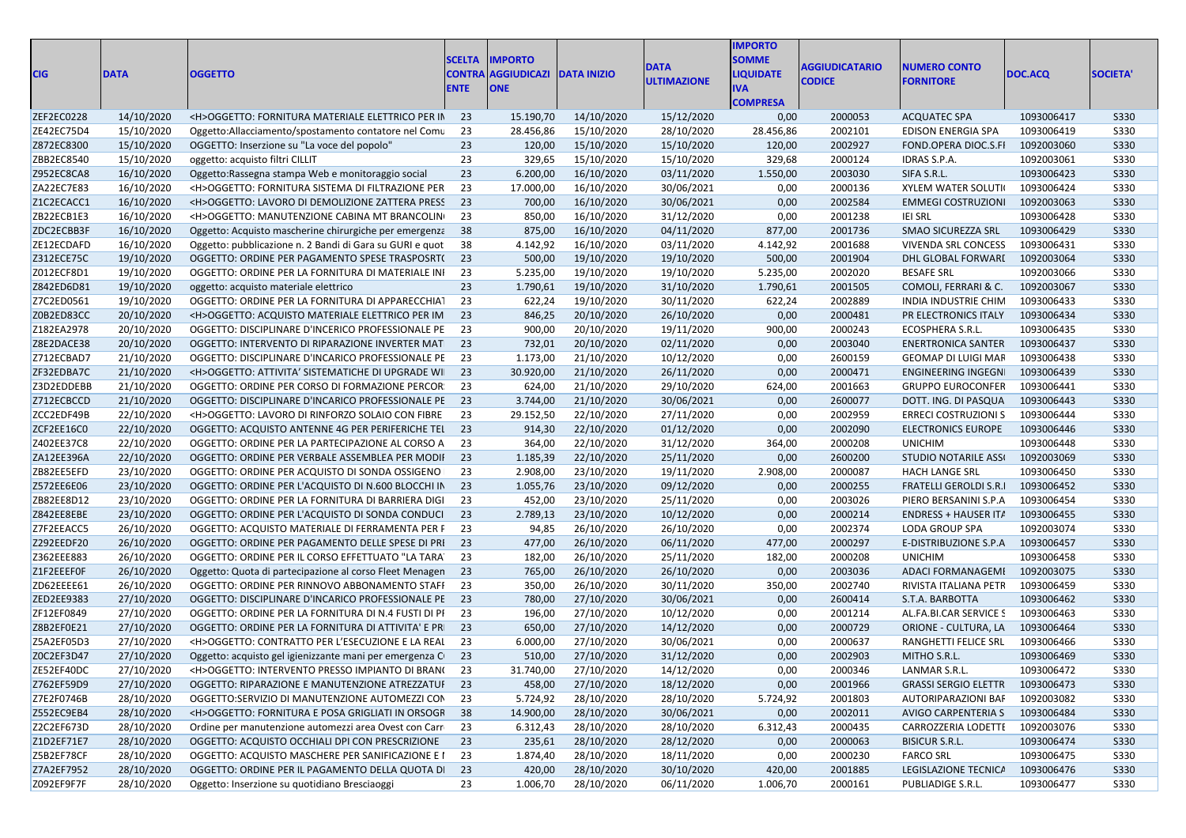| <b>CIG</b>        | <b>DATA</b> | <b>OGGETTO</b>                                             | <b>SCELTA</b><br>CONTRA<br><b>ENTE</b> | <b>IMPORTO</b><br><b>AGGIUDICAZI</b><br><b>ONE</b> | <b>DATA INIZIO</b> | <b>DATA</b><br><b>ULTIMAZIONE</b> | <b>IMPORTO</b><br><b>SOMME</b><br><b>LIQUIDATE</b><br>IVA<br><b>COMPRESA</b> | <b>AGGIUDICATARIO</b><br><b>CODICE</b> | <b>NUMERO CONTO</b><br><b>FORNITORE</b> | DOC.ACQ    | <b>SOCIETA</b> |
|-------------------|-------------|------------------------------------------------------------|----------------------------------------|----------------------------------------------------|--------------------|-----------------------------------|------------------------------------------------------------------------------|----------------------------------------|-----------------------------------------|------------|----------------|
| ZEF2EC0228        | 14/10/2020  | <h>OGGETTO: FORNITURA MATERIALE ELETTRICO PER IN</h>       | 23                                     | 15.190,70                                          | 14/10/2020         | 15/12/2020                        | 0,00                                                                         | 2000053                                | <b>ACQUATEC SPA</b>                     | 1093006417 | S330           |
| ZE42EC75D4        | 15/10/2020  | Oggetto:Allacciamento/spostamento contatore nel Comu       | 23                                     | 28.456,86                                          | 15/10/2020         | 28/10/2020                        | 28.456,86                                                                    | 2002101                                | EDISON ENERGIA SPA                      | 1093006419 | <b>S330</b>    |
| Z872EC8300        | 15/10/2020  | OGGETTO: Inserzione su "La voce del popolo"                | 23                                     | 120,00                                             | 15/10/2020         | 15/10/2020                        | 120,00                                                                       | 2002927                                | FOND.OPERA DIOC.S.FI                    | 1092003060 | <b>S330</b>    |
| ZBB2EC8540        | 15/10/2020  | oggetto: acquisto filtri CILLIT                            | 23                                     | 329,65                                             | 15/10/2020         | 15/10/2020                        | 329,68                                                                       | 2000124                                | IDRAS S.P.A.                            | 1092003061 | <b>S330</b>    |
| <b>Z952EC8CA8</b> | 16/10/2020  | Oggetto: Rassegna stampa Web e monitoraggio social         | 23                                     | 6.200,00                                           | 16/10/2020         | 03/11/2020                        | 1.550,00                                                                     | 2003030                                | SIFA S.R.L.                             | 1093006423 | S330           |
| ZA22EC7E83        | 16/10/2020  | <h>OGGETTO: FORNITURA SISTEMA DI FILTRAZIONE PER</h>       | 23                                     | 17.000,00                                          | 16/10/2020         | 30/06/2021                        | 0,00                                                                         | 2000136                                | <b>XYLEM WATER SOLUTI</b>               | 1093006424 | <b>S330</b>    |
| Z1C2ECACC1        | 16/10/2020  | <h>OGGETTO: LAVORO DI DEMOLIZIONE ZATTERA PRESS</h>        | 23                                     | 700,00                                             | 16/10/2020         | 30/06/2021                        | 0,00                                                                         | 2002584                                | <b>EMMEGI COSTRUZIONI</b>               | 1092003063 | S330           |
| ZB22ECB1E3        | 16/10/2020  | <h>OGGETTO: MANUTENZIONE CABINA MT BRANCOLIN</h>           | 23                                     | 850,00                                             | 16/10/2020         | 31/12/2020                        | 0,00                                                                         | 2001238                                | <b>IEI SRL</b>                          | 1093006428 | <b>S330</b>    |
| ZDC2ECBB3F        | 16/10/2020  | Oggetto: Acquisto mascherine chirurgiche per emergenza     | 38                                     | 875,00                                             | 16/10/2020         | 04/11/2020                        | 877,00                                                                       | 2001736                                | <b>SMAO SICUREZZA SRL</b>               | 1093006429 | <b>S330</b>    |
| ZE12ECDAFD        | 16/10/2020  | Oggetto: pubblicazione n. 2 Bandi di Gara su GURI e quot   | 38                                     | 4.142,92                                           | 16/10/2020         | 03/11/2020                        | 4.142,92                                                                     | 2001688                                | <b>VIVENDA SRL CONCESS</b>              | 1093006431 | <b>S330</b>    |
| Z312ECE75C        | 19/10/2020  | OGGETTO: ORDINE PER PAGAMENTO SPESE TRASPOSRT(             | 23                                     | 500,00                                             | 19/10/2020         | 19/10/2020                        | 500,00                                                                       | 2001904                                | DHL GLOBAL FORWARI                      | 1092003064 | S330           |
| Z012ECF8D1        | 19/10/2020  | OGGETTO: ORDINE PER LA FORNITURA DI MATERIALE INI          | 23                                     | 5.235,00                                           | 19/10/2020         | 19/10/2020                        | 5.235,00                                                                     | 2002020                                | <b>BESAFE SRL</b>                       | 1092003066 | S330           |
| Z842ED6D81        | 19/10/2020  | oggetto: acquisto materiale elettrico                      | 23                                     | 1.790,61                                           | 19/10/2020         | 31/10/2020                        | 1.790,61                                                                     | 2001505                                | COMOLI, FERRARI & C.                    | 1092003067 | S330           |
| Z7C2ED0561        | 19/10/2020  | OGGETTO: ORDINE PER LA FORNITURA DI APPARECCHIAT           | 23                                     | 622,24                                             | 19/10/2020         | 30/11/2020                        | 622,24                                                                       | 2002889                                | INDIA INDUSTRIE CHIM                    | 1093006433 | <b>S330</b>    |
| Z0B2ED83CC        | 20/10/2020  | <h>OGGETTO: ACQUISTO MATERIALE ELETTRICO PER IM</h>        | 23                                     | 846,25                                             | 20/10/2020         | 26/10/2020                        | 0,00                                                                         | 2000481                                | PR ELECTRONICS ITALY                    | 1093006434 | <b>S330</b>    |
| Z182EA2978        | 20/10/2020  | OGGETTO: DISCIPLINARE D'INCERICO PROFESSIONALE PE          | 23                                     | 900,00                                             | 20/10/2020         | 19/11/2020                        | 900,00                                                                       | 2000243                                | ECOSPHERA S.R.L.                        | 1093006435 | <b>S330</b>    |
| Z8E2DACE38        | 20/10/2020  | OGGETTO: INTERVENTO DI RIPARAZIONE INVERTER MAT            | 23                                     | 732,01                                             | 20/10/2020         | 02/11/2020                        | 0,00                                                                         | 2003040                                | <b>ENERTRONICA SANTER</b>               | 1093006437 | <b>S330</b>    |
| Z712ECBAD7        | 21/10/2020  | OGGETTO: DISCIPLINARE D'INCARICO PROFESSIONALE PE          | 23                                     | 1.173,00                                           | 21/10/2020         | 10/12/2020                        | 0,00                                                                         | 2600159                                | GEOMAP DI LUIGI MAF                     | 1093006438 | S330           |
| ZF32EDBA7C        | 21/10/2020  | <h>OGGETTO: ATTIVITA' SISTEMATICHE DI UPGRADE WI</h>       | 23                                     | 30.920,00                                          | 21/10/2020         | 26/11/2020                        | 0,00                                                                         | 2000471                                | <b>ENGINEERING INGEGN</b>               | 1093006439 | S330           |
| Z3D2EDDEBB        | 21/10/2020  | OGGETTO: ORDINE PER CORSO DI FORMAZIONE PERCOR             | 23                                     | 624,00                                             | 21/10/2020         | 29/10/2020                        | 624,00                                                                       | 2001663                                | <b>GRUPPO EUROCONFER</b>                | 1093006441 | <b>S330</b>    |
| Z712ECBCCD        | 21/10/2020  | OGGETTO: DISCIPLINARE D'INCARICO PROFESSIONALE PE          | 23                                     | 3.744,00                                           | 21/10/2020         | 30/06/2021                        | 0,00                                                                         | 2600077                                | DOTT. ING. DI PASQUA                    | 1093006443 | <b>S330</b>    |
| ZCC2EDF49B        | 22/10/2020  | <h>OGGETTO: LAVORO DI RINFORZO SOLAIO CON FIBRE</h>        | 23                                     | 29.152,50                                          | 22/10/2020         | 27/11/2020                        | 0,00                                                                         | 2002959                                | <b>ERRECI COSTRUZIONI S</b>             | 1093006444 | <b>S330</b>    |
| ZCF2EE16C0        | 22/10/2020  | OGGETTO: ACQUISTO ANTENNE 4G PER PERIFERICHE TEL           | 23                                     | 914,30                                             | 22/10/2020         | 01/12/2020                        | 0,00                                                                         | 2002090                                | <b>ELECTRONICS EUROPE</b>               | 1093006446 | S330           |
| Z402EE37C8        | 22/10/2020  | OGGETTO: ORDINE PER LA PARTECIPAZIONE AL CORSO A           | 23                                     | 364,00                                             | 22/10/2020         | 31/12/2020                        | 364,00                                                                       | 2000208                                | <b>UNICHIM</b>                          | 1093006448 | <b>S330</b>    |
| ZA12EE396A        | 22/10/2020  | OGGETTO: ORDINE PER VERBALE ASSEMBLEA PER MODIF            | 23                                     | 1.185,39                                           | 22/10/2020         | 25/11/2020                        | 0,00                                                                         | 2600200                                | <b>STUDIO NOTARILE ASSI</b>             | 1092003069 | S330           |
| ZB82EE5EFD        | 23/10/2020  | OGGETTO: ORDINE PER ACQUISTO DI SONDA OSSIGENO             | 23                                     | 2.908,00                                           | 23/10/2020         | 19/11/2020                        | 2.908,00                                                                     | 2000087                                | <b>HACH LANGE SRL</b>                   | 1093006450 | <b>S330</b>    |
| Z572EE6E06        | 23/10/2020  | OGGETTO: ORDINE PER L'ACQUISTO DI N.600 BLOCCHI IN         | 23                                     | 1.055,76                                           | 23/10/2020         | 09/12/2020                        | 0,00                                                                         | 2000255                                | <b>FRATELLI GEROLDI S.R.I</b>           | 1093006452 | <b>S330</b>    |
| ZB82EE8D12        | 23/10/2020  | OGGETTO: ORDINE PER LA FORNITURA DI BARRIERA DIGI          | 23                                     | 452,00                                             | 23/10/2020         | 25/11/2020                        | 0,00                                                                         | 2003026                                | PIERO BERSANINI S.P.A                   | 1093006454 | <b>S330</b>    |
| Z842EE8EBE        | 23/10/2020  | OGGETTO: ORDINE PER L'ACQUISTO DI SONDA CONDUCI            | 23                                     | 2.789,13                                           | 23/10/2020         | 10/12/2020                        | 0,00                                                                         | 2000214                                | <b>ENDRESS + HAUSER IT/</b>             | 1093006455 | S330           |
| Z7F2EEACC5        | 26/10/2020  | OGGETTO: ACQUISTO MATERIALE DI FERRAMENTA PER F            | 23                                     | 94,85                                              | 26/10/2020         | 26/10/2020                        | 0,00                                                                         | 2002374                                | LODA GROUP SPA                          | 1092003074 | <b>S330</b>    |
| Z292EEDF20        | 26/10/2020  | OGGETTO: ORDINE PER PAGAMENTO DELLE SPESE DI PRI           | 23                                     | 477,00                                             | 26/10/2020         | 06/11/2020                        | 477,00                                                                       | 2000297                                | E-DISTRIBUZIONE S.P.A                   | 1093006457 | <b>S330</b>    |
| Z362EEE883        | 26/10/2020  | OGGETTO: ORDINE PER IL CORSO EFFETTUATO "LA TARA"          | 23                                     | 182,00                                             | 26/10/2020         | 25/11/2020                        | 182,00                                                                       | 2000208                                | <b>UNICHIM</b>                          | 1093006458 | <b>S330</b>    |
| Z1F2EEEF0F        | 26/10/2020  | Oggetto: Quota di partecipazione al corso Fleet Menagen    | 23                                     | 765,00                                             | 26/10/2020         | 26/10/2020                        | 0,00                                                                         | 2003036                                | ADACI FORMANAGEMI                       | 1092003075 | S330           |
| ZD62EEEE61        | 26/10/2020  | OGGETTO: ORDINE PER RINNOVO ABBONAMENTO STAFF              | 23                                     | 350,00                                             | 26/10/2020         | 30/11/2020                        | 350,00                                                                       | 2002740                                | RIVISTA ITALIANA PETR                   | 1093006459 | S330           |
| ZED2EE9383        | 27/10/2020  | OGGETTO: DISCIPLINARE D'INCARICO PROFESSIONALE PE 23       |                                        | 780,00                                             | 27/10/2020         | 30/06/2021                        | 0,00                                                                         | 2600414                                | S.T.A. BARBOTTA                         | 1093006462 | <b>S330</b>    |
| ZF12EF0849        | 27/10/2020  | OGGETTO: ORDINE PER LA FORNITURA DI N.4 FUSTI DI PI        | 23                                     | 196,00                                             | 27/10/2020         | 10/12/2020                        | 0,00                                                                         | 2001214                                | AL.FA.BI.CAR SERVICE S                  | 1093006463 | <b>S330</b>    |
| Z8B2EF0E21        | 27/10/2020  | OGGETTO: ORDINE PER LA FORNITURA DI ATTIVITA' E PR         | 23                                     | 650,00                                             | 27/10/2020         | 14/12/2020                        | 0,00                                                                         | 2000729                                | ORIONE - CULTURA, LA                    | 1093006464 | S330           |
| Z5A2EF05D3        | 27/10/2020  | <h>OGGETTO: CONTRATTO PER L'ESECUZIONE E LA REAL</h>       | 23                                     | 6.000,00                                           | 27/10/2020         | 30/06/2021                        | 0,00                                                                         | 2000637                                | RANGHETTI FELICE SRL                    | 1093006466 | <b>S330</b>    |
| Z0C2EF3D47        | 27/10/2020  | Oggetto: acquisto gel igienizzante mani per emergenza C 23 |                                        | 510,00                                             | 27/10/2020         | 31/12/2020                        | 0,00                                                                         | 2002903                                | MITHO S.R.L.                            | 1093006469 | <b>S330</b>    |
| ZE52EF40DC        | 27/10/2020  | <h>OGGETTO: INTERVENTO PRESSO IMPIANTO DI BRAN(23</h>      |                                        | 31.740,00                                          | 27/10/2020         | 14/12/2020                        | 0,00                                                                         | 2000346                                | LANMAR S.R.L.                           | 1093006472 | S330           |
| Z762EF59D9        | 27/10/2020  | OGGETTO: RIPARAZIONE E MANUTENZIONE ATREZZATUI 23          |                                        | 458,00                                             | 27/10/2020         | 18/12/2020                        | 0,00                                                                         | 2001966                                | <b>GRASSI SERGIO ELETTR</b>             | 1093006473 | S330           |
| Z7E2F0746B        | 28/10/2020  | OGGETTO:SERVIZIO DI MANUTENZIONE AUTOMEZZI CON             | 23                                     | 5.724,92                                           | 28/10/2020         | 28/10/2020                        | 5.724,92                                                                     | 2001803                                | AUTORIPARAZIONI BAF                     | 1092003082 | <b>S330</b>    |
| Z552EC9EB4        | 28/10/2020  | <h>OGGETTO: FORNITURA E POSA GRIGLIATI IN ORSOGR</h>       | 38                                     | 14.900,00                                          | 28/10/2020         | 30/06/2021                        | 0,00                                                                         | 2002011                                | AVIGO CARPENTERIA S                     | 1093006484 | S330           |
| Z2C2EF673D        | 28/10/2020  | Ordine per manutenzione automezzi area Ovest con Carr      | 23                                     | 6.312,43                                           | 28/10/2020         | 28/10/2020                        | 6.312,43                                                                     | 2000435                                | CARROZZERIA LODETTI                     | 1092003076 | <b>S330</b>    |
| Z1D2EF71E7        | 28/10/2020  | OGGETTO: ACQUISTO OCCHIALI DPI CON PRESCRIZIONE            | 23                                     | 235,61                                             | 28/10/2020         | 28/12/2020                        | 0,00                                                                         | 2000063                                | <b>BISICUR S.R.L.</b>                   | 1093006474 | S330           |
| Z5B2EF78CF        | 28/10/2020  | OGGETTO: ACQUISTO MASCHERE PER SANIFICAZIONE E I           | 23                                     | 1.874,40                                           | 28/10/2020         | 18/11/2020                        | 0,00                                                                         | 2000230                                | <b>FARCO SRL</b>                        | 1093006475 | <b>S330</b>    |
| Z7A2EF7952        | 28/10/2020  | OGGETTO: ORDINE PER IL PAGAMENTO DELLA QUOTA DI            | 23                                     | 420,00                                             | 28/10/2020         | 30/10/2020                        | 420,00                                                                       | 2001885                                | LEGISLAZIONE TECNICA                    | 1093006476 | S330           |
| Z092EF9F7F        | 28/10/2020  | Oggetto: Inserzione su quotidiano Bresciaoggi              | 23                                     | 1.006,70                                           | 28/10/2020         | 06/11/2020                        | 1.006,70                                                                     | 2000161                                | PUBLIADIGE S.R.L.                       | 1093006477 | <b>S330</b>    |
|                   |             |                                                            |                                        |                                                    |                    |                                   |                                                                              |                                        |                                         |            |                |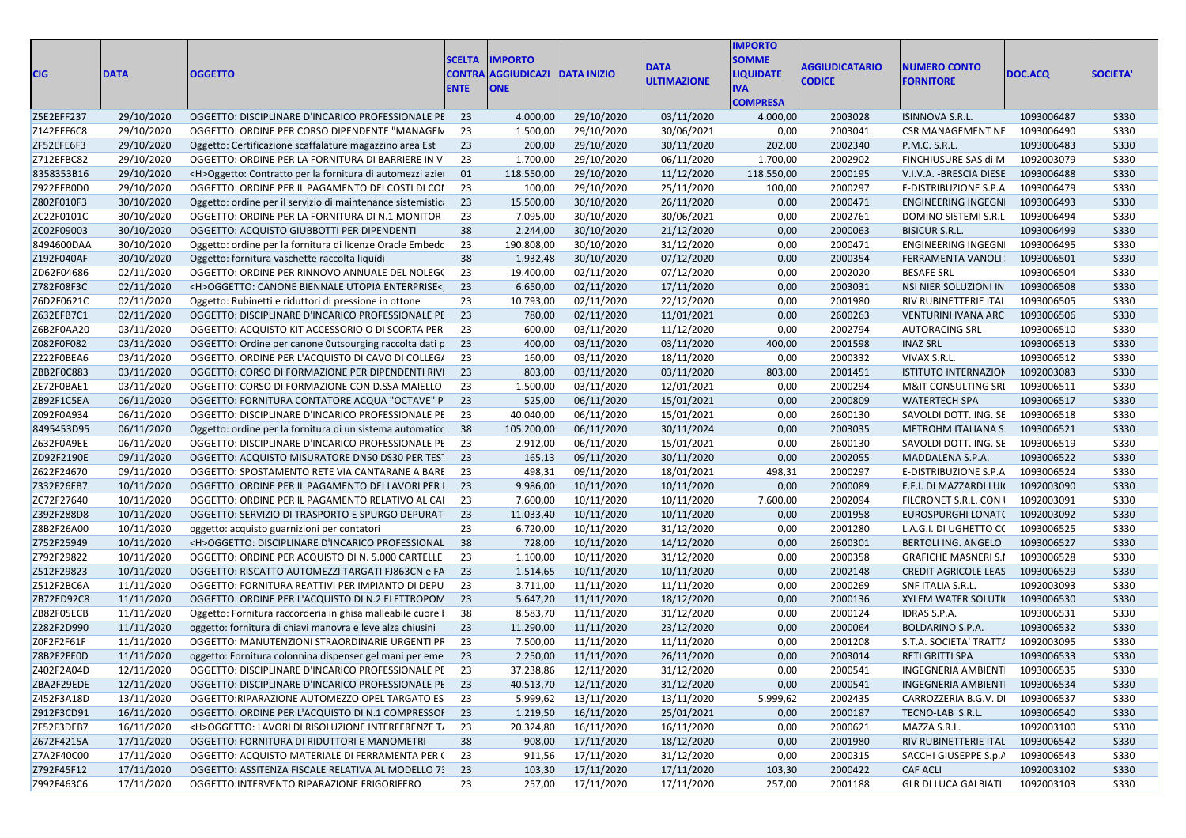| <b>CIG</b> | <b>DATA</b> | <b>OGGETTO</b>                                                                                  | <b>SCELTA</b><br><b>CONTRA</b><br><b>ENTE</b> | <b>IMPORTO</b><br><b>AGGIUDICAZI</b><br><b>ONE</b> | <b>DATA INIZIO</b>   | <b>DATA</b><br><b>ULTIMAZIONE</b> | <b>IMPORTO</b><br><b>SOMME</b><br><b>LIQUIDATE</b><br><b>IVA</b><br><b>COMPRESA</b> | <b>AGGIUDICATARIO</b><br><b>CODICE</b> | <b>NUMERO CONTO</b><br><b>FORNITORE</b> | DOC.ACQ    | <b>SOCIETA'</b> |
|------------|-------------|-------------------------------------------------------------------------------------------------|-----------------------------------------------|----------------------------------------------------|----------------------|-----------------------------------|-------------------------------------------------------------------------------------|----------------------------------------|-----------------------------------------|------------|-----------------|
| Z5E2EFF237 | 29/10/2020  | OGGETTO: DISCIPLINARE D'INCARICO PROFESSIONALE PE 23                                            |                                               | 4.000,00                                           | 29/10/2020           | 03/11/2020                        | 4.000,00                                                                            | 2003028                                | ISINNOVA S.R.L.                         | 1093006487 | S330            |
| Z142EFF6C8 | 29/10/2020  | OGGETTO: ORDINE PER CORSO DIPENDENTE "MANAGEN                                                   | 23                                            | 1.500,00                                           | 29/10/2020           | 30/06/2021                        | 0,00                                                                                | 2003041                                | CSR MANAGEMENT NE                       | 1093006490 | <b>S330</b>     |
| ZF52EFE6F3 | 29/10/2020  | Oggetto: Certificazione scaffalature magazzino area Est                                         | 23                                            | 200,00                                             | 29/10/2020           | 30/11/2020                        | 202,00                                                                              | 2002340                                | P.M.C. S.R.L.                           | 1093006483 | <b>S330</b>     |
| Z712EFBC82 | 29/10/2020  | OGGETTO: ORDINE PER LA FORNITURA DI BARRIERE IN VI                                              | 23                                            | 1.700,00                                           | 29/10/2020           | 06/11/2020                        | 1.700,00                                                                            | 2002902                                | FINCHIUSURE SAS di M                    | 1092003079 | <b>S330</b>     |
| 8358353B16 | 29/10/2020  | <h>Oggetto: Contratto per la fornitura di automezzi azier</h>                                   | 01                                            | 118.550,00                                         | 29/10/2020           | 11/12/2020                        | 118.550,00                                                                          | 2000195                                | V.I.V.A. - BRESCIA DIESE                | 1093006488 | <b>S330</b>     |
| Z922EFB0D0 | 29/10/2020  | OGGETTO: ORDINE PER IL PAGAMENTO DEI COSTI DI COI                                               | 23                                            | 100,00                                             | 29/10/2020           | 25/11/2020                        | 100,00                                                                              | 2000297                                | E-DISTRIBUZIONE S.P.A                   | 1093006479 | <b>S330</b>     |
| Z802F010F3 | 30/10/2020  | Oggetto: ordine per il servizio di maintenance sistemistica                                     | - 23                                          | 15.500,00                                          | 30/10/2020           | 26/11/2020                        | 0,00                                                                                | 2000471                                | <b>ENGINEERING INGEGN</b>               | 1093006493 | <b>S330</b>     |
| ZC22F0101C | 30/10/2020  | OGGETTO: ORDINE PER LA FORNITURA DI N.1 MONITOR.                                                | 23                                            | 7.095,00                                           | 30/10/2020           | 30/06/2021                        | 0,00                                                                                | 2002761                                | DOMINO SISTEMI S.R.L                    | 1093006494 | <b>S330</b>     |
| ZC02F09003 | 30/10/2020  | OGGETTO: ACQUISTO GIUBBOTTI PER DIPENDENTI                                                      | 38                                            | 2.244,00                                           | 30/10/2020           | 21/12/2020                        | 0,00                                                                                | 2000063                                | <b>BISICUR S.R.L.</b>                   | 1093006499 | <b>S330</b>     |
| 8494600DAA | 30/10/2020  | Oggetto: ordine per la fornitura di licenze Oracle Embedd                                       | 23                                            | 190.808,00                                         | 30/10/2020           | 31/12/2020                        | 0,00                                                                                | 2000471                                | ENGINEERING INGEGN                      | 1093006495 | <b>S330</b>     |
| Z192F040AF | 30/10/2020  |                                                                                                 | 38                                            | 1.932,48                                           | 30/10/2020           | 07/12/2020                        | 0,00                                                                                | 2000354                                | FERRAMENTA VANOLI                       | 1093006501 | <b>S330</b>     |
| ZD62F04686 | 02/11/2020  | Oggetto: fornitura vaschette raccolta liquidi<br>OGGETTO: ORDINE PER RINNOVO ANNUALE DEL NOLEGO | 23                                            | 19.400,00                                          | 02/11/2020           | 07/12/2020                        | 0,00                                                                                | 2002020                                | <b>BESAFE SRL</b>                       | 1093006504 | <b>S330</b>     |
|            | 02/11/2020  |                                                                                                 | 23                                            | 6.650,00                                           | 02/11/2020           | 17/11/2020                        |                                                                                     | 2003031                                |                                         | 1093006508 | <b>S330</b>     |
| Z782F08F3C |             | <h>OGGETTO: CANONE BIENNALE UTOPIA ENTERPRISE&lt;</h>                                           |                                               |                                                    |                      |                                   | 0,00                                                                                | 2001980                                | NSI NIER SOLUZIONI IN                   | 1093006505 |                 |
| Z6D2F0621C | 02/11/2020  | Oggetto: Rubinetti e riduttori di pressione in ottone                                           | 23                                            | 10.793,00                                          | 02/11/2020           | 22/12/2020                        | 0,00                                                                                |                                        | RIV RUBINETTERIE ITAL                   |            | <b>S330</b>     |
| Z632EFB7C1 | 02/11/2020  | OGGETTO: DISCIPLINARE D'INCARICO PROFESSIONALE PE 23                                            |                                               | 780,00                                             | 02/11/2020           | 11/01/2021                        | 0,00                                                                                | 2600263                                | VENTURINI IVANA ARC                     | 1093006506 | <b>S330</b>     |
| Z6B2F0AA20 | 03/11/2020  | OGGETTO: ACQUISTO KIT ACCESSORIO O DI SCORTA PER                                                | 23                                            | 600,00                                             | 03/11/2020           | 11/12/2020                        | 0,00                                                                                | 2002794                                | <b>AUTORACING SRL</b>                   | 1093006510 | <b>S330</b>     |
| Z082F0F082 | 03/11/2020  | OGGETTO: Ordine per canone Outsourging raccolta dati p                                          | 23                                            | 400,00                                             | 03/11/2020           | 03/11/2020                        | 400,00                                                                              | 2001598                                | <b>INAZ SRL</b>                         | 1093006513 | <b>S330</b>     |
| Z222F0BEA6 | 03/11/2020  | OGGETTO: ORDINE PER L'ACQUISTO DI CAVO DI COLLEG/                                               | 23                                            | 160,00                                             | 03/11/2020           | 18/11/2020                        | 0,00                                                                                | 2000332                                | VIVAX S.R.L.                            | 1093006512 | S330            |
| ZBB2F0C883 | 03/11/2020  | OGGETTO: CORSO DI FORMAZIONE PER DIPENDENTI RIVI                                                | 23                                            | 803,00                                             | 03/11/2020           | 03/11/2020                        | 803,00                                                                              | 2001451                                | ISTITUTO INTERNAZION                    | 1092003083 | <b>S330</b>     |
| ZE72F0BAE1 | 03/11/2020  | OGGETTO: CORSO DI FORMAZIONE CON D.SSA MAIELLO                                                  | 23                                            | 1.500,00                                           | 03/11/2020           | 12/01/2021                        | 0,00                                                                                | 2000294                                | <b>M&amp;IT CONSULTING SRI</b>          | 1093006511 | <b>S330</b>     |
| ZB92F1C5EA | 06/11/2020  | OGGETTO: FORNITURA CONTATORE ACQUA "OCTAVE" P                                                   | 23                                            | 525,00                                             | 06/11/2020           | 15/01/2021                        | 0,00                                                                                | 2000809                                | <b>WATERTECH SPA</b>                    | 1093006517 | <b>S330</b>     |
| Z092F0A934 | 06/11/2020  | OGGETTO: DISCIPLINARE D'INCARICO PROFESSIONALE PE                                               | - 23                                          | 40.040,00                                          | 06/11/2020           | 15/01/2021                        | 0,00                                                                                | 2600130                                | SAVOLDI DOTT. ING. SE                   | 1093006518 | <b>S330</b>     |
| 8495453D95 | 06/11/2020  | Oggetto: ordine per la fornitura di un sistema automatico                                       | 38                                            | 105.200,00                                         | 06/11/2020           | 30/11/2024                        | 0,00                                                                                | 2003035                                | METROHM ITALIANA S                      | 1093006521 | <b>S330</b>     |
| Z632F0A9EE | 06/11/2020  | OGGETTO: DISCIPLINARE D'INCARICO PROFESSIONALE PE                                               | 23                                            | 2.912,00                                           | 06/11/2020           | 15/01/2021                        | 0,00                                                                                | 2600130                                | SAVOLDI DOTT. ING. SE                   | 1093006519 | <b>S330</b>     |
| ZD92F2190E | 09/11/2020  | OGGETTO: ACQUISTO MISURATORE DN50 DS30 PER TEST                                                 | 23                                            | 165,13                                             | 09/11/2020           | 30/11/2020                        | 0,00                                                                                | 2002055                                | MADDALENA S.P.A.                        | 1093006522 | <b>S330</b>     |
| Z622F24670 | 09/11/2020  | OGGETTO: SPOSTAMENTO RETE VIA CANTARANE A BARE                                                  | - 23                                          | 498,31                                             | 09/11/2020           | 18/01/2021                        | 498,31                                                                              | 2000297                                | E-DISTRIBUZIONE S.P.A                   | 1093006524 | <b>S330</b>     |
| Z332F26EB7 | 10/11/2020  | OGGETTO: ORDINE PER IL PAGAMENTO DEI LAVORI PER I                                               | 23                                            | 9.986,00                                           | 10/11/2020           | 10/11/2020                        | 0,00                                                                                | 2000089                                | E.F.I. DI MAZZARDI LUI                  | 1092003090 | <b>S330</b>     |
| ZC72F27640 | 10/11/2020  | OGGETTO: ORDINE PER IL PAGAMENTO RELATIVO AL CAI                                                | 23                                            | 7.600,00                                           | 10/11/2020           | 10/11/2020                        | 7.600,00                                                                            | 2002094                                | FILCRONET S.R.L. CON                    | 1092003091 | <b>S330</b>     |
| Z392F288D8 | 10/11/2020  | OGGETTO: SERVIZIO DI TRASPORTO E SPURGO DEPURATI                                                | 23                                            | 11.033,40                                          | 10/11/2020           | 10/11/2020                        | 0,00                                                                                | 2001958                                | EUROSPURGHI LONAT(                      | 1092003092 | <b>S330</b>     |
| Z8B2F26A00 | 10/11/2020  | oggetto: acquisto guarnizioni per contatori                                                     | 23                                            | 6.720,00                                           | 10/11/2020           | 31/12/2020                        | 0,00                                                                                | 2001280                                | L.A.G.I. DI UGHETTO CO                  | 1093006525 | <b>S330</b>     |
| Z752F25949 | 10/11/2020  | <h>OGGETTO: DISCIPLINARE D'INCARICO PROFESSIONAL</h>                                            | 38                                            | 728,00                                             | 10/11/2020           | 14/12/2020                        | 0,00                                                                                | 2600301                                | BERTOLI ING. ANGELO                     | 1093006527 | <b>S330</b>     |
| Z792F29822 | 10/11/2020  | OGGETTO: ORDINE PER ACQUISTO DI N. 5.000 CARTELLE                                               | 23                                            | 1.100,00                                           | 10/11/2020           | 31/12/2020                        | 0,00                                                                                | 2000358                                | <b>GRAFICHE MASNERI S.I</b>             | 1093006528 | <b>S330</b>     |
| Z512F29823 | 10/11/2020  | OGGETTO: RISCATTO AUTOMEZZI TARGATI FJ863CN e FA                                                | 23                                            | 1.514,65                                           | 10/11/2020           | 10/11/2020                        | 0,00                                                                                | 2002148                                | CREDIT AGRICOLE LEAS 1093006529         |            | <b>S330</b>     |
| Z512F2BC6A | 11/11/2020  | OGGETTO: FORNITURA REATTIVI PER IMPIANTO DI DEPU                                                | 23                                            | 3.711,00                                           | 11/11/2020           | 11/11/2020                        | 0,00                                                                                | 2000269                                | SNF ITALIA S.R.L.                       | 1092003093 | <b>S330</b>     |
| ZB72ED92C8 | 11/11/2020  | OGGETTO: ORDINE PER L'ACQUISTO DI N.2 ELETTROPOM                                                | - 23                                          | 5.647,20                                           | 11/11/2020           | 18/12/2020                        | 0,00                                                                                | 2000136                                | <b>XYLEM WATER SOLUTI</b>               | 1093006530 | <b>S330</b>     |
| ZB82F05ECB | 11/11/2020  | Oggetto: Fornitura raccorderia in ghisa malleabile cuore la                                     | 38                                            | 8.583,70                                           | 11/11/2020           | 31/12/2020                        | 0,00                                                                                | 2000124                                | IDRAS S.P.A.                            | 1093006531 | <b>S330</b>     |
| Z282F2D990 | 11/11/2020  | oggetto: fornitura di chiavi manovra e leve alza chiusini                                       | 23                                            | 11.290,00                                          | 11/11/2020           | 23/12/2020                        | 0,00                                                                                | 2000064                                | BOLDARINO S.P.A.                        | 1093006532 | <b>S330</b>     |
| Z0F2F2F61F | 11/11/2020  | OGGETTO: MANUTENZIONI STRAORDINARIE URGENTI PR                                                  | 23                                            | 7.500,00                                           | 11/11/2020           | 11/11/2020                        | 0,00                                                                                | 2001208                                | S.T.A. SOCIETA' TRATT/                  | 1092003095 | <b>S330</b>     |
| Z8B2F2FE0D | 11/11/2020  | oggetto: Fornitura colonnina dispenser gel mani per eme 23                                      |                                               | 2.250,00                                           | 11/11/2020           | 26/11/2020                        | 0,00                                                                                | 2003014                                | RETI GRITTI SPA                         | 1093006533 | <b>S330</b>     |
| Z402F2A04D | 12/11/2020  | OGGETTO: DISCIPLINARE D'INCARICO PROFESSIONALE PE 23                                            |                                               |                                                    | 37.238,86 12/11/2020 | 31/12/2020                        | 0,00                                                                                | 2000541                                | INGEGNERIA AMBIENT 1093006535           |            | <b>S330</b>     |
| ZBA2F29EDE | 12/11/2020  | OGGETTO: DISCIPLINARE D'INCARICO PROFESSIONALE PE 23                                            |                                               | 40.513,70                                          | 12/11/2020           | 31/12/2020                        | 0,00                                                                                | 2000541                                | INGEGNERIA AMBIENT                      | 1093006534 | <b>S330</b>     |
| Z452F3A18D | 13/11/2020  | OGGETTO:RIPARAZIONE AUTOMEZZO OPEL TARGATO ES                                                   | - 23                                          | 5.999,62                                           | 13/11/2020           | 13/11/2020                        | 5.999,62                                                                            | 2002435                                | CARROZZERIA B.G.V. DI                   | 1093006537 | S330            |
| Z912F3CD91 | 16/11/2020  | OGGETTO: ORDINE PER L'ACQUISTO DI N.1 COMPRESSOF 23                                             |                                               | 1.219,50                                           | 16/11/2020           | 25/01/2021                        | 0,00                                                                                | 2000187                                | TECNO-LAB S.R.L.                        | 1093006540 | <b>S330</b>     |
| ZF52F3DEB7 | 16/11/2020  | <h>OGGETTO: LAVORI DI RISOLUZIONE INTERFERENZE T/</h>                                           | 23                                            | 20.324,80                                          | 16/11/2020           | 16/11/2020                        | 0,00                                                                                | 2000621                                | MAZZA S.R.L.                            | 1092003100 | S330            |
| Z672F4215A | 17/11/2020  | OGGETTO: FORNITURA DI RIDUTTORI E MANOMETRI                                                     | 38                                            | 908,00                                             | 17/11/2020           | 18/12/2020                        | 0,00                                                                                | 2001980                                | RIV RUBINETTERIE ITAL                   | 1093006542 | S330            |
| Z7A2F40C00 | 17/11/2020  | OGGETTO: ACQUISTO MATERIALE DI FERRAMENTA PER (23                                               |                                               | 911,56                                             | 17/11/2020           | 31/12/2020                        | 0,00                                                                                | 2000315                                | SACCHI GIUSEPPE S.p.A                   | 1093006543 | <b>S330</b>     |
| Z792F45F12 | 17/11/2020  | OGGETTO: ASSITENZA FISCALE RELATIVA AL MODELLO 7: 23                                            |                                               | 103,30                                             | 17/11/2020           | 17/11/2020                        | 103,30                                                                              | 2000422                                | CAF ACLI                                | 1092003102 | S330            |
| Z992F463C6 | 17/11/2020  | OGGETTO: INTERVENTO RIPARAZIONE FRIGORIFERO                                                     | 23                                            | 257,00                                             | 17/11/2020           | 17/11/2020                        | 257,00                                                                              | 2001188                                | <b>GLR DI LUCA GALBIATI</b>             | 1092003103 | <b>S330</b>     |
|            |             |                                                                                                 |                                               |                                                    |                      |                                   |                                                                                     |                                        |                                         |            |                 |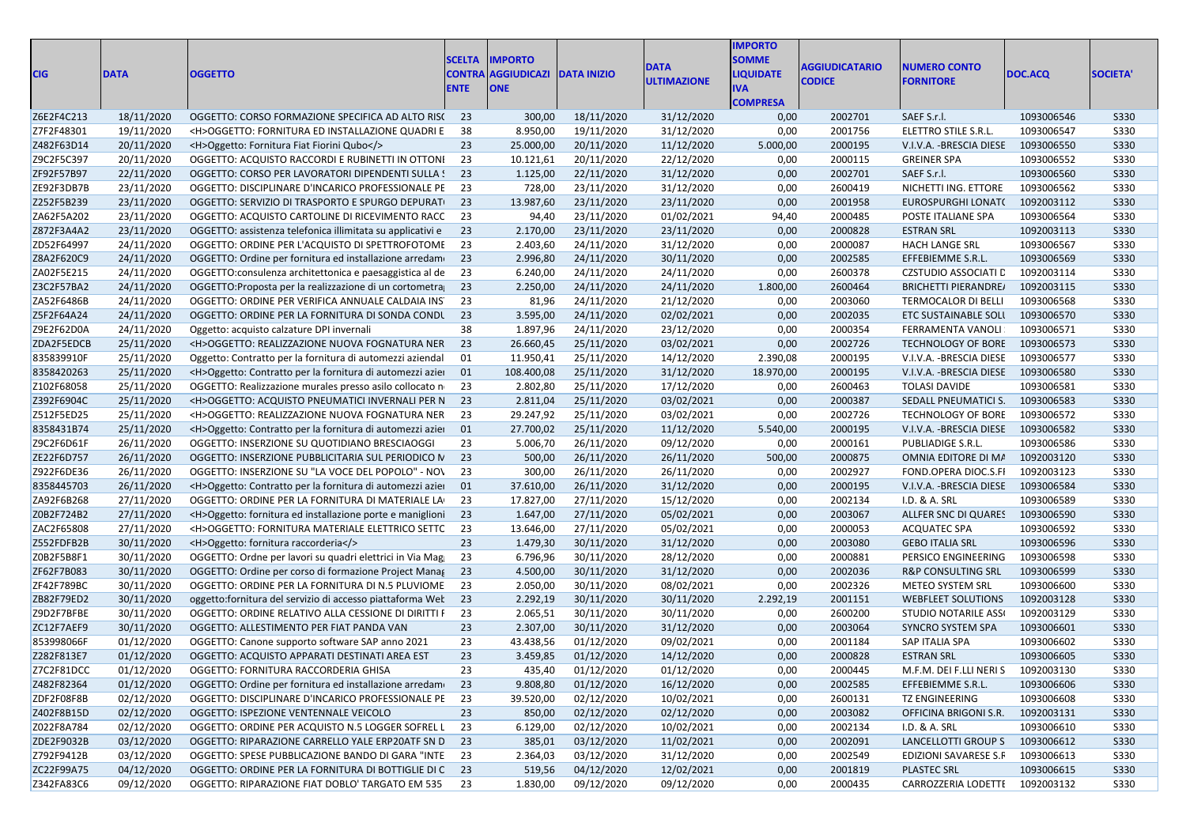| <b>CIG</b> | <b>DATA</b> | <b>OGGETTO</b>                                                | <b>SCELTA</b><br><b>CONTRA</b><br><b>ENTE</b> | <b>IMPORTO</b><br><b>AGGIUDICAZI</b><br><b>ONE</b> | <b>DATA INIZIO</b> | <b>DATA</b><br><b>ULTIMAZIONE</b> | <b>IMPORTO</b><br><b>SOMME</b><br><b>LIQUIDATE</b><br><b>IVA</b><br><b>COMPRESA</b> | <b>AGGIUDICATARIO</b><br><b>CODICE</b> | <b>NUMERO CONTO</b><br><b>FORNITORE</b> | DOC.ACQ    | <b>SOCIETA</b> |
|------------|-------------|---------------------------------------------------------------|-----------------------------------------------|----------------------------------------------------|--------------------|-----------------------------------|-------------------------------------------------------------------------------------|----------------------------------------|-----------------------------------------|------------|----------------|
| Z6E2F4C213 | 18/11/2020  | OGGETTO: CORSO FORMAZIONE SPECIFICA AD ALTO RISC              | - 23                                          | 300,00                                             | 18/11/2020         | 31/12/2020                        | 0,00                                                                                | 2002701                                | SAEF S.r.l.                             | 1093006546 | S330           |
| Z7F2F48301 | 19/11/2020  | <h>OGGETTO: FORNITURA ED INSTALLAZIONE QUADRI E</h>           | 38                                            | 8.950,00                                           | 19/11/2020         | 31/12/2020                        | 0,00                                                                                | 2001756                                | ELETTRO STILE S.R.L.                    | 1093006547 | <b>S330</b>    |
| Z482F63D14 | 20/11/2020  | <h>Oggetto: Fornitura Fiat Fiorini Qubo</h>                   | 23                                            | 25.000,00                                          | 20/11/2020         | 11/12/2020                        | 5.000,00                                                                            | 2000195                                | V.I.V.A. - BRESCIA DIESE                | 1093006550 | S330           |
| Z9C2F5C397 | 20/11/2020  | OGGETTO: ACQUISTO RACCORDI E RUBINETTI IN OTTONI              | 23                                            | 10.121,61                                          | 20/11/2020         | 22/12/2020                        | 0,00                                                                                | 2000115                                | <b>GREINER SPA</b>                      | 1093006552 | <b>S330</b>    |
| ZF92F57B97 | 22/11/2020  | OGGETTO: CORSO PER LAVORATORI DIPENDENTI SULLA !              | 23                                            | 1.125,00                                           | 22/11/2020         | 31/12/2020                        | 0,00                                                                                | 2002701                                | SAEF S.r.l.                             | 1093006560 | <b>S330</b>    |
| ZE92F3DB7B | 23/11/2020  | OGGETTO: DISCIPLINARE D'INCARICO PROFESSIONALE PE             | 23                                            | 728,00                                             | 23/11/2020         | 31/12/2020                        | 0,00                                                                                | 2600419                                | NICHETTI ING. ETTORE                    | 1093006562 | <b>S330</b>    |
| Z252F5B239 | 23/11/2020  | OGGETTO: SERVIZIO DI TRASPORTO E SPURGO DEPURATI              | 23                                            | 13.987,60                                          | 23/11/2020         | 23/11/2020                        | 0,00                                                                                | 2001958                                | EUROSPURGHI LONAT(                      | 1092003112 | S330           |
| ZA62F5A202 | 23/11/2020  | OGGETTO: ACQUISTO CARTOLINE DI RICEVIMENTO RACC               | 23                                            | 94,40                                              | 23/11/2020         | 01/02/2021                        | 94,40                                                                               | 2000485                                | POSTE ITALIANE SPA                      | 1093006564 | <b>S330</b>    |
| Z872F3A4A2 | 23/11/2020  | OGGETTO: assistenza telefonica illimitata su applicativi e    | 23                                            | 2.170,00                                           | 23/11/2020         | 23/11/2020                        | 0,00                                                                                | 2000828                                | <b>ESTRAN SRL</b>                       | 1092003113 | S330           |
| ZD52F64997 | 24/11/2020  | OGGETTO: ORDINE PER L'ACQUISTO DI SPETTROFOTOME               | 23                                            | 2.403,60                                           | 24/11/2020         | 31/12/2020                        | 0,00                                                                                | 2000087                                | HACH LANGE SRL                          | 1093006567 | <b>S330</b>    |
| Z8A2F620C9 | 24/11/2020  | OGGETTO: Ordine per fornitura ed installazione arredame       | 23                                            | 2.996,80                                           | 24/11/2020         | 30/11/2020                        | 0,00                                                                                | 2002585                                | EFFEBIEMME S.R.L.                       | 1093006569 | S330           |
| ZA02F5E215 | 24/11/2020  | OGGETTO: consulenza architettonica e paesaggistica al de      | 23                                            | 6.240,00                                           | 24/11/2020         | 24/11/2020                        | 0,00                                                                                | 2600378                                | <b>CZSTUDIO ASSOCIATI L</b>             | 1092003114 | <b>S330</b>    |
| Z3C2F57BA2 | 24/11/2020  | OGGETTO: Proposta per la realizzazione di un cortometra       | 23                                            | 2.250,00                                           | 24/11/2020         | 24/11/2020                        | 1.800,00                                                                            | 2600464                                | <b>BRICHETTI PIERANDRE/</b>             | 1092003115 | S330           |
| ZA52F6486B | 24/11/2020  | OGGETTO: ORDINE PER VERIFICA ANNUALE CALDAIA INST             | 23                                            | 81,96                                              | 24/11/2020         | 21/12/2020                        | 0,00                                                                                | 2003060                                | TERMOCALOR DI BELLI                     | 1093006568 | <b>S330</b>    |
| Z5F2F64A24 | 24/11/2020  | OGGETTO: ORDINE PER LA FORNITURA DI SONDA CONDU               | 23                                            | 3.595,00                                           | 24/11/2020         | 02/02/2021                        | 0,00                                                                                | 2002035                                | ETC SUSTAINABLE SOLI                    | 1093006570 | <b>S330</b>    |
| Z9E2F62D0A | 24/11/2020  | Oggetto: acquisto calzature DPI invernali                     | 38                                            | 1.897,96                                           | 24/11/2020         | 23/12/2020                        | 0,00                                                                                | 2000354                                | FERRAMENTA VANOLI                       | 1093006571 | <b>S330</b>    |
| ZDA2F5EDCB | 25/11/2020  | <h>OGGETTO: REALIZZAZIONE NUOVA FOGNATURA NER</h>             | 23                                            | 26.660,45                                          | 25/11/2020         | 03/02/2021                        | 0,00                                                                                | 2002726                                | <b>TECHNOLOGY OF BORE</b>               | 1093006573 | S330           |
| 835839910F | 25/11/2020  | Oggetto: Contratto per la fornitura di automezzi aziendal     | 01                                            | 11.950,41                                          | 25/11/2020         | 14/12/2020                        | 2.390,08                                                                            | 2000195                                | V.I.V.A. - BRESCIA DIESE                | 1093006577 | S330           |
| 8358420263 | 25/11/2020  | <h>Oggetto: Contratto per la fornitura di automezzi azier</h> | 01                                            | 108.400,08                                         | 25/11/2020         | 31/12/2020                        | 18.970,00                                                                           | 2000195                                | V.I.V.A. - BRESCIA DIESE                | 1093006580 | S330           |
| Z102F68058 | 25/11/2020  | OGGETTO: Realizzazione murales presso asilo collocato n       | 23                                            | 2.802,80                                           | 25/11/2020         | 17/12/2020                        | 0,00                                                                                | 2600463                                | <b>TOLASI DAVIDE</b>                    | 1093006581 | <b>S330</b>    |
| Z392F6904C | 25/11/2020  | <h>OGGETTO: ACQUISTO PNEUMATICI INVERNALI PER N</h>           | 23                                            | 2.811,04                                           | 25/11/2020         | 03/02/2021                        | 0,00                                                                                | 2000387                                | SEDALL PNEUMATICI S.                    | 1093006583 | <b>S330</b>    |
| Z512F5ED25 | 25/11/2020  | <h>OGGETTO: REALIZZAZIONE NUOVA FOGNATURA NER</h>             | 23                                            | 29.247,92                                          | 25/11/2020         | 03/02/2021                        | 0,00                                                                                | 2002726                                | TECHNOLOGY OF BORE                      | 1093006572 | <b>S330</b>    |
| 8358431B74 | 25/11/2020  | <h>Oggetto: Contratto per la fornitura di automezzi azier</h> | 01                                            | 27.700,02                                          | 25/11/2020         | 11/12/2020                        | 5.540,00                                                                            | 2000195                                | V.I.V.A. -BRESCIA DIESE                 | 1093006582 | S330           |
| Z9C2F6D61F | 26/11/2020  | OGGETTO: INSERZIONE SU QUOTIDIANO BRESCIAOGGI                 | 23                                            | 5.006,70                                           | 26/11/2020         | 09/12/2020                        | 0,00                                                                                | 2000161                                | PUBLIADIGE S.R.L.                       | 1093006586 | S330           |
| ZE22F6D757 | 26/11/2020  | OGGETTO: INSERZIONE PUBBLICITARIA SUL PERIODICO N             | 23                                            | 500,00                                             | 26/11/2020         | 26/11/2020                        | 500,00                                                                              | 2000875                                | OMNIA EDITORE DI MA                     | 1092003120 | S330           |
| Z922F6DE36 | 26/11/2020  | OGGETTO: INSERZIONE SU "LA VOCE DEL POPOLO" - NOV             | 23                                            | 300,00                                             | 26/11/2020         | 26/11/2020                        | 0,00                                                                                | 2002927                                | FOND.OPERA DIOC.S.FI                    | 1092003123 | <b>S330</b>    |
| 8358445703 | 26/11/2020  | <h>Oggetto: Contratto per la fornitura di automezzi azier</h> | 01                                            | 37.610,00                                          | 26/11/2020         | 31/12/2020                        | 0,00                                                                                | 2000195                                | V.I.V.A. - BRESCIA DIESE                | 1093006584 | <b>S330</b>    |
| ZA92F6B268 | 27/11/2020  | OGGETTO: ORDINE PER LA FORNITURA DI MATERIALE LA              | 23                                            | 17.827,00                                          | 27/11/2020         | 15/12/2020                        | 0,00                                                                                | 2002134                                | I.D. & A. SRL                           | 1093006589 | <b>S330</b>    |
| Z0B2F724B2 | 27/11/2020  | <h>Oggetto: fornitura ed installazione porte e maniglioni</h> | 23                                            | 1.647,00                                           | 27/11/2020         | 05/02/2021                        | 0,00                                                                                | 2003067                                | ALLFER SNC DI QUARES                    | 1093006590 | S330           |
| ZAC2F65808 | 27/11/2020  | <h>OGGETTO: FORNITURA MATERIALE ELETTRICO SETTC</h>           | 23                                            | 13.646,00                                          | 27/11/2020         | 05/02/2021                        | 0,00                                                                                | 2000053                                | <b>ACQUATEC SPA</b>                     | 1093006592 | <b>S330</b>    |
| Z552FDFB2B | 30/11/2020  | <h>Oggetto: fornitura raccorderia</h>                         | 23                                            | 1.479,30                                           | 30/11/2020         | 31/12/2020                        | 0,00                                                                                | 2003080                                | <b>GEBO ITALIA SRL</b>                  | 1093006596 | S330           |
| Z0B2F5B8F1 | 30/11/2020  | OGGETTO: Ordne per lavori su quadri elettrici in Via Mag      | 23                                            | 6.796,96                                           | 30/11/2020         | 28/12/2020                        | 0,00                                                                                | 2000881                                | PERSICO ENGINEERING                     | 1093006598 | <b>S330</b>    |
| ZF62F7B083 | 30/11/2020  | OGGETTO: Ordine per corso di formazione Project Manag         | 23                                            | 4.500,00                                           | 30/11/2020         | 31/12/2020                        | 0,00                                                                                | 2002036                                | <b>R&amp;P CONSULTING SRL</b>           | 1093006599 | S330           |
| ZF42F789BC | 30/11/2020  | OGGETTO: ORDINE PER LA FORNITURA DI N.5 PLUVIOME              | 23                                            | 2.050,00                                           | 30/11/2020         | 08/02/2021                        | 0,00                                                                                | 2002326                                | METEO SYSTEM SRL                        | 1093006600 | <b>S330</b>    |
| ZB82F79ED2 | 30/11/2020  | oggetto:fornitura del servizio di accesso piattaforma Wel     | 23                                            | 2.292,19                                           | 30/11/2020         | 30/11/2020                        | 2.292,19                                                                            | 2001151                                | <b>WEBFLEET SOLUTIONS</b>               | 1092003128 | S330           |
| Z9D2F7BFBE | 30/11/2020  | OGGETTO: ORDINE RELATIVO ALLA CESSIONE DI DIRITTI F           | 23                                            | 2.065,51                                           | 30/11/2020         | 30/11/2020                        | 0,00                                                                                | 2600200                                | <b>STUDIO NOTARILE ASSI</b>             | 1092003129 | <b>S330</b>    |
| ZC12F7AEF9 | 30/11/2020  | OGGETTO: ALLESTIMENTO PER FIAT PANDA VAN                      | 23                                            | 2.307,00                                           | 30/11/2020         | 31/12/2020                        | 0,00                                                                                | 2003064                                | SYNCRO SYSTEM SPA                       | 1093006601 | <b>S330</b>    |
| 853998066F | 01/12/2020  | OGGETTO: Canone supporto software SAP anno 2021               | 23                                            | 43.438,56                                          | 01/12/2020         | 09/02/2021                        | 0,00                                                                                | 2001184                                | SAP ITALIA SPA                          | 1093006602 | <b>S330</b>    |
| Z282F813E7 | 01/12/2020  | OGGETTO: ACQUISTO APPARATI DESTINATI AREA EST                 | 23                                            | 3.459,85                                           | 01/12/2020         | 14/12/2020                        | 0,00                                                                                | 2000828                                | <b>ESTRAN SRL</b>                       | 1093006605 | S330           |
| Z7C2F81DCC | 01/12/2020  | OGGETTO: FORNITURA RACCORDERIA GHISA                          | 23                                            | 435,40                                             | 01/12/2020         | 01/12/2020                        | 0,00                                                                                | 2000445                                | M.F.M. DEI F.LLI NERIS 1092003130       |            | <b>S330</b>    |
| Z482F82364 | 01/12/2020  | OGGETTO: Ordine per fornitura ed installazione arredam 23     |                                               | 9.808,80                                           | 01/12/2020         | 16/12/2020                        | 0,00                                                                                | 2002585                                | EFFEBIEMME S.R.L.                       | 1093006606 | S330           |
| ZDF2F08F8B | 02/12/2020  | OGGETTO: DISCIPLINARE D'INCARICO PROFESSIONALE PE             | 23                                            | 39.520,00                                          | 02/12/2020         | 10/02/2021                        | 0,00                                                                                | 2600131                                | TZ ENGINEERING                          | 1093006608 | <b>S330</b>    |
| Z402F8B15D | 02/12/2020  | OGGETTO: ISPEZIONE VENTENNALE VEICOLO                         | 23                                            | 850,00                                             | 02/12/2020         | 02/12/2020                        | 0,00                                                                                | 2003082                                | OFFICINA BRIGONI S.R.                   | 1092003131 | S330           |
| Z022F8A784 | 02/12/2020  | OGGETTO: ORDINE PER ACQUISTO N.5 LOGGER SOFREL L 23           |                                               | 6.129,00                                           | 02/12/2020         | 10/02/2021                        | 0,00                                                                                | 2002134                                | I.D. & A. SRL                           | 1093006610 | <b>S330</b>    |
| ZDE2F9032B | 03/12/2020  | OGGETTO: RIPARAZIONE CARRELLO YALE ERP20ATF SN D 23           |                                               | 385,01                                             | 03/12/2020         | 11/02/2021                        | 0,00                                                                                | 2002091                                | LANCELLOTTI GROUP S  1093006612         |            | S330           |
| Z792F9412B | 03/12/2020  | OGGETTO: SPESE PUBBLICAZIONE BANDO DI GARA "INTE              | 23                                            | 2.364,03                                           | 03/12/2020         | 31/12/2020                        | 0,00                                                                                | 2002549                                | EDIZIONI SAVARESE S.F                   | 1093006613 | <b>S330</b>    |
| ZC22F99A75 | 04/12/2020  | OGGETTO: ORDINE PER LA FORNITURA DI BOTTIGLIE DI C 23         |                                               | 519,56                                             | 04/12/2020         | 12/02/2021                        | 0,00                                                                                | 2001819                                | <b>PLASTEC SRL</b>                      | 1093006615 | S330           |
| Z342FA83C6 | 09/12/2020  | OGGETTO: RIPARAZIONE FIAT DOBLO' TARGATO EM 535               | 23                                            | 1.830,00                                           | 09/12/2020         | 09/12/2020                        | 0,00                                                                                | 2000435                                | CARROZZERIA LODETTI                     | 1092003132 | <b>S330</b>    |
|            |             |                                                               |                                               |                                                    |                    |                                   |                                                                                     |                                        |                                         |            |                |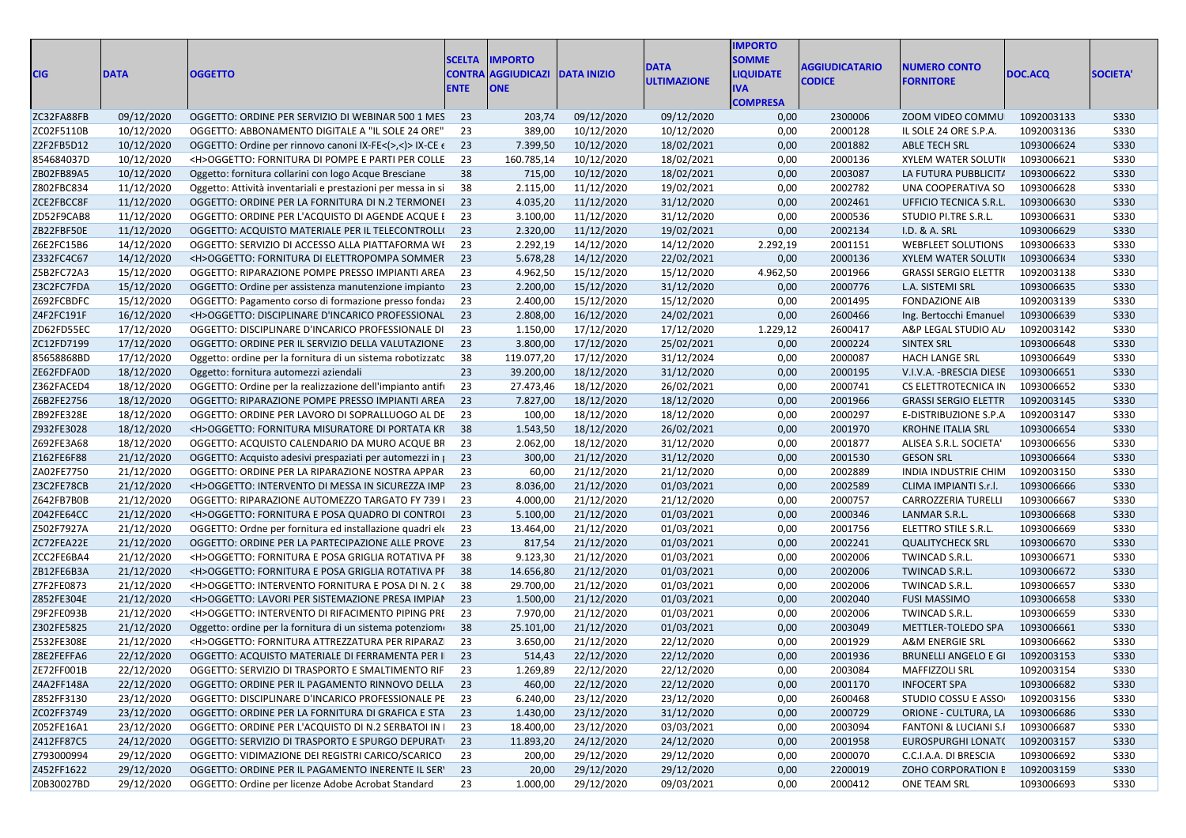|            |             |                                                                                                                |               |                           |                    |                    | <b>IMPORTO</b>   |                       |                                  |            |                 |
|------------|-------------|----------------------------------------------------------------------------------------------------------------|---------------|---------------------------|--------------------|--------------------|------------------|-----------------------|----------------------------------|------------|-----------------|
|            |             |                                                                                                                | <b>SCELTA</b> | <b>IMPORTO</b>            |                    | <b>DATA</b>        | <b>SOMME</b>     | <b>AGGIUDICATARIO</b> | <b>NUMERO CONTO</b>              |            |                 |
| <b>CIG</b> | <b>DATA</b> | <b>OGGETTO</b>                                                                                                 |               | <b>CONTRA AGGIUDICAZI</b> | <b>DATA INIZIO</b> | <b>ULTIMAZIONE</b> | <b>LIQUIDATE</b> | <b>CODICE</b>         | <b>FORNITORE</b>                 | DOC.ACQ    | <b>SOCIETA'</b> |
|            |             |                                                                                                                | <b>ENTE</b>   | <b>ONE</b>                |                    |                    | <b>IVA</b>       |                       |                                  |            |                 |
| ZC32FA88FB | 09/12/2020  |                                                                                                                | - 23          | 203,74                    | 09/12/2020         | 09/12/2020         | <b>COMPRESA</b>  | 2300006               | ZOOM VIDEO COMMU                 | 1092003133 | S330            |
| ZC02F5110B | 10/12/2020  | OGGETTO: ORDINE PER SERVIZIO DI WEBINAR 500 1 MES<br>OGGETTO: ABBONAMENTO DIGITALE A "IL SOLE 24 ORE"          | 23            | 389,00                    | 10/12/2020         | 10/12/2020         | 0,00<br>0,00     | 2000128               | IL SOLE 24 ORE S.P.A.            | 1092003136 | S330            |
| Z2F2FB5D12 | 10/12/2020  | OGGETTO: Ordine per rinnovo canoni IX-FE $\lt$ (>, $\lt$ )> IX-CE $\lt$ 23                                     |               | 7.399,50                  | 10/12/2020         | 18/02/2021         | 0,00             | 2001882               | ABLE TECH SRL                    | 1093006624 | S330            |
| 854684037D | 10/12/2020  | <h>OGGETTO: FORNITURA DI POMPE E PARTI PER COLLE</h>                                                           | 23            | 160.785,14                | 10/12/2020         | 18/02/2021         | 0,00             | 2000136               | <b>XYLEM WATER SOLUTI</b>        | 1093006621 | S330            |
| ZB02FB89A5 | 10/12/2020  | Oggetto: fornitura collarini con logo Acque Bresciane                                                          | 38            | 715,00                    | 10/12/2020         | 18/02/2021         | 0,00             | 2003087               | LA FUTURA PUBBLICIT/             | 1093006622 | S330            |
| Z802FBC834 | 11/12/2020  | Oggetto: Attività inventariali e prestazioni per messa in si                                                   | 38            | 2.115,00                  | 11/12/2020         | 19/02/2021         | 0,00             | 2002782               | UNA COOPERATIVA SO               | 1093006628 | S330            |
| ZCE2FBCC8F | 11/12/2020  | OGGETTO: ORDINE PER LA FORNITURA DI N.2 TERMONEI                                                               | 23            | 4.035,20                  | 11/12/2020         | 31/12/2020         | 0,00             | 2002461               | UFFICIO TECNICA S.R.L.           | 1093006630 | S330            |
| ZD52F9CAB8 | 11/12/2020  | OGGETTO: ORDINE PER L'ACQUISTO DI AGENDE ACQUE E                                                               | -23           | 3.100,00                  | 11/12/2020         | 31/12/2020         | 0,00             | 2000536               | STUDIO PI.TRE S.R.L.             | 1093006631 | S330            |
| ZB22FBF50E | 11/12/2020  | OGGETTO: ACQUISTO MATERIALE PER IL TELECONTROLLI                                                               | - 23          | 2.320,00                  | 11/12/2020         | 19/02/2021         | 0,00             | 2002134               | I.D. & A. SRL                    | 1093006629 | S330            |
| Z6E2FC15B6 | 14/12/2020  | OGGETTO: SERVIZIO DI ACCESSO ALLA PIATTAFORMA WI                                                               | -23           | 2.292,19                  | 14/12/2020         | 14/12/2020         | 2.292,19         | 2001151               | <b>WEBFLEET SOLUTIONS</b>        | 1093006633 | S330            |
| Z332FC4C67 | 14/12/2020  | <h>OGGETTO: FORNITURA DI ELETTROPOMPA SOMMER</h>                                                               | -23           | 5.678,28                  | 14/12/2020         | 22/02/2021         | 0,00             | 2000136               | <b>XYLEM WATER SOLUTI</b>        | 1093006634 | S330            |
| Z5B2FC72A3 | 15/12/2020  | OGGETTO: RIPARAZIONE POMPE PRESSO IMPIANTI AREA                                                                | 23            | 4.962,50                  | 15/12/2020         | 15/12/2020         | 4.962,50         | 2001966               | <b>GRASSI SERGIO ELETTR</b>      | 1092003138 | S330            |
| Z3C2FC7FDA | 15/12/2020  | OGGETTO: Ordine per assistenza manutenzione impianto 23                                                        |               | 2.200,00                  | 15/12/2020         | 31/12/2020         | 0,00             | 2000776               | L.A. SISTEMI SRL                 | 1093006635 | S330            |
| Z692FCBDFC | 15/12/2020  | OGGETTO: Pagamento corso di formazione presso fondazione anche all'anno all'anno all'anno presso fondazione di | 23            | 2.400,00                  | 15/12/2020         | 15/12/2020         | 0,00             | 2001495               | <b>FONDAZIONE AIB</b>            | 1092003139 | S330            |
| Z4F2FC191F | 16/12/2020  | <h>OGGETTO: DISCIPLINARE D'INCARICO PROFESSIONAL</h>                                                           | 23            | 2.808,00                  | 16/12/2020         | 24/02/2021         | 0,00             | 2600466               | Ing. Bertocchi Emanuel           | 1093006639 | S330            |
| ZD62FD55EC | 17/12/2020  | OGGETTO: DISCIPLINARE D'INCARICO PROFESSIONALE DI                                                              | 23            | 1.150,00                  | 17/12/2020         | 17/12/2020         | 1.229,12         | 2600417               | A&P LEGAL STUDIO AL              | 1092003142 | S330            |
| ZC12FD7199 | 17/12/2020  | OGGETTO: ORDINE PER IL SERVIZIO DELLA VALUTAZIONE                                                              | 23            | 3.800,00                  | 17/12/2020         | 25/02/2021         | 0,00             | 2000224               | SINTEX SRL                       | 1093006648 | S330            |
| 85658868BD | 17/12/2020  | Oggetto: ordine per la fornitura di un sistema robotizzato                                                     | 38            | 119.077,20                | 17/12/2020         | 31/12/2024         | 0,00             | 2000087               | <b>HACH LANGE SRL</b>            | 1093006649 | S330            |
| ZE62FDFA0D | 18/12/2020  | Oggetto: fornitura automezzi aziendali                                                                         | 23            | 39.200,00                 | 18/12/2020         | 31/12/2020         | 0,00             | 2000195               | V.I.V.A. -BRESCIA DIESE          | 1093006651 | S330            |
| Z362FACED4 | 18/12/2020  | OGGETTO: Ordine per la realizzazione dell'impianto antifi                                                      | 23            | 27.473,46                 | 18/12/2020         | 26/02/2021         | 0,00             | 2000741               | CS ELETTROTECNICA IN             | 1093006652 | S330            |
| Z6B2FE2756 | 18/12/2020  | OGGETTO: RIPARAZIONE POMPE PRESSO IMPIANTI AREA                                                                | 23            | 7.827,00                  | 18/12/2020         | 18/12/2020         | 0,00             | 2001966               | <b>GRASSI SERGIO ELETTR</b>      | 1092003145 | S330            |
| ZB92FE328E | 18/12/2020  | OGGETTO: ORDINE PER LAVORO DI SOPRALLUOGO AL DE                                                                | 23            | 100,00                    | 18/12/2020         | 18/12/2020         | 0,00             | 2000297               | E-DISTRIBUZIONE S.P.A            | 1092003147 | S330            |
| Z932FE3028 | 18/12/2020  | <h>OGGETTO: FORNITURA MISURATORE DI PORTATA KR 38</h>                                                          |               | 1.543,50                  | 18/12/2020         | 26/02/2021         | 0,00             | 2001970               | <b>KROHNE ITALIA SRL</b>         | 1093006654 | <b>S330</b>     |
| Z692FE3A68 | 18/12/2020  | OGGETTO: ACQUISTO CALENDARIO DA MURO ACQUE BR                                                                  | 23            | 2.062,00                  | 18/12/2020         | 31/12/2020         | 0,00             | 2001877               | ALISEA S.R.L. SOCIETA            | 1093006656 | S330            |
| Z162FE6F88 | 21/12/2020  | OGGETTO: Acquisto adesivi prespaziati per automezzi in p                                                       | 23            | 300,00                    | 21/12/2020         | 31/12/2020         | 0,00             | 2001530               | <b>GESON SRL</b>                 | 1093006664 | S330            |
| ZA02FE7750 | 21/12/2020  | OGGETTO: ORDINE PER LA RIPARAZIONE NOSTRA APPAR                                                                | 23            | 60,00                     | 21/12/2020         | 21/12/2020         | 0,00             | 2002889               | INDIA INDUSTRIE CHIM             | 1092003150 | S330            |
| Z3C2FE78CB | 21/12/2020  | <h>OGGETTO: INTERVENTO DI MESSA IN SICUREZZA IMP</h>                                                           | 23            | 8.036,00                  | 21/12/2020         | 01/03/2021         | 0,00             | 2002589               | CLIMA IMPIANTI S.r.l.            | 1093006666 | S330            |
| Z642FB7B0B | 21/12/2020  | OGGETTO: RIPARAZIONE AUTOMEZZO TARGATO FY 739 I                                                                | 23            | 4.000,00                  | 21/12/2020         | 21/12/2020         | 0,00             | 2000757               | CARROZZERIA TURELLI              | 1093006667 | S330            |
| Z042FE64CC | 21/12/2020  | <h>OGGETTO: FORNITURA E POSA QUADRO DI CONTROI</h>                                                             | 23            | 5.100,00                  | 21/12/2020         | 01/03/2021         | 0,00             | 2000346               | LANMAR S.R.L.                    | 1093006668 | S330            |
| Z502F7927A | 21/12/2020  | OGGETTO: Ordne per fornitura ed installazione quadri ele                                                       | -23           | 13.464,00                 | 21/12/2020         | 01/03/2021         | 0,00             | 2001756               | ELETTRO STILE S.R.L.             | 1093006669 | <b>S330</b>     |
| ZC72FEA22E | 21/12/2020  | OGGETTO: ORDINE PER LA PARTECIPAZIONE ALLE PROVE 23                                                            |               | 817,54                    | 21/12/2020         | 01/03/2021         | 0,00             | 2002241               | <b>QUALITYCHECK SRL</b>          | 1093006670 | S330            |
| ZCC2FE6BA4 | 21/12/2020  | <h>OGGETTO: FORNITURA E POSA GRIGLIA ROTATIVA PF</h>                                                           | -38           | 9.123,30                  | 21/12/2020         | 01/03/2021         | 0,00             | 2002006               | TWINCAD S.R.L.                   | 1093006671 | S330            |
| ZB12FE6B3A | 21/12/2020  | <h>OGGETTO: FORNITURA E POSA GRIGLIA ROTATIVA PF 38</h>                                                        |               | 14.656,80                 | 21/12/2020         | 01/03/2021         | 0,00             | 2002006               | TWINCAD S.R.L.                   | 1093006672 | S330            |
| Z7F2FE0873 | 21/12/2020  | <h>OGGETTO: INTERVENTO FORNITURA E POSA DI N. 2 (</h>                                                          | 38            | 29.700,00                 | 21/12/2020         | 01/03/2021         | 0,00             | 2002006               | TWINCAD S.R.L.                   | 1093006657 | S330            |
| Z852FE304E | 21/12/2020  | <h>OGGETTO: LAVORI PER SISTEMAZIONE PRESA IMPIAN</h>                                                           | 23            | 1.500,00                  | 21/12/2020         | 01/03/2021         | 0,00             | 2002040               | <b>FUSI MASSIMO</b>              | 1093006658 | S330            |
| Z9F2FE093B | 21/12/2020  | <h>OGGETTO: INTERVENTO DI RIFACIMENTO PIPING PRI</h>                                                           | 23            | 7.970,00                  | 21/12/2020         | 01/03/2021         | 0,00             | 2002006               | TWINCAD S.R.L.                   | 1093006659 | S330            |
| Z302FE5825 | 21/12/2020  | Oggetto: ordine per la fornitura di un sistema potenziomo                                                      | 38            | 25.101,00                 | 21/12/2020         | 01/03/2021         | 0,00             | 2003049               | METTLER-TOLEDO SPA               | 1093006661 | <b>S330</b>     |
| Z532FE308E | 21/12/2020  | <h>OGGETTO: FORNITURA ATTREZZATURA PER RIPARAZ</h>                                                             | 23            | 3.650,00                  | 21/12/2020         | 22/12/2020         | 0,00             | 2001929               | <b>A&amp;M ENERGIE SRL</b>       | 1093006662 | <b>S330</b>     |
| Z8E2FEFFA6 | 22/12/2020  | OGGETTO: ACQUISTO MATERIALE DI FERRAMENTA PER I 23                                                             |               | 514,43                    | 22/12/2020         | 22/12/2020         | 0,00             | 2001936               | <b>BRUNELLI ANGELO E GI</b>      | 1092003153 | S330            |
| ZE72FF001B | 22/12/2020  | OGGETTO: SERVIZIO DI TRASPORTO E SMALTIMENTO RIF                                                               | 23            | 1.269,89                  | 22/12/2020         | 22/12/2020         | 0,00             | 2003084               | MAFFIZZOLI SRL                   | 1092003154 | <b>S330</b>     |
| Z4A2FF148A | 22/12/2020  | OGGETTO: ORDINE PER IL PAGAMENTO RINNOVO DELLA 23                                                              |               | 460,00                    | 22/12/2020         | 22/12/2020         | 0,00             | 2001170               | <b>INFOCERT SPA</b>              | 1093006682 | S330            |
| Z852FF3130 | 23/12/2020  | OGGETTO: DISCIPLINARE D'INCARICO PROFESSIONALE PE 23                                                           |               | 6.240,00                  | 23/12/2020         | 23/12/2020         | 0,00             | 2600468               | STUDIO COSSU E ASSO              | 1092003156 | S330            |
| ZC02FF3749 | 23/12/2020  | OGGETTO: ORDINE PER LA FORNITURA DI GRAFICA E STA 23                                                           |               | 1.430,00                  | 23/12/2020         | 31/12/2020         | 0,00             | 2000729               | ORIONE - CULTURA, LA 1093006686  |            | S330            |
| Z052FE16A1 | 23/12/2020  | OGGETTO: ORDINE PER L'ACQUISTO DI N.2 SERBATOI IN I                                                            | - 23          | 18.400,00                 | 23/12/2020         | 03/03/2021         | 0,00             | 2003094               | <b>FANTONI &amp; LUCIANI S.I</b> | 1093006687 | S330            |
| Z412FF87C5 | 24/12/2020  | OGGETTO: SERVIZIO DI TRASPORTO E SPURGO DEPURATI 23                                                            |               | 11.893,20                 | 24/12/2020         | 24/12/2020         | 0,00             | 2001958               | EUROSPURGHI LONAT( 1092003157    |            | S330            |
| Z793000994 | 29/12/2020  | OGGETTO: VIDIMAZIONE DEI REGISTRI CARICO/SCARICO                                                               | 23            | 200,00                    | 29/12/2020         | 29/12/2020         | 0,00             | 2000070               | C.C.I.A.A. DI BRESCIA            | 1093006692 | S330            |
| Z452FF1622 | 29/12/2020  | OGGETTO: ORDINE PER IL PAGAMENTO INERENTE IL SER'                                                              | 23            | 20,00                     | 29/12/2020         | 29/12/2020         | 0,00             | 2200019               | ZOHO CORPORATION E 1092003159    |            | S330            |
| Z0B30027BD | 29/12/2020  | OGGETTO: Ordine per licenze Adobe Acrobat Standard                                                             | 23            | 1.000,00                  | 29/12/2020         | 09/03/2021         | 0,00             | 2000412               | ONE TEAM SRL                     | 1093006693 | S330            |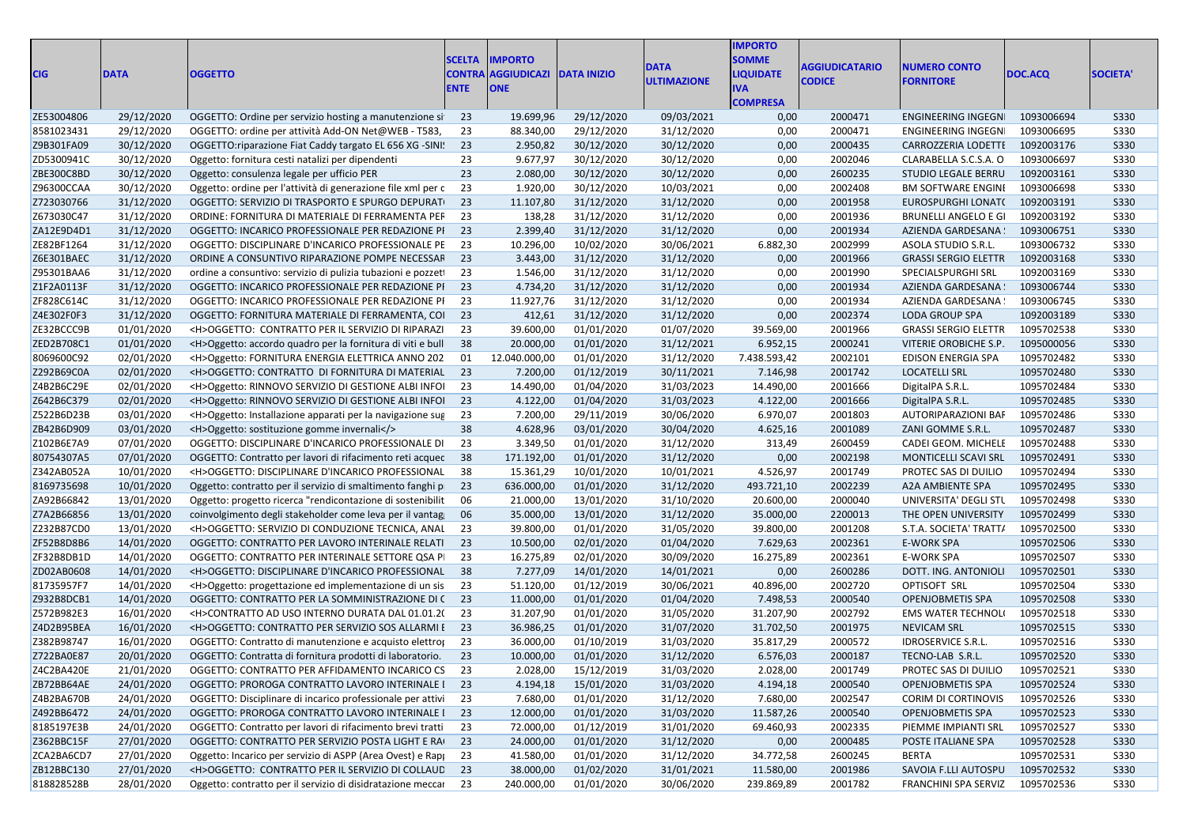| <b>CIG</b> | <b>DATA</b> | <b>OGGETTO</b>                                                            | <b>ENTE</b> | <b>SCELTA IMPORTO</b><br><b>CONTRA AGGIUDICAZI DATA INIZIO</b><br><b>ONE</b> |                       | DATA<br>ULTIMAZIONE | <b>MPORTO</b><br><b>SOMME</b><br><b>LIQUIDATE</b><br><b>COMPRESA</b> | <b>AGGIUDICATARIO</b><br><b>CODICE</b> | <b>NUMERO CONTO</b><br><b>FORNITORE</b> | DOC.ACQ    | <b>SOCIETA'</b> |
|------------|-------------|---------------------------------------------------------------------------|-------------|------------------------------------------------------------------------------|-----------------------|---------------------|----------------------------------------------------------------------|----------------------------------------|-----------------------------------------|------------|-----------------|
| ZE53004806 | 29/12/2020  | OGGETTO: Ordine per servizio hosting a manutenzione si 23                 |             | 19.699,96                                                                    | 29/12/2020            | 09/03/2021          | 0,00                                                                 | 2000471                                | ENGINEERING INGEGN                      | 1093006694 | S330            |
| 8581023431 | 29/12/2020  | OGGETTO: ordine per attività Add-ON Net@WEB - T583,                       | -23         | 88.340,00                                                                    | 29/12/2020            | 31/12/2020          | 0,00                                                                 | 2000471                                | ENGINEERING INGEGN                      | 1093006695 | <b>S330</b>     |
| Z9B301FA09 | 30/12/2020  | OGGETTO: riparazione Fiat Caddy targato EL 656 XG - SINI: 23              |             | 2.950,82                                                                     | 30/12/2020            | 30/12/2020          | 0,00                                                                 | 2000435                                | CARROZZERIA LODETTI 1092003176          |            | <b>S330</b>     |
| ZD5300941  | 30/12/2020  | Oggetto: fornitura cesti natalizi per dipendenti                          | 23          | 9.677,97                                                                     | 30/12/2020            | 30/12/2020          | 0,00                                                                 | 2002046                                | CLARABELLA S.C.S.A. O                   | 1093006697 | <b>S330</b>     |
| ZBE300C8BD | 30/12/2020  | Oggetto: consulenza legale per ufficio PER                                | 23          | 2.080,00                                                                     | 30/12/2020            | 30/12/2020          | 0,00                                                                 | 2600235                                | STUDIO LEGALE BERRU                     | 1092003161 | <b>S330</b>     |
| Z96300CCAA | 30/12/2020  | Oggetto: ordine per l'attività di generazione file xml per c 23           |             | 1.920,00                                                                     | 30/12/2020            | 10/03/2021          | 0,00                                                                 | 2002408                                | <b>BM SOFTWARE ENGINI</b>               | 1093006698 | <b>S330</b>     |
| Z723030766 | 31/12/2020  | OGGETTO: SERVIZIO DI TRASPORTO E SPURGO DEPURATI 23                       |             | 11.107,80                                                                    | 31/12/2020            | 31/12/2020          | 0,00                                                                 | 2001958                                | EUROSPURGHI LONAT( 1092003191           |            | <b>S330</b>     |
| Z673030C47 | 31/12/2020  | ORDINE: FORNITURA DI MATERIALE DI FERRAMENTA PEF 23                       |             | 138,28                                                                       | 31/12/2020            | 31/12/2020          | 0,00                                                                 | 2001936                                | BRUNELLI ANGELO E GI                    | 1092003192 | <b>S330</b>     |
| ZA12E9D4D1 | 31/12/2020  | OGGETTO: INCARICO PROFESSIONALE PER REDAZIONE PI 23                       |             | 2.399,40                                                                     | 31/12/2020            | 31/12/2020          | 0,00                                                                 | 2001934                                | AZIENDA GARDESANA                       | 1093006751 | S330            |
| ZE82BF1264 | 31/12/2020  | OGGETTO: DISCIPLINARE D'INCARICO PROFESSIONALE PE 23                      |             | 10.296,00                                                                    | 10/02/2020            | 30/06/2021          | 6.882,30                                                             | 2002999                                | ASOLA STUDIO S.R.L.                     | 1093006732 | S330            |
| Z6E301BAEC | 31/12/2020  | ORDINE A CONSUNTIVO RIPARAZIONE POMPE NECESSAF 23                         |             | 3.443,00                                                                     | 31/12/2020            | 31/12/2020          | 0,00                                                                 | 2001966                                | <b>GRASSI SERGIO ELETTR</b>             | 1092003168 | <b>S330</b>     |
| Z95301BAA6 | 31/12/2020  | ordine a consuntivo: servizio di pulizia tubazioni e pozzeti 23           |             | 1.546,00                                                                     | 31/12/2020            | 31/12/2020          | 0,00                                                                 | 2001990                                | SPECIALSPURGHI SRL                      | 1092003169 | <b>S330</b>     |
| Z1F2A0113F | 31/12/2020  | OGGETTO: INCARICO PROFESSIONALE PER REDAZIONE PI 23                       |             | 4.734,20                                                                     | 31/12/2020            | 31/12/2020          | 0,00                                                                 | 2001934                                | AZIENDA GARDESANA                       | 1093006744 | <b>S330</b>     |
| ZF828C614C | 31/12/2020  | OGGETTO: INCARICO PROFESSIONALE PER REDAZIONE PI 23                       |             | 11.927,76                                                                    | 31/12/2020            | 31/12/2020          | 0,00                                                                 | 2001934                                | AZIENDA GARDESANA                       | 1093006745 | <b>S330</b>     |
| Z4E302F0F3 | 31/12/2020  | OGGETTO: FORNITURA MATERIALE DI FERRAMENTA, COI 23                        |             | 412,61                                                                       | 31/12/2020            | 31/12/2020          | 0,00                                                                 | 2002374                                | <b>LODA GROUP SPA</b>                   | 1092003189 | <b>S330</b>     |
| ZE32BCCC9E | 01/01/2020  | <h>OGGETTO: CONTRATTO PER IL SERVIZIO DI RIPARAZI 23</h>                  |             | 39.600,00                                                                    | 01/01/2020            | 01/07/2020          | 39.569,00                                                            | 2001966                                | <b>GRASSI SERGIO ELETTR</b>             | 1095702538 | <b>S330</b>     |
| ZED2B708C1 | 01/01/2020  | <h>Oggetto: accordo quadro per la fornitura di viti e bull 38</h>         |             | 20.000,00                                                                    | 01/01/2020            | 31/12/2021          | 6.952,15                                                             | 2000241                                | VITERIE OROBICHE S.P.                   | 1095000056 | <b>S330</b>     |
| 8069600C92 | 02/01/2020  | <h>Oggetto: FORNITURA ENERGIA ELETTRICA ANNO 202</h>                      | - 01        | 12.040.000,00                                                                | 01/01/2020            | 31/12/2020          | 7.438.593,42                                                         | 2002101                                | <b>EDISON ENERGIA SPA</b>               | 1095702482 | <b>S330</b>     |
| Z292B69C0A | 02/01/2020  | <h>OGGETTO: CONTRATTO DI FORNITURA DI MATERIAL 23</h>                     |             | 7.200,00                                                                     | 01/12/2019            | 30/11/2021          | 7.146,98                                                             | 2001742                                | <b>LOCATELLI SRL</b>                    | 1095702480 | <b>S330</b>     |
| Z4B2B6C29E | 02/01/2020  | <h>Oggetto: RINNOVO SERVIZIO DI GESTIONE ALBI INFOI 23</h>                |             | 14.490,00                                                                    | 01/04/2020            | 31/03/2023          | 14.490,00                                                            | 2001666                                | DigitalPA S.R.L.                        | 1095702484 | <b>S330</b>     |
| Z642B6C379 | 02/01/2020  | <h>Oggetto: RINNOVO SERVIZIO DI GESTIONE ALBI INFOI 23</h>                |             | 4.122,00                                                                     | 01/04/2020            | 31/03/2023          | 4.122,00                                                             | 2001666                                | DigitalPA S.R.L.                        | 1095702485 | <b>S330</b>     |
| Z522B6D23E | 03/01/2020  | <h>Oggetto: Installazione apparati per la navigazione sug 23</h>          |             | 7.200,00                                                                     | 29/11/2019            | 30/06/2020          | 6.970,07                                                             | 2001803                                | AUTORIPARAZIONI BAF                     | 1095702486 | <b>S330</b>     |
| ZB42B6D909 | 03/01/2020  | <h>Oggetto: sostituzione gomme invernali</h>                              |             | 4.628,96                                                                     | 03/01/2020            | 30/04/2020          | 4.625,16                                                             | 2001089                                | ZANI GOMME S.R.L.                       | 1095702487 | <b>S330</b>     |
| Z102B6E7A9 | 07/01/2020  | OGGETTO: DISCIPLINARE D'INCARICO PROFESSIONALE DI 23                      |             | 3.349,50                                                                     | 01/01/2020            | 31/12/2020          | 313,49                                                               | 2600459                                | CADEI GEOM. MICHELE                     | 1095702488 | <b>S330</b>     |
| 80754307A5 | 07/01/2020  | OGGETTO: Contratto per lavori di rifacimento reti acquec 38               |             | 171.192,00                                                                   | 01/01/2020            | 31/12/2020          | 0,00                                                                 | 2002198                                | MONTICELLI SCAVI SRL                    | 1095702491 | S330            |
| Z342AB052A | 10/01/2020  | <h>OGGETTO: DISCIPLINARE D'INCARICO PROFESSIONAL 38</h>                   |             | 15.361,29                                                                    | 10/01/2020            | 10/01/2021          | 4.526,97                                                             | 2001749                                | PROTEC SAS DI DUILIO                    | 1095702494 | <b>S330</b>     |
| 8169735698 | 10/01/2020  | Oggetto: contratto per il servizio di smaltimento fanghi p 23             |             | 636.000,00                                                                   | 01/01/2020            | 31/12/2020          | 493.721,10                                                           | 2002239                                | A2A AMBIENTE SPA                        | 1095702495 | <b>S330</b>     |
| ZA92B66842 | 13/01/2020  |                                                                           |             | 21.000,00                                                                    | 13/01/2020            | 31/10/2020          | 20.600,00                                                            | 2000040                                | UNIVERSITA' DEGLI STL                   | 1095702498 | S330            |
| Z7A2B66856 | 13/01/2020  | Oggetto: progetto ricerca "rendicontazione di sostenibilit 06             |             | 35.000,00                                                                    | 13/01/2020            | 31/12/2020          | 35.000,00                                                            | 2200013                                | THE OPEN UNIVERSITY                     | 1095702499 | <b>S330</b>     |
|            |             | coinvolgimento degli stakeholder come leva per il vantag 06               |             |                                                                              |                       |                     |                                                                      |                                        |                                         |            | S330            |
| Z232B87CD0 | 13/01/2020  | <h>OGGETTO: SERVIZIO DI CONDUZIONE TECNICA, ANAL 23</h>                   |             | 39.800,00                                                                    | 01/01/2020            | 31/05/2020          | 39.800,00                                                            | 2001208                                | S.T.A. SOCIETA' TRATT/                  | 1095702500 |                 |
| ZF52B8D8B  | 14/01/2020  | OGGETTO: CONTRATTO PER LAVORO INTERINALE RELATI 23                        |             | 10.500,00                                                                    | 02/01/2020            | 01/04/2020          | 7.629,63                                                             | 2002361                                | <b>E-WORK SPA</b>                       | 1095702506 | <b>S330</b>     |
| ZF32B8DB1  | 14/01/2020  | OGGETTO: CONTRATTO PER INTERINALE SETTORE QSA PI 23                       |             | 16.275,89                                                                    | 02/01/2020            | 30/09/2020          | 16.275,89                                                            | 2002361                                | <b>E-WORK SPA</b>                       | 1095702507 | <b>S330</b>     |
| ZD02AB0608 | 14/01/2020  | <h>OGGETTO: DISCIPLINARE D'INCARICO PROFESSIONAL 38</h>                   |             | 7.277,09                                                                     | 14/01/2020            | 14/01/2021          | 0,00                                                                 | 2600286                                | DOTT. ING. ANTONIOLI                    | 1095702501 | S330            |
| 81735957F7 | 14/01/2020  | <h>Oggetto: progettazione ed implementazione di un sis 23</h>             |             | 51.120,00                                                                    | 01/12/2019            | 30/06/2021          | 40.896,00                                                            | 2002720                                | OPTISOFT SRL                            | 1095702504 | <b>S330</b>     |
| Z932B8DCB: | 14/01/2020  | OGGETTO: CONTRATTO PER LA SOMMINISTRAZIONE DI (23                         |             | 11.000,00                                                                    | 01/01/2020            | 01/04/2020          | 7.498,53                                                             | 2000540                                | OPENJOBMETIS SPA                        | 1095702508 | S330            |
| Z572B982E3 | 16/01/2020  | <h>CONTRATTO AD USO INTERNO DURATA DAL 01.01.2( 23</h>                    |             | 31.207,90                                                                    | 01/01/2020            | 31/05/2020          | 31.207,90                                                            | 2002792                                | <b>EMS WATER TECHNOLI</b>               | 1095702518 | <b>S330</b>     |
| Z4D2B95BEA | 16/01/2020  | <h>OGGETTO: CONTRATTO PER SERVIZIO SOS ALLARMI E 23</h>                   |             | 36.986,25                                                                    | 01/01/2020            | 31/07/2020          | 31.702,50                                                            | 2001975                                | <b>NEVICAM SRL</b>                      | 1095702515 | S330            |
| Z382B98747 | 16/01/2020  | OGGETTO: Contratto di manutenzione e acquisto elettro; 23                 |             | 36.000,00                                                                    | 01/10/2019            | 31/03/2020          | 35.817,29                                                            | 2000572                                | <b>IDROSERVICE S.R.L</b>                | 1095702516 | <b>S330</b>     |
| Z722BA0E87 | 20/01/2020  | OGGETTO: Contratta di fornitura prodotti di laboratorio. 23               |             | 10.000,00                                                                    | 01/01/2020            | 31/12/2020          | 6.576,03                                                             | 2000187                                | TECNO-LAB S.R.L.                        | 1095702520 | S330            |
| Z4C2BA420E | 21/01/2020  | OGGETTO: CONTRATTO PER AFFIDAMENTO INCARICO CS 23                         |             |                                                                              | 2.028,00 15/12/2019   | 31/03/2020          | 2.028,00                                                             | 2001749                                | PROTEC SAS DI DUILIO                    | 1095702521 | S330            |
| ZB72BB64AE | 24/01/2020  | OGGETTO: PROROGA CONTRATTO LAVORO INTERINALE I 23                         |             |                                                                              | 4.194,18 15/01/2020   | 31/03/2020          | 4.194,18                                                             | 2000540                                | OPENJOBMETIS SPA                        | 1095702524 | S330            |
| Z4B2BA670B | 24/01/2020  | OGGETTO: Disciplinare di incarico professionale per attivi 23             |             | 7.680,00                                                                     | 01/01/2020            | 31/12/2020          | 7.680,00                                                             | 2002547                                | <b>CORIM DI CORTINOVIS</b>              | 1095702526 | S330            |
| Z492BB6472 | 24/01/2020  | OGGETTO: PROROGA CONTRATTO LAVORO INTERINALE I 23                         |             | 12.000,00                                                                    | 01/01/2020            | 31/03/2020          | 11.587,26                                                            | 2000540                                | OPENJOBMETIS SPA                        | 1095702523 | S330            |
| 8185197E3B | 24/01/2020  | OGGETTO: Contratto per lavori di rifacimento brevi tratti 23              |             | 72.000,00                                                                    | 01/12/2019            | 31/01/2020          | 69.460,93                                                            | 2002335                                | PIEMME IMPIANTI SRL                     | 1095702527 | S330            |
| Z362BBC15F | 27/01/2020  | OGGETTO: CONTRATTO PER SERVIZIO POSTA LIGHT E RAI 23                      |             | 24.000,00                                                                    | 01/01/2020            | 31/12/2020          | 0,00                                                                 | 2000485                                | POSTE ITALIANE SPA                      | 1095702528 | S330            |
| ZCA2BA6CD7 | 27/01/2020  | Oggetto: Incarico per servizio di ASPP (Area Ovest) e Rap <sub>l</sub> 23 |             | 41.580,00                                                                    | 01/01/2020            | 31/12/2020          | 34.772,58                                                            | 2600245                                | BERTA                                   | 1095702531 | S330            |
| ZB12BBC130 | 27/01/2020  | <h>OGGETTO: CONTRATTO PER IL SERVIZIO DI COLLAUD 23</h>                   |             | 38.000,00                                                                    | 01/02/2020            | 31/01/2021          | 11.580,00                                                            | 2001986                                | SAVOIA F.LLI AUTOSPU 1095702532         |            | S330            |
| 818828528B | 28/01/2020  | Oggetto: contratto per il servizio di disidratazione meccai 23            |             |                                                                              | 240.000,00 01/01/2020 | 30/06/2020          | 239.869,89                                                           | 2001782                                | FRANCHINI SPA SERVIZ 1095702536         |            | S330            |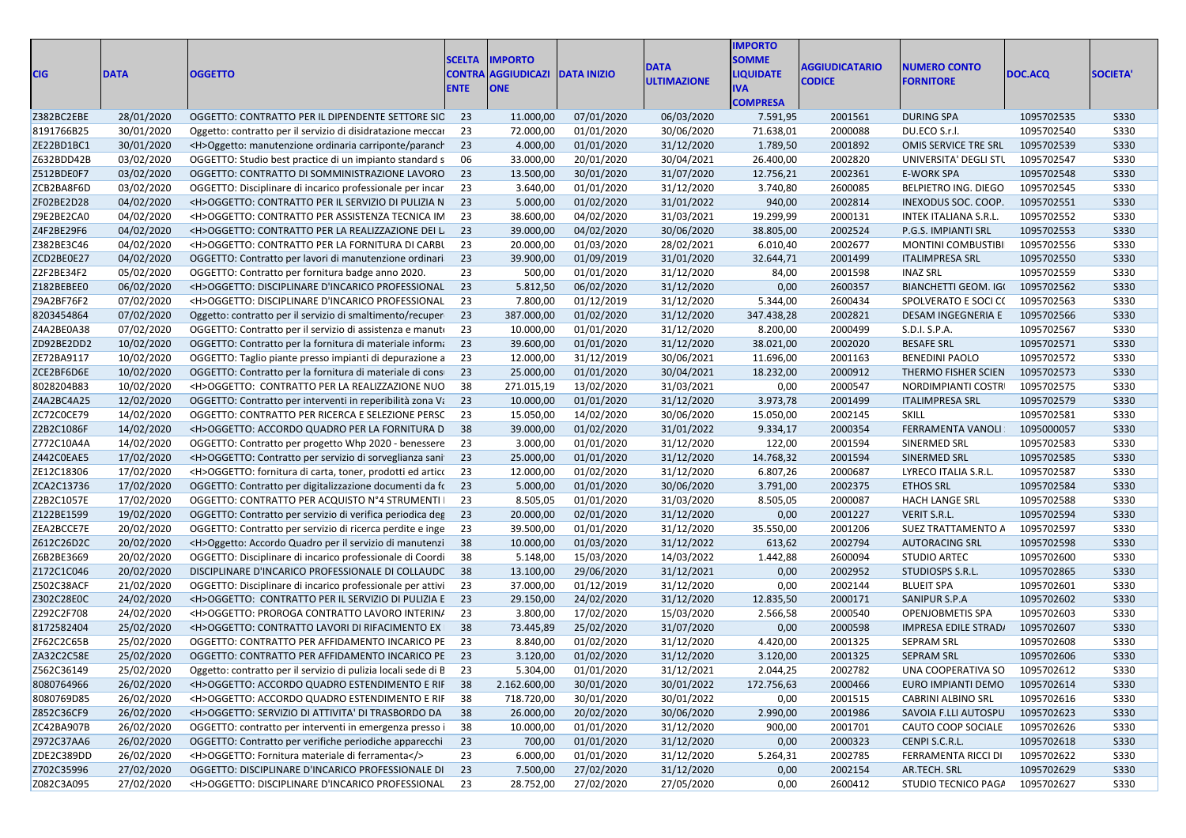| <b>CIG</b> | <b>DATA</b> | <b>OGGETTO</b>                                                    | <b>SCELTA</b><br><b>CONTRA</b><br><b>ENTE</b> | <b>IMPORTO</b><br><b>AGGIUDICAZI</b><br><b>ONE</b> | <b>DATA INIZIO</b> | <b>DATA</b><br><b>ULTIMAZIONE</b> | <b>IMPORTO</b><br><b>SOMME</b><br><b>LIQUIDATE</b><br><b>IVA</b><br><b>COMPRESA</b> | AGGIUDICATARIO<br><b>CODICE</b> | <b>NUMERO CONTO</b><br><b>FORNITORE</b> | DOC.ACQ    | <b>SOCIETA'</b> |
|------------|-------------|-------------------------------------------------------------------|-----------------------------------------------|----------------------------------------------------|--------------------|-----------------------------------|-------------------------------------------------------------------------------------|---------------------------------|-----------------------------------------|------------|-----------------|
| Z382BC2EBE | 28/01/2020  | OGGETTO: CONTRATTO PER IL DIPENDENTE SETTORE SIC 23               |                                               | 11.000,00                                          | 07/01/2020         | 06/03/2020                        | 7.591,95                                                                            | 2001561                         | <b>DURING SPA</b>                       | 1095702535 | S330            |
| 8191766B25 | 30/01/2020  | Oggetto: contratto per il servizio di disidratazione meccare      | 23                                            | 72.000,00                                          | 01/01/2020         | 30/06/2020                        | 71.638,01                                                                           | 2000088                         | DU.ECO S.r.l.                           | 1095702540 | S330            |
| ZE22BD1BC1 | 30/01/2020  | <h>Oggetto: manutenzione ordinaria carriponte/paranch</h>         | 23                                            | 4.000,00                                           | 01/01/2020         | 31/12/2020                        | 1.789,50                                                                            | 2001892                         | OMIS SERVICE TRE SRL                    | 1095702539 | S330            |
| Z632BDD42B | 03/02/2020  | OGGETTO: Studio best practice di un impianto standard s           | 06                                            | 33.000,00                                          | 20/01/2020         | 30/04/2021                        | 26.400,00                                                                           | 2002820                         | UNIVERSITA' DEGLI STL                   | 1095702547 | <b>S330</b>     |
| Z512BDE0F7 | 03/02/2020  | OGGETTO: CONTRATTO DI SOMMINISTRAZIONE LAVORO                     | 23                                            | 13.500,00                                          | 30/01/2020         | 31/07/2020                        | 12.756,21                                                                           | 2002361                         | E-WORK SPA                              | 1095702548 | S330            |
| ZCB2BA8F6D | 03/02/2020  | OGGETTO: Disciplinare di incarico professionale per incar         | 23                                            | 3.640,00                                           | 01/01/2020         | 31/12/2020                        | 3.740,80                                                                            | 2600085                         | BELPIETRO ING. DIEGO                    | 1095702545 | S330            |
| ZF02BE2D28 | 04/02/2020  | <h>OGGETTO: CONTRATTO PER IL SERVIZIO DI PULIZIA N 23</h>         |                                               | 5.000,00                                           | 01/02/2020         | 31/01/2022                        | 940,00                                                                              | 2002814                         | INEXODUS SOC. COOP.                     | 1095702551 | S330            |
| Z9E2BE2CA0 | 04/02/2020  | <h>OGGETTO: CONTRATTO PER ASSISTENZA TECNICA IM</h>               | -23                                           | 38.600,00                                          | 04/02/2020         | 31/03/2021                        | 19.299,99                                                                           | 2000131                         | <b>INTEK ITALIANA S.R.L.</b>            | 1095702552 | <b>S330</b>     |
| Z4F2BE29F6 | 04/02/2020  | <h>OGGETTO: CONTRATTO PER LA REALIZZAZIONE DEI L</h>              | 23                                            | 39.000,00                                          | 04/02/2020         | 30/06/2020                        | 38.805,00                                                                           | 2002524                         | P.G.S. IMPIANTI SRL                     | 1095702553 | S330            |
| Z382BE3C46 | 04/02/2020  | <h>OGGETTO: CONTRATTO PER LA FORNITURA DI CARBU</h>               | 23                                            | 20.000,00                                          | 01/03/2020         | 28/02/2021                        | 6.010,40                                                                            | 2002677                         | <b>MONTINI COMBUSTIBI</b>               | 1095702556 | <b>S330</b>     |
| ZCD2BE0E27 | 04/02/2020  |                                                                   | 23                                            | 39.900,00                                          | 01/09/2019         | 31/01/2020                        | 32.644,71                                                                           | 2001499                         | <b>ITALIMPRESA SRL</b>                  | 1095702550 | S330            |
| Z2F2BE34F2 | 05/02/2020  | OGGETTO: Contratto per lavori di manutenzione ordinari            | 23                                            |                                                    | 01/01/2020         | 31/12/2020                        |                                                                                     |                                 | <b>INAZ SRL</b>                         | 1095702559 | <b>S330</b>     |
|            |             | OGGETTO: Contratto per fornitura badge anno 2020.                 |                                               | 500,00                                             |                    |                                   | 84,00                                                                               | 2001598                         |                                         |            |                 |
| Z182BEBEE0 | 06/02/2020  | <h>OGGETTO: DISCIPLINARE D'INCARICO PROFESSIONAL</h>              | 23                                            | 5.812,50                                           | 06/02/2020         | 31/12/2020                        | 0,00                                                                                | 2600357                         | <b>BIANCHETTI GEOM. IGI</b>             | 1095702562 | S330            |
| Z9A2BF76F2 | 07/02/2020  | <h>OGGETTO: DISCIPLINARE D'INCARICO PROFESSIONAL</h>              | 23                                            | 7.800,00                                           | 01/12/2019         | 31/12/2020                        | 5.344,00                                                                            | 2600434                         | SPOLVERATO E SOCI CO                    | 1095702563 | <b>S330</b>     |
| 8203454864 | 07/02/2020  | Oggetto: contratto per il servizio di smaltimento/recuper         | 23                                            | 387.000,00                                         | 01/02/2020         | 31/12/2020                        | 347.438,28                                                                          | 2002821                         | DESAM INGEGNERIA E                      | 1095702566 | S330            |
| Z4A2BE0A38 | 07/02/2020  | OGGETTO: Contratto per il servizio di assistenza e manuto         | 23                                            | 10.000,00                                          | 01/01/2020         | 31/12/2020                        | 8.200,00                                                                            | 2000499                         | S.D.I. S.P.A.                           | 1095702567 | S330            |
| ZD92BE2DD2 | 10/02/2020  | OGGETTO: Contratto per la fornitura di materiale informa          | 23                                            | 39.600,00                                          | 01/01/2020         | 31/12/2020                        | 38.021,00                                                                           | 2002020                         | <b>BESAFE SRL</b>                       | 1095702571 | S330            |
| ZE72BA9117 | 10/02/2020  | OGGETTO: Taglio piante presso impianti di depurazione a           | - 23                                          | 12.000,00                                          | 31/12/2019         | 30/06/2021                        | 11.696,00                                                                           | 2001163                         | <b>BENEDINI PAOLO</b>                   | 1095702572 | <b>S330</b>     |
| ZCE2BF6D6E | 10/02/2020  | OGGETTO: Contratto per la fornitura di materiale di conserva-     | 23                                            | 25.000,00                                          | 01/01/2020         | 30/04/2021                        | 18.232,00                                                                           | 2000912                         | THERMO FISHER SCIEN                     | 1095702573 | <b>S330</b>     |
| 8028204B83 | 10/02/2020  | <h>OGGETTO: CONTRATTO PER LA REALIZZAZIONE NUO</h>                | 38                                            | 271.015,19                                         | 13/02/2020         | 31/03/2021                        | 0,00                                                                                | 2000547                         | NORDIMPIANTI COSTR                      | 1095702575 | S330            |
| Z4A2BC4A25 | 12/02/2020  | OGGETTO: Contratto per interventi in reperibilità zona Vi 23      |                                               | 10.000,00                                          | 01/01/2020         | 31/12/2020                        | 3.973,78                                                                            | 2001499                         | <b>ITALIMPRESA SRL</b>                  | 1095702579 | S330            |
| ZC72C0CE79 | 14/02/2020  | OGGETTO: CONTRATTO PER RICERCA E SELEZIONE PERSC                  | - 23                                          | 15.050,00                                          | 14/02/2020         | 30/06/2020                        | 15.050,00                                                                           | 2002145                         | <b>SKILL</b>                            | 1095702581 | S330            |
| Z2B2C1086F | 14/02/2020  | <h>OGGETTO: ACCORDO QUADRO PER LA FORNITURA D</h>                 | 38                                            | 39.000,00                                          | 01/02/2020         | 31/01/2022                        | 9.334,17                                                                            | 2000354                         | FERRAMENTA VANOLI                       | 1095000057 | S330            |
| Z772C10A4A | 14/02/2020  | OGGETTO: Contratto per progetto Whp 2020 - benessere              | 23                                            | 3.000,00                                           | 01/01/2020         | 31/12/2020                        | 122,00                                                                              | 2001594                         | SINERMED SRL                            | 1095702583 | S330            |
| Z442C0EAE5 | 17/02/2020  | <h>OGGETTO: Contratto per servizio di sorveglianza sani</h>       | 23                                            | 25.000,00                                          | 01/01/2020         | 31/12/2020                        | 14.768,32                                                                           | 2001594                         | SINERMED SRL                            | 1095702585 | S330            |
| ZE12C18306 | 17/02/2020  | <h>OGGETTO: fornitura di carta, toner, prodotti ed artico</h>     | - 23                                          | 12.000,00                                          | 01/02/2020         | 31/12/2020                        | 6.807,26                                                                            | 2000687                         | LYRECO ITALIA S.R.L.                    | 1095702587 | <b>S330</b>     |
| ZCA2C13736 | 17/02/2020  | OGGETTO: Contratto per digitalizzazione documenti da fr 23        |                                               | 5.000,00                                           | 01/01/2020         | 30/06/2020                        | 3.791,00                                                                            | 2002375                         | <b>ETHOS SRL</b>                        | 1095702584 | S330            |
| Z2B2C1057E | 17/02/2020  | OGGETTO: CONTRATTO PER ACQUISTO N°4 STRUMENTI                     | 23                                            | 8.505,05                                           | 01/01/2020         | 31/03/2020                        | 8.505,05                                                                            | 2000087                         | <b>HACH LANGE SRL</b>                   | 1095702588 | <b>S330</b>     |
| Z122BE1599 | 19/02/2020  | OGGETTO: Contratto per servizio di verifica periodica deg         | - 23                                          | 20.000,00                                          | 02/01/2020         | 31/12/2020                        | 0,00                                                                                | 2001227                         | <b>VERIT S.R.L.</b>                     | 1095702594 | S330            |
| ZEA2BCCE7E | 20/02/2020  | OGGETTO: Contratto per servizio di ricerca perdite e inge         | 23                                            | 39.500,00                                          | 01/01/2020         | 31/12/2020                        | 35.550,00                                                                           | 2001206                         | SUEZ TRATTAMENTO A                      | 1095702597 | <b>S330</b>     |
| Z612C26D2C | 20/02/2020  | <h>Oggetto: Accordo Quadro per il servizio di manutenzi</h>       | 38                                            | 10.000,00                                          | 01/03/2020         | 31/12/2022                        | 613,62                                                                              | 2002794                         | <b>AUTORACING SRL</b>                   | 1095702598 | S330            |
| Z6B2BE3669 | 20/02/2020  | OGGETTO: Disciplinare di incarico professionale di Coordi         | -38                                           | 5.148,00                                           | 15/03/2020         | 14/03/2022                        | 1.442,88                                                                            | 2600094                         | <b>STUDIO ARTEC</b>                     | 1095702600 | <b>S330</b>     |
| Z172C1C046 | 20/02/2020  | DISCIPLINARE D'INCARICO PROFESSIONALE DI COLLAUDC 38              |                                               | 13.100,00                                          | 29/06/2020         | 31/12/2021                        | 0,00                                                                                | 2002952                         | STUDIOSPS S.R.L.                        | 1095702865 | <b>S330</b>     |
| Z502C38ACF | 21/02/2020  | OGGETTO: Disciplinare di incarico professionale per attivi        | - 23                                          | 37.000,00                                          | 01/12/2019         | 31/12/2020                        | 0,00                                                                                | 2002144                         | <b>BLUEIT SPA</b>                       | 1095702601 | S330            |
| Z302C28E0C | 24/02/2020  | <h>OGGETTO: CONTRATTO PER IL SERVIZIO DI PULIZIA E 23</h>         |                                               | 29.150,00                                          | 24/02/2020         | 31/12/2020                        | 12.835,50                                                                           | 2000171                         | SANIPUR S.P.A                           | 1095702602 | S330            |
| Z292C2F708 | 24/02/2020  | <h>OGGETTO: PROROGA CONTRATTO LAVORO INTERIN/</h>                 | 23                                            | 3.800,00                                           | 17/02/2020         | 15/03/2020                        | 2.566,58                                                                            | 2000540                         | OPENJOBMETIS SPA                        | 1095702603 | <b>S330</b>     |
| 8172582404 | 25/02/2020  | <h>OGGETTO: CONTRATTO LAVORI DI RIFACIMENTO EX</h>                | 38                                            | 73.445,89                                          | 25/02/2020         | 31/07/2020                        | 0,00                                                                                | 2000598                         | IMPRESA EDILE STRAD/                    | 1095702607 | <b>S330</b>     |
| ZF62C2C65B | 25/02/2020  | OGGETTO: CONTRATTO PER AFFIDAMENTO INCARICO PE                    | -23                                           | 8.840,00                                           | 01/02/2020         | 31/12/2020                        | 4.420,00                                                                            | 2001325                         | <b>SEPRAM SRL</b>                       | 1095702608 | <b>S330</b>     |
| ZA32C2C58E | 25/02/2020  | OGGETTO: CONTRATTO PER AFFIDAMENTO INCARICO PE 23                 |                                               | 3.120,00                                           | 01/02/2020         | 31/12/2020                        | 3.120,00                                                                            | 2001325                         | <b>SEPRAM SRL</b>                       | 1095702606 | <b>S330</b>     |
| Z562C36149 | 25/02/2020  | Oggetto: contratto per il servizio di pulizia locali sede di B 23 |                                               | 5.304,00                                           | 01/01/2020         | 31/12/2021                        | 2.044,25                                                                            | 2002782                         | UNA COOPERATIVA SO 1095702612           |            | <b>S330</b>     |
| 8080764966 | 26/02/2020  | <h>OGGETTO: ACCORDO QUADRO ESTENDIMENTO E RIF 38</h>              |                                               | 2.162.600,00                                       | 30/01/2020         | 30/01/2022                        | 172.756,63                                                                          | 2000466                         | EURO IMPIANTI DEMO                      | 1095702614 | S330            |
| 8080769D85 | 26/02/2020  | <h>OGGETTO: ACCORDO QUADRO ESTENDIMENTO E RIF</h>                 | -38                                           | 718.720,00                                         | 30/01/2020         | 30/01/2022                        | 0,00                                                                                | 2001515                         | CABRINI ALBINO SRL                      | 1095702616 | S330            |
| Z852C36CF9 | 26/02/2020  | <h>OGGETTO: SERVIZIO DI ATTIVITA' DI TRASBORDO DA</h>             | 38                                            | 26.000,00                                          | 20/02/2020         | 30/06/2020                        | 2.990,00                                                                            | 2001986                         | SAVOIA F.LLI AUTOSPU                    | 1095702623 | S330            |
|            |             |                                                                   |                                               |                                                    |                    |                                   |                                                                                     |                                 |                                         |            |                 |
| ZC42BA907B | 26/02/2020  | OGGETTO: contratto per interventi in emergenza presso i           | - 38                                          | 10.000,00                                          | 01/01/2020         | 31/12/2020                        | 900,00                                                                              | 2001701                         | CAUTO COOP SOCIALE                      | 1095702626 | S330            |
| Z972C37AA6 | 26/02/2020  | OGGETTO: Contratto per verifiche periodiche apparecchi            | 23                                            | 700,00                                             | 01/01/2020         | 31/12/2020                        | 0,00                                                                                | 2000323                         | CENPI S.C.R.L.                          | 1095702618 | S330            |
| ZDE2C389DD | 26/02/2020  | <h>OGGETTO: Fornitura materiale di ferramenta</h>                 | 23                                            | 6.000,00                                           | 01/01/2020         | 31/12/2020                        | 5.264,31                                                                            | 2002785                         | FERRAMENTA RICCI DI                     | 1095702622 | S330            |
| Z702C35996 | 27/02/2020  | OGGETTO: DISCIPLINARE D'INCARICO PROFESSIONALE DI 23              |                                               | 7.500,00                                           | 27/02/2020         | 31/12/2020                        | 0,00                                                                                | 2002154                         | AR.TECH. SRL                            | 1095702629 | S330            |
| Z082C3A095 | 27/02/2020  | <h>OGGETTO: DISCIPLINARE D'INCARICO PROFESSIONAL 23</h>           |                                               | 28.752,00                                          | 27/02/2020         | 27/05/2020                        | 0,00                                                                                | 2600412                         | STUDIO TECNICO PAGA                     | 1095702627 | <b>S330</b>     |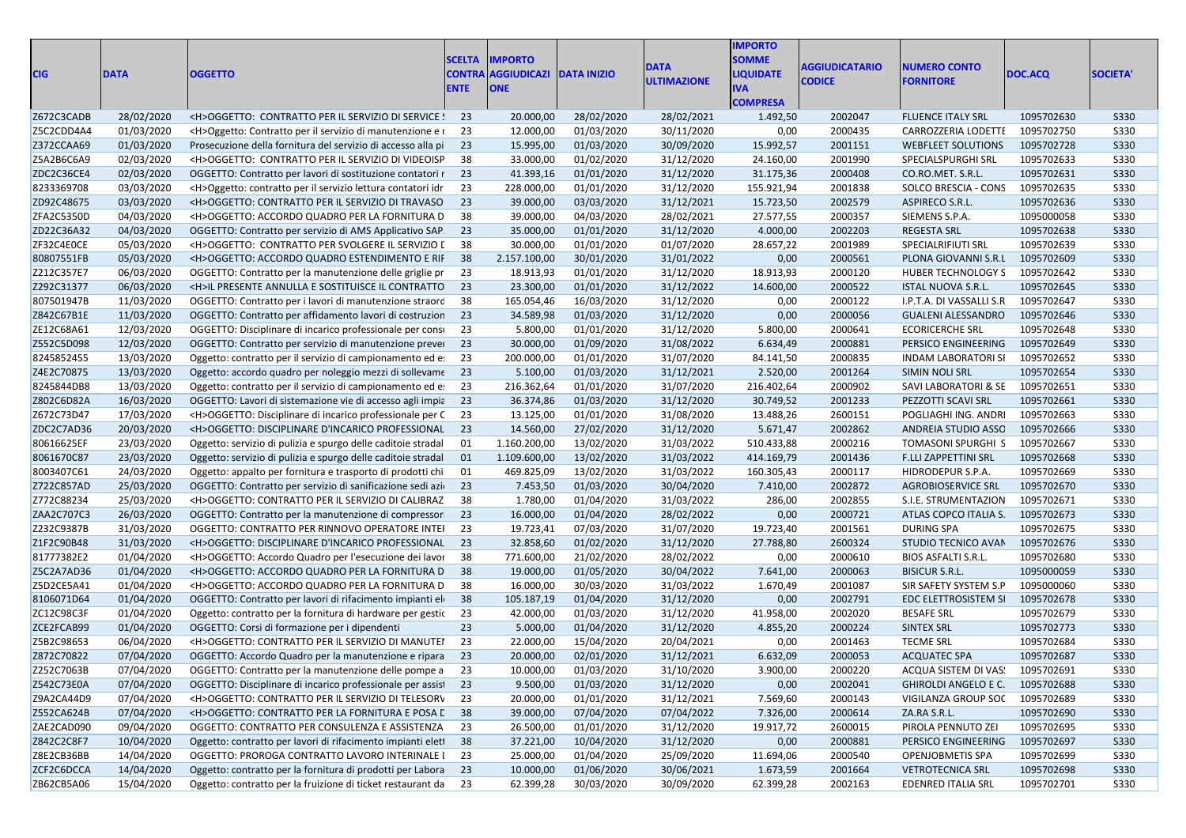| <b>CIG</b>               | <b>DATA</b> | <b>OGGETTO</b>                                                                                                                  | <b>SCELTA</b><br><b>ENTE</b> | <b>IMPORTO</b><br>CONTRA AGGIUDICAZI DATA INIZIO<br><b>ONE</b> |            | <b>DATA</b><br><b>ULTIMAZIONE</b> | <b>IMPORTO</b><br><b>SOMME</b><br><b>LIQUIDATE</b><br>IVA.<br><b>COMPRESA</b> | <b><i><u>AGGIUDICATARIO</u></i></b><br><b>CODICE</b> | <b>NUMERO CONTO</b><br><b>FORNITORE</b>   | DOC.ACQ    | <b>SOCIETA'</b> |
|--------------------------|-------------|---------------------------------------------------------------------------------------------------------------------------------|------------------------------|----------------------------------------------------------------|------------|-----------------------------------|-------------------------------------------------------------------------------|------------------------------------------------------|-------------------------------------------|------------|-----------------|
| Z672C3CADB               | 28/02/2020  | <h>OGGETTO: CONTRATTO PER IL SERVIZIO DI SERVICE ! 23</h>                                                                       |                              | 20.000,00                                                      | 28/02/2020 | 28/02/2021                        | 1.492,50                                                                      | 2002047                                              | <b>FLUENCE ITALY SRL</b>                  | 1095702630 | S330            |
| Z5C2CDD4A4               | 01/03/2020  | <h>Oggetto: Contratto per il servizio di manutenzione e i 23</h>                                                                |                              | 12.000,00                                                      | 01/03/2020 | 30/11/2020                        | 0,00                                                                          | 2000435                                              | CARROZZERIA LODETTI                       | 1095702750 | <b>S330</b>     |
| Z372CCAA69               | 01/03/2020  | Prosecuzione della fornitura del servizio di accesso alla pi 23                                                                 |                              | 15.995,00                                                      | 01/03/2020 | 30/09/2020                        | 15.992,57                                                                     | 2001151                                              | <b>WEBFLEET SOLUTIONS</b>                 | 1095702728 | <b>S330</b>     |
| Z5A2B6C6A9               | 02/03/2020  | <h>OGGETTO: CONTRATTO PER IL SERVIZIO DI VIDEOISP 38</h>                                                                        |                              | 33.000,00                                                      | 01/02/2020 | 31/12/2020                        | 24.160,00                                                                     | 2001990                                              | SPECIALSPURGHI SRL                        | 1095702633 | <b>S330</b>     |
| ZDC2C36CE4               | 02/03/2020  | OGGETTO: Contratto per lavori di sostituzione contatori r 23                                                                    |                              | 41.393,16                                                      | 01/01/2020 | 31/12/2020                        | 31.175,36                                                                     | 2000408                                              | CO.RO.MET. S.R.L.                         | 1095702631 | <b>S330</b>     |
| 8233369708               | 03/03/2020  | <h>Oggetto: contratto per il servizio lettura contatori idr 23</h>                                                              |                              | 228.000,00                                                     | 01/01/2020 | 31/12/2020                        | 155.921,94                                                                    | 2001838                                              | SOLCO BRESCIA - CONS                      | 1095702635 | <b>S330</b>     |
| ZD92C48675               | 03/03/2020  | <h>OGGETTO: CONTRATTO PER IL SERVIZIO DI TRAVASO 23</h>                                                                         |                              | 39.000,00                                                      | 03/03/2020 | 31/12/2021                        | 15.723,50                                                                     | 2002579                                              | ASPIRECO S.R.L.                           | 1095702636 | <b>S330</b>     |
| ZFA2C5350D               | 04/03/2020  | <h>OGGETTO: ACCORDO QUADRO PER LA FORNITURA D</h>                                                                               | - 38                         | 39.000,00                                                      | 04/03/2020 | 28/02/2021                        | 27.577,55                                                                     | 2000357                                              | SIEMENS S.P.A.                            | 1095000058 | <b>S330</b>     |
| ZD22C36A32               | 04/03/2020  | OGGETTO: Contratto per servizio di AMS Applicativo SAP 23                                                                       |                              | 35.000,00                                                      | 01/01/2020 | 31/12/2020                        | 4.000,00                                                                      | 2002203                                              | <b>REGESTA SRL</b>                        | 1095702638 | S330            |
| ZF32C4E0CE               | 05/03/2020  | <h>OGGETTO: CONTRATTO PER SVOLGERE IL SERVIZIO [ 38</h>                                                                         |                              | 30.000,00                                                      | 01/01/2020 | 01/07/2020                        | 28.657,22                                                                     | 2001989                                              | <b>SPECIALRIFIUTI SRL</b>                 | 1095702639 | <b>S330</b>     |
| 80807551FB               | 05/03/2020  | <h>OGGETTO: ACCORDO QUADRO ESTENDIMENTO E RIF 38</h>                                                                            |                              | 2.157.100,00                                                   | 30/01/2020 | 31/01/2022                        | 0,00                                                                          | 2000561                                              | PLONA GIOVANNI S.R.L                      | 1095702609 | <b>S330</b>     |
| Z212C357E7               | 06/03/2020  | OGGETTO: Contratto per la manutenzione delle griglie pr 23                                                                      |                              | 18.913,93                                                      | 01/01/2020 | 31/12/2020                        | 18.913,93                                                                     | 2000120                                              | <b>HUBER TECHNOLOGY S</b>                 | 1095702642 | S330            |
| Z292C31377               | 06/03/2020  | <h>IL PRESENTE ANNULLA E SOSTITUISCE IL CONTRATTO 23</h>                                                                        |                              | 23.300,00                                                      | 01/01/2020 | 31/12/2022                        | 14.600,00                                                                     | 2000522                                              | <b>ISTAL NUOVA S.R.L.</b>                 | 1095702645 | S330            |
| 807501947B               | 11/03/2020  | OGGETTO: Contratto per i lavori di manutenzione straord 38                                                                      |                              | 165.054,46                                                     | 16/03/2020 | 31/12/2020                        | 0,00                                                                          | 2000122                                              | I.P.T.A. DI VASSALLI S.R                  | 1095702647 | S330            |
| Z842C67B1E               | 11/03/2020  | OGGETTO: Contratto per affidamento lavori di costruzion 23                                                                      |                              | 34.589,98                                                      | 01/03/2020 | 31/12/2020                        | 0,00                                                                          | 2000056                                              | <b>GUALENI ALESSANDRO</b>                 | 1095702646 | S330            |
| ZE12C68A61               | 12/03/2020  | OGGETTO: Disciplinare di incarico professionale per consi 23                                                                    |                              | 5.800,00                                                       | 01/01/2020 | 31/12/2020                        | 5.800,00                                                                      | 2000641                                              | <b>ECORICERCHE SRL</b>                    | 1095702648 | <b>S330</b>     |
| Z552C5D098               | 12/03/2020  | OGGETTO: Contratto per servizio di manutenzione prevel 23                                                                       |                              | 30.000,00                                                      | 01/09/2020 | 31/08/2022                        | 6.634,49                                                                      | 2000881                                              | PERSICO ENGINEERING                       | 1095702649 | <b>S330</b>     |
| 8245852455               | 13/03/2020  | Oggetto: contratto per il servizio di campionamento ed e: 23                                                                    |                              | 200.000,00                                                     | 01/01/2020 | 31/07/2020                        | 84.141,50                                                                     | 2000835                                              | <b>INDAM LABORATORI SI</b>                | 1095702652 | <b>S330</b>     |
| Z4E2C70875               | 13/03/2020  | Oggetto: accordo quadro per noleggio mezzi di sollevame 23                                                                      |                              | 5.100,00                                                       | 01/03/2020 | 31/12/2021                        | 2.520,00                                                                      | 2001264                                              | SIMIN NOLI SRL                            | 1095702654 | <b>S330</b>     |
| 8245844DB8               | 13/03/2020  | Oggetto: contratto per il servizio di campionamento ed e: 23                                                                    |                              | 216.362,64                                                     | 01/01/2020 | 31/07/2020                        | 216.402,64                                                                    | 2000902                                              | SAVI LABORATORI & SE                      | 1095702651 | <b>S330</b>     |
| Z802C6D82A               | 16/03/2020  |                                                                                                                                 |                              | 36.374,86                                                      | 01/03/2020 | 31/12/2020                        | 30.749,52                                                                     | 2001233                                              | PEZZOTTI SCAVI SRL                        | 1095702661 | <b>S330</b>     |
| Z672C73D47               | 17/03/2020  | OGGETTO: Lavori di sistemazione vie di accesso agli impia 23<br><h>OGGETTO: Disciplinare di incarico professionale per C 23</h> |                              | 13.125,00                                                      | 01/01/2020 | 31/08/2020                        | 13.488,26                                                                     | 2600151                                              | POGLIAGHI ING. ANDRI                      | 1095702663 | S330            |
|                          | 20/03/2020  | <h>OGGETTO: DISCIPLINARE D'INCARICO PROFESSIONAL 23</h>                                                                         |                              | 14.560,00                                                      | 27/02/2020 |                                   |                                                                               | 2002862                                              |                                           | 1095702666 | <b>S330</b>     |
| ZDC2C7AD36               | 23/03/2020  |                                                                                                                                 |                              | 1.160.200,00                                                   | 13/02/2020 | 31/12/2020<br>31/03/2022          | 5.671,47<br>510.433,88                                                        | 2000216                                              | ANDREIA STUDIO ASSC<br>TOMASONI SPURGHI S | 1095702667 | <b>S330</b>     |
| 80616625EF<br>8061670C87 | 23/03/2020  | Oggetto: servizio di pulizia e spurgo delle caditoie stradal<br>Oggetto: servizio di pulizia e spurgo delle caditoie stradal 01 | 01                           | 1.109.600,00                                                   | 13/02/2020 | 31/03/2022                        | 414.169,79                                                                    | 2001436                                              | <b>F.LLI ZAPPETTINI SRL</b>               | 1095702668 | <b>S330</b>     |
| 8003407C61               | 24/03/2020  |                                                                                                                                 | 01                           | 469.825,09                                                     | 13/02/2020 |                                   |                                                                               | 2000117                                              | HIDRODEPUR S.P.A.                         | 1095702669 | <b>S330</b>     |
|                          | 25/03/2020  | Oggetto: appalto per fornitura e trasporto di prodotti chi                                                                      |                              | 7.453,50                                                       | 01/03/2020 | 31/03/2022                        | 160.305,43                                                                    | 2002872                                              |                                           | 1095702670 | S330            |
| Z722C857AD               |             | OGGETTO: Contratto per servizio di sanificazione sedi azi 23                                                                    |                              |                                                                |            | 30/04/2020                        | 7.410,00                                                                      |                                                      | AGROBIOSERVICE SRL                        |            |                 |
| Z772C88234               | 25/03/2020  | <h>OGGETTO: CONTRATTO PER IL SERVIZIO DI CALIBRAZ 38</h>                                                                        |                              | 1.780,00                                                       | 01/04/2020 | 31/03/2022                        | 286,00                                                                        | 2002855                                              | S.I.E. STRUMENTAZION                      | 1095702671 | S330            |
| ZAA2C707C3               | 26/03/2020  | OGGETTO: Contratto per la manutenzione di compressor 23                                                                         |                              | 16.000,00                                                      | 01/04/2020 | 28/02/2022                        | 0,00                                                                          | 2000721                                              | ATLAS COPCO ITALIA S.                     | 1095702673 | <b>S330</b>     |
| Z232C9387B               | 31/03/2020  | OGGETTO: CONTRATTO PER RINNOVO OPERATORE INTEI 23                                                                               |                              | 19.723,41                                                      | 07/03/2020 | 31/07/2020                        | 19.723,40                                                                     | 2001561                                              | <b>DURING SPA</b>                         | 1095702675 | <b>S330</b>     |
| Z1F2C90B48               | 31/03/2020  | <h>OGGETTO: DISCIPLINARE D'INCARICO PROFESSIONAL 23</h>                                                                         |                              | 32.858,60                                                      | 01/02/2020 | 31/12/2020                        | 27.788,80                                                                     | 2600324                                              | STUDIO TECNICO AVAN                       | 1095702676 | <b>S330</b>     |
| 81777382E2               | 01/04/2020  | <h>OGGETTO: Accordo Quadro per l'esecuzione dei lavor</h>                                                                       | - 38                         | 771.600,00                                                     | 21/02/2020 | 28/02/2022                        | 0,00                                                                          | 2000610                                              | <b>BIOS ASFALTI S.R.L</b>                 | 1095702680 | <b>S330</b>     |
| Z5C2A7AD36               | 01/04/2020  | <h>OGGETTO: ACCORDO QUADRO PER LA FORNITURA D 38</h>                                                                            |                              | 19.000,00                                                      | 01/05/2020 | 30/04/2022                        | 7.641,00                                                                      | 2000063                                              | <b>BISICUR S.R.L.</b>                     | 1095000059 | <b>S330</b>     |
| Z5D2CE5A41               | 01/04/2020  | <h>OGGETTO: ACCORDO QUADRO PER LA FORNITURA D 38</h>                                                                            |                              | 16.000,00                                                      | 30/03/2020 | 31/03/2022                        | 1.670,49                                                                      | 2001087                                              | SIR SAFETY SYSTEM S.P                     | 1095000060 | S330            |
| 8106071D64               | 01/04/2020  | OGGETTO: Contratto per lavori di rifacimento impianti eli 38                                                                    |                              | 105.187,19                                                     | 01/04/2020 | 31/12/2020                        | 0,00                                                                          | 2002791                                              | <b>EDC ELETTROSISTEM SI</b>               | 1095702678 | <b>S330</b>     |
| ZC12C98C3F               | 01/04/2020  | Oggetto: contratto per la fornitura di hardware per gestic                                                                      | 23                           | 42.000,00                                                      | 01/03/2020 | 31/12/2020                        | 41.958,00                                                                     | 2002020                                              | <b>BESAFE SRL</b>                         | 1095702679 | S330            |
| ZCE2FCAB99               | 01/04/2020  | OGGETTO: Corsi di formazione per i dipendenti                                                                                   | 23                           | 5.000,00                                                       | 01/04/2020 | 31/12/2020                        | 4.855,20                                                                      | 2000224                                              | SINTEX SRL                                | 1095702773 | S330            |
| Z5B2C98653               | 06/04/2020  | <h>OGGETTO: CONTRATTO PER IL SERVIZIO DI MANUTEI</h>                                                                            | - 23                         | 22.000,00                                                      | 15/04/2020 | 20/04/2021                        | 0,00                                                                          | 2001463                                              | <b>TECME SRL</b>                          | 1095702684 | <b>S330</b>     |
| Z872C70822               | 07/04/2020  | OGGETTO: Accordo Quadro per la manutenzione e ripara 23                                                                         |                              | 20.000,00                                                      | 02/01/2020 | 31/12/2021                        | 6.632,09                                                                      | 2000053                                              | <b>ACQUATEC SPA</b>                       | 1095702687 | <b>S330</b>     |
| Z252C7063B               | 07/04/2020  | OGGETTO: Contratto per la manutenzione delle pompe a 23                                                                         |                              | 10.000,00                                                      | 01/03/2020 | 31/10/2020                        | 3.900,00                                                                      | 2000220                                              | ACQUA SISTEM DI VAS: 1095702691           |            | S330            |
| Z542C73E0A               | 07/04/2020  | OGGETTO: Disciplinare di incarico professionale per assist 23                                                                   |                              | 9.500,00                                                       | 01/03/2020 | 31/12/2020                        | 0,00                                                                          | 2002041                                              | GHIROLDI ANGELO E C. 1095702688           |            | S330            |
| Z9A2CA44D9               | 07/04/2020  | <h>OGGETTO: CONTRATTO PER IL SERVIZIO DI TELESORV 23</h>                                                                        |                              | 20.000,00                                                      | 01/01/2020 | 31/12/2021                        | 7.569,60                                                                      | 2000143                                              | VIGILANZA GROUP SOC                       | 1095702689 | S330            |
| Z552CA624B               | 07/04/2020  | <h>OGGETTO: CONTRATTO PER LA FORNITURA E POSA L 38</h>                                                                          |                              | 39.000,00                                                      | 07/04/2020 | 07/04/2022                        | 7.326,00                                                                      | 2000614                                              | ZA.RA S.R.L.                              | 1095702690 | S330            |
| ZAE2CAD090               | 09/04/2020  | OGGETTO: CONTRATTO PER CONSULENZA E ASSISTENZA 23                                                                               |                              | 26.500,00                                                      | 01/01/2020 | 31/12/2020                        | 19.917,72                                                                     | 2600015                                              | PIROLA PENNUTO ZEI                        | 1095702695 | S330            |
| Z842C2C8F7               | 10/04/2020  | Oggetto: contratto per lavori di rifacimento impianti eleti 38                                                                  |                              | 37.221,00                                                      | 10/04/2020 | 31/12/2020                        | 0,00                                                                          | 2000881                                              | PERSICO ENGINEERING                       | 1095702697 | S330            |
| Z8E2CB36BB               | 14/04/2020  | OGGETTO: PROROGA CONTRATTO LAVORO INTERINALE I 23                                                                               |                              | 25.000,00                                                      | 01/04/2020 | 25/09/2020                        | 11.694,06                                                                     | 2000540                                              | OPENJOBMETIS SPA                          | 1095702699 | S330            |
| ZCF2C6DCCA               | 14/04/2020  | Oggetto: contratto per la fornitura di prodotti per Labora 23                                                                   |                              | 10.000,00                                                      | 01/06/2020 | 30/06/2021                        | 1.673,59                                                                      | 2001664                                              | <b>VETROTECNICA SRL</b>                   | 1095702698 | S330            |
| ZB62CB5A06               | 15/04/2020  | Oggetto: contratto per la fruizione di ticket restaurant da 23                                                                  |                              | 62.399,28                                                      | 30/03/2020 | 30/09/2020                        | 62.399,28                                                                     | 2002163                                              | <b>EDENRED ITALIA SRL</b>                 | 1095702701 | S330            |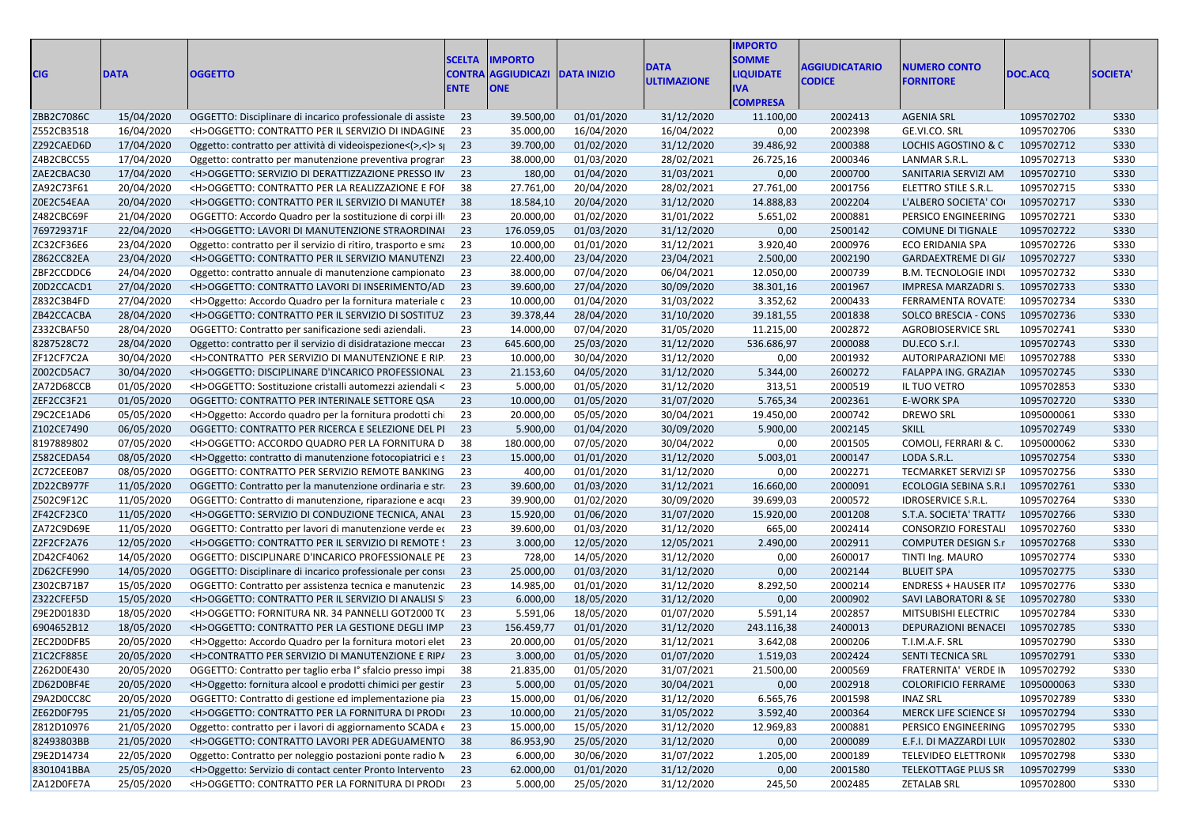| <b>CIG</b> | <b>DATA</b> | <b>OGGETTO</b>                                                       | <b>SCELTA</b><br><b>ENTE</b> | <b>IMPORTO</b><br><b>CONTRA AGGIUDICAZI</b><br><b>ONE</b> | <b>DATA INIZIO</b> | <b>DATA</b><br><b>ULTIMAZIONE</b> | <b>IMPORTO</b><br><b>SOMME</b><br><b>LIQUIDATE</b><br><b>IVA</b><br><b>COMPRESA</b> | AGGIUDICATARIO<br><b>CODICE</b> | <b>NUMERO CONTO</b><br><b>FORNITORE</b> | DOC.ACQ    | <b>SOCIETA</b> |
|------------|-------------|----------------------------------------------------------------------|------------------------------|-----------------------------------------------------------|--------------------|-----------------------------------|-------------------------------------------------------------------------------------|---------------------------------|-----------------------------------------|------------|----------------|
| ZBB2C7086C | 15/04/2020  | OGGETTO: Disciplinare di incarico professionale di assiste 23        |                              | 39.500,00                                                 | 01/01/2020         | 31/12/2020                        | 11.100,00                                                                           | 2002413                         | <b>AGENIA SRL</b>                       | 1095702702 | S330           |
| Z552CB3518 | 16/04/2020  | <h>OGGETTO: CONTRATTO PER IL SERVIZIO DI INDAGINE</h>                | 23                           | 35.000,00                                                 | 16/04/2020         | 16/04/2022                        | 0,00                                                                                | 2002398                         | GE.VI.CO. SRL                           | 1095702706 | S330           |
| Z292CAED6D | 17/04/2020  | Oggetto: contratto per attività di videoispezione<(>>>> si           | 23                           | 39.700,00                                                 | 01/02/2020         | 31/12/2020                        | 39.486,92                                                                           | 2000388                         | LOCHIS AGOSTINO & C                     | 1095702712 | S330           |
| Z4B2CBCC55 | 17/04/2020  | Oggetto: contratto per manutenzione preventiva progran               | 23                           | 38.000,00                                                 | 01/03/2020         | 28/02/2021                        | 26.725,16                                                                           | 2000346                         | LANMAR S.R.L.                           | 1095702713 | <b>S330</b>    |
| ZAE2CBAC30 | 17/04/2020  | <h>OGGETTO: SERVIZIO DI DERATTIZZAZIONE PRESSO IN</h>                | 23                           | 180,00                                                    | 01/04/2020         | 31/03/2021                        | 0,00                                                                                | 2000700                         | SANITARIA SERVIZI AM                    | 1095702710 | S330           |
| ZA92C73F61 | 20/04/2020  | <h>OGGETTO: CONTRATTO PER LA REALIZZAZIONE E FOI</h>                 | 38                           | 27.761,00                                                 | 20/04/2020         | 28/02/2021                        | 27.761,00                                                                           | 2001756                         | ELETTRO STILE S.R.L.                    | 1095702715 | S330           |
| Z0E2C54EAA | 20/04/2020  | <h>OGGETTO: CONTRATTO PER IL SERVIZIO DI MANUTEI</h>                 | 38                           | 18.584,10                                                 | 20/04/2020         | 31/12/2020                        | 14.888,83                                                                           | 2002204                         | L'ALBERO SOCIETA' CO                    | 1095702717 | S330           |
| Z482CBC69F | 21/04/2020  | OGGETTO: Accordo Quadro per la sostituzione di corpi illi            | 23                           | 20.000,00                                                 | 01/02/2020         | 31/01/2022                        | 5.651,02                                                                            | 2000881                         | PERSICO ENGINEERING                     | 1095702721 | S330           |
| 769729371F | 22/04/2020  | <h>OGGETTO: LAVORI DI MANUTENZIONE STRAORDINAI</h>                   | 23                           | 176.059,05                                                | 01/03/2020         | 31/12/2020                        | 0,00                                                                                | 2500142                         | <b>COMUNE DI TIGNALE</b>                | 1095702722 | S330           |
| ZC32CF36E6 | 23/04/2020  | Oggetto: contratto per il servizio di ritiro, trasporto e sma        | 23                           | 10.000,00                                                 | 01/01/2020         | 31/12/2021                        | 3.920,40                                                                            | 2000976                         | ECO ERIDANIA SPA                        | 1095702726 | S330           |
| Z862CC82EA | 23/04/2020  | <h>OGGETTO: CONTRATTO PER IL SERVIZIO MANUTENZI</h>                  | 23                           | 22.400,00                                                 | 23/04/2020         | 23/04/2021                        | 2.500,00                                                                            | 2002190                         | GARDAEXTREME DI GI/                     | 1095702727 | S330           |
| ZBF2CCDDC6 | 24/04/2020  | Oggetto: contratto annuale di manutenzione campionato                | 23                           | 38.000,00                                                 | 07/04/2020         | 06/04/2021                        | 12.050,00                                                                           | 2000739                         | <b>B.M. TECNOLOGIE INDI</b>             | 1095702732 | S330           |
| Z0D2CCACD1 | 27/04/2020  | <h>OGGETTO: CONTRATTO LAVORI DI INSERIMENTO/AD</h>                   | 23                           | 39.600,00                                                 | 27/04/2020         | 30/09/2020                        | 38.301,16                                                                           | 2001967                         | IMPRESA MARZADRI S.                     | 1095702733 | S330           |
| Z832C3B4FD | 27/04/2020  | <h>Oggetto: Accordo Quadro per la fornitura materiale c</h>          | 23                           | 10.000,00                                                 | 01/04/2020         | 31/03/2022                        | 3.352,62                                                                            | 2000433                         | FERRAMENTA ROVATE                       | 1095702734 | S330           |
| ZB42CCACBA | 28/04/2020  | <h>OGGETTO: CONTRATTO PER IL SERVIZIO DI SOSTITUZ</h>                | 23                           | 39.378,44                                                 | 28/04/2020         | 31/10/2020                        | 39.181,55                                                                           | 2001838                         | SOLCO BRESCIA - CONS                    | 1095702736 | S330           |
| Z332CBAF50 | 28/04/2020  | OGGETTO: Contratto per sanificazione sedi aziendali.                 | 23                           | 14.000,00                                                 | 07/04/2020         | 31/05/2020                        | 11.215,00                                                                           | 2002872                         | <b>AGROBIOSERVICE SRL</b>               | 1095702741 | S330           |
| 8287528C72 | 28/04/2020  | Oggetto: contratto per il servizio di disidratazione meccar          | 23                           | 645.600,00                                                | 25/03/2020         | 31/12/2020                        | 536.686,97                                                                          | 2000088                         | DU.ECO S.r.l.                           | 1095702743 | S330           |
| ZF12CF7C2A | 30/04/2020  | <h>CONTRATTO PER SERVIZIO DI MANUTENZIONE E RIP.</h>                 | 23                           | 10.000,00                                                 | 30/04/2020         | 31/12/2020                        | 0,00                                                                                | 2001932                         | AUTORIPARAZIONI ME                      | 1095702788 | S330           |
| Z002CD5AC7 | 30/04/2020  | <h>OGGETTO: DISCIPLINARE D'INCARICO PROFESSIONAL</h>                 | 23                           | 21.153,60                                                 | 04/05/2020         | 31/12/2020                        | 5.344,00                                                                            | 2600272                         | FALAPPA ING. GRAZIAN                    | 1095702745 | S330           |
| ZA72D68CCB | 01/05/2020  | <h>OGGETTO: Sostituzione cristalli automezzi aziendali &lt;</h>      | 23                           | 5.000,00                                                  | 01/05/2020         | 31/12/2020                        | 313,51                                                                              | 2000519                         | IL TUO VETRO                            | 1095702853 | S330           |
| ZEF2CC3F21 | 01/05/2020  | OGGETTO: CONTRATTO PER INTERINALE SETTORE QSA                        | 23                           | 10.000,00                                                 | 01/05/2020         | 31/07/2020                        | 5.765,34                                                                            | 2002361                         | <b>E-WORK SPA</b>                       | 1095702720 | S330           |
| Z9C2CE1AD6 | 05/05/2020  | <h>Oggetto: Accordo quadro per la fornitura prodotti chi</h>         | 23                           | 20.000,00                                                 | 05/05/2020         | 30/04/2021                        | 19.450,00                                                                           | 2000742                         | <b>DREWO SRL</b>                        | 1095000061 | S330           |
| Z102CE7490 | 06/05/2020  | OGGETTO: CONTRATTO PER RICERCA E SELEZIONE DEL PI                    | 23                           | 5.900,00                                                  | 01/04/2020         | 30/09/2020                        | 5.900,00                                                                            | 2002145                         | <b>SKILL</b>                            | 1095702749 | S330           |
| 8197889802 | 07/05/2020  | <h>OGGETTO: ACCORDO QUADRO PER LA FORNITURA D</h>                    | 38                           | 180.000,00                                                | 07/05/2020         | 30/04/2022                        | 0,00                                                                                | 2001505                         | COMOLI, FERRARI & C.                    | 1095000062 | S330           |
| Z582CEDA54 | 08/05/2020  | <h>Oggetto: contratto di manutenzione fotocopiatrici e s 23</h>      |                              | 15.000,00                                                 | 01/01/2020         | 31/12/2020                        | 5.003,01                                                                            | 2000147                         | LODA S.R.L.                             | 1095702754 | S330           |
| ZC72CEE0B7 | 08/05/2020  | OGGETTO: CONTRATTO PER SERVIZIO REMOTE BANKING                       | 23                           | 400,00                                                    | 01/01/2020         | 31/12/2020                        | 0,00                                                                                | 2002271                         | TECMARKET SERVIZI SF                    | 1095702756 | S330           |
| ZD22CB977F | 11/05/2020  | OGGETTO: Contratto per la manutenzione ordinaria e str               | 23                           | 39.600,00                                                 | 01/03/2020         | 31/12/2021                        | 16.660,00                                                                           | 2000091                         | ECOLOGIA SEBINA S.R.I                   | 1095702761 | S330           |
| Z502C9F12C | 11/05/2020  | OGGETTO: Contratto di manutenzione, riparazione e acqu               | 23                           | 39.900,00                                                 | 01/02/2020         | 30/09/2020                        | 39.699,03                                                                           | 2000572                         | <b>IDROSERVICE S.R.L.</b>               | 1095702764 | S330           |
| ZF42CF23C0 | 11/05/2020  | <h>OGGETTO: SERVIZIO DI CONDUZIONE TECNICA, ANAL</h>                 | 23                           | 15.920,00                                                 | 01/06/2020         | 31/07/2020                        | 15.920,00                                                                           | 2001208                         | S.T.A. SOCIETA' TRATT/                  | 1095702766 | S330           |
| ZA72C9D69E | 11/05/2020  | OGGETTO: Contratto per lavori di manutenzione verde ec               | 23                           | 39.600,00                                                 | 01/03/2020         | 31/12/2020                        | 665,00                                                                              | 2002414                         | CONSORZIO FORESTAL                      | 1095702760 | S330           |
| Z2F2CF2A76 | 12/05/2020  | <h>OGGETTO: CONTRATTO PER IL SERVIZIO DI REMOTE !</h>                | 23                           | 3.000,00                                                  | 12/05/2020         | 12/05/2021                        | 2.490,00                                                                            | 2002911                         | <b>COMPUTER DESIGN S.r</b>              | 1095702768 | S330           |
| ZD42CF4062 | 14/05/2020  | OGGETTO: DISCIPLINARE D'INCARICO PROFESSIONALE PE                    | 23                           | 728,00                                                    | 14/05/2020         | 31/12/2020                        | 0,00                                                                                | 2600017                         | TINTI Ing. MAURO                        | 1095702774 | S330           |
| ZD62CFE990 | 14/05/2020  | OGGETTO: Disciplinare di incarico professionale per consi            | 23                           | 25.000,00                                                 | 01/03/2020         | 31/12/2020                        | 0,00                                                                                | 2002144                         | <b>BLUEIT SPA</b>                       | 1095702775 | S330           |
| Z302CB71B7 | 15/05/2020  | OGGETTO: Contratto per assistenza tecnica e manutenzic               | 23                           | 14.985,00                                                 | 01/01/2020         | 31/12/2020                        | 8.292,50                                                                            | 2000214                         | <b>ENDRESS + HAUSER IT/</b>             | 1095702776 | S330           |
| Z322CFEF5D | 15/05/2020  | <h>OGGETTO: CONTRATTO PER IL SERVIZIO DI ANALISI SI</h>              | 23                           | 6.000,00                                                  | 18/05/2020         | 31/12/2020                        | 0,00                                                                                | 2000902                         | SAVI LABORATORI & SE                    | 1095702780 | S330           |
| Z9E2D0183D | 18/05/2020  | <h>OGGETTO: FORNITURA NR. 34 PANNELLI GOT2000 T(</h>                 | 23                           | 5.591,06                                                  | 18/05/2020         | 01/07/2020                        | 5.591,14                                                                            | 2002857                         | MITSUBISHI ELECTRIC                     | 1095702784 | S330           |
| 6904652B12 | 18/05/2020  | <h>OGGETTO: CONTRATTO PER LA GESTIONE DEGLI IMP</h>                  | 23                           | 156.459,77                                                | 01/01/2020         | 31/12/2020                        | 243.116,38                                                                          | 2400013                         | <b>DEPURAZIONI BENACEI</b>              | 1095702785 | S330           |
| ZEC2D0DFB5 | 20/05/2020  | <h>Oggetto: Accordo Quadro per la fornitura motori elet</h>          | 23                           | 20.000,00                                                 | 01/05/2020         | 31/12/2021                        | 3.642,08                                                                            | 2000206                         | T.I.M.A.F. SRL                          | 1095702790 | <b>S330</b>    |
| Z1C2CF885E | 20/05/2020  | <h>CONTRATTO PER SERVIZIO DI MANUTENZIONE E RIP/</h>                 | 23                           | 3.000,00                                                  | 01/05/2020         | 01/07/2020                        | 1.519,03                                                                            | 2002424                         | SENTI TECNICA SRL                       | 1095702791 | S330           |
| Z262D0E430 | 20/05/2020  | OGGETTO: Contratto per taglio erba l° sfalcio presso impi            |                              | 21.835,00                                                 | 01/05/2020         | 31/07/2021                        | 21.500,00                                                                           | 2000569                         | FRATERNITA' VERDE IN 1095702792         |            | <b>S330</b>    |
| ZD62D0BF4E | 20/05/2020  | <h>Oggetto: fornitura alcool e prodotti chimici per gestir 23</h>    |                              | 5.000,00                                                  | 01/05/2020         | 30/04/2021                        | 0,00                                                                                | 2002918                         | COLORIFICIO FERRAME 1095000063          |            | <b>S330</b>    |
| Z9A2D0CC8C | 20/05/2020  | OGGETTO: Contratto di gestione ed implementazione pia                | 23                           | 15.000,00                                                 | 01/06/2020         | 31/12/2020                        | 6.565,76                                                                            | 2001598                         | <b>INAZ SRL</b>                         | 1095702789 | S330           |
| ZE62D0F795 | 21/05/2020  | <h>OGGETTO: CONTRATTO PER LA FORNITURA DI PRODI</h>                  | 23                           | 10.000,00                                                 | 21/05/2020         | 31/05/2022                        | 3.592,40                                                                            | 2000364                         | MERCK LIFE SCIENCE SI                   | 1095702794 | <b>S330</b>    |
| Z812D10976 | 21/05/2020  | Oggetto: contratto per i lavori di aggiornamento SCADA $\epsilon$ 23 |                              | 15.000,00                                                 | 15/05/2020         | 31/12/2020                        | 12.969,83                                                                           | 2000881                         | PERSICO ENGINEERING                     | 1095702795 | <b>S330</b>    |
| 82493803BB | 21/05/2020  | <h>OGGETTO: CONTRATTO LAVORI PER ADEGUAMENTO</h>                     | 38                           | 86.953,90                                                 | 25/05/2020         | 31/12/2020                        | 0,00                                                                                | 2000089                         | E.F.I. DI MAZZARDI LUIO                 | 1095702802 | S330           |
|            |             |                                                                      |                              |                                                           |                    |                                   |                                                                                     |                                 |                                         | 1095702798 |                |
| Z9E2D14734 | 22/05/2020  | Oggetto: Contratto per noleggio postazioni ponte radio N             | 23                           | 6.000,00                                                  | 30/06/2020         | 31/07/2022                        | 1.205,00                                                                            | 2000189                         | <b>TELEVIDEO ELETTRONI</b>              |            | S330           |
| 8301041BBA | 25/05/2020  | <h>Oggetto: Servizio di contact center Pronto Intervento</h>         | 23                           | 62.000,00                                                 | 01/01/2020         | 31/12/2020                        | 0,00                                                                                | 2001580                         | TELEKOTTAGE PLUS SR                     | 1095702799 | S330           |
| ZA12D0FE7A | 25/05/2020  | <h>OGGETTO: CONTRATTO PER LA FORNITURA DI PRODI</h>                  | 23                           | 5.000,00                                                  | 25/05/2020         | 31/12/2020                        | 245,50                                                                              | 2002485                         | <b>ZETALAB SRL</b>                      | 1095702800 | <b>S330</b>    |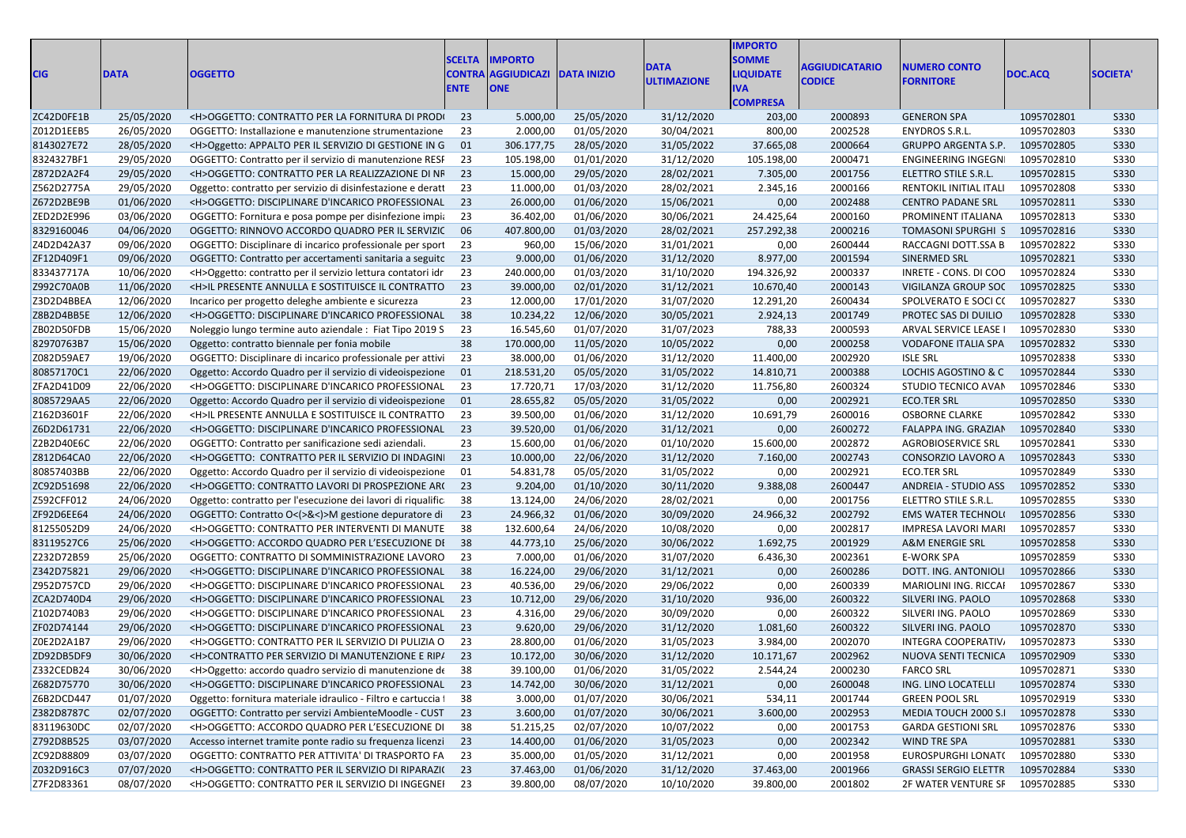| CIG                      | <b>DATA</b>              | <b>OGGETTO</b>                                                                                                    | <b>SCELTA</b><br><b>CONTRA</b><br><b>ENTE</b> | <b>IMPORTO</b><br><b>AGGIUDICAZI DATA INIZIO</b><br><b>ONE</b> |                          | DATA<br><b>ULTIMAZIONE</b> | <b>IMPORTO</b><br><b>SOMME</b><br><b>LIQUIDATE</b><br>IVA.<br><b>COMPRESA</b> | <b>AGGIUDICATARIO</b><br><b>CODICE</b> | <b>NUMERO CONTO</b><br><b>FORNITORE</b>           | DOC.ACQ                  | SOCIETA'                   |
|--------------------------|--------------------------|-------------------------------------------------------------------------------------------------------------------|-----------------------------------------------|----------------------------------------------------------------|--------------------------|----------------------------|-------------------------------------------------------------------------------|----------------------------------------|---------------------------------------------------|--------------------------|----------------------------|
| ZC42D0FE1B               | 25/05/2020               | <h>OGGETTO: CONTRATTO PER LA FORNITURA DI PRODI</h>                                                               | 23                                            | 5.000,00                                                       | 25/05/2020               | 31/12/2020                 | 203,00                                                                        | 2000893                                | <b>GENERON SPA</b>                                | 1095702801               | S330                       |
| Z012D1EEB5               | 26/05/2020               | OGGETTO: Installazione e manutenzione strumentazione                                                              | -23                                           | 2.000,00                                                       | 01/05/2020               | 30/04/2021                 | 800,00                                                                        | 2002528                                | ENYDROS S.R.L.                                    | 1095702803               | <b>S330</b>                |
| 8143027E72               | 28/05/2020               | <h>Oggetto: APPALTO PER IL SERVIZIO DI GESTIONE IN G 01</h>                                                       |                                               | 306.177,75                                                     | 28/05/2020               | 31/05/2022                 | 37.665,08                                                                     | 2000664                                | <b>GRUPPO ARGENTA S.P.</b>                        | 1095702805               | S330                       |
| 8324327BF1               | 29/05/2020               | OGGETTO: Contratto per il servizio di manutenzione RESF                                                           | 23                                            | 105.198,00                                                     | 01/01/2020               | 31/12/2020                 | 105.198,00                                                                    | 2000471                                | ENGINEERING INGEGN                                | 1095702810               | <b>S330</b>                |
| Z872D2A2F4               | 29/05/2020               | <h>OGGETTO: CONTRATTO PER LA REALIZZAZIONE DI NF 23</h>                                                           |                                               | 15.000,00                                                      | 29/05/2020               | 28/02/2021                 | 7.305,00                                                                      | 2001756                                | ELETTRO STILE S.R.L.                              | 1095702815               | <b>S330</b>                |
| Z562D2775A               | 29/05/2020               | Oggetto: contratto per servizio di disinfestazione e deratt                                                       | 23                                            | 11.000,00                                                      | 01/03/2020               | 28/02/2021                 | 2.345,16                                                                      | 2000166                                | RENTOKIL INITIAL ITALI                            | 1095702808               | <b>S330</b>                |
| Z672D2BE9B               | 01/06/2020               | <h>OGGETTO: DISCIPLINARE D'INCARICO PROFESSIONAL 23</h>                                                           |                                               | 26.000,00                                                      | 01/06/2020               | 15/06/2021                 | 0,00                                                                          | 2002488                                | <b>CENTRO PADANE SRL</b>                          | 1095702811               | <b>S330</b>                |
| ZED2D2E996               | 03/06/2020               | OGGETTO: Fornitura e posa pompe per disinfezione impia                                                            | 23                                            | 36.402,00                                                      | 01/06/2020               | 30/06/2021                 | 24.425,64                                                                     | 2000160                                | PROMINENT ITALIANA                                | 1095702813               | <b>S330</b>                |
| 8329160046               | 04/06/2020               | OGGETTO: RINNOVO ACCORDO QUADRO PER IL SERVIZIC                                                                   | 06                                            | 407.800,00                                                     | 01/03/2020               | 28/02/2021                 | 257.292,38                                                                    | 2000216                                | TOMASONI SPURGHI S                                | 1095702816               | S330                       |
| Z4D2D42A37               | 09/06/2020               | OGGETTO: Disciplinare di incarico professionale per sport                                                         | - 23                                          | 960,00                                                         | 15/06/2020               | 31/01/2021                 | 0,00                                                                          | 2600444                                | RACCAGNI DOTT.SSA B                               | 1095702822               | <b>S330</b>                |
| ZF12D409F1               | 09/06/2020               | OGGETTO: Contratto per accertamenti sanitaria a seguitc 23                                                        |                                               | 9.000,00                                                       | 01/06/2020               | 31/12/2020                 | 8.977,00                                                                      | 2001594                                | SINERMED SRL                                      | 1095702821               | <b>S330</b>                |
| 833437717A               | 10/06/2020               | <h>Oggetto: contratto per il servizio lettura contatori idr</h>                                                   | 23                                            | 240.000,00                                                     | 01/03/2020               | 31/10/2020                 | 194.326,92                                                                    | 2000337                                | INRETE - CONS. DI COO                             | 1095702824               | <b>S330</b>                |
| Z992C70A0B               | 11/06/2020               | <h>IL PRESENTE ANNULLA E SOSTITUISCE IL CONTRATTO 23</h>                                                          |                                               | 39.000,00                                                      | 02/01/2020               | 31/12/2021                 | 10.670,40                                                                     | 2000143                                | VIGILANZA GROUP SOC                               | 1095702825               | S330                       |
| Z3D2D4BBEA               | 12/06/2020               | Incarico per progetto deleghe ambiente e sicurezza                                                                | 23                                            | 12.000,00                                                      | 17/01/2020               | 31/07/2020                 | 12.291,20                                                                     | 2600434                                | SPOLVERATO E SOCI CO                              | 1095702827               | <b>S330</b>                |
| Z8B2D4BB5E               | 12/06/2020               | <h>OGGETTO: DISCIPLINARE D'INCARICO PROFESSIONAL 38</h>                                                           |                                               | 10.234,22                                                      | 12/06/2020               | 30/05/2021                 | 2.924,13                                                                      | 2001749                                | PROTEC SAS DI DUILIO                              | 1095702828               | S330                       |
| ZB02D50FDB               | 15/06/2020               | Noleggio lungo termine auto aziendale : Fiat Tipo 2019 S                                                          | -23                                           | 16.545,60                                                      | 01/07/2020               | 31/07/2023                 | 788,33                                                                        | 2000593                                | ARVAL SERVICE LEASE I                             | 1095702830               | <b>S330</b>                |
| 82970763B7               | 15/06/2020               | Oggetto: contratto biennale per fonia mobile                                                                      | 38                                            | 170.000,00                                                     | 11/05/2020               | 10/05/2022                 | 0,00                                                                          | 2000258                                | <b>VODAFONE ITALIA SPA</b>                        | 1095702832               | <b>S330</b>                |
| Z082D59AE7               | 19/06/2020               | OGGETTO: Disciplinare di incarico professionale per attivi                                                        | - 23                                          | 38.000,00                                                      | 01/06/2020               | 31/12/2020                 | 11.400,00                                                                     | 2002920                                | <b>ISLE SRL</b>                                   | 1095702838               | <b>S330</b>                |
| 80857170C1               | 22/06/2020               | Oggetto: Accordo Quadro per il servizio di videoispezione 01                                                      |                                               | 218.531,20                                                     | 05/05/2020               | 31/05/2022                 | 14.810,71                                                                     | 2000388                                | LOCHIS AGOSTINO & C                               | 1095702844               | <b>S330</b>                |
| ZFA2D41D09               | 22/06/2020               | <h>OGGETTO: DISCIPLINARE D'INCARICO PROFESSIONAL</h>                                                              | 23                                            | 17.720,71                                                      | 17/03/2020               | 31/12/2020                 | 11.756,80                                                                     | 2600324                                | STUDIO TECNICO AVAN                               | 1095702846               | <b>S330</b>                |
| 8085729AA5               | 22/06/2020               |                                                                                                                   |                                               | 28.655,82                                                      | 05/05/2020               |                            | 0,00                                                                          | 2002921                                | <b>ECO.TER SRL</b>                                | 1095702850               | S330                       |
|                          |                          | Oggetto: Accordo Quadro per il servizio di videoispezione 01                                                      | - 23                                          |                                                                |                          | 31/05/2022                 |                                                                               |                                        |                                                   |                          |                            |
| Z162D3601F               | 22/06/2020               | <h>IL PRESENTE ANNULLA E SOSTITUISCE IL CONTRATTO<br/><h>OGGETTO: DISCIPLINARE D'INCARICO PROFESSIONAL 23</h></h> |                                               | 39.500,00                                                      | 01/06/2020               | 31/12/2020                 | 10.691,79                                                                     | 2600016                                | <b>OSBORNE CLARKE</b>                             | 1095702842<br>1095702840 | <b>S330</b>                |
| Z6D2D61731               | 22/06/2020               |                                                                                                                   |                                               | 39.520,00                                                      | 01/06/2020               | 31/12/2021                 | 0,00                                                                          | 2600272                                | FALAPPA ING. GRAZIAN                              |                          | <b>S330</b>                |
| Z2B2D40E6C<br>Z812D64CA0 | 22/06/2020<br>22/06/2020 | OGGETTO: Contratto per sanificazione sedi aziendali.<br><h>OGGETTO: CONTRATTO PER IL SERVIZIO DI INDAGINI 23</h>  | 23                                            | 15.600,00<br>10.000,00                                         | 01/06/2020<br>22/06/2020 | 01/10/2020<br>31/12/2020   | 15.600,00<br>7.160,00                                                         | 2002872<br>2002743                     | <b>AGROBIOSERVICE SRL</b><br>CONSORZIO LAVORO A   | 1095702841<br>1095702843 | <b>S330</b><br><b>S330</b> |
| 80857403BB               |                          |                                                                                                                   | 01                                            |                                                                |                          |                            | 0,00                                                                          | 2002921                                | <b>ECO.TER SRL</b>                                | 1095702849               | <b>S330</b>                |
|                          | 22/06/2020<br>22/06/2020 | Oggetto: Accordo Quadro per il servizio di videoispezione                                                         | 23                                            | 54.831,78<br>9.204,00                                          | 05/05/2020               | 31/05/2022                 | 9.388,08                                                                      |                                        |                                                   | 1095702852               | <b>S330</b>                |
| ZC92D51698               |                          | <h>OGGETTO: CONTRATTO LAVORI DI PROSPEZIONE AR(</h>                                                               |                                               |                                                                | 01/10/2020               | 30/11/2020                 |                                                                               | 2600447                                | <b>ANDREIA - STUDIO ASS</b>                       |                          |                            |
| Z592CFF012<br>ZF92D6EE64 | 24/06/2020               | Oggetto: contratto per l'esecuzione dei lavori di riqualific                                                      | - 38<br>23                                    | 13.124,00<br>24.966,32                                         | 24/06/2020<br>01/06/2020 | 28/02/2021<br>30/09/2020   | 0,00<br>24.966,32                                                             | 2001756<br>2002792                     | ELETTRO STILE S.R.L.<br><b>EMS WATER TECHNOLI</b> | 1095702855<br>1095702856 | <b>S330</b><br><b>S330</b> |
|                          | 24/06/2020               | OGGETTO: Contratto O<(>&<)>M gestione depuratore di                                                               |                                               |                                                                |                          |                            |                                                                               |                                        |                                                   |                          |                            |
| 81255052D9               | 24/06/2020               | <h>OGGETTO: CONTRATTO PER INTERVENTI DI MANUTE</h>                                                                | - 38                                          | 132.600,64                                                     | 24/06/2020               | 10/08/2020                 | 0,00                                                                          | 2002817                                | <b>IMPRESA LAVORI MARI</b>                        | 1095702857<br>1095702858 | <b>S330</b>                |
| 83119527C6               | 25/06/2020               | <h>OGGETTO: ACCORDO QUADRO PER L'ESECUZIONE DI 38</h>                                                             |                                               | 44.773,10                                                      | 25/06/2020               | 30/06/2022                 | 1.692,75                                                                      | 2001929                                | <b>A&amp;M ENERGIE SRL</b>                        |                          | S330                       |
| Z232D72B59               | 25/06/2020               | OGGETTO: CONTRATTO DI SOMMINISTRAZIONE LAVORO                                                                     | - 23                                          | 7.000,00                                                       | 01/06/2020               | 31/07/2020                 | 6.436,30                                                                      | 2002361                                | E-WORK SPA                                        | 1095702859               | <b>S330</b>                |
| Z342D75821               | 29/06/2020               | <h>OGGETTO: DISCIPLINARE D'INCARICO PROFESSIONAL 38</h>                                                           |                                               | 16.224,00                                                      | 29/06/2020               | 31/12/2021                 | 0,00                                                                          | 2600286                                | DOTT. ING. ANTONIOLI                              | 1095702866               | <b>S330</b>                |
| Z952D757CD               | 29/06/2020               | <h>OGGETTO: DISCIPLINARE D'INCARICO PROFESSIONAL</h>                                                              | 23                                            | 40.536,00                                                      | 29/06/2020               | 29/06/2022                 | 0,00                                                                          | 2600339                                | MARIOLINI ING. RICCAI                             | 1095702867               | <b>S330</b>                |
| ZCA2D740D4               | 29/06/2020               | <h>OGGETTO: DISCIPLINARE D'INCARICO PROFESSIONAL 23</h>                                                           |                                               | 10.712,00                                                      | 29/06/2020               | 31/10/2020                 | 936,00                                                                        | 2600322                                | SILVERI ING. PAOLO                                | 1095702868               | <b>S330</b>                |
| Z102D740B3               | 29/06/2020               | <h>OGGETTO: DISCIPLINARE D'INCARICO PROFESSIONAL</h>                                                              | -23                                           | 4.316,00                                                       | 29/06/2020               | 30/09/2020                 | 0,00                                                                          | 2600322                                | SILVERI ING. PAOLO                                | 1095702869               | <b>S330</b>                |
| ZF02D74144               | 29/06/2020               | <h>OGGETTO: DISCIPLINARE D'INCARICO PROFESSIONAL 23</h>                                                           |                                               | 9.620,00                                                       | 29/06/2020               | 31/12/2020                 | 1.081,60                                                                      | 2600322                                | SILVERI ING. PAOLO                                | 1095702870               | S330                       |
| Z0E2D2A1B7               | 29/06/2020               | <h>OGGETTO: CONTRATTO PER IL SERVIZIO DI PULIZIA O</h>                                                            | - 23                                          | 28.800,00                                                      | 01/06/2020               | 31/05/2023                 | 3.984,00                                                                      | 2002070                                | <b>INTEGRA COOPERATIV</b>                         | 1095702873               | <b>S330</b>                |
| ZD92DB5DF9               | 30/06/2020               | <h>CONTRATTO PER SERVIZIO DI MANUTENZIONE E RIP/ 23</h>                                                           |                                               | 10.172,00                                                      | 30/06/2020               | 31/12/2020                 | 10.171,67                                                                     | 2002962                                | NUOVA SENTI TECNICA                               | 1095702909               | S330                       |
| Z332CEDB24               | 30/06/2020               | <h>Oggetto: accordo quadro servizio di manutenzione de 38</h>                                                     |                                               | 39.100,00                                                      | 01/06/2020               | 31/05/2022                 | 2.544,24                                                                      | 2000230                                | <b>FARCO SRL</b>                                  | 1095702871               | <b>S330</b>                |
| Z682D75770               | 30/06/2020               | <h>OGGETTO: DISCIPLINARE D'INCARICO PROFESSIONAL 23</h>                                                           |                                               | 14.742,00                                                      | 30/06/2020               | 31/12/2021                 | 0,00                                                                          | 2600048                                | ING. LINO LOCATELLI                               | 1095702874               | S330                       |
| Z6B2DCD447               | 01/07/2020               | Oggetto: fornitura materiale idraulico - Filtro e cartuccia i                                                     | 38                                            | 3.000,00                                                       | 01/07/2020               | 30/06/2021                 | 534,11                                                                        | 2001744                                | <b>GREEN POOL SRL</b>                             | 1095702919               | S330                       |
| Z382D8787C               | 02/07/2020               | OGGETTO: Contratto per servizi AmbienteMoodle - CUST 23                                                           |                                               | 3.600,00                                                       | 01/07/2020               | 30/06/2021                 | 3.600,00                                                                      | 2002953                                | MEDIA TOUCH 2000 S.I                              | 1095702878               | S330                       |
| 83119630DC               | 02/07/2020               | <h>OGGETTO: ACCORDO QUADRO PER L'ESECUZIONE DI 38</h>                                                             |                                               | 51.215,25                                                      | 02/07/2020               | 10/07/2022                 | 0,00                                                                          | 2001753                                | <b>GARDA GESTIONI SRL</b>                         | 1095702876               | S330                       |
| Z792D8B525               | 03/07/2020               | Accesso internet tramite ponte radio su frequenza licenzi 23                                                      |                                               | 14.400,00                                                      | 01/06/2020               | 31/05/2023                 | 0,00                                                                          | 2002342                                | <b>WIND TRE SPA</b>                               | 1095702881               | S330                       |
| ZC92D88809               | 03/07/2020               | OGGETTO: CONTRATTO PER ATTIVITA' DI TRASPORTO FA 23                                                               |                                               | 35.000,00                                                      | 01/05/2020               | 31/12/2021                 | 0,00                                                                          | 2001958                                | EUROSPURGHI LONAT(                                | 1095702880               | <b>S330</b>                |
| Z032D916C3               | 07/07/2020               | <h>OGGETTO: CONTRATTO PER IL SERVIZIO DI RIPARAZI(23</h>                                                          |                                               | 37.463,00                                                      | 01/06/2020               | 31/12/2020                 | 37.463,00                                                                     | 2001966                                | <b>GRASSI SERGIO ELETTR</b>                       | 1095702884               | S330                       |
| Z7F2D83361               | 08/07/2020               | <h>OGGETTO: CONTRATTO PER IL SERVIZIO DI INGEGNEI 23</h>                                                          |                                               | 39.800,00                                                      | 08/07/2020               | 10/10/2020                 | 39.800,00                                                                     | 2001802                                | 2F WATER VENTURE SF 1095702885                    |                          | <b>S330</b>                |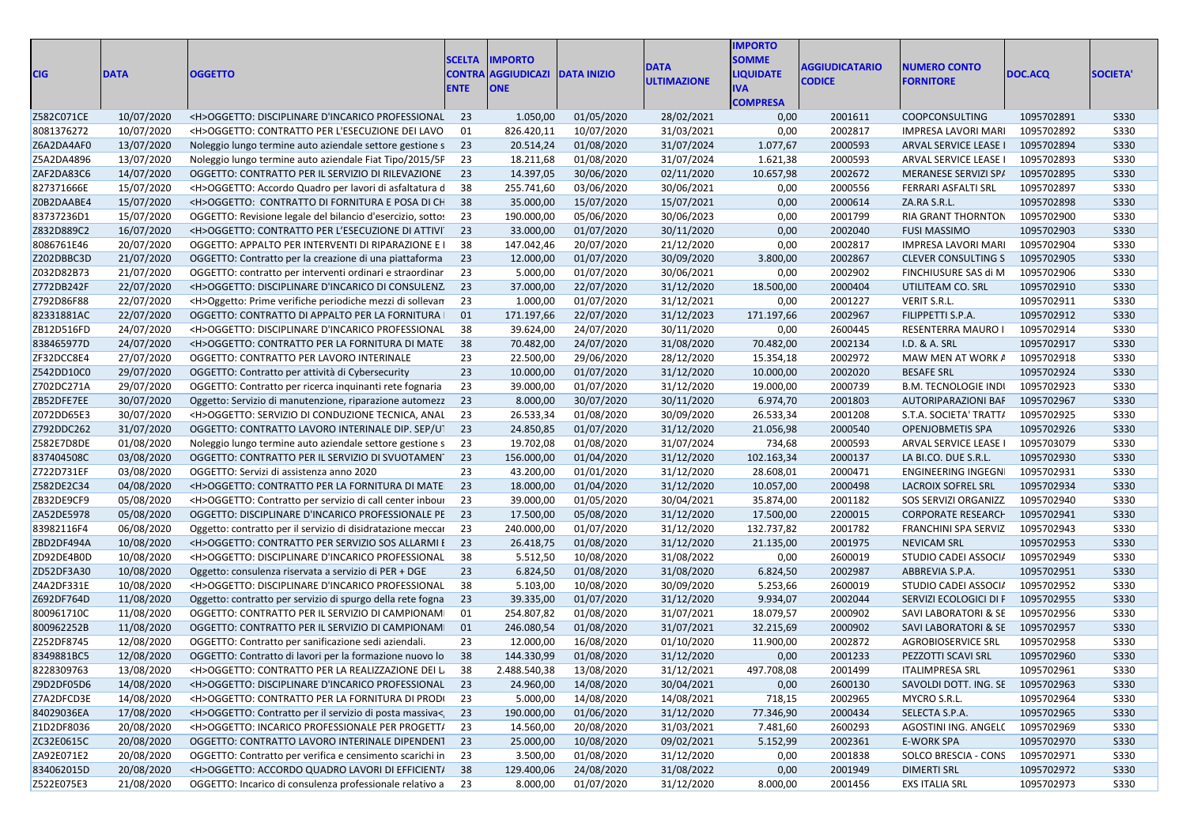| <b>CIG</b> | <b>DATA</b> | <b>OGGETTO</b>                                                                                                        | <b>SCELTA</b><br><b>ENTE</b> | <b>IMPORTO</b><br><b>CONTRA AGGIUDICAZI</b><br><b>ONE</b> | <b>DATA INIZIO</b>   | <b>DATA</b><br><b>ULTIMAZIONE</b> | <b>IMPORTO</b><br><b>SOMME</b><br><b>IQUIDATE</b><br>IVA<br><b>COMPRESA</b> | AGGIUDICATARIO<br><b>CODICE</b> | <b>NUMERO CONTO</b><br><b>FORNITORE</b> | DOC.ACQ    | <b>SOCIETA'</b> |
|------------|-------------|-----------------------------------------------------------------------------------------------------------------------|------------------------------|-----------------------------------------------------------|----------------------|-----------------------------------|-----------------------------------------------------------------------------|---------------------------------|-----------------------------------------|------------|-----------------|
| Z582C071CE | 10/07/2020  | <h>OGGETTO: DISCIPLINARE D'INCARICO PROFESSIONAL 23</h>                                                               |                              | 1.050,00                                                  | 01/05/2020           | 28/02/2021                        | 0,00                                                                        | 2001611                         | COOPCONSULTING                          | 1095702891 | S330            |
| 8081376272 | 10/07/2020  | <h>OGGETTO: CONTRATTO PER L'ESECUZIONE DEI LAVO</h>                                                                   | 01                           | 826.420,11                                                | 10/07/2020           | 31/03/2021                        | 0,00                                                                        | 2002817                         | IMPRESA LAVORI MARI                     | 1095702892 | <b>S330</b>     |
| Z6A2DA4AF0 | 13/07/2020  | Noleggio lungo termine auto aziendale settore gestione s 23                                                           |                              | 20.514,24                                                 | 01/08/2020           | 31/07/2024                        | 1.077,67                                                                    | 2000593                         | ARVAL SERVICE LEASE I                   | 1095702894 | S330            |
| Z5A2DA4896 | 13/07/2020  | Noleggio lungo termine auto aziendale Fiat Tipo/2015/5F 23                                                            |                              | 18.211,68                                                 | 01/08/2020           | 31/07/2024                        | 1.621,38                                                                    | 2000593                         | ARVAL SERVICE LEASE I                   | 1095702893 | S330            |
| ZAF2DA83C6 | 14/07/2020  | OGGETTO: CONTRATTO PER IL SERVIZIO DI RILEVAZIONE                                                                     | 23                           | 14.397,05                                                 | 30/06/2020           | 02/11/2020                        | 10.657,98                                                                   | 2002672                         | MERANESE SERVIZI SP/                    | 1095702895 | S330            |
| 827371666E | 15/07/2020  | <h>OGGETTO: Accordo Quadro per lavori di asfaltatura d</h>                                                            | - 38                         | 255.741,60                                                | 03/06/2020           | 30/06/2021                        | 0,00                                                                        | 2000556                         | FERRARI ASFALTI SRL                     | 1095702897 | S330            |
| Z0B2DAABE4 | 15/07/2020  | <h>OGGETTO: CONTRATTO DI FORNITURA E POSA DI CH</h>                                                                   | 38                           | 35.000,00                                                 | 15/07/2020           | 15/07/2021                        | 0,00                                                                        | 2000614                         | ZA.RA S.R.L.                            | 1095702898 | S330            |
| 83737236D1 | 15/07/2020  | OGGETTO: Revisione legale del bilancio d'esercizio, sottos                                                            | -23                          | 190.000,00                                                | 05/06/2020           | 30/06/2023                        | 0,00                                                                        | 2001799                         | RIA GRANT THORNTON                      | 1095702900 | S330            |
| Z832D889C2 | 16/07/2020  | <h>OGGETTO: CONTRATTO PER L'ESECUZIONE DI ATTIVI</h>                                                                  | 23                           | 33.000,00                                                 | 01/07/2020           | 30/11/2020                        | 0,00                                                                        | 2002040                         | <b>FUSI MASSIMO</b>                     | 1095702903 | S330            |
| 8086761E46 | 20/07/2020  | OGGETTO: APPALTO PER INTERVENTI DI RIPARAZIONE E I                                                                    | - 38                         | 147.042,46                                                | 20/07/2020           | 21/12/2020                        | 0,00                                                                        | 2002817                         | IMPRESA LAVORI MARI                     | 1095702904 | <b>S330</b>     |
| Z202DBBC3D | 21/07/2020  | OGGETTO: Contratto per la creazione di una piattaforma                                                                | 23                           | 12.000,00                                                 | 01/07/2020           | 30/09/2020                        | 3.800,00                                                                    | 2002867                         | <b>CLEVER CONSULTING S</b>              | 1095702905 | <b>S330</b>     |
| Z032D82B73 | 21/07/2020  | OGGETTO: contratto per interventi ordinari e straordinar                                                              | 23                           | 5.000,00                                                  | 01/07/2020           | 30/06/2021                        | 0,00                                                                        | 2002902                         | FINCHIUSURE SAS di M                    | 1095702906 | S330            |
| Z772DB242F | 22/07/2020  | <h>OGGETTO: DISCIPLINARE D'INCARICO DI CONSULENZ. 23</h>                                                              |                              | 37.000,00                                                 | 22/07/2020           | 31/12/2020                        | 18.500,00                                                                   | 2000404                         | UTILITEAM CO. SRL                       | 1095702910 | S330            |
| Z792D86F88 | 22/07/2020  | <h>Oggetto: Prime verifiche periodiche mezzi di sollevan</h>                                                          | 23                           | 1.000,00                                                  | 01/07/2020           | 31/12/2021                        | 0,00                                                                        | 2001227                         | VERIT S.R.L.                            | 1095702911 | S330            |
| 82331881AC | 22/07/2020  | OGGETTO: CONTRATTO DI APPALTO PER LA FORNITURA                                                                        | 01                           | 171.197,66                                                | 22/07/2020           | 31/12/2023                        | 171.197,66                                                                  | 2002967                         | FILIPPETTI S.P.A.                       | 1095702912 | S330            |
| ZB12D516FD | 24/07/2020  | <h>OGGETTO: DISCIPLINARE D'INCARICO PROFESSIONAL</h>                                                                  | 38                           | 39.624,00                                                 | 24/07/2020           | 30/11/2020                        | 0,00                                                                        | 2600445                         | RESENTERRA MAURO I                      | 1095702914 | S330            |
| 838465977D | 24/07/2020  | <h>OGGETTO: CONTRATTO PER LA FORNITURA DI MATE 38</h>                                                                 |                              | 70.482,00                                                 | 24/07/2020           | 31/08/2020                        | 70.482,00                                                                   | 2002134                         | I.D. & A. SRL                           | 1095702917 | S330            |
| ZF32DCC8E4 | 27/07/2020  | OGGETTO: CONTRATTO PER LAVORO INTERINALE                                                                              | 23                           | 22.500,00                                                 | 29/06/2020           | 28/12/2020                        | 15.354,18                                                                   | 2002972                         | MAW MEN AT WORK A                       | 1095702918 | S330            |
| Z542DD10C0 | 29/07/2020  | OGGETTO: Contratto per attività di Cybersecurity                                                                      | 23                           | 10.000,00                                                 | 01/07/2020           | 31/12/2020                        | 10.000,00                                                                   | 2002020                         | <b>BESAFE SRL</b>                       | 1095702924 | S330            |
| Z702DC271A | 29/07/2020  | OGGETTO: Contratto per ricerca inquinanti rete fognaria                                                               | 23                           | 39.000,00                                                 | 01/07/2020           | 31/12/2020                        | 19.000,00                                                                   | 2000739                         | <b>B.M. TECNOLOGIE INDI</b>             | 1095702923 | S330            |
| ZB52DFE7EE | 30/07/2020  | Oggetto: Servizio di manutenzione, riparazione automezz 23                                                            |                              | 8.000,00                                                  | 30/07/2020           | 30/11/2020                        | 6.974,70                                                                    | 2001803                         | AUTORIPARAZIONI BAF                     | 1095702967 | S330            |
| Z072DD65E3 | 30/07/2020  | <h>OGGETTO: SERVIZIO DI CONDUZIONE TECNICA, ANAL</h>                                                                  | 23                           | 26.533,34                                                 | 01/08/2020           | 30/09/2020                        | 26.533,34                                                                   | 2001208                         | S.T.A. SOCIETA' TRATT/                  | 1095702925 | <b>S330</b>     |
| Z792DDC262 | 31/07/2020  | OGGETTO: CONTRATTO LAVORO INTERINALE DIP. SEP/UT 23                                                                   |                              | 24.850,85                                                 | 01/07/2020           | 31/12/2020                        | 21.056,98                                                                   | 2000540                         | <b>OPENJOBMETIS SPA</b>                 | 1095702926 | S330            |
| Z582E7D8DE | 01/08/2020  |                                                                                                                       | 23                           | 19.702,08                                                 | 01/08/2020           | 31/07/2024                        | 734,68                                                                      | 2000593                         | ARVAL SERVICE LEASE I                   | 1095703079 | S330            |
| 837404508C | 03/08/2020  | Noleggio lungo termine auto aziendale settore gestione s<br>OGGETTO: CONTRATTO PER IL SERVIZIO DI SVUOTAMENT 23       |                              | 156.000,00                                                | 01/04/2020           | 31/12/2020                        | 102.163,34                                                                  | 2000137                         | LA BI.CO. DUE S.R.L.                    | 1095702930 | S330            |
|            |             |                                                                                                                       | 23                           |                                                           | 01/01/2020           |                                   | 28.608,01                                                                   | 2000471                         | ENGINEERING INGEGN                      | 1095702931 | S330            |
| Z722D731EF | 03/08/2020  | OGGETTO: Servizi di assistenza anno 2020                                                                              |                              | 43.200,00                                                 |                      | 31/12/2020                        |                                                                             |                                 |                                         |            |                 |
| Z582DE2C34 | 04/08/2020  | <h>OGGETTO: CONTRATTO PER LA FORNITURA DI MATE</h>                                                                    | 23<br>23                     | 18.000,00                                                 | 01/04/2020           | 31/12/2020                        | 10.057,00                                                                   | 2000498                         | LACROIX SOFREL SRL                      | 1095702934 | S330            |
| ZB32DE9CF9 | 05/08/2020  | <h>OGGETTO: Contratto per servizio di call center inbour<br/>OGGETTO: DISCIPLINARE D'INCARICO PROFESSIONALE PE 23</h> |                              | 39.000,00                                                 | 01/05/2020           | 30/04/2021                        | 35.874,00                                                                   | 2001182                         | SOS SERVIZI ORGANIZZ                    | 1095702940 | <b>S330</b>     |
| ZA52DE5978 | 05/08/2020  |                                                                                                                       | 23                           | 17.500,00                                                 | 05/08/2020           | 31/12/2020                        | 17.500,00                                                                   | 2200015                         | <b>CORPORATE RESEARCH</b>               | 1095702941 | S330            |
| 83982116F4 | 06/08/2020  | Oggetto: contratto per il servizio di disidratazione meccare                                                          |                              | 240.000,00                                                | 01/07/2020           | 31/12/2020                        | 132.737,82                                                                  | 2001782                         | FRANCHINI SPA SERVIZ                    | 1095702943 | S330            |
| ZBD2DF494A | 10/08/2020  | <h>OGGETTO: CONTRATTO PER SERVIZIO SOS ALLARMI E 23</h>                                                               |                              | 26.418,75                                                 | 01/08/2020           | 31/12/2020                        | 21.135,00                                                                   | 2001975                         | <b>NEVICAM SRL</b>                      | 1095702953 | S330            |
| ZD92DE4B0D | 10/08/2020  | <h>OGGETTO: DISCIPLINARE D'INCARICO PROFESSIONAL</h>                                                                  | - 38                         | 5.512,50                                                  | 10/08/2020           | 31/08/2022                        | 0,00                                                                        | 2600019                         | STUDIO CADEI ASSOCIA                    | 1095702949 | S330            |
| ZD52DF3A30 | 10/08/2020  | Oggetto: consulenza riservata a servizio di PER + DGE                                                                 | 23                           | 6.824,50                                                  | 01/08/2020           | 31/08/2020                        | 6.824,50                                                                    | 2002987                         | ABBREVIA S.P.A.                         | 1095702951 | S330            |
| Z4A2DF331E | 10/08/2020  | <h>OGGETTO: DISCIPLINARE D'INCARICO PROFESSIONAL</h>                                                                  | 38                           | 5.103,00                                                  | 10/08/2020           | 30/09/2020                        | 5.253,66                                                                    | 2600019                         | STUDIO CADEI ASSOCI/                    | 1095702952 | S330            |
| Z692DF764D | 11/08/2020  | Oggetto: contratto per servizio di spurgo della rete fogna                                                            | 23                           | 39.335,00                                                 | 01/07/2020           | 31/12/2020                        | 9.934,07                                                                    | 2002044                         | SERVIZI ECOLOGICI DI F                  | 1095702955 | S330            |
| 800961710C | 11/08/2020  | OGGETTO: CONTRATTO PER IL SERVIZIO DI CAMPIONAMI                                                                      | 01                           | 254.807,82                                                | 01/08/2020           | 31/07/2021                        | 18.079,57                                                                   | 2000902                         | SAVI LABORATORI & SE                    | 1095702956 | <b>S330</b>     |
| 800962252B | 11/08/2020  | OGGETTO: CONTRATTO PER IL SERVIZIO DI CAMPIONAM                                                                       | 01                           | 246.080,54                                                | 01/08/2020           | 31/07/2021                        | 32.215,69                                                                   | 2000902                         | SAVI LABORATORI & SE                    | 1095702957 | S330            |
| Z252DF8745 | 12/08/2020  | OGGETTO: Contratto per sanificazione sedi aziendali.                                                                  | 23                           | 12.000,00                                                 | 16/08/2020           | 01/10/2020                        | 11.900,00                                                                   | 2002872                         | <b>AGROBIOSERVICE SRL</b>               | 1095702958 | S330            |
| 8349881BC5 | 12/08/2020  | OGGETTO: Contratto di lavori per la formazione nuovo lo 38                                                            |                              | 144.330,99                                                | 01/08/2020           | 31/12/2020                        | 0,00                                                                        | 2001233                         | PEZZOTTI SCAVI SRL                      | 1095702960 | S330            |
| 8228309763 | 13/08/2020  | <h>OGGETTO: CONTRATTO PER LA REALIZZAZIONE DEI L 38</h>                                                               |                              | 2.488.540,38                                              | 13/08/2020           | 31/12/2021                        | 497.708,08                                                                  | 2001499                         | <b>ITALIMPRESA SRL</b>                  | 1095702961 | <b>S330</b>     |
| Z9D2DF05D6 | 14/08/2020  | <h>OGGETTO: DISCIPLINARE D'INCARICO PROFESSIONAL 23</h>                                                               |                              |                                                           | 24.960,00 14/08/2020 | 30/04/2021                        | 0,00                                                                        | 2600130                         | SAVOLDI DOTT. ING. SE 1095702963        |            | S330            |
| Z7A2DFCD3E | 14/08/2020  | <h>OGGETTO: CONTRATTO PER LA FORNITURA DI PRODI</h>                                                                   | 23                           | 5.000,00                                                  | 14/08/2020           | 14/08/2021                        | 718,15                                                                      | 2002965                         | MYCRO S.R.L.                            | 1095702964 | S330            |
| 84029036EA | 17/08/2020  | <h>OGGETTO: Contratto per il servizio di posta massiva&lt; 23</h>                                                     |                              | 190.000,00                                                | 01/06/2020           | 31/12/2020                        | 77.346,90                                                                   | 2000434                         | SELECTA S.P.A.                          | 1095702965 | S330            |
| Z1D2DF8036 | 20/08/2020  | <h>OGGETTO: INCARICO PROFESSIONALE PER PROGETT/ 23</h>                                                                |                              | 14.560,00                                                 | 20/08/2020           | 31/03/2021                        | 7.481,60                                                                    | 2600293                         | AGOSTINI ING. ANGEL(                    | 1095702969 | S330            |
| ZC32E0615C | 20/08/2020  | OGGETTO: CONTRATTO LAVORO INTERINALE DIPENDEN1 23                                                                     |                              | 25.000,00                                                 | 10/08/2020           | 09/02/2021                        | 5.152,99                                                                    | 2002361                         | <b>E-WORK SPA</b>                       | 1095702970 | S330            |
| ZA92E071E2 | 20/08/2020  | OGGETTO: Contratto per verifica e censimento scarichi in 23                                                           |                              | 3.500,00                                                  | 01/08/2020           | 31/12/2020                        | 0,00                                                                        | 2001838                         | SOLCO BRESCIA - CONS                    | 1095702971 | S330            |
| 834062015D | 20/08/2020  | <h>OGGETTO: ACCORDO QUADRO LAVORI DI EFFICIENT/ 38</h>                                                                |                              | 129.400,06                                                | 24/08/2020           | 31/08/2022                        | 0,00                                                                        | 2001949                         | <b>DIMERTI SRL</b>                      | 1095702972 | S330            |
| Z522E075E3 | 21/08/2020  | OGGETTO: Incarico di consulenza professionale relativo a 23                                                           |                              | 8.000,00                                                  | 01/07/2020           | 31/12/2020                        | 8.000,00                                                                    | 2001456                         | EXS ITALIA SRL                          | 1095702973 | S330            |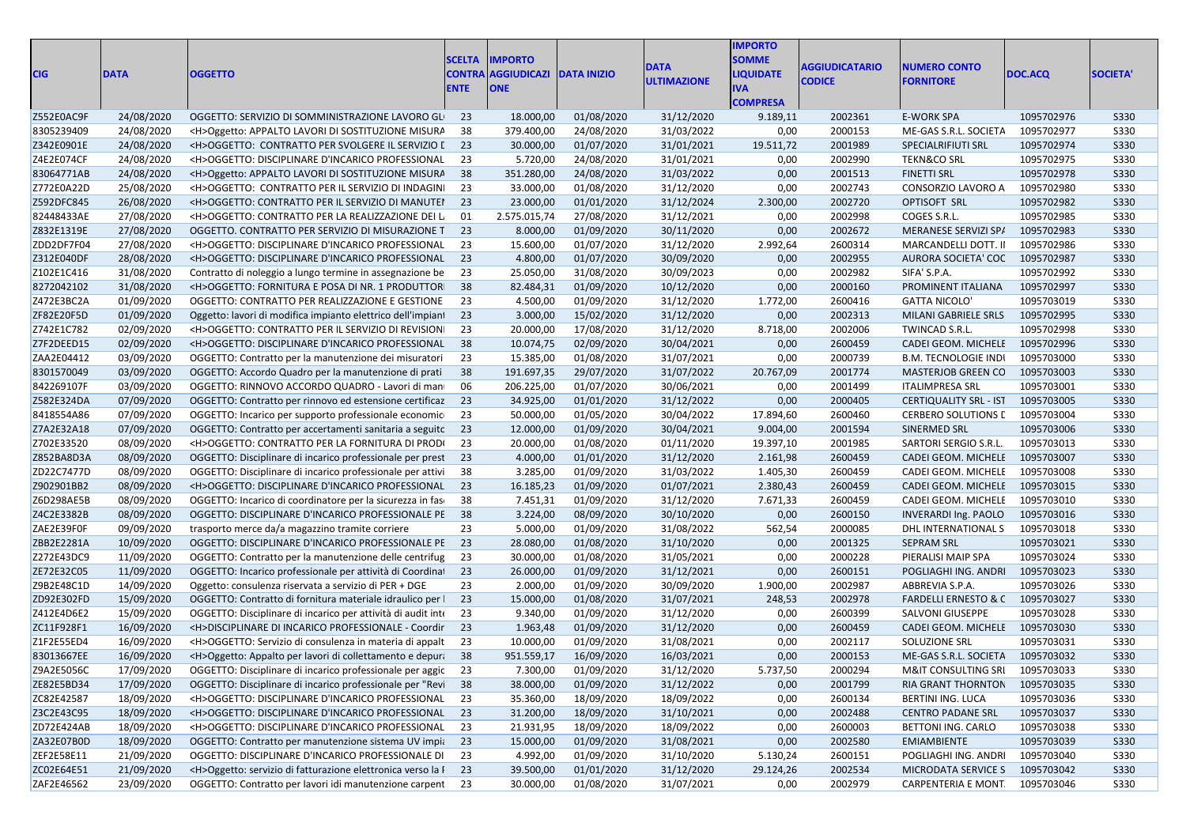| <b>CIG</b> | <b>DATA</b> | <b>OGGETTO</b>                                                     | <b>SCELTA</b><br>CONTRA | <b>IMPORTO</b><br><b>AGGIUDICAZI</b> | <b>DATA INIZIO</b> | <b>DATA</b>        | <b>IMPORTO</b><br><b>SOMME</b><br><b>IQUIDATE</b> | <b>AGGIUDICATARIO</b> | <b>NUMERO CONTO</b>              | DOC.ACQ    | <b>SOCIETA</b> |  |
|------------|-------------|--------------------------------------------------------------------|-------------------------|--------------------------------------|--------------------|--------------------|---------------------------------------------------|-----------------------|----------------------------------|------------|----------------|--|
|            |             |                                                                    |                         | <b>ONE</b>                           |                    | <b>ULTIMAZIONE</b> | IVA<br><b>COMPRESA</b>                            | <b>CODICE</b>         | <b>FORNITORE</b>                 |            |                |  |
| Z552E0AC9F | 24/08/2020  | OGGETTO: SERVIZIO DI SOMMINISTRAZIONE LAVORO GLI                   | - 23                    | 18.000,00                            | 01/08/2020         | 31/12/2020         | 9.189,11                                          | 2002361               | <b>E-WORK SPA</b>                | 1095702976 | S330           |  |
| 8305239409 | 24/08/2020  | <h>Oggetto: APPALTO LAVORI DI SOSTITUZIONE MISURA</h>              | 38                      | 379.400,00                           | 24/08/2020         | 31/03/2022         | 0,00                                              | 2000153               | ME-GAS S.R.L. SOCIETA            | 1095702977 | <b>S330</b>    |  |
| Z342E0901E | 24/08/2020  | <h>OGGETTO: CONTRATTO PER SVOLGERE IL SERVIZIO [ 23</h>            |                         | 30.000,00                            | 01/07/2020         | 31/01/2021         | 19.511,72                                         | 2001989               | SPECIALRIFIUTI SRL               | 1095702974 | <b>S330</b>    |  |
| Z4E2E074CF | 24/08/2020  | <h>OGGETTO: DISCIPLINARE D'INCARICO PROFESSIONAL 23</h>            |                         | 5.720,00                             | 24/08/2020         | 31/01/2021         | 0,00                                              | 2002990               | <b>TEKN&amp;CO SRL</b>           | 1095702975 | <b>S330</b>    |  |
| 83064771AB | 24/08/2020  | <h>Oggetto: APPALTO LAVORI DI SOSTITUZIONE MISURA</h>              | 38                      | 351.280,00                           | 24/08/2020         | 31/03/2022         | 0,00                                              | 2001513               | <b>FINETTI SRL</b>               | 1095702978 | <b>S330</b>    |  |
| Z772E0A22D | 25/08/2020  | <h>OGGETTO: CONTRATTO PER IL SERVIZIO DI INDAGINI</h>              | 23                      | 33.000,00                            | 01/08/2020         | 31/12/2020         | 0,00                                              | 2002743               | CONSORZIO LAVORO A               | 1095702980 | S330           |  |
| Z592DFC845 | 26/08/2020  | <h>OGGETTO: CONTRATTO PER IL SERVIZIO DI MANUTEI</h>               | 23                      | 23.000,00                            | 01/01/2020         | 31/12/2024         | 2.300,00                                          | 2002720               | OPTISOFT SRL                     | 1095702982 | <b>S330</b>    |  |
| 82448433AE | 27/08/2020  | <h>OGGETTO: CONTRATTO PER LA REALIZZAZIONE DEI L</h>               | 01                      | 2.575.015,74                         | 27/08/2020         | 31/12/2021         | 0,00                                              | 2002998               | COGES S.R.L.                     | 1095702985 | <b>S330</b>    |  |
| Z832E1319E | 27/08/2020  | OGGETTO. CONTRATTO PER SERVIZIO DI MISURAZIONE T                   | 23                      | 8.000,00                             | 01/09/2020         | 30/11/2020         | 0,00                                              | 2002672               | MERANESE SERVIZI SP/             | 1095702983 | <b>S330</b>    |  |
| ZDD2DF7F04 | 27/08/2020  | <h>OGGETTO: DISCIPLINARE D'INCARICO PROFESSIONAL</h>               | - 23                    | 15.600,00                            | 01/07/2020         | 31/12/2020         | 2.992,64                                          | 2600314               | MARCANDELLI DOTT. II             | 1095702986 | S330           |  |
| Z312E040DF | 28/08/2020  | <h>OGGETTO: DISCIPLINARE D'INCARICO PROFESSIONAL 23</h>            |                         | 4.800,00                             | 01/07/2020         | 30/09/2020         | 0,00                                              | 2002955               | AURORA SOCIETA' COC 1095702987   |            | <b>S330</b>    |  |
| Z102E1C416 | 31/08/2020  | Contratto di noleggio a lungo termine in assegnazione be           | 23                      | 25.050,00                            | 31/08/2020         | 30/09/2023         | 0,00                                              | 2002982               | SIFA' S.P.A.                     | 1095702992 | <b>S330</b>    |  |
| 8272042102 | 31/08/2020  | <h>OGGETTO: FORNITURA E POSA DI NR. 1 PRODUTTOR 38</h>             |                         | 82.484,31                            | 01/09/2020         | 10/12/2020         | 0,00                                              | 2000160               | PROMINENT ITALIANA               | 1095702997 | <b>S330</b>    |  |
| Z472E3BC2A | 01/09/2020  | OGGETTO: CONTRATTO PER REALIZZAZIONE E GESTIONE                    | 23                      | 4.500,00                             | 01/09/2020         | 31/12/2020         | 1.772,00                                          | 2600416               | <b>GATTA NICOLO'</b>             | 1095703019 | <b>S330</b>    |  |
| ZF82E20F5D | 01/09/2020  | Oggetto: lavori di modifica impianto elettrico dell'impiant        | 23                      | 3.000,00                             | 15/02/2020         | 31/12/2020         | 0,00                                              | 2002313               | MILANI GABRIELE SRLS 1095702995  |            | <b>S330</b>    |  |
| Z742E1C782 | 02/09/2020  | <h>OGGETTO: CONTRATTO PER IL SERVIZIO DI REVISION </h>             | 23                      | 20.000,00                            | 17/08/2020         | 31/12/2020         | 8.718,00                                          | 2002006               | TWINCAD S.R.L.                   | 1095702998 | S330           |  |
| Z7F2DEED15 | 02/09/2020  | <h>OGGETTO: DISCIPLINARE D'INCARICO PROFESSIONAL 38</h>            |                         | 10.074,75                            | 02/09/2020         | 30/04/2021         | 0,00                                              | 2600459               | CADEI GEOM. MICHELE 1095702996   |            | <b>S330</b>    |  |
| ZAA2E04412 | 03/09/2020  | OGGETTO: Contratto per la manutenzione dei misuratori              | 23                      | 15.385,00                            | 01/08/2020         | 31/07/2021         | 0,00                                              | 2000739               | <b>B.M. TECNOLOGIE INDI</b>      | 1095703000 | S330           |  |
| 8301570049 | 03/09/2020  | OGGETTO: Accordo Quadro per la manutenzione di prati               | 38                      | 191.697,35                           | 29/07/2020         | 31/07/2022         | 20.767,09                                         | 2001774               | MASTERJOB GREEN CO 1095703003    |            | S330           |  |
| 842269107F | 03/09/2020  | OGGETTO: RINNOVO ACCORDO QUADRO - Lavori di man                    | 06                      | 206.225,00                           | 01/07/2020         | 30/06/2021         | 0,00                                              | 2001499               | <b>ITALIMPRESA SRL</b>           | 1095703001 | <b>S330</b>    |  |
| Z582E324DA | 07/09/2020  | OGGETTO: Contratto per rinnovo ed estensione certificaz            | 23                      | 34.925,00                            | 01/01/2020         | 31/12/2022         | 0,00                                              | 2000405               | <b>CERTIQUALITY SRL - IST</b>    | 1095703005 | <b>S330</b>    |  |
| 8418554A86 | 07/09/2020  | OGGETTO: Incarico per supporto professionale economic              | 23                      | 50.000,00                            | 01/05/2020         | 30/04/2022         | 17.894,60                                         | 2600460               | <b>CERBERO SOLUTIONS L</b>       | 1095703004 | S330           |  |
| Z7A2E32A18 | 07/09/2020  | OGGETTO: Contratto per accertamenti sanitaria a seguitc 23         |                         | 12.000,00                            | 01/09/2020         | 30/04/2021         | 9.004,00                                          | 2001594               | SINERMED SRL                     | 1095703006 | <b>S330</b>    |  |
| Z702E33520 | 08/09/2020  | <h>OGGETTO: CONTRATTO PER LA FORNITURA DI PRODI</h>                | 23                      | 20.000,00                            | 01/08/2020         | 01/11/2020         | 19.397,10                                         | 2001985               | SARTORI SERGIO S.R.L.            | 1095703013 | S330           |  |
| Z852BA8D3A | 08/09/2020  | OGGETTO: Disciplinare di incarico professionale per prest 23       |                         | 4.000,00                             | 01/01/2020         | 31/12/2020         | 2.161,98                                          | 2600459               | CADEI GEOM. MICHELE 1095703007   |            | S330           |  |
| ZD22C7477D | 08/09/2020  | OGGETTO: Disciplinare di incarico professionale per attivi         | 38                      | 3.285,00                             | 01/09/2020         | 31/03/2022         | 1.405,30                                          | 2600459               | CADEI GEOM. MICHELE              | 1095703008 | <b>S330</b>    |  |
| Z902901BB2 | 08/09/2020  | <h>OGGETTO: DISCIPLINARE D'INCARICO PROFESSIONAL</h>               | 23                      | 16.185,23                            | 01/09/2020         | 01/07/2021         | 2.380,43                                          | 2600459               | CADEI GEOM. MICHELE              | 1095703015 | <b>S330</b>    |  |
| Z6D298AE5B | 08/09/2020  | OGGETTO: Incarico di coordinatore per la sicurezza in fase         | 38                      | 7.451,31                             | 01/09/2020         | 31/12/2020         | 7.671,33                                          | 2600459               | CADEI GEOM. MICHELE              | 1095703010 | S330           |  |
| Z4C2E3382B | 08/09/2020  | OGGETTO: DISCIPLINARE D'INCARICO PROFESSIONALE PE                  | 38                      | 3.224,00                             | 08/09/2020         | 30/10/2020         | 0,00                                              | 2600150               | INVERARDI Ing. PAOLO             | 1095703016 | <b>S330</b>    |  |
| ZAE2E39F0F | 09/09/2020  | trasporto merce da/a magazzino tramite corriere                    | 23                      | 5.000,00                             | 01/09/2020         | 31/08/2022         | 562,54                                            | 2000085               | DHL INTERNATIONAL S              | 1095703018 | <b>S330</b>    |  |
| ZBB2E2281A | 10/09/2020  | OGGETTO: DISCIPLINARE D'INCARICO PROFESSIONALE PE 23               |                         | 28.080,00                            | 01/08/2020         | 31/10/2020         | 0,00                                              | 2001325               | <b>SEPRAM SRL</b>                | 1095703021 | <b>S330</b>    |  |
| Z272E43DC9 | 11/09/2020  | OGGETTO: Contratto per la manutenzione delle centrifug             | 23                      | 30.000,00                            | 01/08/2020         | 31/05/2021         | 0,00                                              | 2000228               | PIERALISI MAIP SPA               | 1095703024 | <b>S330</b>    |  |
| ZE72E32C05 | 11/09/2020  | OGGETTO: Incarico professionale per attività di Coordina   23      |                         | 26.000,00                            | 01/09/2020         | 31/12/2021         | 0,00                                              | 2600151               | POGLIAGHI ING. ANDRI             | 1095703023 | <b>S330</b>    |  |
| Z9B2E48C1D | 14/09/2020  | Oggetto: consulenza riservata a servizio di PER + DGE              | 23                      | 2.000,00                             | 01/09/2020         | 30/09/2020         | 1.900,00                                          | 2002987               | ABBREVIA S.P.A.                  | 1095703026 | S330           |  |
| ZD92E302FD | 15/09/2020  | OGGETTO: Contratto di fornitura materiale idraulico per l          | 23                      | 15.000,00                            | 01/08/2020         | 31/07/2021         | 248,53                                            | 2002978               | FARDELLI ERNESTO & C 1095703027  |            | S330           |  |
| Z412E4D6E2 | 15/09/2020  | OGGETTO: Disciplinare di incarico per attività di audit inte       | 23                      | 9.340,00                             | 01/09/2020         | 31/12/2020         | 0,00                                              | 2600399               | SALVONI GIUSEPPE                 | 1095703028 | <b>S330</b>    |  |
| ZC11F928F1 | 16/09/2020  | <h>DISCIPLINARE DI INCARICO PROFESSIONALE - Coordir</h>            | 23                      | 1.963,48                             | 01/09/2020         | 31/12/2020         | 0,00                                              | 2600459               | CADEI GEOM. MICHELE 1095703030   |            | <b>S330</b>    |  |
| Z1F2E55ED4 | 16/09/2020  | <h>OGGETTO: Servizio di consulenza in materia di appalt</h>        | -23                     | 10.000,00                            | 01/09/2020         | 31/08/2021         | 0,00                                              | 2002117               | SOLUZIONE SRL                    | 1095703031 | S330           |  |
| 83013667EE | 16/09/2020  | <h>Oggetto: Appalto per lavori di collettamento e depura 38</h>    |                         | 951.559,17                           | 16/09/2020         | 16/03/2021         | 0,00                                              | 2000153               | ME-GAS S.R.L. SOCIETA 1095703032 |            | <b>S330</b>    |  |
| Z9A2E5056C | 17/09/2020  | OGGETTO: Disciplinare di incarico professionale per aggic 23       |                         | 7.300,00                             | 01/09/2020         | 31/12/2020         | 5.737,50                                          | 2000294               | M&IT CONSULTING SRI 1095703033   |            | <b>S330</b>    |  |
| ZE82E5BD34 | 17/09/2020  | OGGETTO: Disciplinare di incarico professionale per "Revi 38       |                         | 38.000,00                            | 01/09/2020         | 31/12/2022         | 0,00                                              | 2001799               | RIA GRANT THORNTON 1095703035    |            | S330           |  |
| ZC82E42587 | 18/09/2020  | <h>OGGETTO: DISCIPLINARE D'INCARICO PROFESSIONAL</h>               | 23                      | 35.360,00                            | 18/09/2020         | 18/09/2022         | 0,00                                              | 2600134               | BERTINI ING. LUCA                | 1095703036 | S330           |  |
| Z3C2E43C95 | 18/09/2020  | <h>OGGETTO: DISCIPLINARE D'INCARICO PROFESSIONAL 23</h>            |                         | 31.200,00                            | 18/09/2020         | 31/10/2021         | 0,00                                              | 2002488               | <b>CENTRO PADANE SRL</b>         | 1095703037 | S330           |  |
| ZD72E424AB | 18/09/2020  | <h>OGGETTO: DISCIPLINARE D'INCARICO PROFESSIONAL 23</h>            |                         | 21.931,95                            | 18/09/2020         | 18/09/2022         | 0,00                                              | 2600003               | BETTONI ING. CARLO               | 1095703038 | S330           |  |
| ZA32E07B0D | 18/09/2020  | OGGETTO: Contratto per manutenzione sistema UV impia 23            |                         | 15.000,00                            | 01/09/2020         | 31/08/2021         | 0,00                                              | 2002580               | <b>EMIAMBIENTE</b>               | 1095703039 | <b>S330</b>    |  |
| ZEF2E58E11 | 21/09/2020  | OGGETTO: DISCIPLINARE D'INCARICO PROFESSIONALE DI                  | 23                      | 4.992,00                             | 01/09/2020         | 31/10/2020         | 5.130,24                                          | 2600151               | POGLIAGHI ING. ANDRI             | 1095703040 | <b>S330</b>    |  |
| ZC02E64E51 | 21/09/2020  | <h>Oggetto: servizio di fatturazione elettronica verso la I 23</h> |                         | 39.500,00                            | 01/01/2020         | 31/12/2020         | 29.124,26                                         | 2002534               | MICRODATA SERVICE S 1095703042   |            | S330           |  |
| ZAF2E46562 | 23/09/2020  | OGGETTO: Contratto per lavori idi manutenzione carpent 23          |                         | 30.000,00                            | 01/08/2020         | 31/07/2021         | 0,00                                              | 2002979               | CARPENTERIA E MONT               | 1095703046 | <b>S330</b>    |  |
|            |             |                                                                    |                         |                                      |                    |                    |                                                   |                       |                                  |            |                |  |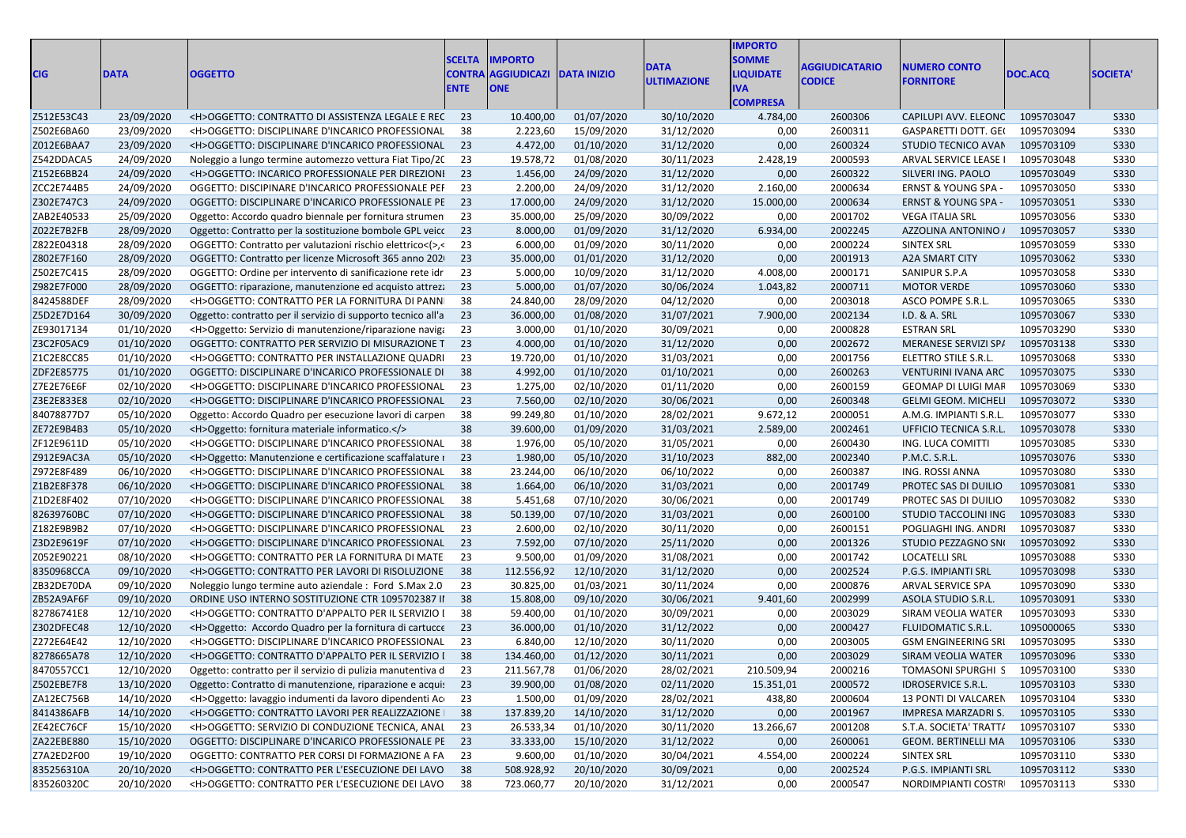| CIG        | <b>IDATA</b> | <b>OGGETTO</b>                                                            | <b>SCELTA</b><br><b>CONTRA</b><br><b>ENTE</b> | <b>IMPORTO</b><br>AGGIUDICAZI DATA INIZIO |                       | DATA<br><b>JLTIMAZIONE</b> | <b>MPORTO</b><br><b>SOMME</b><br><b>JOUIDATE</b><br><b>COMPRESA</b> | <b>AGGIUDICATARIO</b><br><b>CODICE</b> | <b>NUMERO CONTO</b><br><b>FORNITORE</b> | DOC.ACQ    | <b>SOCIETA'</b> |
|------------|--------------|---------------------------------------------------------------------------|-----------------------------------------------|-------------------------------------------|-----------------------|----------------------------|---------------------------------------------------------------------|----------------------------------------|-----------------------------------------|------------|-----------------|
| Z512E53C43 | 23/09/2020   | <h>OGGETTO: CONTRATTO DI ASSISTENZA LEGALE E REC 23</h>                   |                                               | 10.400,00                                 | 01/07/2020            | 30/10/2020                 | 4.784,00                                                            | 2600306                                | CAPILUPI AVV. ELEONC                    | 1095703047 | S330            |
| Z502E6BA60 | 23/09/2020   | <h>OGGETTO: DISCIPLINARE D'INCARICO PROFESSIONAL</h>                      | - 38                                          | 2.223,60                                  | 15/09/2020            | 31/12/2020                 | 0,00                                                                | 2600311                                | <b>GASPARETTI DOTT. GEI</b>             | 1095703094 | S330            |
| Z012E6BAA7 | 23/09/2020   | <h>OGGETTO: DISCIPLINARE D'INCARICO PROFESSIONAL 23</h>                   |                                               | 4.472,00                                  | 01/10/2020            | 31/12/2020                 | 0,00                                                                | 2600324                                | STUDIO TECNICO AVAN                     | 1095703109 | S330            |
| Z542DDACA5 | 24/09/2020   | Noleggio a lungo termine automezzo vettura Fiat Tipo/20 23                |                                               | 19.578,72                                 | 01/08/2020            | 30/11/2023                 | 2.428,19                                                            | 2000593                                | ARVAL SERVICE LEASE I                   | 1095703048 | S330            |
| Z152E6BB24 | 24/09/2020   | <h>OGGETTO: INCARICO PROFESSIONALE PER DIREZIONI 23</h>                   |                                               | 1.456,00                                  | 24/09/2020            | 31/12/2020                 | 0,00                                                                | 2600322                                | SILVERI ING. PAOLO                      | 1095703049 | <b>S330</b>     |
| ZCC2E744B5 | 24/09/2020   | OGGETTO: DISCIPINARE D'INCARICO PROFESSIONALE PEI 23                      |                                               | 2.200,00                                  | 24/09/2020            | 31/12/2020                 | 2.160,00                                                            | 2000634                                | <b>ERNST &amp; YOUNG SPA</b>            | 1095703050 | S330            |
| Z302E747C3 | 24/09/2020   | OGGETTO: DISCIPLINARE D'INCARICO PROFESSIONALE PE 23                      |                                               | 17.000,00                                 | 24/09/2020            | 31/12/2020                 | 15.000,00                                                           | 2000634                                | <b>ERNST &amp; YOUNG SPA -</b>          | 1095703051 | S330            |
| ZAB2E40533 | 25/09/2020   | Oggetto: Accordo quadro biennale per fornitura strumen 23                 |                                               | 35.000,00                                 | 25/09/2020            | 30/09/2022                 | 0,00                                                                | 2001702                                | <b>VEGA ITALIA SRL</b>                  | 1095703056 | S330            |
| Z022E7B2FB | 28/09/2020   | Oggetto: Contratto per la sostituzione bombole GPL veicc 23               |                                               | 8.000,00                                  | 01/09/2020            | 31/12/2020                 | 6.934,00                                                            | 2002245                                | AZZOLINA ANTONINO                       | 1095703057 | S330            |
| Z822E04318 | 28/09/2020   | OGGETTO: Contratto per valutazioni rischio elettrico<(>>>>>,< 23          |                                               | 6.000,00                                  | 01/09/2020            | 30/11/2020                 | 0,00                                                                | 2000224                                | SINTEX SRL                              | 1095703059 | S330            |
| Z802E7F160 | 28/09/2020   | OGGETTO: Contratto per licenze Microsoft 365 anno 202 23                  |                                               | 35.000,00                                 | 01/01/2020            | 31/12/2020                 | 0,00                                                                | 2001913                                | <b>A2A SMART CITY</b>                   | 1095703062 | S330            |
| Z502E7C415 | 28/09/2020   | OGGETTO: Ordine per intervento di sanificazione rete idr 23               |                                               | 5.000,00                                  | 10/09/2020            | 31/12/2020                 | 4.008,00                                                            | 2000171                                | SANIPUR S.P.A                           | 1095703058 | S330            |
| Z982E7F000 | 28/09/2020   | OGGETTO: riparazione, manutenzione ed acquisto attrez: 23                 |                                               | 5.000,00                                  | 01/07/2020            | 30/06/2024                 | 1.043,82                                                            | 2000711                                | <b>MOTOR VERDE</b>                      | 1095703060 | S330            |
| 8424588DEF | 28/09/2020   | <h>OGGETTO: CONTRATTO PER LA FORNITURA DI PANN 38</h>                     |                                               | 24.840,00                                 | 28/09/2020            | 04/12/2020                 | 0,00                                                                | 2003018                                | ASCO POMPE S.R.L.                       | 1095703065 | S330            |
| Z5D2E7D164 | 30/09/2020   | Oggetto: contratto per il servizio di supporto tecnico all'a 23           |                                               | 36.000,00                                 | 01/08/2020            | 31/07/2021                 | 7.900,00                                                            | 2002134                                | <b>I.D. &amp; A. SRL</b>                | 1095703067 | S330            |
| ZE93017134 | 01/10/2020   | <h>Oggetto: Servizio di manutenzione/riparazione naviga 23</h>            |                                               | 3.000,00                                  | 01/10/2020            | 30/09/2021                 | 0,00                                                                | 2000828                                | <b>ESTRAN SRL</b>                       | 1095703290 | S330            |
| Z3C2F05AC9 | 01/10/2020   | OGGETTO: CONTRATTO PER SERVIZIO DI MISURAZIONE T 23                       |                                               | 4.000,00                                  | 01/10/2020            | 31/12/2020                 | 0,00                                                                | 2002672                                | MERANESE SERVIZI SP/                    | 1095703138 | S330            |
| Z1C2E8CC85 | 01/10/2020   | <h>OGGETTO: CONTRATTO PER INSTALLAZIONE QUADRI 23</h>                     |                                               | 19.720,00                                 | 01/10/2020            | 31/03/2021                 | 0,00                                                                | 2001756                                | ELETTRO STILE S.R.L.                    | 1095703068 | S330            |
| ZDF2E85775 | 01/10/2020   | OGGETTO: DISCIPLINARE D'INCARICO PROFESSIONALE DI 38                      |                                               | 4.992,00                                  | 01/10/2020            | 01/10/2021                 | 0,00                                                                | 2600263                                | <b>VENTURINI IVANA ARC</b>              | 1095703075 | S330            |
| Z7E2E76E6F | 02/10/2020   | <h>OGGETTO: DISCIPLINARE D'INCARICO PROFESSIONAL 23</h>                   |                                               | 1.275,00                                  | 02/10/2020            | 01/11/2020                 | 0,00                                                                | 2600159                                | GEOMAP DI LUIGI MAF                     | 1095703069 | S330            |
| Z3E2E833E8 | 02/10/2020   | <h>OGGETTO: DISCIPLINARE D'INCARICO PROFESSIONAL 23</h>                   |                                               | 7.560,00                                  | 02/10/2020            | 30/06/2021                 | 0,00                                                                | 2600348                                | <b>GELMI GEOM. MICHELI</b>              | 1095703072 | S330            |
| 84078877D7 | 05/10/2020   | Oggetto: Accordo Quadro per esecuzione lavori di carpen 38                |                                               | 99.249,80                                 | 01/10/2020            | 28/02/2021                 | 9.672,12                                                            | 2000051                                | A.M.G. IMPIANTI S.R.L                   | 1095703077 | S330            |
| ZE72E9B4B3 | 05/10/2020   | <h>Oggetto: fornitura materiale informatico.</h>                          |                                               | 39.600,00                                 | 01/09/2020            | 31/03/2021                 | 2.589,00                                                            | 2002461                                | <b>UFFICIO TECNICA S.R.L.</b>           | 1095703078 | S330            |
| ZF12E9611D | 05/10/2020   | <h>OGGETTO: DISCIPLINARE D'INCARICO PROFESSIONAL</h>                      | - 38                                          | 1.976,00                                  | 05/10/2020            | 31/05/2021                 | 0,00                                                                | 2600430                                | ING. LUCA COMITTI                       | 1095703085 | S330            |
| Z912E9AC3A | 05/10/2020   | <h>Oggetto: Manutenzione e certificazione scaffalature r 23</h>           |                                               | 1.980,00                                  | 05/10/2020            | 31/10/2023                 | 882,00                                                              | 2002340                                | P.M.C. S.R.L.                           | 1095703076 | S330            |
| Z972E8F489 | 06/10/2020   | <h>OGGETTO: DISCIPLINARE D'INCARICO PROFESSIONAL 38</h>                   |                                               | 23.244,00                                 | 06/10/2020            | 06/10/2022                 | 0,00                                                                | 2600387                                | ING. ROSSI ANNA                         | 1095703080 | S330            |
|            | 06/10/2020   | <h>OGGETTO: DISCIPLINARE D'INCARICO PROFESSIONAL 38</h>                   |                                               | 1.664,00                                  | 06/10/2020            | 31/03/2021                 | 0,00                                                                | 2001749                                | PROTEC SAS DI DUILIO                    | 1095703081 | S330            |
| Z1B2E8F378 | 07/10/2020   |                                                                           |                                               |                                           |                       |                            |                                                                     | 2001749                                |                                         |            |                 |
| Z1D2E8F402 |              | <h>OGGETTO: DISCIPLINARE D'INCARICO PROFESSIONAL 38</h>                   |                                               | 5.451,68                                  | 07/10/2020            | 30/06/2021                 | 0,00                                                                |                                        | PROTEC SAS DI DUILIO                    | 1095703082 | S330            |
| 82639760BC | 07/10/2020   | <h>OGGETTO: DISCIPLINARE D'INCARICO PROFESSIONAL 38</h>                   |                                               | 50.139,00                                 | 07/10/2020            | 31/03/2021                 | 0,00                                                                | 2600100                                | STUDIO TACCOLINI INC                    | 1095703083 | S330            |
| Z182E9B9B2 | 07/10/2020   | <h>OGGETTO: DISCIPLINARE D'INCARICO PROFESSIONAL 23</h>                   |                                               | 2.600,00                                  | 02/10/2020            | 30/11/2020                 | 0,00                                                                | 2600151                                | POGLIAGHI ING. ANDRI                    | 1095703087 | S330            |
| Z3D2E9619F | 07/10/2020   | <h>OGGETTO: DISCIPLINARE D'INCARICO PROFESSIONAL 23</h>                   |                                               | 7.592,00                                  | 07/10/2020            | 25/11/2020                 | 0,00                                                                | 2001326                                | STUDIO PEZZAGNO SNI                     | 1095703092 | S330            |
| Z052E90221 | 08/10/2020   | <h>OGGETTO: CONTRATTO PER LA FORNITURA DI MATE 23</h>                     |                                               | 9.500,00                                  | 01/09/2020            | 31/08/2021                 | 0,00                                                                | 2001742                                | <b>LOCATELLI SRL</b>                    | 1095703088 | S330            |
| 8350968CCA | 09/10/2020   | <h>OGGETTO: CONTRATTO PER LAVORI DI RISOLUZIONE 38</h>                    |                                               | 112.556,92                                | 12/10/2020            | 31/12/2020                 | 0,00                                                                | 2002524                                | P.G.S. IMPIANTI SRL                     | 1095703098 | S330            |
| ZB32DE70DA | 09/10/2020   | Noleggio lungo termine auto aziendale : Ford S.Max 2.0 23                 |                                               | 30.825,00                                 | 01/03/2021            | 30/11/2024                 | 0,00                                                                | 2000876                                | ARVAL SERVICE SPA                       | 1095703090 | S330            |
| ZB52A9AF6F | 09/10/2020   | ORDINE USO INTERNO SOSTITUZIONE CTR 1095702387 II 38                      |                                               | 15.808,00                                 | 09/10/2020            | 30/06/2021                 | 9.401,60                                                            | 2002999                                | ASOLA STUDIO S.R.L.                     | 1095703091 | S330            |
| 82786741E8 | 12/10/2020   | <h>OGGETTO: CONTRATTO D'APPALTO PER IL SERVIZIO I 38</h>                  |                                               | 59.400,00                                 | 01/10/2020            | 30/09/2021                 | 0,00                                                                | 2003029                                | SIRAM VEOLIA WATER                      | 1095703093 | S330            |
| Z302DFEC48 | 12/10/2020   | <h>Oggetto: Accordo Quadro per la fornitura di cartucce 23</h>            |                                               | 36.000,00                                 | 01/10/2020            | 31/12/2022                 | 0,00                                                                | 2000427                                | <b>FLUIDOMATIC S.R.L.</b>               | 1095000065 | S330            |
| Z272E64E42 | 12/10/2020   | <h>OGGETTO: DISCIPLINARE D'INCARICO PROFESSIONAL 23</h>                   |                                               | 6.840,00                                  | 12/10/2020            | 30/11/2020                 | 0,00                                                                | 2003005                                | <b>GSM ENGINEERING SRI</b>              | 1095703095 | S330            |
| 8278665A78 | 12/10/2020   | <h>OGGETTO: CONTRATTO D'APPALTO PER IL SERVIZIO I 38</h>                  |                                               | 134.460,00                                | 01/12/2020            | 30/11/2021                 | 0,00                                                                | 2003029                                | SIRAM VEOLIA WATER                      | 1095703096 | S330            |
| 8470557CC1 |              | 12/10/2020 Oggetto: contratto per il servizio di pulizia manutentiva d 23 |                                               |                                           | 211.567,78 01/06/2020 | 28/02/2021                 | 210.509,94                                                          | 2000216                                | TOMASONI SPURGHI S                      | 1095703100 | <b>S330</b>     |
| Z502EBE7F8 | 13/10/2020   | Oggetto: Contratto di manutenzione, riparazione e acqui: 23               |                                               |                                           | 39.900,00 01/08/2020  | 02/11/2020                 | 15.351,01                                                           | 2000572                                | <b>IDROSERVICE S.R.L.</b>               | 1095703103 | S330            |
| ZA12EC756B | 14/10/2020   | <h>Oggetto: lavaggio indumenti da lavoro dipendenti Ac 23</h>             |                                               | 1.500,00                                  | 01/09/2020            | 28/02/2021                 | 438,80                                                              | 2000604                                | 13 PONTI DI VALCAREN 1095703104         |            | S330            |
| 8414386AFB | 14/10/2020   | <h>OGGETTO: CONTRATTO LAVORI PER REALIZZAZIONE   38</h>                   |                                               | 137.839,20                                | 14/10/2020            | 31/12/2020                 | 0,00                                                                | 2001967                                | IMPRESA MARZADRI S.                     | 1095703105 | S330            |
| ZE42EC76CF | 15/10/2020   | <h>OGGETTO: SERVIZIO DI CONDUZIONE TECNICA, ANAL 23</h>                   |                                               | 26.533,34                                 | 01/10/2020            | 30/11/2020                 | 13.266,67                                                           | 2001208                                | S.T.A. SOCIETA' TRATT/ 1095703107       |            | S330            |
| ZA22EBE880 | 15/10/2020   | OGGETTO: DISCIPLINARE D'INCARICO PROFESSIONALE PE 23                      |                                               | 33.333,00                                 | 15/10/2020            | 31/12/2022                 | 0,00                                                                | 2600061                                | GEOM. BERTINELLI MA                     | 1095703106 | S330            |
| Z7A2ED2F00 | 19/10/2020   | OGGETTO: CONTRATTO PER CORSI DI FORMAZIONE A FA 23                        |                                               | 9.600,00                                  | 01/10/2020            | 30/04/2021                 | 4.554,00                                                            | 2000224                                | SINTEX SRL                              | 1095703110 | S330            |
| 835256310A | 20/10/2020   | <h>OGGETTO: CONTRATTO PER L'ESECUZIONE DEI LAVO 38</h>                    |                                               | 508.928,92                                | 20/10/2020            | 30/09/2021                 | 0,00                                                                | 2002524                                | P.G.S. IMPIANTI SRL                     | 1095703112 | S330            |
| 835260320C | 20/10/2020   | <h>OGGETTO: CONTRATTO PER L'ESECUZIONE DEI LAVO 38</h>                    |                                               |                                           | 723.060,77 20/10/2020 | 31/12/2021                 | 0,00                                                                | 2000547                                | NORDIMPIANTI COSTR 1095703113           |            | S330            |
|            |              |                                                                           |                                               |                                           |                       |                            |                                                                     |                                        |                                         |            |                 |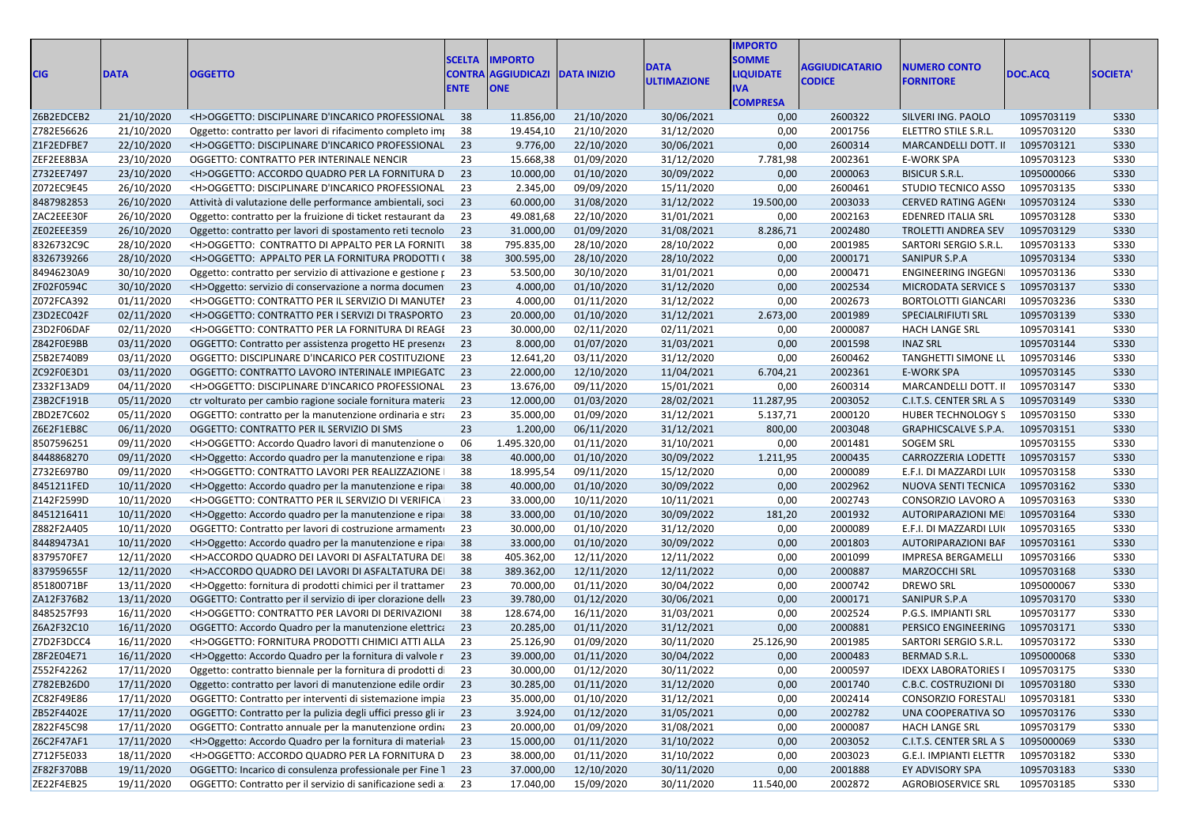| <b>CIG</b> | <b>DATA</b> | <b>OGGETTO</b>                                                  | <b>SCELTA</b><br><b>CONTRA</b><br><b>ENTE</b> | <b>MPORTO</b><br><b>AGGIUDICAZI</b><br><b>ONE</b> | <b>DATA INIZIO</b> | <b>DATA</b><br><b>ULTIMAZIONE</b> | <b>IMPORTO</b><br><b>SOMME</b><br><b>IQUIDATE</b><br>IVA<br><b>COMPRESA</b> | <b>AGGIUDICATARIO</b><br><b>CODICE</b> | <b>NUMERO CONTO</b><br><b>FORNITORE</b> | DOC.ACQ    | <b>SOCIETA</b> |
|------------|-------------|-----------------------------------------------------------------|-----------------------------------------------|---------------------------------------------------|--------------------|-----------------------------------|-----------------------------------------------------------------------------|----------------------------------------|-----------------------------------------|------------|----------------|
| Z6B2EDCEB2 | 21/10/2020  | <h>OGGETTO: DISCIPLINARE D'INCARICO PROFESSIONAL 38</h>         |                                               | 11.856,00                                         | 21/10/2020         | 30/06/2021                        | 0,00                                                                        | 2600322                                | SILVERI ING. PAOLO                      | 1095703119 | S330           |
| Z782E56626 | 21/10/2020  | Oggetto: contratto per lavori di rifacimento completo impo      | -38                                           | 19.454,10                                         | 21/10/2020         | 31/12/2020                        | 0,00                                                                        | 2001756                                | ELETTRO STILE S.R.L.                    | 1095703120 | <b>S330</b>    |
| Z1F2EDFBE7 | 22/10/2020  | <h>OGGETTO: DISCIPLINARE D'INCARICO PROFESSIONAL</h>            | 23                                            | 9.776,00                                          | 22/10/2020         | 30/06/2021                        | 0,00                                                                        | 2600314                                | MARCANDELLI DOTT. II                    | 1095703121 | S330           |
| ZEF2EE8B3A | 23/10/2020  | OGGETTO: CONTRATTO PER INTERINALE NENCIR                        | 23                                            | 15.668,38                                         | 01/09/2020         | 31/12/2020                        | 7.781,98                                                                    | 2002361                                | E-WORK SPA                              | 1095703123 | S330           |
| Z732EE7497 | 23/10/2020  | <h>OGGETTO: ACCORDO QUADRO PER LA FORNITURA D</h>               | 23                                            | 10.000,00                                         | 01/10/2020         | 30/09/2022                        | 0,00                                                                        | 2000063                                | <b>BISICUR S.R.L.</b>                   | 1095000066 | S330           |
| Z072EC9E45 | 26/10/2020  | <h>OGGETTO: DISCIPLINARE D'INCARICO PROFESSIONAL</h>            | 23                                            | 2.345,00                                          | 09/09/2020         | 15/11/2020                        | 0,00                                                                        | 2600461                                | STUDIO TECNICO ASSO                     | 1095703135 | S330           |
| 8487982853 | 26/10/2020  | Attività di valutazione delle performance ambientali, soci      | 23                                            | 60.000,00                                         | 31/08/2020         | 31/12/2022                        | 19.500,00                                                                   | 2003033                                | <b>CERVED RATING AGEN</b>               | 1095703124 | S330           |
| ZAC2EEE30F | 26/10/2020  | Oggetto: contratto per la fruizione di ticket restaurant da     | -23                                           | 49.081,68                                         | 22/10/2020         | 31/01/2021                        | 0,00                                                                        | 2002163                                | <b>EDENRED ITALIA SRL</b>               | 1095703128 | S330           |
| ZE02EEE359 | 26/10/2020  | Oggetto: contratto per lavori di spostamento reti tecnolo       | 23                                            | 31.000,00                                         | 01/09/2020         | 31/08/2021                        | 8.286,71                                                                    | 2002480                                | <b>TROLETTI ANDREA SEV</b>              | 1095703129 | S330           |
| 8326732C9C | 28/10/2020  | <h>OGGETTO: CONTRATTO DI APPALTO PER LA FORNITI</h>             | - 38                                          | 795.835,00                                        | 28/10/2020         | 28/10/2022                        | 0,00                                                                        | 2001985                                | SARTORI SERGIO S.R.L.                   | 1095703133 | S330           |
| 8326739266 | 28/10/2020  | <h>OGGETTO: APPALTO PER LA FORNITURA PRODOTTI (38</h>           |                                               | 300.595,00                                        | 28/10/2020         | 28/10/2022                        | 0,00                                                                        | 2000171                                | SANIPUR S.P.A                           | 1095703134 | S330           |
| 84946230A9 | 30/10/2020  | Oggetto: contratto per servizio di attivazione e gestione p     | -23                                           | 53.500,00                                         | 30/10/2020         | 31/01/2021                        | 0,00                                                                        | 2000471                                | <b>ENGINEERING INGEGN</b>               | 1095703136 | S330           |
| ZF02F0594C | 30/10/2020  | <h>Oggetto: servizio di conservazione a norma documen</h>       | 23                                            | 4.000,00                                          | 01/10/2020         | 31/12/2020                        | 0,00                                                                        | 2002534                                | MICRODATA SERVICE S                     | 1095703137 | S330           |
| Z072FCA392 | 01/11/2020  | <h>OGGETTO: CONTRATTO PER IL SERVIZIO DI MANUTEI</h>            | 23                                            | 4.000,00                                          | 01/11/2020         | 31/12/2022                        | 0,00                                                                        | 2002673                                | <b>BORTOLOTTI GIANCARI</b>              | 1095703236 | S330           |
| Z3D2EC042F | 02/11/2020  | <h>OGGETTO: CONTRATTO PER I SERVIZI DI TRASPORTO</h>            | 23                                            | 20.000,00                                         | 01/10/2020         | 31/12/2021                        | 2.673,00                                                                    | 2001989                                | <b>SPECIALRIFIUTI SRL</b>               | 1095703139 | S330           |
| Z3D2F06DAF | 02/11/2020  | <h>OGGETTO: CONTRATTO PER LA FORNITURA DI REAGI</h>             | -23                                           | 30.000,00                                         | 02/11/2020         | 02/11/2021                        | 0,00                                                                        | 2000087                                | <b>HACH LANGE SRL</b>                   | 1095703141 | S330           |
| Z842F0E9BB | 03/11/2020  | OGGETTO: Contratto per assistenza progetto HE presenze          | 23                                            | 8.000,00                                          | 01/07/2020         | 31/03/2021                        | 0,00                                                                        | 2001598                                | <b>INAZ SRL</b>                         | 1095703144 | S330           |
| Z5B2E740B9 | 03/11/2020  | OGGETTO: DISCIPLINARE D'INCARICO PER COSTITUZIONE               | -23                                           | 12.641,20                                         | 03/11/2020         | 31/12/2020                        | 0,00                                                                        | 2600462                                | TANGHETTI SIMONE LL                     | 1095703146 | <b>S330</b>    |
| ZC92F0E3D1 | 03/11/2020  | OGGETTO: CONTRATTO LAVORO INTERINALE IMPIEGATC 23               |                                               | 22.000,00                                         | 12/10/2020         | 11/04/2021                        | 6.704,21                                                                    | 2002361                                | E-WORK SPA                              | 1095703145 | S330           |
| Z332F13AD9 | 04/11/2020  | <h>OGGETTO: DISCIPLINARE D'INCARICO PROFESSIONAL</h>            | -23                                           | 13.676,00                                         | 09/11/2020         | 15/01/2021                        | 0,00                                                                        | 2600314                                | MARCANDELLI DOTT. II                    | 1095703147 | S330           |
| Z3B2CF191B | 05/11/2020  | ctr volturato per cambio ragione sociale fornitura materia      | 23                                            | 12.000,00                                         | 01/03/2020         | 28/02/2021                        | 11.287,95                                                                   | 2003052                                | C.I.T.S. CENTER SRL A S                 | 1095703149 | S330           |
| ZBD2E7C602 | 05/11/2020  | OGGETTO: contratto per la manutenzione ordinaria e stra         | 23                                            | 35.000,00                                         | 01/09/2020         | 31/12/2021                        | 5.137,71                                                                    | 2000120                                | HUBER TECHNOLOGY S                      | 1095703150 | S330           |
| Z6E2F1EB8C | 06/11/2020  | OGGETTO: CONTRATTO PER IL SERVIZIO DI SMS                       | 23                                            | 1.200,00                                          | 06/11/2020         | 31/12/2021                        | 800,00                                                                      | 2003048                                | <b>GRAPHICSCALVE S.P.A.</b>             | 1095703151 | S330           |
| 8507596251 | 09/11/2020  | <h>OGGETTO: Accordo Quadro lavori di manutenzione o</h>         | 06                                            | 1.495.320,00                                      | 01/11/2020         | 31/10/2021                        | 0,00                                                                        | 2001481                                | <b>SOGEM SRL</b>                        | 1095703155 | <b>S330</b>    |
| 8448868270 | 09/11/2020  | <h>Oggetto: Accordo quadro per la manutenzione e ripa</h>       | 38                                            | 40.000,00                                         | 01/10/2020         | 30/09/2022                        | 1.211,95                                                                    | 2000435                                | CARROZZERIA LODETTI                     | 1095703157 | S330           |
| Z732E697B0 | 09/11/2020  | <h>OGGETTO: CONTRATTO LAVORI PER REALIZZAZIONE  </h>            | 38                                            | 18.995,54                                         | 09/11/2020         | 15/12/2020                        | 0,00                                                                        | 2000089                                | E.F.I. DI MAZZARDI LUI                  | 1095703158 | S330           |
| 8451211FED | 10/11/2020  | <h>Oggetto: Accordo quadro per la manutenzione e ripa</h>       | - 38                                          | 40.000,00                                         | 01/10/2020         | 30/09/2022                        | 0,00                                                                        | 2002962                                | NUOVA SENTI TECNICA                     | 1095703162 | S330           |
| Z142F2599D | 10/11/2020  | <h>OGGETTO: CONTRATTO PER IL SERVIZIO DI VERIFICA</h>           | 23                                            | 33.000,00                                         | 10/11/2020         | 10/11/2021                        | 0,00                                                                        | 2002743                                | CONSORZIO LAVORO A                      | 1095703163 | S330           |
| 8451216411 | 10/11/2020  | <h>Oggetto: Accordo quadro per la manutenzione e ripa</h>       | - 38                                          | 33.000,00                                         | 01/10/2020         | 30/09/2022                        | 181,20                                                                      | 2001932                                | AUTORIPARAZIONI ME                      | 1095703164 | S330           |
| Z882F2A405 | 10/11/2020  | OGGETTO: Contratto per lavori di costruzione armamento          | -23                                           | 30.000,00                                         | 01/10/2020         | 31/12/2020                        | 0,00                                                                        | 2000089                                | E.F.I. DI MAZZARDI LUI                  | 1095703165 | <b>S330</b>    |
| 84489473A1 | 10/11/2020  | <h>Oggetto: Accordo quadro per la manutenzione e ripa</h>       | - 38                                          | 33.000,00                                         | 01/10/2020         | 30/09/2022                        | 0,00                                                                        | 2001803                                | AUTORIPARAZIONI BAF                     | 1095703161 | S330           |
| 8379570FE7 | 12/11/2020  | <h>ACCORDO QUADRO DEI LAVORI DI ASFALTATURA DEI</h>             | - 38                                          | 405.362,00                                        | 12/11/2020         | 12/11/2022                        | 0,00                                                                        | 2001099                                | IMPRESA BERGAMELLI                      | 1095703166 | S330           |
| 837959655F | 12/11/2020  | <h>ACCORDO QUADRO DEI LAVORI DI ASFALTATURA DEI 38</h>          |                                               | 389.362,00                                        | 12/11/2020         | 12/11/2022                        | 0,00                                                                        | 2000887                                | <b>MARZOCCHI SRL</b>                    | 1095703168 | S330           |
| 85180071BF | 13/11/2020  | <h>Oggetto: fornitura di prodotti chimici per il trattamer</h>  | -23                                           | 70.000,00                                         | 01/11/2020         | 30/04/2022                        | 0,00                                                                        | 2000742                                | <b>DREWO SRL</b>                        | 1095000067 | S330           |
| ZA12F376B2 | 13/11/2020  | OGGETTO: Contratto per il servizio di iper clorazione delle     | 23                                            | 39.780,00                                         | 01/12/2020         | 30/06/2021                        | 0,00                                                                        | 2000171                                | SANIPUR S.P.A                           | 1095703170 | S330           |
| 8485257F93 | 16/11/2020  | <h>OGGETTO: CONTRATTO PER LAVORI DI DERIVAZIONI</h>             | 38                                            | 128.674,00                                        | 16/11/2020         | 31/03/2021                        | 0,00                                                                        | 2002524                                | P.G.S. IMPIANTI SRL                     | 1095703177 | <b>S330</b>    |
| Z6A2F32C10 | 16/11/2020  | OGGETTO: Accordo Quadro per la manutenzione elettrica           | 23                                            | 20.285,00                                         | 01/11/2020         | 31/12/2021                        | 0,00                                                                        | 2000881                                | PERSICO ENGINEERING                     | 1095703171 | S330           |
| Z7D2F3DCC4 | 16/11/2020  | <h>OGGETTO: FORNITURA PRODOTTI CHIMICI ATTI ALLA</h>            | 23                                            | 25.126,90                                         | 01/09/2020         | 30/11/2020                        | 25.126,90                                                                   | 2001985                                | SARTORI SERGIO S.R.L.                   | 1095703172 | S330           |
| Z8F2E04E71 | 16/11/2020  | <h>Oggetto: Accordo Quadro per la fornitura di valvole r 23</h> |                                               | 39.000,00                                         | 01/11/2020         | 30/04/2022                        | 0,00                                                                        | 2000483                                | BERMAD S.R.L.                           | 1095000068 | S330           |
| Z552F42262 | 17/11/2020  | Oggetto: contratto biennale per la fornitura di prodotti di 23  |                                               | 30.000,00                                         | 01/12/2020         | 30/11/2022                        | 0,00                                                                        | 2000597                                | IDEXX LABORATORIES   1095703175         |            | S330           |
| Z782EB26D0 | 17/11/2020  | Oggetto: contratto per lavori di manutenzione edile ordir 23    |                                               | 30.285,00                                         | 01/11/2020         | 31/12/2020                        | 0,00                                                                        | 2001740                                | C.B.C. COSTRUZIONI DI 1095703180        |            | S330           |
| ZC82F49E86 | 17/11/2020  | OGGETTO: Contratto per interventi di sistemazione impia 23      |                                               | 35.000,00                                         | 01/10/2020         | 31/12/2021                        | 0,00                                                                        | 2002414                                | <b>CONSORZIO FORESTAL</b>               | 1095703181 | S330           |
| ZB52F4402E | 17/11/2020  | OGGETTO: Contratto per la pulizia degli uffici presso gli ir 23 |                                               | 3.924,00                                          | 01/12/2020         | 31/05/2021                        | 0,00                                                                        | 2002782                                | UNA COOPERATIVA SO                      | 1095703176 | S330           |
| Z822F45C98 | 17/11/2020  | OGGETTO: Contratto annuale per la manutenzione ordina 23        |                                               | 20.000,00                                         | 01/09/2020         | 31/08/2021                        | 0,00                                                                        | 2000087                                | HACH LANGE SRL                          | 1095703179 | S330           |
| Z6C2F47AF1 | 17/11/2020  | <h>Oggetto: Accordo Quadro per la fornitura di material 23</h>  |                                               | 15.000,00                                         | 01/11/2020         | 31/10/2022                        | 0,00                                                                        | 2003052                                | C.I.T.S. CENTER SRL A S                 | 1095000069 | S330           |
| Z712F5E033 | 18/11/2020  | <h>OGGETTO: ACCORDO QUADRO PER LA FORNITURA D</h>               | 23                                            | 38.000,00                                         | 01/11/2020         | 31/10/2022                        | 0,00                                                                        | 2003023                                | G.E.I. IMPIANTI ELETTR                  | 1095703182 | S330           |
| ZF82F370BB | 19/11/2020  | OGGETTO: Incarico di consulenza professionale per Fine 1 23     |                                               | 37.000,00                                         | 12/10/2020         | 30/11/2020                        | 0,00                                                                        | 2001888                                | EY ADVISORY SPA                         | 1095703183 | S330           |
| ZE22F4EB25 | 19/11/2020  | OGGETTO: Contratto per il servizio di sanificazione sedi a 23   |                                               | 17.040,00                                         | 15/09/2020         | 30/11/2020                        | 11.540,00                                                                   | 2002872                                | AGROBIOSERVICE SRL                      | 1095703185 | S330           |
|            |             |                                                                 |                                               |                                                   |                    |                                   |                                                                             |                                        |                                         |            |                |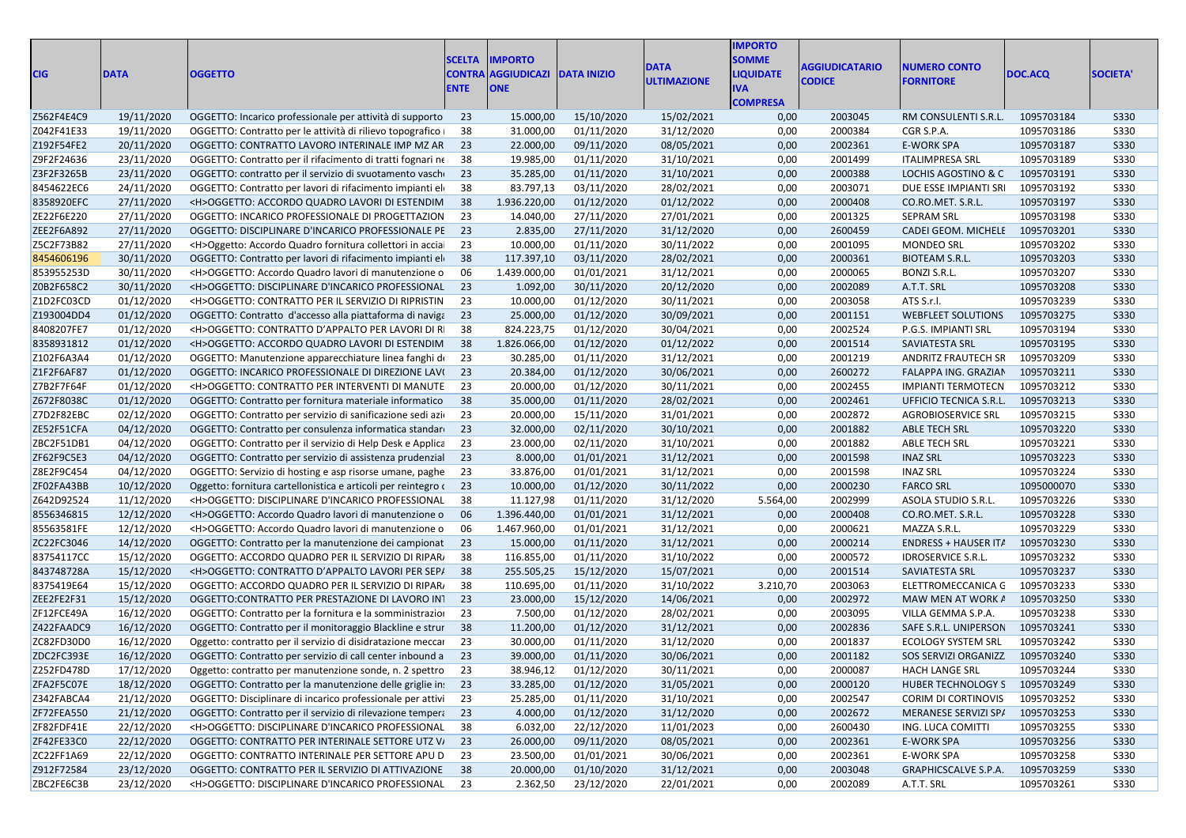| <b>CIG</b> | <b>DATA</b> | <b>OGGETTO</b>                                                   | <b>SCELTA</b><br><b>ENTE</b> | <b>IMPORTO</b><br><b>CONTRA AGGIUDICAZI DATA INIZIO</b><br><b>ONE</b> |            | <b>DATA</b><br><b>ULTIMAZIONE</b> | <b>MPORTO</b><br><b>SOMME</b><br><b>IQUIDATE</b><br>VA<br><b>COMPRESA</b> | <b>AGGIUDICATARIO</b><br><b>CODICE</b> | <b>NUMERO CONTO</b><br><b>FORNITORE</b> | DOC.ACQ    | <b>SOCIETA'</b> |
|------------|-------------|------------------------------------------------------------------|------------------------------|-----------------------------------------------------------------------|------------|-----------------------------------|---------------------------------------------------------------------------|----------------------------------------|-----------------------------------------|------------|-----------------|
| Z562F4E4C9 | 19/11/2020  | OGGETTO: Incarico professionale per attività di supporto 23      |                              | 15.000,00                                                             | 15/10/2020 | 15/02/2021                        | 0,00                                                                      | 2003045                                | RM CONSULENTI S.R.L.                    | 1095703184 | S330            |
| Z042F41E33 | 19/11/2020  | OGGETTO: Contratto per le attività di rilievo topografico   38   |                              | 31.000,00                                                             | 01/11/2020 | 31/12/2020                        | 0,00                                                                      | 2000384                                | CGR S.P.A.                              | 1095703186 | <b>S330</b>     |
| Z192F54FE2 | 20/11/2020  | OGGETTO: CONTRATTO LAVORO INTERINALE IMP MZ AR 23                |                              | 22.000,00                                                             | 09/11/2020 | 08/05/2021                        | 0,00                                                                      | 2002361                                | <b>E-WORK SPA</b>                       | 1095703187 | S330            |
| Z9F2F24636 | 23/11/2020  | OGGETTO: Contratto per il rifacimento di tratti fognari ne 38    |                              | 19.985,00                                                             | 01/11/2020 | 31/10/2021                        | 0,00                                                                      | 2001499                                | <b>ITALIMPRESA SRL</b>                  | 1095703189 | <b>S330</b>     |
| Z3F2F3265B | 23/11/2020  | OGGETTO: contratto per il servizio di svuotamento vasche 23      |                              | 35.285,00                                                             | 01/11/2020 | 31/10/2021                        | 0,00                                                                      | 2000388                                | LOCHIS AGOSTINO & C                     | 1095703191 | S330            |
| 8454622EC6 | 24/11/2020  | OGGETTO: Contratto per lavori di rifacimento impianti eli 38     |                              | 83.797,13                                                             | 03/11/2020 | 28/02/2021                        | 0,00                                                                      | 2003071                                | DUE ESSE IMPIANTI SR                    | 1095703192 | <b>S330</b>     |
| 8358920EFC | 27/11/2020  | <h>OGGETTO: ACCORDO QUADRO LAVORI DI ESTENDIM 38</h>             |                              | 1.936.220,00                                                          | 01/12/2020 | 01/12/2022                        | 0,00                                                                      | 2000408                                | CO.RO.MET. S.R.L.                       | 1095703197 | S330            |
| ZE22F6E220 | 27/11/2020  | OGGETTO: INCARICO PROFESSIONALE DI PROGETTAZION 23               |                              | 14.040,00                                                             | 27/11/2020 | 27/01/2021                        | 0,00                                                                      | 2001325                                | <b>SEPRAM SRL</b>                       | 1095703198 | <b>S330</b>     |
| ZEE2F6A892 | 27/11/2020  | OGGETTO: DISCIPLINARE D'INCARICO PROFESSIONALE PE 23             |                              | 2.835,00                                                              | 27/11/2020 | 31/12/2020                        | 0,00                                                                      | 2600459                                | CADEI GEOM. MICHELE                     | 1095703201 | S330            |
| Z5C2F73B82 | 27/11/2020  | <h>Oggetto: Accordo Quadro fornitura collettori in acciai 23</h> |                              | 10.000,00                                                             | 01/11/2020 | 30/11/2022                        | 0,00                                                                      | 2001095                                | <b>MONDEO SRL</b>                       | 1095703202 | S330            |
| 8454606196 | 30/11/2020  | OGGETTO: Contratto per lavori di rifacimento impianti eli 38     |                              | 117.397,10                                                            | 03/11/2020 | 28/02/2021                        | 0,00                                                                      | 2000361                                | <b>BIOTEAM S.R.L.</b>                   | 1095703203 | S330            |
| 853955253D | 30/11/2020  | <h>OGGETTO: Accordo Quadro lavori di manutenzione o 06</h>       |                              | 1.439.000,00                                                          | 01/01/2021 | 31/12/2021                        | 0,00                                                                      | 2000065                                | <b>BONZI S.R.L.</b>                     | 1095703207 | S330            |
| Z0B2F658C2 | 30/11/2020  | <h>OGGETTO: DISCIPLINARE D'INCARICO PROFESSIONAL 23</h>          |                              | 1.092,00                                                              | 30/11/2020 | 20/12/2020                        | 0,00                                                                      | 2002089                                | A.T.T. SRL                              | 1095703208 | S330            |
| Z1D2FC03CD | 01/12/2020  | <h>OGGETTO: CONTRATTO PER IL SERVIZIO DI RIPRISTIN 23</h>        |                              | 10.000,00                                                             | 01/12/2020 | 30/11/2021                        | 0,00                                                                      | 2003058                                | ATS S.r.l.                              | 1095703239 | <b>S330</b>     |
| Z193004DD4 | 01/12/2020  | OGGETTO: Contratto d'accesso alla piattaforma di naviga 23       |                              | 25.000,00                                                             | 01/12/2020 | 30/09/2021                        | 0,00                                                                      | 2001151                                | <b>WEBFLEET SOLUTIONS</b>               | 1095703275 | S330            |
| 8408207FE7 | 01/12/2020  | <h>OGGETTO: CONTRATTO D'APPALTO PER LAVORI DI RI 38</h>          |                              | 824.223,75                                                            | 01/12/2020 | 30/04/2021                        | 0,00                                                                      | 2002524                                | P.G.S. IMPIANTI SRL                     | 1095703194 | <b>S330</b>     |
| 8358931812 | 01/12/2020  | <h>OGGETTO: ACCORDO QUADRO LAVORI DI ESTENDIM 38</h>             |                              | 1.826.066,00                                                          | 01/12/2020 | 01/12/2022                        | 0,00                                                                      | 2001514                                | SAVIATESTA SRL                          | 1095703195 | S330            |
| Z102F6A3A4 | 01/12/2020  | OGGETTO: Manutenzione apparecchiature linea fanghi d 23          |                              | 30.285,00                                                             | 01/11/2020 | 31/12/2021                        | 0,00                                                                      | 2001219                                | ANDRITZ FRAUTECH SR                     | 1095703209 | S330            |
| Z1F2F6AF87 | 01/12/2020  | OGGETTO: INCARICO PROFESSIONALE DI DIREZIONE LAVI 23             |                              | 20.384,00                                                             | 01/12/2020 | 30/06/2021                        | 0,00                                                                      | 2600272                                | FALAPPA ING. GRAZIAN                    | 1095703211 | S330            |
| Z7B2F7F64F | 01/12/2020  | <h>OGGETTO: CONTRATTO PER INTERVENTI DI MANUTE 23</h>            |                              | 20.000,00                                                             | 01/12/2020 | 30/11/2021                        | 0,00                                                                      | 2002455                                | <b>IMPIANTI TERMOTECN</b>               | 1095703212 | S330            |
| Z672F8038C | 01/12/2020  | OGGETTO: Contratto per fornitura materiale informatico 38        |                              | 35.000,00                                                             | 01/11/2020 | 28/02/2021                        | 0,00                                                                      | 2002461                                | UFFICIO TECNICA S.R.L.                  | 1095703213 | S330            |
| Z7D2F82EBC | 02/12/2020  | OGGETTO: Contratto per servizio di sanificazione sedi azi 23     |                              | 20.000,00                                                             | 15/11/2020 | 31/01/2021                        | 0,00                                                                      | 2002872                                | <b>AGROBIOSERVICE SRL</b>               | 1095703215 | S330            |
| ZE52F51CFA | 04/12/2020  | OGGETTO: Contratto per consulenza informatica standare 23        |                              | 32.000,00                                                             | 02/11/2020 | 30/10/2021                        | 0,00                                                                      | 2001882                                | ABLE TECH SRL                           | 1095703220 | <b>S330</b>     |
| ZBC2F51DB1 | 04/12/2020  | OGGETTO: Contratto per il servizio di Help Desk e Applica 23     |                              | 23.000,00                                                             | 02/11/2020 | 31/10/2021                        | 0,00                                                                      | 2001882                                | <b>ABLE TECH SRL</b>                    | 1095703221 | <b>S330</b>     |
| ZF62F9C5E3 | 04/12/2020  | OGGETTO: Contratto per servizio di assistenza prudenzial 23      |                              | 8.000,00                                                              | 01/01/2021 | 31/12/2021                        | 0,00                                                                      | 2001598                                | <b>INAZ SRL</b>                         | 1095703223 | S330            |
| Z8E2F9C454 | 04/12/2020  | OGGETTO: Servizio di hosting e asp risorse umane, paghe 23       |                              | 33.876,00                                                             | 01/01/2021 | 31/12/2021                        | 0,00                                                                      | 2001598                                | <b>INAZ SRL</b>                         | 1095703224 | <b>S330</b>     |
| ZF02FA43BB | 10/12/2020  | Oggetto: fornitura cartellonistica e articoli per reintegro (23  |                              | 10.000,00                                                             | 01/12/2020 | 30/11/2022                        | 0,00                                                                      | 2000230                                | <b>FARCO SRL</b>                        | 1095000070 | S330            |
| Z642D92524 | 11/12/2020  | <h>OGGETTO: DISCIPLINARE D'INCARICO PROFESSIONAL 38</h>          |                              | 11.127,98                                                             | 01/11/2020 | 31/12/2020                        | 5.564,00                                                                  | 2002999                                | ASOLA STUDIO S.R.L                      | 1095703226 | S330            |
| 8556346815 | 12/12/2020  | <h>OGGETTO: Accordo Quadro lavori di manutenzione o 06</h>       |                              | 1.396.440,00                                                          | 01/01/2021 | 31/12/2021                        | 0,00                                                                      | 2000408                                | CO.RO.MET. S.R.L.                       | 1095703228 | S330            |
| 85563581FE | 12/12/2020  | <h>OGGETTO: Accordo Quadro lavori di manutenzione o</h>          | - 06                         | 1.467.960,00                                                          | 01/01/2021 | 31/12/2021                        | 0,00                                                                      | 2000621                                | MAZZA S.R.L.                            | 1095703229 | <b>S330</b>     |
| ZC22FC3046 | 14/12/2020  | OGGETTO: Contratto per la manutenzione dei campionat 23          |                              | 15.000,00                                                             | 01/11/2020 | 31/12/2021                        | 0,00                                                                      | 2000214                                | <b>ENDRESS + HAUSER ITA</b>             | 1095703230 | S330            |
| 83754117CC | 15/12/2020  | OGGETTO: ACCORDO QUADRO PER IL SERVIZIO DI RIPARA                | - 38                         | 116.855,00                                                            | 01/11/2020 | 31/10/2022                        | 0,00                                                                      | 2000572                                | <b>IDROSERVICE S.R.L</b>                | 1095703232 | <b>S330</b>     |
| 843748728A | 15/12/2020  | <h>OGGETTO: CONTRATTO D'APPALTO LAVORI PER SEP/ 38</h>           |                              | 255.505,25                                                            | 15/12/2020 | 15/07/2021                        | 0,00                                                                      | 2001514                                | <b>SAVIATESTA SRL</b>                   | 1095703237 | <b>S330</b>     |
| 8375419E64 | 15/12/2020  | OGGETTO: ACCORDO QUADRO PER IL SERVIZIO DI RIPAR/                | - 38                         | 110.695,00                                                            | 01/11/2020 | 31/10/2022                        | 3.210,70                                                                  | 2003063                                | ELETTROMECCANICA G                      | 1095703233 | S330            |
| ZEE2FE2F31 | 15/12/2020  | OGGETTO: CONTRATTO PER PRESTAZIONE DI LAVORO IN1 23              |                              | 23.000,00                                                             | 15/12/2020 | 14/06/2021                        | 0,00                                                                      | 2002972                                | MAW MEN AT WORK A                       | 1095703250 | S330            |
| ZF12FCE49A | 16/12/2020  | OGGETTO: Contratto per la fornitura e la somministrazio          | 23                           | 7.500,00                                                              | 01/12/2020 | 28/02/2021                        | 0,00                                                                      | 2003095                                | VILLA GEMMA S.P.A.                      | 1095703238 | S330            |
| Z422FAADC9 | 16/12/2020  | OGGETTO: Contratto per il monitoraggio Blackline e strur 38      |                              | 11.200,00                                                             | 01/12/2020 | 31/12/2021                        | 0,00                                                                      | 2002836                                | SAFE S.R.L. UNIPERSON                   | 1095703241 | <b>S330</b>     |
| ZC82FD30D0 | 16/12/2020  | Oggetto: contratto per il servizio di disidratazione meccar      | - 23                         | 30.000,00                                                             | 01/11/2020 | 31/12/2020                        | 0,00                                                                      | 2001837                                | <b>ECOLOGY SYSTEM SRL</b>               | 1095703242 | <b>S330</b>     |
| ZDC2FC393E | 16/12/2020  | OGGETTO: Contratto per servizio di call center inbound a 23      |                              | 39.000,00                                                             | 01/11/2020 | 30/06/2021                        | 0,00                                                                      | 2001182                                | SOS SERVIZI ORGANIZZ                    | 1095703240 | S330            |
| Z252FD478D | 17/12/2020  | Oggetto: contratto per manutenzione sonde, n. 2 spettro 23       |                              | 38.946,12                                                             | 01/12/2020 | 30/11/2021                        | 0,00                                                                      | 2000087                                | HACH LANGE SRL                          | 1095703244 | <b>S330</b>     |
| ZFA2F5C07E | 18/12/2020  | OGGETTO: Contratto per la manutenzione delle griglie in: 23      |                              | 33.285,00                                                             | 01/12/2020 | 31/05/2021                        | 0,00                                                                      | 2000120                                | HUBER TECHNOLOGY S 1095703249           |            | S330            |
| Z342FABCA4 | 21/12/2020  | OGGETTO: Disciplinare di incarico professionale per attivi 23    |                              | 25.285,00                                                             | 01/11/2020 | 31/10/2021                        | 0,00                                                                      | 2002547                                | CORIM DI CORTINOVIS                     | 1095703252 | S330            |
| ZF72FEA550 | 21/12/2020  | OGGETTO: Contratto per il servizio di rilevazione tempera 23     |                              | 4.000,00                                                              | 01/12/2020 | 31/12/2020                        | 0,00                                                                      | 2002672                                | MERANESE SERVIZI SP/                    | 1095703253 | S330            |
| ZF82FDF41E | 22/12/2020  | <h>OGGETTO: DISCIPLINARE D'INCARICO PROFESSIONAL 38</h>          |                              | 6.032,00                                                              | 22/12/2020 | 11/01/2023                        | 0,00                                                                      | 2600430                                | ING. LUCA COMITTI                       | 1095703255 | S330            |
| ZF42FE33C0 | 22/12/2020  | OGGETTO: CONTRATTO PER INTERINALE SETTORE UTZ V/ 23              |                              | 26.000,00                                                             | 09/11/2020 | 08/05/2021                        | 0,00                                                                      | 2002361                                | <b>E-WORK SPA</b>                       | 1095703256 | S330            |
| ZC22FF1A69 | 22/12/2020  | OGGETTO: CONTRATTO INTERINALE PER SETTORE APU D 23               |                              | 23.500,00                                                             | 01/01/2021 | 30/06/2021                        | 0,00                                                                      | 2002361                                | <b>E-WORK SPA</b>                       | 1095703258 | S330            |
| Z912F72584 | 23/12/2020  | OGGETTO: CONTRATTO PER IL SERVIZIO DI ATTIVAZIONE 38             |                              | 20.000,00                                                             | 01/10/2020 | 31/12/2021                        | 0,00                                                                      | 2003048                                | GRAPHICSCALVE S.P.A. 1095703259         |            | S330            |
| ZBC2FE6C3B | 23/12/2020  | <h>OGGETTO: DISCIPLINARE D'INCARICO PROFESSIONAL 23</h>          |                              | 2.362,50                                                              | 23/12/2020 | 22/01/2021                        | 0,00                                                                      | 2002089                                | A.T.T. SRL                              | 1095703261 | S330            |